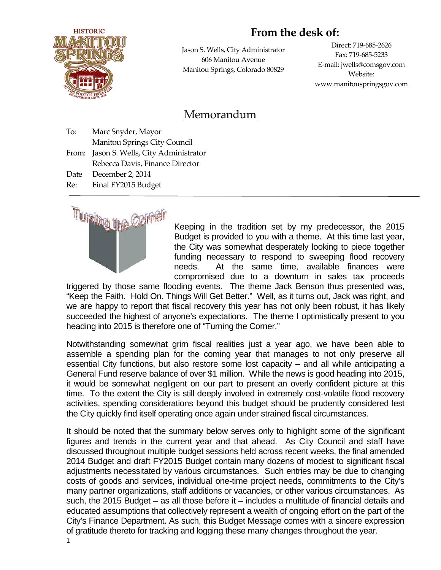# **HISTORIC**

# **From the desk of:**

Jason S. Wells, City Administrator 606 Manitou Avenue Manitou Springs, Colorado 80829

Direct: 719-685-2626 Fax: 719-685-5233 E-mail: jwells@comsgov.com Website: www.manitouspringsgov.com

# Memorandum

| To:   | Marc Snyder, Mayor                 |
|-------|------------------------------------|
|       | Manitou Springs City Council       |
| From: | Jason S. Wells, City Administrator |
|       | Rebecca Davis, Finance Director    |
| Date  | December 2, 2014                   |
| Re:   | Final FY2015 Budget                |
|       |                                    |



Keeping in the tradition set by my predecessor, the 2015 Budget is provided to you with a theme. At this time last year, the City was somewhat desperately looking to piece together funding necessary to respond to sweeping flood recovery needs. At the same time, available finances were compromised due to a downturn in sales tax proceeds

triggered by those same flooding events. The theme Jack Benson thus presented was, "Keep the Faith. Hold On. Things Will Get Better." Well, as it turns out, Jack was right, and we are happy to report that fiscal recovery this year has not only been robust, it has likely succeeded the highest of anyone's expectations. The theme I optimistically present to you heading into 2015 is therefore one of "Turning the Corner."

Notwithstanding somewhat grim fiscal realities just a year ago, we have been able to assemble a spending plan for the coming year that manages to not only preserve all essential City functions, but also restore some lost capacity – and all while anticipating a General Fund reserve balance of over \$1 million. While the news is good heading into 2015, it would be somewhat negligent on our part to present an overly confident picture at this time. To the extent the City is still deeply involved in extremely cost-volatile flood recovery activities, spending considerations beyond this budget should be prudently considered lest the City quickly find itself operating once again under strained fiscal circumstances.

It should be noted that the summary below serves only to highlight some of the significant figures and trends in the current year and that ahead. As City Council and staff have discussed throughout multiple budget sessions held across recent weeks, the final amended 2014 Budget and draft FY2015 Budget contain many dozens of modest to significant fiscal adjustments necessitated by various circumstances. Such entries may be due to changing costs of goods and services, individual one-time project needs, commitments to the City's many partner organizations, staff additions or vacancies, or other various circumstances. As such, the 2015 Budget – as all those before it – includes a multitude of financial details and educated assumptions that collectively represent a wealth of ongoing effort on the part of the City's Finance Department. As such, this Budget Message comes with a sincere expression of gratitude thereto for tracking and logging these many changes throughout the year.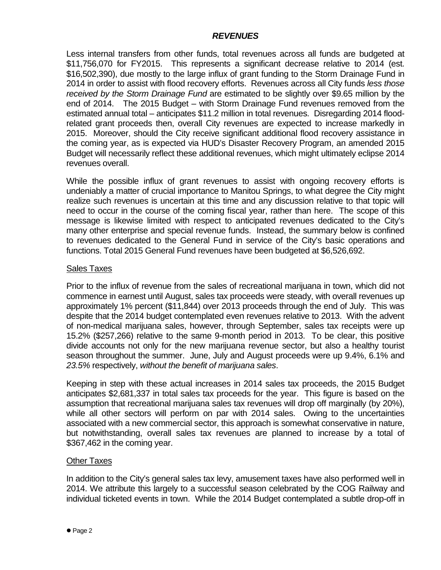# *REVENUES*

Less internal transfers from other funds, total revenues across all funds are budgeted at \$11,756,070 for FY2015. This represents a significant decrease relative to 2014 (est. \$16,502,390), due mostly to the large influx of grant funding to the Storm Drainage Fund in 2014 in order to assist with flood recovery efforts. Revenues across all City funds *less those received by the Storm Drainage Fund* are estimated to be slightly over \$9.65 million by the end of 2014. The 2015 Budget – with Storm Drainage Fund revenues removed from the estimated annual total – anticipates \$11.2 million in total revenues. Disregarding 2014 floodrelated grant proceeds then, overall City revenues are expected to increase markedly in 2015. Moreover, should the City receive significant additional flood recovery assistance in the coming year, as is expected via HUD's Disaster Recovery Program, an amended 2015 Budget will necessarily reflect these additional revenues, which might ultimately eclipse 2014 revenues overall.

While the possible influx of grant revenues to assist with ongoing recovery efforts is undeniably a matter of crucial importance to Manitou Springs, to what degree the City might realize such revenues is uncertain at this time and any discussion relative to that topic will need to occur in the course of the coming fiscal year, rather than here. The scope of this message is likewise limited with respect to anticipated revenues dedicated to the City's many other enterprise and special revenue funds. Instead, the summary below is confined to revenues dedicated to the General Fund in service of the City's basic operations and functions. Total 2015 General Fund revenues have been budgeted at \$6,526,692.

# Sales Taxes

Prior to the influx of revenue from the sales of recreational marijuana in town, which did not commence in earnest until August, sales tax proceeds were steady, with overall revenues up approximately 1% percent (\$11,844) over 2013 proceeds through the end of July. This was despite that the 2014 budget contemplated even revenues relative to 2013. With the advent of non-medical marijuana sales, however, through September, sales tax receipts were up 15.2% (\$257,266) relative to the same 9-month period in 2013. To be clear, this positive divide accounts not only for the new marijuana revenue sector, but also a healthy tourist season throughout the summer. June, July and August proceeds were up 9.4%, 6.1% and *23.5%* respectively, *without the benefit of marijuana sales*.

Keeping in step with these actual increases in 2014 sales tax proceeds, the 2015 Budget anticipates \$2,681,337 in total sales tax proceeds for the year. This figure is based on the assumption that recreational marijuana sales tax revenues will drop off marginally (by 20%), while all other sectors will perform on par with 2014 sales. Owing to the uncertainties associated with a new commercial sector, this approach is somewhat conservative in nature, but notwithstanding, overall sales tax revenues are planned to increase by a total of \$367,462 in the coming year.

# Other Taxes

In addition to the City's general sales tax levy, amusement taxes have also performed well in 2014. We attribute this largely to a successful season celebrated by the COG Railway and individual ticketed events in town. While the 2014 Budget contemplated a subtle drop-off in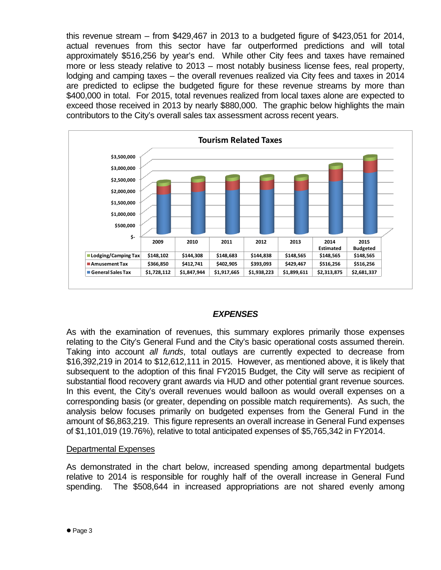this revenue stream – from \$429,467 in 2013 to a budgeted figure of \$423,051 for 2014, actual revenues from this sector have far outperformed predictions and will total approximately \$516,256 by year's end. While other City fees and taxes have remained more or less steady relative to 2013 – most notably business license fees, real property, lodging and camping taxes – the overall revenues realized via City fees and taxes in 2014 are predicted to eclipse the budgeted figure for these revenue streams by more than \$400,000 in total. For 2015, total revenues realized from local taxes alone are expected to exceed those received in 2013 by nearly \$880,000. The graphic below highlights the main contributors to the City's overall sales tax assessment across recent years.



# *EXPENSES*

As with the examination of revenues, this summary explores primarily those expenses relating to the City's General Fund and the City's basic operational costs assumed therein. Taking into account *all funds*, total outlays are currently expected to decrease from \$16,392,219 in 2014 to \$12,612,111 in 2015. However, as mentioned above, it is likely that subsequent to the adoption of this final FY2015 Budget, the City will serve as recipient of substantial flood recovery grant awards via HUD and other potential grant revenue sources. In this event, the City's overall revenues would balloon as would overall expenses on a corresponding basis (or greater, depending on possible match requirements). As such, the analysis below focuses primarily on budgeted expenses from the General Fund in the amount of \$6,863,219. This figure represents an overall increase in General Fund expenses of \$1,101,019 (19.76%), relative to total anticipated expenses of \$5,765,342 in FY2014.

#### Departmental Expenses

As demonstrated in the chart below, increased spending among departmental budgets relative to 2014 is responsible for roughly half of the overall increase in General Fund spending. The \$508,644 in increased appropriations are not shared evenly among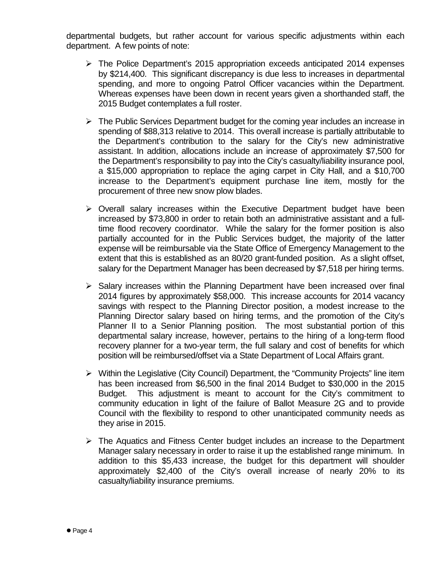departmental budgets, but rather account for various specific adjustments within each department. A few points of note:

- $\triangleright$  The Police Department's 2015 appropriation exceeds anticipated 2014 expenses by \$214,400. This significant discrepancy is due less to increases in departmental spending, and more to ongoing Patrol Officer vacancies within the Department. Whereas expenses have been down in recent years given a shorthanded staff, the 2015 Budget contemplates a full roster.
- $\triangleright$  The Public Services Department budget for the coming year includes an increase in spending of \$88,313 relative to 2014. This overall increase is partially attributable to the Department's contribution to the salary for the City's new administrative assistant. In addition, allocations include an increase of approximately \$7,500 for the Department's responsibility to pay into the City's casualty/liability insurance pool, a \$15,000 appropriation to replace the aging carpet in City Hall, and a \$10,700 increase to the Department's equipment purchase line item, mostly for the procurement of three new snow plow blades.
- $\triangleright$  Overall salary increases within the Executive Department budget have been increased by \$73,800 in order to retain both an administrative assistant and a fulltime flood recovery coordinator. While the salary for the former position is also partially accounted for in the Public Services budget, the majority of the latter expense will be reimbursable via the State Office of Emergency Management to the extent that this is established as an 80/20 grant-funded position. As a slight offset, salary for the Department Manager has been decreased by \$7,518 per hiring terms.
- $\triangleright$  Salary increases within the Planning Department have been increased over final 2014 figures by approximately \$58,000. This increase accounts for 2014 vacancy savings with respect to the Planning Director position, a modest increase to the Planning Director salary based on hiring terms, and the promotion of the City's Planner II to a Senior Planning position. The most substantial portion of this departmental salary increase, however, pertains to the hiring of a long-term flood recovery planner for a two-year term, the full salary and cost of benefits for which position will be reimbursed/offset via a State Department of Local Affairs grant.
- $\triangleright$  Within the Legislative (City Council) Department, the "Community Projects" line item has been increased from \$6,500 in the final 2014 Budget to \$30,000 in the 2015 Budget. This adjustment is meant to account for the City's commitment to community education in light of the failure of Ballot Measure 2G and to provide Council with the flexibility to respond to other unanticipated community needs as they arise in 2015.
- $\triangleright$  The Aquatics and Fitness Center budget includes an increase to the Department Manager salary necessary in order to raise it up the established range minimum. In addition to this \$5,433 increase, the budget for this department will shoulder approximately \$2,400 of the City's overall increase of nearly 20% to its casualty/liability insurance premiums.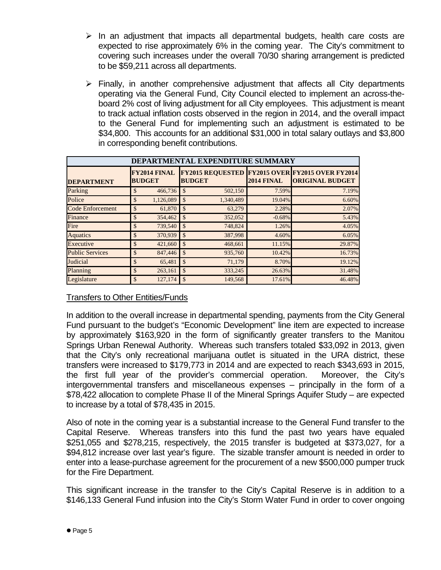- $\triangleright$  In an adjustment that impacts all departmental budgets, health care costs are expected to rise approximately 6% in the coming year. The City's commitment to covering such increases under the overall 70/30 sharing arrangement is predicted to be \$59,211 across all departments.
- $\triangleright$  Finally, in another comprehensive adjustment that affects all City departments operating via the General Fund, City Council elected to implement an across-theboard 2% cost of living adjustment for all City employees. This adjustment is meant to track actual inflation costs observed in the region in 2014, and the overall impact to the General Fund for implementing such an adjustment is estimated to be \$34,800. This accounts for an additional \$31,000 in total salary outlays and \$3,800 in corresponding benefit contributions.

|                         |                                      |               | DEPARTMENTAL EXPENDITURE SUMMARY |                   |                                                                                  |
|-------------------------|--------------------------------------|---------------|----------------------------------|-------------------|----------------------------------------------------------------------------------|
| <b>DEPARTMENT</b>       | <b>FY2014 FINAL</b><br><b>BUDGET</b> |               | <b>BUDGET</b>                    | <b>2014 FINAL</b> | <b>FY2015 REQUESTED FY2015 OVER FY2015 OVER FY2014</b><br><b>ORIGINAL BUDGET</b> |
| Parking                 | \$<br>466,736                        | \$            | 502,150                          | 7.59%             | 7.19%                                                                            |
| Police                  | \$<br>1,126,089                      | $\mathcal{S}$ | 1,340,489                        | 19.04%            | 6.60%                                                                            |
| <b>Code Enforcement</b> | \$<br>61,870                         | $\mathcal{S}$ | 63,279                           | 2.28%             | 2.07%                                                                            |
| Finance                 | \$<br>354,462                        | $\mathcal{S}$ | 352,052                          | $-0.68%$          | 5.43%                                                                            |
| Fire                    | \$<br>739,540                        | $\mathcal{S}$ | 748,824                          | 1.26%             | 4.05%                                                                            |
| <b>Aquatics</b>         | \$<br>370,939                        | \$            | 387,998                          | 4.60%             | 6.05%                                                                            |
| Executive               | \$<br>421,660                        | $\mathcal{S}$ | 468,661                          | 11.15%            | 29.87%                                                                           |
| <b>Public Services</b>  | \$<br>847,446                        | \$            | 935,760                          | 10.42%            | 16.73%                                                                           |
| <b>Judicial</b>         | \$<br>65,481                         | \$            | 71,179                           | 8.70%             | 19.12%                                                                           |
| Planning                | \$<br>263,161                        | \$            | 333,245                          | 26.63%            | 31.48%                                                                           |
| Legislature             | \$<br>127,174                        | $\mathcal{S}$ | 149,568                          | 17.61%            | 46.48%                                                                           |

# Transfers to Other Entities/Funds

In addition to the overall increase in departmental spending, payments from the City General Fund pursuant to the budget's "Economic Development" line item are expected to increase by approximately \$163,920 in the form of significantly greater transfers to the Manitou Springs Urban Renewal Authority. Whereas such transfers totaled \$33,092 in 2013, given that the City's only recreational marijuana outlet is situated in the URA district, these transfers were increased to \$179,773 in 2014 and are expected to reach \$343,693 in 2015, the first full year of the provider's commercial operation. Moreover, the City's intergovernmental transfers and miscellaneous expenses – principally in the form of a \$78,422 allocation to complete Phase II of the Mineral Springs Aquifer Study – are expected to increase by a total of \$78,435 in 2015.

Also of note in the coming year is a substantial increase to the General Fund transfer to the Capital Reserve. Whereas transfers into this fund the past two years have equaled \$251,055 and \$278,215, respectively, the 2015 transfer is budgeted at \$373,027, for a \$94,812 increase over last year's figure. The sizable transfer amount is needed in order to enter into a lease-purchase agreement for the procurement of a new \$500,000 pumper truck for the Fire Department.

This significant increase in the transfer to the City's Capital Reserve is in addition to a \$146,133 General Fund infusion into the City's Storm Water Fund in order to cover ongoing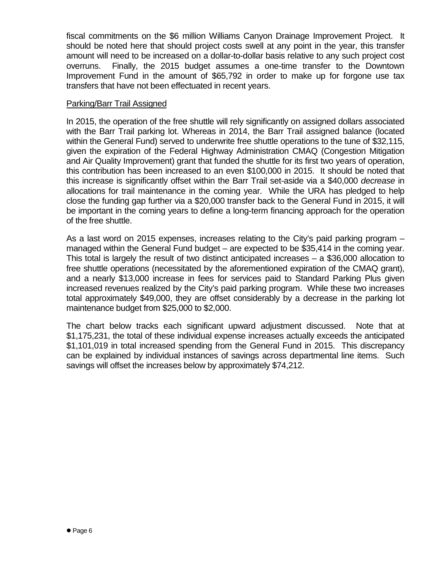fiscal commitments on the \$6 million Williams Canyon Drainage Improvement Project. It should be noted here that should project costs swell at any point in the year, this transfer amount will need to be increased on a dollar-to-dollar basis relative to any such project cost overruns. Finally, the 2015 budget assumes a one-time transfer to the Downtown Improvement Fund in the amount of \$65,792 in order to make up for forgone use tax transfers that have not been effectuated in recent years.

#### Parking/Barr Trail Assigned

In 2015, the operation of the free shuttle will rely significantly on assigned dollars associated with the Barr Trail parking lot. Whereas in 2014, the Barr Trail assigned balance (located within the General Fund) served to underwrite free shuttle operations to the tune of \$32,115, given the expiration of the Federal Highway Administration CMAQ (Congestion Mitigation and Air Quality Improvement) grant that funded the shuttle for its first two years of operation, this contribution has been increased to an even \$100,000 in 2015. It should be noted that this increase is significantly offset within the Barr Trail set-aside via a \$40,000 *decrease* in allocations for trail maintenance in the coming year. While the URA has pledged to help close the funding gap further via a \$20,000 transfer back to the General Fund in 2015, it will be important in the coming years to define a long-term financing approach for the operation of the free shuttle.

As a last word on 2015 expenses, increases relating to the City's paid parking program – managed within the General Fund budget – are expected to be \$35,414 in the coming year. This total is largely the result of two distinct anticipated increases – a \$36,000 allocation to free shuttle operations (necessitated by the aforementioned expiration of the CMAQ grant), and a nearly \$13,000 increase in fees for services paid to Standard Parking Plus given increased revenues realized by the City's paid parking program. While these two increases total approximately \$49,000, they are offset considerably by a decrease in the parking lot maintenance budget from \$25,000 to \$2,000.

The chart below tracks each significant upward adjustment discussed. Note that at \$1,175,231, the total of these individual expense increases actually exceeds the anticipated \$1,101,019 in total increased spending from the General Fund in 2015. This discrepancy can be explained by individual instances of savings across departmental line items. Such savings will offset the increases below by approximately \$74,212.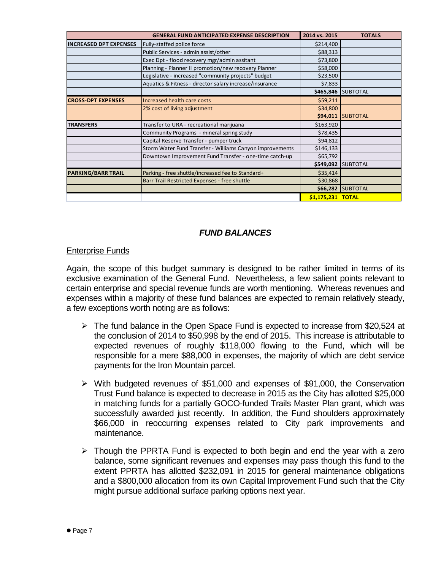|                               | <b>GENERAL FUND ANTICIPATED EXPENSE DESCRIPTION</b>      | 2014 vs. 2015     | <b>TOTALS</b>            |
|-------------------------------|----------------------------------------------------------|-------------------|--------------------------|
| <b>INCREASED DPT EXPENSES</b> | Fully-staffed police force                               | \$214,400         |                          |
|                               | Public Services - admin assist/other                     | \$88,313          |                          |
|                               | Exec Dpt - flood recovery mgr/admin assitant             | \$73,800          |                          |
|                               | Planning - Planner II promotion/new recovery Planner     | \$58,000          |                          |
|                               | Legislative - increased "community projects" budget      | \$23,500          |                          |
|                               | Aquatics & Fitness - director salary increase/insurance  | \$7,833           |                          |
|                               |                                                          |                   | \$465,846 SUBTOTAL       |
| <b>CROSS-DPT EXPENSES</b>     | Increased health care costs                              | \$59,211          |                          |
|                               | 2% cost of living adjustment                             | \$34,800          |                          |
|                               |                                                          |                   | <b>\$94,011 SUBTOTAL</b> |
| <b>TRANSFERS</b>              | Transfer to URA - recreational marijuana                 | \$163,920         |                          |
|                               | Community Programs - mineral spring study                | \$78,435          |                          |
|                               | Capital Reserve Transfer - pumper truck                  | \$94,812          |                          |
|                               | Storm Water Fund Transfer - Williams Canyon improvements | \$146,133         |                          |
|                               | Downtown Improvement Fund Transfer - one-time catch-up   | \$65,792          |                          |
|                               |                                                          |                   | \$549,092 SUBTOTAL       |
| <b>PARKING/BARR TRAIL</b>     | Parking - free shuttle/increased fee to Standard+        | \$35,414          |                          |
|                               | Barr Trail Restricted Expenses - free shuttle            | \$30,868          |                          |
|                               |                                                          |                   | \$66,282 SUBTOTAL        |
|                               |                                                          | \$1,175,231 TOTAL |                          |

# *FUND BALANCES*

# Enterprise Funds

Again, the scope of this budget summary is designed to be rather limited in terms of its exclusive examination of the General Fund. Nevertheless, a few salient points relevant to certain enterprise and special revenue funds are worth mentioning. Whereas revenues and expenses within a majority of these fund balances are expected to remain relatively steady, a few exceptions worth noting are as follows:

- $\triangleright$  The fund balance in the Open Space Fund is expected to increase from \$20,524 at the conclusion of 2014 to \$50,998 by the end of 2015. This increase is attributable to expected revenues of roughly \$118,000 flowing to the Fund, which will be responsible for a mere \$88,000 in expenses, the majority of which are debt service payments for the Iron Mountain parcel.
- With budgeted revenues of \$51,000 and expenses of \$91,000, the Conservation Trust Fund balance is expected to decrease in 2015 as the City has allotted \$25,000 in matching funds for a partially GOCO-funded Trails Master Plan grant, which was successfully awarded just recently. In addition, the Fund shoulders approximately \$66,000 in reoccurring expenses related to City park improvements and maintenance.
- $\triangleright$  Though the PPRTA Fund is expected to both begin and end the year with a zero balance, some significant revenues and expenses may pass though this fund to the extent PPRTA has allotted \$232,091 in 2015 for general maintenance obligations and a \$800,000 allocation from its own Capital Improvement Fund such that the City might pursue additional surface parking options next year.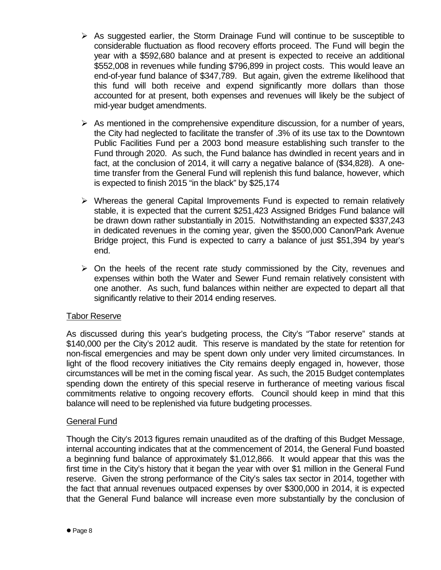- $\triangleright$  As suggested earlier, the Storm Drainage Fund will continue to be susceptible to considerable fluctuation as flood recovery efforts proceed. The Fund will begin the year with a \$592,680 balance and at present is expected to receive an additional \$552,008 in revenues while funding \$796,899 in project costs. This would leave an end-of-year fund balance of \$347,789. But again, given the extreme likelihood that this fund will both receive and expend significantly more dollars than those accounted for at present, both expenses and revenues will likely be the subject of mid-year budget amendments.
- $\triangleright$  As mentioned in the comprehensive expenditure discussion, for a number of years, the City had neglected to facilitate the transfer of .3% of its use tax to the Downtown Public Facilities Fund per a 2003 bond measure establishing such transfer to the Fund through 2020. As such, the Fund balance has dwindled in recent years and in fact, at the conclusion of 2014, it will carry a negative balance of (\$34,828). A onetime transfer from the General Fund will replenish this fund balance, however, which is expected to finish 2015 "in the black" by \$25,174
- $\triangleright$  Whereas the general Capital Improvements Fund is expected to remain relatively stable, it is expected that the current \$251,423 Assigned Bridges Fund balance will be drawn down rather substantially in 2015. Notwithstanding an expected \$337,243 in dedicated revenues in the coming year, given the \$500,000 Canon/Park Avenue Bridge project, this Fund is expected to carry a balance of just \$51,394 by year's end.
- $\triangleright$  On the heels of the recent rate study commissioned by the City, revenues and expenses within both the Water and Sewer Fund remain relatively consistent with one another. As such, fund balances within neither are expected to depart all that significantly relative to their 2014 ending reserves.

# Tabor Reserve

As discussed during this year's budgeting process, the City's "Tabor reserve" stands at \$140,000 per the City's 2012 audit. This reserve is mandated by the state for retention for non-fiscal emergencies and may be spent down only under very limited circumstances. In light of the flood recovery initiatives the City remains deeply engaged in, however, those circumstances will be met in the coming fiscal year. As such, the 2015 Budget contemplates spending down the entirety of this special reserve in furtherance of meeting various fiscal commitments relative to ongoing recovery efforts. Council should keep in mind that this balance will need to be replenished via future budgeting processes.

# General Fund

Though the City's 2013 figures remain unaudited as of the drafting of this Budget Message, internal accounting indicates that at the commencement of 2014, the General Fund boasted a beginning fund balance of approximately \$1,012,866. It would appear that this was the first time in the City's history that it began the year with over \$1 million in the General Fund reserve. Given the strong performance of the City's sales tax sector in 2014, together with the fact that annual revenues outpaced expenses by over \$300,000 in 2014, it is expected that the General Fund balance will increase even more substantially by the conclusion of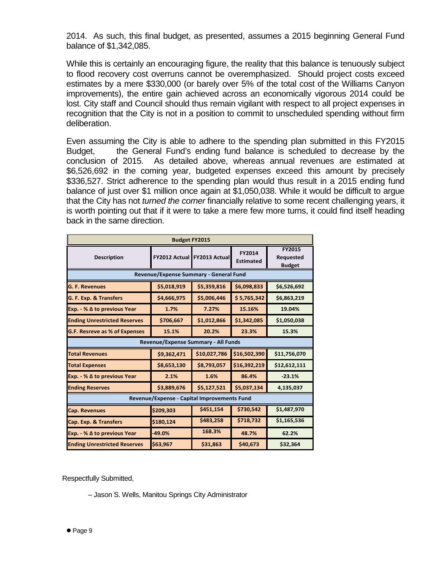2014. As such, this final budget, as presented, assumes a 2015 beginning General Fund balance of \$1,342,085.

While this is certainly an encouraging figure, the reality that this balance is tenuously subject to flood recovery cost overruns cannot be overemphasized. Should project costs exceed estimates by a mere \$330,000 (or barely over 5% of the total cost of the Williams Canyon improvements), the entire gain achieved across an economically vigorous 2014 could be lost. City staff and Council should thus remain vigilant with respect to all project expenses in recognition that the City is not in a position to commit to unscheduled spending without firm deliberation.

Even assuming the City is able to adhere to the spending plan submitted in this FY2015 Budget, the General Fund's ending fund balance is scheduled to decrease by the conclusion of 2015. As detailed above, whereas annual revenues are estimated at \$6,526,692 in the coming year, budgeted expenses exceed this amount by precisely \$336,527. Strict adherence to the spending plan would thus result in a 2015 ending fund balance of just over \$1 million once again at \$1,050,038. While it would be difficult to argue that the City has not *turned the corner* financially relative to some recent challenging years, it is worth pointing out that if it were to take a mere few more turns, it could find itself heading back in the same direction.

|                                        | <b>Budget FY2015</b>                        |               |                            |                                             |  |  |  |  |  |  |  |  |  |
|----------------------------------------|---------------------------------------------|---------------|----------------------------|---------------------------------------------|--|--|--|--|--|--|--|--|--|
| <b>Description</b>                     | <b>FY2012 Actual</b>                        | FY2013 Actual | FY2014<br><b>Estimated</b> | FY2015<br><b>Requested</b><br><b>Budget</b> |  |  |  |  |  |  |  |  |  |
| Revenue/Expense Summary - General Fund |                                             |               |                            |                                             |  |  |  |  |  |  |  |  |  |
| <b>G. F. Revenues</b>                  | \$5,018,919                                 | \$5,359,816   | \$6,098,833                | \$6,526,692                                 |  |  |  |  |  |  |  |  |  |
| G. F. Exp. & Transfers                 | \$4,666,975                                 | \$5,006,446   | \$5,765,342                | \$6,863,219                                 |  |  |  |  |  |  |  |  |  |
| Exp. - % $\Delta$ to previous Year     | 1.7%                                        | 7.27%         | 15.16%                     | 19.04%                                      |  |  |  |  |  |  |  |  |  |
| <b>Ending Unrestricted Reserves</b>    | \$706,667                                   | \$1,012,866   | \$1,342,085                | \$1,050,038                                 |  |  |  |  |  |  |  |  |  |
| G.F. Resreve as % of Expenses          | 15.1%                                       | 20.2%         | 23.3%                      | 15.3%                                       |  |  |  |  |  |  |  |  |  |
|                                        | Revenue/Expense Summary - All Funds         |               |                            |                                             |  |  |  |  |  |  |  |  |  |
| <b>Total Revenues</b>                  | \$9,362,471                                 | \$10,027,786  | \$16,502,390               | \$11,756,070                                |  |  |  |  |  |  |  |  |  |
| <b>Total Expenses</b>                  | \$8,653,130                                 | \$8,793,057   | \$16,392,219               | \$12,612,111                                |  |  |  |  |  |  |  |  |  |
| Exp. - % $\Delta$ to previous Year     | 2.1%                                        | 1.6%          | 86.4%                      | $-23.1%$                                    |  |  |  |  |  |  |  |  |  |
| <b>Ending Reserves</b>                 | \$3,889,676                                 | \$5,127,521   | \$5,037,134                | 4,135,037                                   |  |  |  |  |  |  |  |  |  |
|                                        | Revenue/Expense - Capital Improvements Fund |               |                            |                                             |  |  |  |  |  |  |  |  |  |
| <b>Cap. Revenues</b>                   | \$209,303                                   | \$451,154     | \$730,542                  | \$1,487,970                                 |  |  |  |  |  |  |  |  |  |
| <b>Cap. Exp. &amp; Transfers</b>       | \$180,124                                   | \$483,258     | \$718,732                  | \$1,165,536                                 |  |  |  |  |  |  |  |  |  |
| Exp. - % $\Delta$ to previous Year     | $-49.0%$                                    | 168.3%        | 48.7%                      | 62.2%                                       |  |  |  |  |  |  |  |  |  |
| <b>Ending Unrestricted Reserves</b>    | \$63,967                                    | \$31,863      | \$40,673                   | \$32,364                                    |  |  |  |  |  |  |  |  |  |

Respectfully Submitted,

– Jason S. Wells, Manitou Springs City Administrator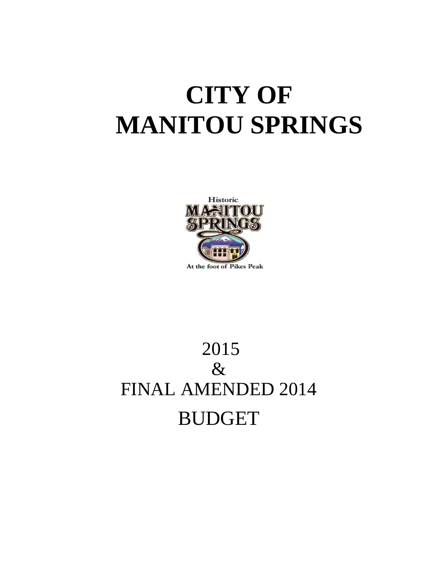# **CITY OF MANITOU SPRINGS**



# 2015 & FINAL AMENDED 2014 BUDGET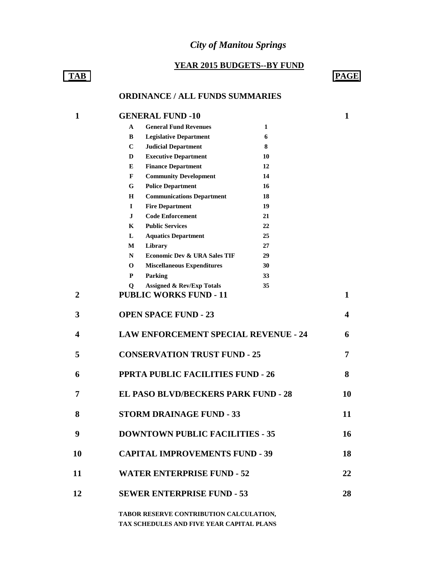# *City of Manitou Springs*

#### **YEAR 2015 BUDGETS--BY FUND**

# **TAB PAGE**

# **ORDINANCE / ALL FUNDS SUMMARIES**

| $\mathbf{1}$     | <b>GENERAL FUND -10</b>                             |    | 1  |
|------------------|-----------------------------------------------------|----|----|
|                  | <b>General Fund Revenues</b><br>A                   | 1  |    |
|                  | B<br><b>Legislative Department</b>                  | 6  |    |
|                  | $\mathbf C$<br><b>Judicial Department</b>           | 8  |    |
|                  | <b>Executive Department</b><br>D                    | 10 |    |
|                  | <b>Finance Department</b><br>E                      | 12 |    |
|                  | F<br><b>Community Development</b>                   | 14 |    |
|                  | <b>Police Department</b><br>G                       | 16 |    |
|                  | <b>Communications Department</b><br>Н               | 18 |    |
|                  | $\mathbf I$<br><b>Fire Department</b>               | 19 |    |
|                  | <b>Code Enforcement</b><br>J                        | 21 |    |
|                  | <b>Public Services</b><br>K                         | 22 |    |
|                  | L<br><b>Aquatics Department</b>                     | 25 |    |
|                  | Library<br>М                                        | 27 |    |
|                  | <b>Economic Dev &amp; URA Sales TIF</b><br>N        | 29 |    |
|                  | 0<br><b>Miscellaneous Expenditures</b>              | 30 |    |
|                  | P<br>Parking                                        | 33 |    |
|                  | <b>Assigned &amp; Rev/Exp Totals</b><br>$\mathbf 0$ | 35 |    |
| 2                | <b>PUBLIC WORKS FUND - 11</b>                       |    | 1  |
| 3                | <b>OPEN SPACE FUND - 23</b>                         |    | 4  |
| $\boldsymbol{4}$ | <b>LAW ENFORCEMENT SPECIAL REVENUE - 24</b>         |    | 6  |
| 5                | <b>CONSERVATION TRUST FUND - 25</b>                 |    | 7  |
| 6                | PPRTA PUBLIC FACILITIES FUND - 26                   |    | 8  |
| 7                | <b>EL PASO BLVD/BECKERS PARK FUND - 28</b>          |    | 10 |
| 8                | <b>STORM DRAINAGE FUND - 33</b>                     |    | 11 |
| 9                | <b>DOWNTOWN PUBLIC FACILITIES - 35</b>              |    | 16 |
| 10               | <b>CAPITAL IMPROVEMENTS FUND - 39</b>               |    | 18 |
| 11               | <b>WATER ENTERPRISE FUND - 52</b>                   |    | 22 |
| 12               | <b>SEWER ENTERPRISE FUND - 53</b>                   |    | 28 |
|                  |                                                     |    |    |

**TABOR RESERVE CONTRIBUTION CALCULATION, TAX SCHEDULES AND FIVE YEAR CAPITAL PLANS**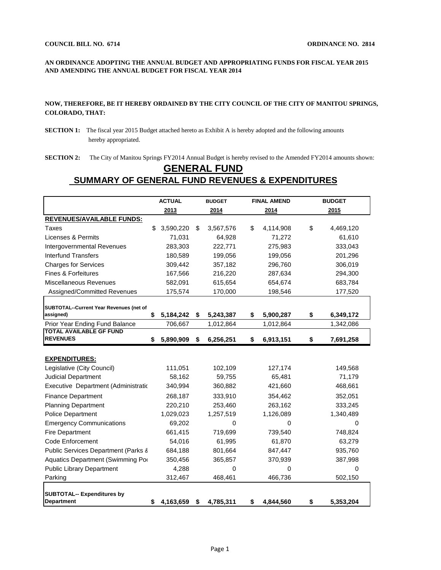#### **AN ORDINANCE ADOPTING THE ANNUAL BUDGET AND APPROPRIATING FUNDS FOR FISCAL YEAR 2015 AND AMENDING THE ANNUAL BUDGET FOR FISCAL YEAR 2014**

#### **NOW, THEREFORE, BE IT HEREBY ORDAINED BY THE CITY COUNCIL OF THE CITY OF MANITOU SPRINGS, COLORADO, THAT:**

- **SECTION 1:** The fiscal year 2015 Budget attached hereto as Exhibit A is hereby adopted and the following amounts hereby appropriated.
- **SECTION 2:** The City of Manitou Springs FY2014 Annual Budget is hereby revised to the Amended FY2014 amounts shown:

# **GENERAL FUND SUMMARY OF GENERAL FUND REVENUES & EXPENDITURES**

|                                                      | <b>ACTUAL</b> |           | <b>BUDGET</b>   | <b>FINAL AMEND</b> |    | <b>BUDGET</b> |
|------------------------------------------------------|---------------|-----------|-----------------|--------------------|----|---------------|
|                                                      |               | 2013      | 2014            | 2014               |    | 2015          |
| <b>REVENUES/AVAILABLE FUNDS:</b>                     |               |           |                 |                    |    |               |
| Taxes                                                | \$            | 3,590,220 | \$<br>3,567,576 | \$<br>4,114,908    | \$ | 4,469,120     |
| Licenses & Permits                                   |               | 71,031    | 64,928          | 71,272             |    | 61,610        |
| <b>Intergovernmental Revenues</b>                    |               | 283,303   | 222,771         | 275,983            |    | 333,043       |
| <b>Interfund Transfers</b>                           |               | 180,589   | 199,056         | 199,056            |    | 201,296       |
| <b>Charges for Services</b>                          |               | 309,442   | 357,182         | 296,760            |    | 306,019       |
| <b>Fines &amp; Forfeitures</b>                       |               | 167,566   | 216,220         | 287,634            |    | 294,300       |
| Miscellaneous Revenues                               |               | 582,091   | 615,654         | 654,674            |    | 683,784       |
| Assigned/Committed Revenues                          |               | 175,574   | 170,000         | 198,546            |    | 177,520       |
|                                                      |               |           |                 |                    |    |               |
| SUBTOTAL--Current Year Revenues (net of<br>assigned) | \$            | 5,184,242 | \$<br>5,243,387 | \$<br>5,900,287    | \$ | 6,349,172     |
| Prior Year Ending Fund Balance                       |               | 706,667   | 1,012,864       | 1,012,864          |    | 1,342,086     |
| <b>TOTAL AVAILABLE GF FUND</b>                       |               |           |                 |                    |    |               |
| <b>REVENUES</b>                                      | S             | 5,890,909 | \$<br>6,256,251 | \$<br>6,913,151    | \$ | 7,691,258     |
|                                                      |               |           |                 |                    |    |               |
| <b>EXPENDITURES:</b>                                 |               |           |                 |                    |    |               |
| Legislative (City Council)                           |               | 111,051   | 102,109         | 127,174            |    | 149,568       |
| <b>Judicial Department</b>                           |               | 58,162    | 59,755          | 65,481             |    | 71,179        |
| Executive Department (Administration                 |               | 340,994   | 360,882         | 421,660            |    | 468,661       |
| <b>Finance Department</b>                            |               | 268,187   | 333,910         | 354,462            |    | 352,051       |
| <b>Planning Department</b>                           |               | 220,210   | 253,460         | 263,162            |    | 333,245       |
| <b>Police Department</b>                             |               | 1,029,023 | 1,257,519       | 1,126,089          |    | 1,340,489     |
| <b>Emergency Communications</b>                      |               | 69,202    | 0               | 0                  |    | 0             |
| <b>Fire Department</b>                               |               | 661,415   | 719,699         | 739,540            |    | 748,824       |
| Code Enforcement                                     |               | 54,016    | 61,995          | 61,870             |    | 63,279        |
| Public Services Department (Parks &                  |               | 684,188   | 801,664         | 847,447            |    | 935,760       |
| Aquatics Department (Swimming Por                    |               | 350,456   | 365,857         | 370,939            |    | 387,998       |
| <b>Public Library Department</b>                     |               | 4,288     | 0               | 0                  |    | 0             |
| Parking                                              |               | 312,467   | 468,461         | 466,736            |    | 502,150       |
|                                                      |               |           |                 |                    |    |               |
| <b>SUBTOTAL-- Expenditures by</b>                    |               |           |                 |                    |    |               |
| <b>Department</b>                                    | \$            | 4,163,659 | \$<br>4,785,311 | \$<br>4,844,560    | \$ | 5,353,204     |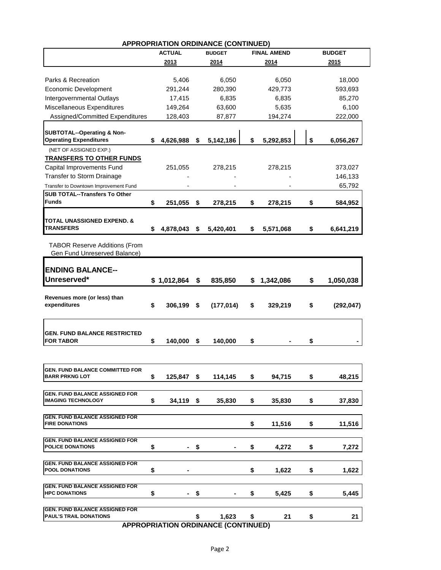| APPROPRIATION ORDINANCE (CONTINUED)<br><b>ACTUAL</b><br><b>FINAL AMEND</b><br><b>BUDGET</b><br><b>BUDGET</b> |    |             |    |            |    |           |    |            |  |  |  |  |  |
|--------------------------------------------------------------------------------------------------------------|----|-------------|----|------------|----|-----------|----|------------|--|--|--|--|--|
|                                                                                                              |    |             |    |            |    |           |    |            |  |  |  |  |  |
|                                                                                                              |    | 2013        |    | 2014       |    | 2014      |    | 2015       |  |  |  |  |  |
| Parks & Recreation                                                                                           |    |             |    |            |    |           |    |            |  |  |  |  |  |
|                                                                                                              |    | 5,406       |    | 6,050      |    | 6,050     |    | 18,000     |  |  |  |  |  |
| <b>Economic Development</b>                                                                                  |    | 291,244     |    | 280,390    |    | 429,773   |    | 593,693    |  |  |  |  |  |
| Intergovernmental Outlays                                                                                    |    | 17,415      |    | 6,835      |    | 6,835     |    | 85,270     |  |  |  |  |  |
| Miscellaneous Expenditures                                                                                   |    | 149,264     |    | 63,600     |    | 5,635     |    | 6,100      |  |  |  |  |  |
| Assigned/Committed Expenditures                                                                              |    | 128,403     |    | 87,877     |    | 194,274   |    | 222,000    |  |  |  |  |  |
| <b>SUBTOTAL--Operating &amp; Non-</b>                                                                        |    |             |    |            |    |           |    |            |  |  |  |  |  |
| <b>Operating Expenditures</b>                                                                                | \$ | 4,626,988   | \$ | 5,142,186  | \$ | 5,292,853 | \$ | 6,056,267  |  |  |  |  |  |
| (NET OF ASSIGNED EXP.)                                                                                       |    |             |    |            |    |           |    |            |  |  |  |  |  |
| <b>TRANSFERS TO OTHER FUNDS</b>                                                                              |    |             |    |            |    |           |    |            |  |  |  |  |  |
| Capital Improvements Fund                                                                                    |    | 251,055     |    | 278,215    |    | 278,215   |    | 373,027    |  |  |  |  |  |
| Transfer to Storm Drainage                                                                                   |    |             |    |            |    |           |    | 146,133    |  |  |  |  |  |
|                                                                                                              |    |             |    |            |    |           |    | 65,792     |  |  |  |  |  |
| Transfer to Downtown Improvement Fund<br><b>SUB TOTAL--Transfers To Other</b>                                |    |             |    |            |    |           |    |            |  |  |  |  |  |
| <b>Funds</b>                                                                                                 | \$ | 251,055     | \$ | 278,215    | \$ | 278,215   | \$ | 584,952    |  |  |  |  |  |
|                                                                                                              |    |             |    |            |    |           |    |            |  |  |  |  |  |
| <b>TOTAL UNASSIGNED EXPEND. &amp;</b>                                                                        |    |             |    |            |    |           |    |            |  |  |  |  |  |
| TRANSFERS                                                                                                    | \$ | 4,878,043   | \$ | 5,420,401  | \$ | 5,571,068 | \$ | 6,641,219  |  |  |  |  |  |
|                                                                                                              |    |             |    |            |    |           |    |            |  |  |  |  |  |
| <b>TABOR Reserve Additions (From</b>                                                                         |    |             |    |            |    |           |    |            |  |  |  |  |  |
| Gen Fund Unreserved Balance)                                                                                 |    |             |    |            |    |           |    |            |  |  |  |  |  |
|                                                                                                              |    |             |    |            |    |           |    |            |  |  |  |  |  |
| <b>ENDING BALANCE--</b>                                                                                      |    |             |    |            |    |           |    |            |  |  |  |  |  |
| Unreserved*                                                                                                  |    | \$1,012,864 | \$ | 835,850    | S  | 1,342,086 | \$ | 1,050,038  |  |  |  |  |  |
|                                                                                                              |    |             |    |            |    |           |    |            |  |  |  |  |  |
| Revenues more (or less) than                                                                                 |    |             |    |            |    |           |    |            |  |  |  |  |  |
| expenditures                                                                                                 | \$ | 306,199     | \$ | (177, 014) | \$ | 329,219   | \$ | (292, 047) |  |  |  |  |  |
|                                                                                                              |    |             |    |            |    |           |    |            |  |  |  |  |  |
|                                                                                                              |    |             |    |            |    |           |    |            |  |  |  |  |  |
| <b>GEN. FUND BALANCE RESTRICTED</b>                                                                          |    |             |    |            |    |           |    |            |  |  |  |  |  |
| <b>FOR TABOR</b>                                                                                             | \$ | 140,000     | \$ | 140,000    | \$ |           | \$ |            |  |  |  |  |  |
|                                                                                                              |    |             |    |            |    |           |    |            |  |  |  |  |  |
|                                                                                                              |    |             |    |            |    |           |    |            |  |  |  |  |  |
| GEN. FUND BALANCE COMMITTED FOR                                                                              |    |             |    |            |    |           |    |            |  |  |  |  |  |
| <b>BARR PRKNG LOT</b>                                                                                        | \$ | 125,847 \$  |    | 114,145    | \$ | 94,715    | \$ | 48,215     |  |  |  |  |  |
|                                                                                                              |    |             |    |            |    |           |    |            |  |  |  |  |  |
| <b>GEN. FUND BALANCE ASSIGNED FOR</b>                                                                        |    |             |    |            |    |           |    |            |  |  |  |  |  |
| <b>IMAGING TECHNOLOGY</b>                                                                                    | \$ | 34,119 \$   |    | 35,830     | \$ | 35,830    | \$ | 37,830     |  |  |  |  |  |
| <b>GEN. FUND BALANCE ASSIGNED FOR</b>                                                                        |    |             |    |            |    |           |    |            |  |  |  |  |  |
| <b>FIRE DONATIONS</b>                                                                                        |    |             |    |            | \$ | 11,516    | \$ | 11,516     |  |  |  |  |  |
|                                                                                                              |    |             |    |            |    |           |    |            |  |  |  |  |  |
| <b>GEN. FUND BALANCE ASSIGNED FOR</b>                                                                        |    |             |    |            |    |           |    |            |  |  |  |  |  |
| <b>POLICE DONATIONS</b>                                                                                      | \$ | ۰.          | \$ |            | \$ | 4,272     | \$ | 7,272      |  |  |  |  |  |
|                                                                                                              |    |             |    |            |    |           |    |            |  |  |  |  |  |
| <b>GEN. FUND BALANCE ASSIGNED FOR</b><br><b>POOL DONATIONS</b>                                               | \$ |             |    |            | \$ | 1,622     | \$ | 1,622      |  |  |  |  |  |
|                                                                                                              |    |             |    |            |    |           |    |            |  |  |  |  |  |
| <b>GEN. FUND BALANCE ASSIGNED FOR</b>                                                                        |    |             |    |            |    |           |    |            |  |  |  |  |  |
| <b>HPC DONATIONS</b>                                                                                         | \$ |             | \$ |            | \$ | 5,425     | \$ | 5,445      |  |  |  |  |  |
|                                                                                                              |    |             |    |            |    |           |    |            |  |  |  |  |  |
| <b>GEN. FUND BALANCE ASSIGNED FOR</b>                                                                        |    |             |    |            |    |           |    |            |  |  |  |  |  |
| PAUL'S TRAIL DONATIONS<br><b>ADDDODDIATION</b>                                                               |    |             | \$ | 1,623      | \$ | 21        | \$ | 21         |  |  |  |  |  |

# **APPROPRIATION ORDINANCE (CONTINUED)**

 **APPROPRIATION ORDINANCE (CONTINUED)**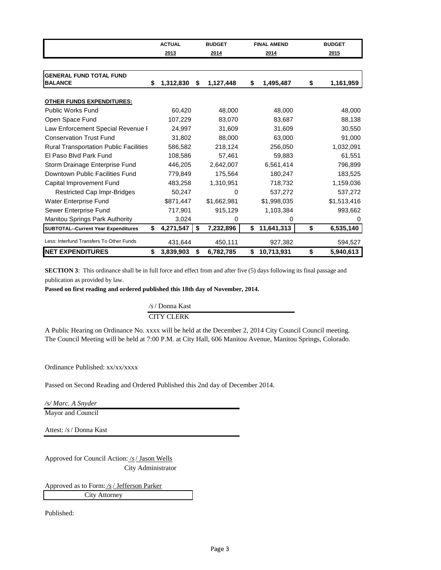|                                               | <b>ACTUAL</b>   | <b>BUDGET</b>   | <b>FINAL AMEND</b> | <b>BUDGET</b>   |
|-----------------------------------------------|-----------------|-----------------|--------------------|-----------------|
|                                               | 2013            | 2014            | 2014               | 2015            |
|                                               |                 |                 |                    |                 |
| <b>GENERAL FUND TOTAL FUND</b>                |                 |                 |                    |                 |
| <b>BALANCE</b>                                | \$<br>1,312,830 | \$<br>1,127,448 | \$<br>1,495,487    | \$<br>1,161,959 |
|                                               |                 |                 |                    |                 |
| <b>OTHER FUNDS EXPENDITURES:</b>              |                 |                 |                    |                 |
| <b>Public Works Fund</b>                      | 60,420          | 48.000          | 48,000             | 48,000          |
| Open Space Fund                               | 107,229         | 83,070          | 83,687             | 88,138          |
| Law Enforcement Special Revenue F             | 24,997          | 31,609          | 31,609             | 30,550          |
| <b>Conservation Trust Fund</b>                | 31,802          | 88,000          | 63,000             | 91,000          |
| <b>Rural Transportation Public Facilities</b> | 586,582         | 218,124         | 256,050            | 1,032,091       |
| El Paso Blvd Park Fund                        | 108.586         | 57.461          | 59.883             | 61,551          |
| Storm Drainage Enterprise Fund                | 446,205         | 2,642,007       | 6,561,414          | 796,899         |
| Downtown Public Facilities Fund               | 779,849         | 175,564         | 180,247            | 183,525         |
| Capital Improvement Fund                      | 483,258         | 1,310,951       | 718,732            | 1,159,036       |
| <b>Restricted Cap Impr-Bridges</b>            | 50,247          | 0               | 537,272            | 537,272         |
| Water Enterprise Fund                         | \$871,447       | \$1,662,981     | \$1,998,035        | \$1,513,416     |
| Sewer Enterprise Fund                         | 717,901         | 915,129         | 1,103,384          | 993,662         |
| <b>Manitou Springs Park Authority</b>         | 3,024           | 0               | 0                  | 0               |
| <b>SUBTOTAL--Current Year Expenditures</b>    | \$<br>4,271,547 | \$<br>7,232,896 | \$<br>11,641,313   | \$<br>6,535,140 |
| Less: Interfund Transfers To Other Funds      | 431,644         | 450,111         | 927,382            | 594,527         |
| <b>NET EXPENDITURES</b>                       | \$<br>3,839,903 | \$<br>6,782,785 | \$<br>10,713,931   | \$<br>5,940,613 |

**SECTION 3**: This ordinance shall be in full force and effect from and after five (5) days following its final passage and publication as provided by law.

**Passed on first reading and ordered published this 18th day of November, 2014.**

*/s*/ Donna Kast CITY CLERK

A Public Hearing on Ordinance No. xxxx will be held at the December 2, 2014 City Council Council meeting. The Council Meeting will be held at 7:00 P.M. at City Hall, 606 Manitou Avenue, Manitou Springs, Colorado.

Ordinance Published: xx/xx/xxxx

Passed on Second Reading and Ordered Published this 2nd day of December 2014.

*/s/ Marc. A Snyder* 

Mayor and Council

Attest: /*s*/ Donna Kast

Approved for Council Action: /*s*/ Jason Wells City Administrator

Approved as to Form: */s*/ Jefferson Parker City Attorney

Published: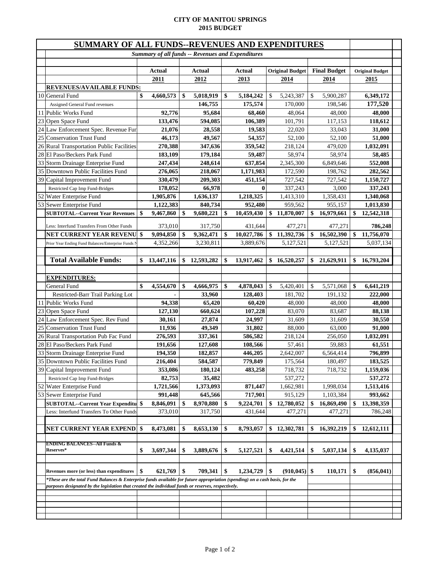#### **CITY OF MANITOU SPRINGS 2015 BUDGET**

| SUMMARY OF ALL FUNDS--REVENUES AND EXPENDITURES                                                                              |     |                                                          |    |                  |    |                       |    |                        |               |                         |    |                        |  |
|------------------------------------------------------------------------------------------------------------------------------|-----|----------------------------------------------------------|----|------------------|----|-----------------------|----|------------------------|---------------|-------------------------|----|------------------------|--|
|                                                                                                                              |     | <b>Summary of all funds -- Revenues and Expenditures</b> |    |                  |    |                       |    |                        |               |                         |    |                        |  |
|                                                                                                                              |     |                                                          |    |                  |    |                       |    |                        |               |                         |    |                        |  |
|                                                                                                                              |     | Actual                                                   |    | Actual           |    | Actual                |    | <b>Original Budget</b> |               | <b>Final Budget</b>     |    | <b>Original Budget</b> |  |
|                                                                                                                              |     | 2011                                                     |    | 2012             |    | 2013                  |    | 2014                   |               | 2014                    |    | 2015                   |  |
| <b>REVENUES/AVAILABLE FUNDS:</b>                                                                                             |     |                                                          |    |                  |    |                       |    |                        |               |                         |    |                        |  |
| 10 General Fund                                                                                                              |     | 4,660,573                                                | \$ | 5,018,919        | \$ | 5,184,242             | \$ | 5,243,387              | \$            | 5,900,287               |    | 6,349,172              |  |
| Assigned General Fund revenues                                                                                               |     |                                                          |    | 146,755          |    | 175,574               |    | 170,000                |               | 198,546                 |    | 177,520                |  |
| 11 Public Works Fund                                                                                                         |     | 92,776                                                   |    | 95,684           |    | 68,460                |    | 48,064                 |               | 48,000                  |    | 48,000                 |  |
| 23 Open Space Fund                                                                                                           |     | 133,476                                                  |    | 594.085          |    | 106,389               |    | 101,791                |               | 117,153                 |    | 118,612                |  |
| 24 Law Enforcement Spec. Revenue Fun<br>25 Conservation Trust Fund                                                           |     | 21,076<br>46,173                                         |    | 28,558<br>49,567 |    | 19,583<br>54,357      |    | 22,020                 |               | 33,043<br>52.100        |    | 31,000                 |  |
| 26 Rural Transportation Public Facilities                                                                                    |     | 270,388                                                  |    | 347,636          |    | 359,542               |    | 52,100<br>218,124      |               | 479,020                 |    | 51,000<br>1,032,091    |  |
| 28 El Paso/Beckers Park Fund                                                                                                 |     | 183,109                                                  |    | 179,184          |    | 59,487                |    | 58,974                 |               | 58,974                  |    | 58,485                 |  |
| 33 Storm Drainage Enterprise Fund                                                                                            |     | 247,434                                                  |    | 248,614          |    | 637,854               |    | 2,345,300              |               | 6,849,646               |    | 552,008                |  |
| 35 Downtown Public Facilities Fund                                                                                           |     | 276,065                                                  |    | 218,067          |    | 1,171,983             |    | 172,590                |               | 198,762                 |    | 282,562                |  |
| 39 Capital Improvement Fund                                                                                                  |     | 330,479                                                  |    | 209,303          |    | 451,154               |    | 727,542                |               | 727,542                 |    | 1,150,727              |  |
| Restricted Cap Imp Fund-Bridges                                                                                              |     | 178,052                                                  |    | 66,978           |    | $\bf{0}$              |    | 337,243                |               | 3,000                   |    | 337,243                |  |
| 52 Water Enterprise Fund                                                                                                     |     | 1,905,876                                                |    | 1,636,137        |    | 1,218,325             |    | 1,413,310              |               | 1,358,431               |    | 1,340,068              |  |
| 53 Sewer Enterprise Fund                                                                                                     |     | 1,122,383                                                |    | 840,734          |    | 952,480               |    | 959,562                |               | 955,157                 |    | 1,013,830              |  |
| <b>SUBTOTAL--Current Year Revenues</b>                                                                                       | \$  | 9,467,860                                                | \$ | 9,680,221        | \$ | 10,459,430            |    | \$11,870,007           | \$            | 16,979,661              | \$ | 12,542,318             |  |
|                                                                                                                              |     |                                                          |    |                  |    |                       |    |                        |               |                         |    |                        |  |
| Less: Interfund Transfers From Other Funds                                                                                   | -\$ | 373,010                                                  |    | 317,750          |    | 431,644<br>10,027,786 |    | 477,271                |               | 477,271                 |    | 786,248                |  |
| NET CURRENT YEAR REVENU                                                                                                      |     | 9,094,850                                                | \$ | 9,362,471        | \$ |                       |    | \$11,392,736           | \$            | 16,502,390<br>5,127,521 | \$ | 11,756,070             |  |
| Prior Year Ending Fund Balances/Enterprise Funds N                                                                           |     | 4,352,266                                                |    | 3,230,811        |    | 3,889,676             |    | 5,127,521              |               |                         |    | 5,037,134              |  |
| <b>Total Available Funds:</b>                                                                                                |     |                                                          |    |                  |    |                       |    |                        |               |                         |    |                        |  |
|                                                                                                                              | \$  | 13,447,116                                               |    | \$12,593,282     | \$ | 13,917,462            |    | \$16,520,257           | \$            | 21,629,911              | \$ | 16,793,204             |  |
| <b>EXPENDITURES:</b>                                                                                                         |     |                                                          |    |                  |    |                       |    |                        |               |                         |    |                        |  |
| General Fund                                                                                                                 | \$  | 4,554,670                                                | \$ | 4,666,975        | \$ | 4,878,043             | \$ | 5,420,401              | <sup>\$</sup> | 5,571,068               | \$ | 6,641,219              |  |
| Restricted-Barr Trail Parking Lot                                                                                            |     |                                                          |    | 33,960           |    | 128,403               |    | 181,702                |               | 191,132                 |    | 222,000                |  |
| 11 Public Works Fund                                                                                                         |     | 94,338                                                   |    | 65,420           |    | 60,420                |    | 48,000                 |               | 48,000                  |    | 48,000                 |  |
| 23 Open Space Fund                                                                                                           |     | 127,130                                                  |    | 660,624          |    | 107,228               |    | 83,070                 |               | 83,687                  |    | 88,138                 |  |
| 24 Law Enforcement Spec. Rev Fund                                                                                            |     | 30,161                                                   |    | 27,874           |    | 24,997                |    | 31,609                 |               | 31,609                  |    | 30,550                 |  |
| 25 Conservation Trust Fund                                                                                                   |     | 11,936                                                   |    | 49,349           |    | 31,802                |    | 88,000                 |               | 63,000                  |    | 91,000                 |  |
| 26 Rural Transportation Pub Fac Fund                                                                                         |     | 276,593                                                  |    | 337,361          |    | 586,582               |    | 218,124                |               | 256,050                 |    | 1,032,091              |  |
| 28 El Paso/Beckers Park Fund                                                                                                 |     | 191,656                                                  |    | 127,608          |    | 108,566               |    | 57,461                 |               | 59.883                  |    | 61,551                 |  |
| 33 Storm Drainage Enterprise Fund                                                                                            |     | 194,350                                                  |    | 182,857          |    | 446,205               |    | 2,642,007              |               | 6,564,414               |    | 796,899                |  |
| 35 Downtown Public Facilities Fund                                                                                           |     | 216,404                                                  |    | 584,587          |    | 779,849               |    | 175,564                |               | 180,497                 |    | 183,525                |  |
| 39 Capital Improvement Fund                                                                                                  |     | 353,086                                                  |    | 180,124          |    | 483,258               |    | 718,732                |               | 718,732                 |    | 1,159,036              |  |
| Restricted Cap Imp Fund-Bridges                                                                                              |     | 82,753                                                   |    | 35,482           |    |                       |    | 537,272                |               |                         |    | 537,272                |  |
| 52 Water Enterprise Fund                                                                                                     |     | 1,721,566                                                |    | 1,373,093        |    | 871,447               |    | 1,662,981              |               | 1,998,034               |    | 1,513,416              |  |
| 53 Sewer Enterprise Fund                                                                                                     |     | 991,448                                                  |    | 645,566          |    | 717,901               |    | 915,129                |               | 1,103,384               |    | 993,662                |  |
| <b>SUBTOTAL--Current Year Expenditu \$</b>                                                                                   |     | 8,846,091                                                | \$ | 8,970,880        | \$ | 9,224,701             | \$ | 12,780,052             | \$            | 16,869,490              | \$ | 13,398,359             |  |
| Less: Interfund Transfers To Other Funds                                                                                     |     | 373,010                                                  |    | 317,750          |    | 431,644               |    | 477,271                |               | 477,271                 |    | 786,248                |  |
|                                                                                                                              |     |                                                          |    |                  |    |                       |    |                        |               |                         |    |                        |  |
| NET CURRENT YEAR EXPEND! \$                                                                                                  |     | 8,473,081                                                | \$ | 8,653,130        | \$ | 8,793,057             |    | \$12,302,781           | \$            | 16,392,219              | \$ | 12,612,111             |  |
|                                                                                                                              |     |                                                          |    |                  |    |                       |    |                        |               |                         |    |                        |  |
| <b>ENDING BALANCES--All Funds &amp;</b>                                                                                      |     |                                                          |    |                  |    |                       |    |                        |               |                         |    |                        |  |
| Reserves*                                                                                                                    | \$  | 3,697,344                                                | \$ | 3,889,676        | \$ | 5,127,521             | \$ | 4,421,514              | \$            | 5,037,134               | \$ | 4,135,037              |  |
|                                                                                                                              |     |                                                          |    |                  |    |                       |    |                        |               |                         |    |                        |  |
| Revenues more (or less) than expenditures                                                                                    | \$  | 621,769                                                  | \$ | 709,341          | \$ | 1,234,729             | \$ | (910, 045)             | \$            | 110,171                 | \$ | (856, 041)             |  |
| *These are the total Fund Balances & Enterprise funds available for future appropriation (spending) on a cash basis, for the |     |                                                          |    |                  |    |                       |    |                        |               |                         |    |                        |  |
| purposes designated by the legislation that created the individual funds or reserves, respectively.                          |     |                                                          |    |                  |    |                       |    |                        |               |                         |    |                        |  |
|                                                                                                                              |     |                                                          |    |                  |    |                       |    |                        |               |                         |    |                        |  |
|                                                                                                                              |     |                                                          |    |                  |    |                       |    |                        |               |                         |    |                        |  |
|                                                                                                                              |     |                                                          |    |                  |    |                       |    |                        |               |                         |    |                        |  |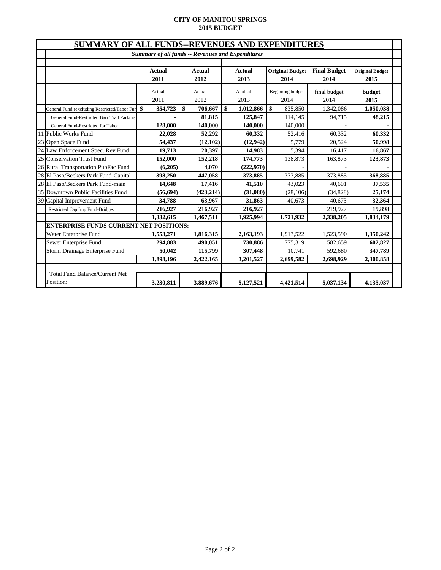#### **CITY OF MANITOU SPRINGS 2015 BUDGET**

|    | SUMMARY OF ALL FUNDS--REVENUES AND EXPENDITURES |                                                          |               |    |           |                        |                     |                        |  |  |  |  |  |
|----|-------------------------------------------------|----------------------------------------------------------|---------------|----|-----------|------------------------|---------------------|------------------------|--|--|--|--|--|
|    |                                                 | <b>Summary of all funds -- Revenues and Expenditures</b> |               |    |           |                        |                     |                        |  |  |  |  |  |
|    |                                                 |                                                          |               |    |           |                        |                     |                        |  |  |  |  |  |
|    |                                                 | <b>Actual</b>                                            | Actual        |    | Actual    | <b>Original Budget</b> | <b>Final Budget</b> | <b>Original Budget</b> |  |  |  |  |  |
|    |                                                 | 2011                                                     | 2012          |    | 2013      | 2014                   | 2014                | 2015                   |  |  |  |  |  |
|    |                                                 | Actual                                                   | Actual        |    | Acutual   | Beginning budget       | final budget        | budget                 |  |  |  |  |  |
|    |                                                 | 2011                                                     | 2012          |    | 2013      | 2014                   | 2014                | 2015                   |  |  |  |  |  |
|    | General Fund (excluding Restricted/Tabor Fun    | 354,723                                                  | \$<br>706,667 | \$ | 1,012,866 | \$<br>835,850          | 1,342,086           | 1,050,038              |  |  |  |  |  |
|    | General Fund-Restricted Barr Trail Parking      |                                                          | 81,815        |    | 125,847   | 114,145                | 94,715              | 48,215                 |  |  |  |  |  |
|    | General Fund-Restricted for Tabor               | 128,000                                                  | 140,000       |    | 140,000   | 140,000                |                     |                        |  |  |  |  |  |
|    | 11 Public Works Fund                            | 22,028                                                   | 52,292        |    | 60,332    | 52,416                 | 60,332              | 60,332                 |  |  |  |  |  |
|    | 23 Open Space Fund                              | 54,437                                                   | (12, 102)     |    | (12,942)  | 5,779                  | 20,524              | 50,998                 |  |  |  |  |  |
|    | 24 Law Enforcement Spec. Rev Fund               | 19,713                                                   | 20,397        |    | 14,983    | 5,394                  | 16,417              | 16,867                 |  |  |  |  |  |
| 25 | Conservation Trust Fund                         | 152,000                                                  | 152,218       |    | 174,773   | 138,873                | 163,873             | 123,873                |  |  |  |  |  |
|    | 26 Rural Transportation PubFac Fund             | (6,205)                                                  | 4,070         |    | (222,970) |                        |                     |                        |  |  |  |  |  |
|    | 28 El Paso/Beckers Park Fund-Capital            | 398,250                                                  | 447,058       |    | 373,885   | 373,885                | 373,885             | 368,885                |  |  |  |  |  |
|    | 28 El Paso/Beckers Park Fund-main               | 14,648                                                   | 17,416        |    | 41.510    | 43,023                 | 40,601              | 37,535                 |  |  |  |  |  |
|    | 35 Downtown Public Facilities Fund              | (56, 694)                                                | (423, 214)    |    | (31,080)  | (28, 106)              | (34,828)            | 25,174                 |  |  |  |  |  |
|    | 39 Capital Improvement Fund                     | 34,788                                                   | 63,967        |    | 31,863    | 40,673                 | 40,673              | 32,364                 |  |  |  |  |  |
|    | Restricted Cap Imp Fund-Bridges                 | 216,927                                                  | 216,927       |    | 216,927   |                        | 219,927             | 19,898                 |  |  |  |  |  |
|    |                                                 | 1,332,615                                                | 1,467,511     |    | 1,925,994 | 1,721,932              | 2,338,205           | 1,834,179              |  |  |  |  |  |
|    | <b>ENTERPRISE FUNDS CURRENT NET POSITIONS:</b>  |                                                          |               |    |           |                        |                     |                        |  |  |  |  |  |
|    | Water Enterprise Fund                           | 1,553,271                                                | 1,816,315     |    | 2,163,193 | 1,913,522              | 1,523,590           | 1,350,242              |  |  |  |  |  |
|    | Sewer Enterprise Fund                           | 294,883                                                  | 490,051       |    | 730,886   | 775,319                | 582,659             | 602,827                |  |  |  |  |  |
|    | Storm Drainage Enterprise Fund                  | 50,042                                                   | 115,799       |    | 307,448   | 10,741                 | 592,680             | 347,789                |  |  |  |  |  |
|    |                                                 | 1,898,196                                                | 2,422,165     |    | 3,201,527 | 2,699,582              | 2,698,929           | 2,300,858              |  |  |  |  |  |
|    |                                                 |                                                          |               |    |           |                        |                     |                        |  |  |  |  |  |
|    | Total Fund Balance/Current Net                  |                                                          |               |    |           |                        |                     |                        |  |  |  |  |  |
|    | Position:                                       | 3,230,811                                                | 3,889,676     |    | 5,127,521 | 4.421.514              | 5,037,134           | 4,135,037              |  |  |  |  |  |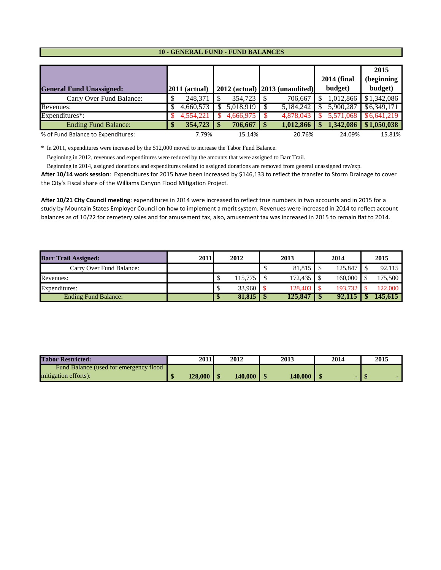#### **10 - GENERAL FUND - FUND BALANCES**

|                                    |                 |                |                                     | <b>2014 (final</b> | 2015<br>(beginning        |
|------------------------------------|-----------------|----------------|-------------------------------------|--------------------|---------------------------|
| <b>General Fund Unassigned:</b>    | $2011$ (actual) |                | $2012$ (actual) $ 2013$ (unaudited) | budget)            | budget)                   |
| Carry Over Fund Balance:           | 248,371         | 354,723        | 706,667                             | 1,012,866          | \$1,342,086               |
| Revenues:                          | 4.660.573       | $5,018,919$ \$ | 5,184,242                           | 5.900.287          | \$6,349,171               |
| Expenditures*:                     | 4,554,221       | 4,666,975      | 4.878,043                           |                    | 5,571,068 \$6,641,219     |
| <b>Ending Fund Balance:</b>        | 354,723         |                | 1,012,866                           | 1,342,086          | $\frac{1}{2}$ \$1,050,038 |
| % of Fund Balance to Expenditures: | 7.79%           | 15.14%         | 20.76%                              | 24.09%             | 15.81%                    |

\* In 2011, expenditures were increased by the \$12,000 moved to increase the Tabor Fund Balance.

Beginning in 2012, revenues and expenditures were reduced by the amounts that were assigned to Barr Trail.

Beginning in 2014, assigned donations and expenditures related to assigned donations are removed from general unassigned rev/exp.

**After 10/14 work session**: Expenditures for 2015 have been increased by \$146,133 to reflect the transfer to Storm Drainage to cover the City's Fiscal share of the Williams Canyon Flood Mitigation Project.

**After 10/21 City Council meeting**: expenditures in 2014 were increased to reflect true numbers in two accounts and in 2015 for a study by Mountain States Employer Council on how to implement a merit system. Revenues were increased in 2014 to reflect account balances as of 10/22 for cemetery sales and for amusement tax, also, amusement tax was increased in 2015 to remain flat to 2014.

| <b>Barr Trail Assigned:</b> | 2011 | 2012    | 2013    | 2014    | 2015    |
|-----------------------------|------|---------|---------|---------|---------|
| Carry Over Fund Balance:    |      |         | 81,815  | 125,847 | 92,115  |
| Revenues:                   |      | 115.775 | 172,435 | 160,000 | 175,500 |
| Expenditures:               |      | 33.960  | 128,403 | 193.732 | 122,000 |
| <b>Ending Fund Balance:</b> |      |         | 125.847 | 92.115  | 145.615 |

| <b>Tabor Restricted:</b>                | 2011           | 2012           | 2013    | 2014 | 2015 |
|-----------------------------------------|----------------|----------------|---------|------|------|
| Fund Balance (used for emergency flood) |                |                |         |      |      |
| mitigation efforts):                    | $128,000$   \$ | $140,000$   \$ | 140,000 |      |      |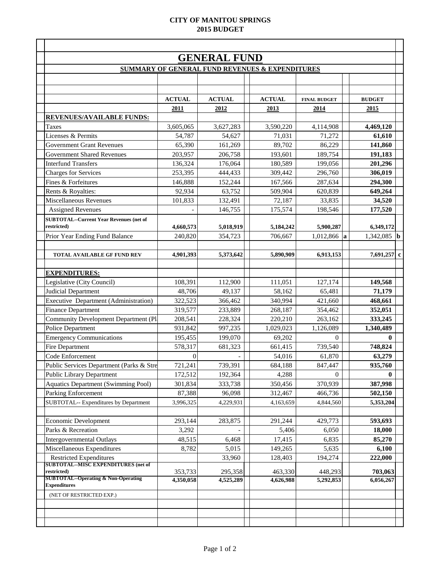#### **CITY OF MANITOU SPRINGS 2015 BUDGET**

|                                                               |                      | <b>GENERAL FUND</b>                                        |                      |                      |                      |
|---------------------------------------------------------------|----------------------|------------------------------------------------------------|----------------------|----------------------|----------------------|
|                                                               |                      | <b>SUMMARY OF GENERAL FUND REVENUES &amp; EXPENDITURES</b> |                      |                      |                      |
|                                                               | <b>ACTUAL</b>        | <b>ACTUAL</b>                                              | <b>ACTUAL</b>        | <b>FINAL BUDGET</b>  | <b>BUDGET</b>        |
|                                                               | 2011                 | 2012                                                       | 2013                 | 2014                 | 2015                 |
| REVENUES/AVAILABLE FUNDS:                                     |                      |                                                            |                      |                      |                      |
| <b>Taxes</b>                                                  | 3,605,065            | 3,627,283                                                  | 3,590,220            | 4,114,908            | 4,469,120            |
| Licenses & Permits                                            | 54,787               | 54,627                                                     | 71,031               | 71,272               | 61,610               |
| <b>Government Grant Revenues</b>                              | 65,390               | 161,269                                                    | 89,702               | 86,229               | 141,860              |
| <b>Government Shared Revenues</b>                             | 203,957              | 206,758                                                    | 193,601              | 189,754              | 191,183              |
| <b>Interfund Transfers</b>                                    | 136,324              | 176,064                                                    | 180,589              | 199,056              | 201,296              |
| <b>Charges for Services</b>                                   | 253,395              | 444,433                                                    | 309,442              | 296,760              | 306,019              |
| Fines & Forfeitures                                           | 146,888              | 152,244                                                    | 167,566              | 287,634              | 294,300              |
| Rents & Royalties:                                            | 92,934               | 63,752                                                     | 509,904              | 620,839              | 649,264              |
| Miscellaneous Revenues                                        | 101,833              | 132,491                                                    | 72,187               | 33,835               | 34,520               |
| <b>Assigned Revenues</b>                                      |                      | 146,755                                                    | 175,574              | 198,546              | 177,520              |
| <b>SUBTOTAL--Current Year Revenues (net of</b><br>restricted) | 4,660,573            | 5,018,919                                                  | 5,184,242            | 5,900,287            | 6,349,172            |
| Prior Year Ending Fund Balance                                | 240,820              | 354,723                                                    | 706,667              | 1,012,866<br>la      | 1,342,085 <b>b</b>   |
|                                                               |                      |                                                            |                      |                      |                      |
| TOTAL AVAILABLE GF FUND REV                                   | 4,901,393            | 5,373,642                                                  | 5,890,909            | 6,913,153            | 7,691,257 c          |
|                                                               |                      |                                                            |                      |                      |                      |
| <b>EXPENDITURES:</b>                                          |                      |                                                            |                      |                      |                      |
| Legislative (City Council)                                    | 108,391              | 112,900                                                    | 111,051              | 127,174              | 149,568              |
| Judicial Department                                           | 48,706               | 49,137                                                     | 58,162               | 65,481               | 71,179               |
| Executive Department (Administration)                         | 322,523              | 366,462                                                    | 340,994              | 421,660              | 468,661              |
| <b>Finance Department</b>                                     | 319,577              | 233,889                                                    | 268,187              | 354,462              | 352,051              |
| Community Development Department (Pl                          | 208,541              | 228,324                                                    | 220,210              | 263,162              | 333,245              |
| Police Department                                             | 931,842              | 997,235                                                    | 1,029,023            | 1,126,089            | 1,340,489            |
| <b>Emergency Communications</b>                               | 195,455              | 199,070                                                    | 69,202               | $\Omega$             | 0                    |
| Fire Department                                               | 578,317              | 681,323                                                    | 661,415              | 739,540              | 748,824              |
| Code Enforcement                                              | $\mathbf{0}$         |                                                            | 54,016               | 61,870               | 63,279               |
| Public Services Department (Parks & Stre                      | 721,241              | 739,391                                                    | 684,188              | 847,447              | 935,760              |
| <b>Public Library Department</b>                              | 172,512              | 192,364                                                    | 4,288                | $\overline{0}$       | 0                    |
| <b>Aquatics Department (Swimming Pool)</b>                    | 301,834              | 333,738                                                    | 350,456              | 370,939              | 387,998              |
| <b>Parking Enforcement</b>                                    | 87,388               | 96,098                                                     | 312,467              | 466,736              | 502,150              |
| SUBTOTAL-- Expenditures by Department                         | 3,996,325            | 4,229,931                                                  | 4,163,659            | 4,844,560            | 5,353,204            |
|                                                               |                      |                                                            |                      |                      |                      |
| Economic Development                                          | 293,144              | 283,875                                                    | 291,244              | 429,773              | 593,693              |
| Parks & Recreation                                            | 3,292                |                                                            | 5,406                | 6,050                | 18,000               |
| <b>Intergovernmental Outlays</b>                              | 48,515               | 6,468                                                      | 17,415               | 6,835                | 85,270               |
| Miscellaneous Expenditures                                    | 8,782                | 5,015                                                      | 149,265              | 5,635                | 6,100                |
| <b>Restricted Expenditures</b>                                |                      | 33,960                                                     | 128,403              | 194,274              | 222,000              |
| <b>SUBTOTAL--MISC EXPENDITURES (net of</b><br>restricted)     |                      |                                                            |                      |                      |                      |
| <b>SUBTOTAL--Operating &amp; Non-Operating</b>                | 353,733<br>4,350,058 | 295,358<br>4,525,289                                       | 463,330<br>4,626,988 | 448,293<br>5,292,853 | 703,063<br>6,056,267 |
| <b>Expenditures</b>                                           |                      |                                                            |                      |                      |                      |
| (NET OF RESTRICTED EXP.)                                      |                      |                                                            |                      |                      |                      |
|                                                               |                      |                                                            |                      |                      |                      |
|                                                               |                      |                                                            |                      |                      |                      |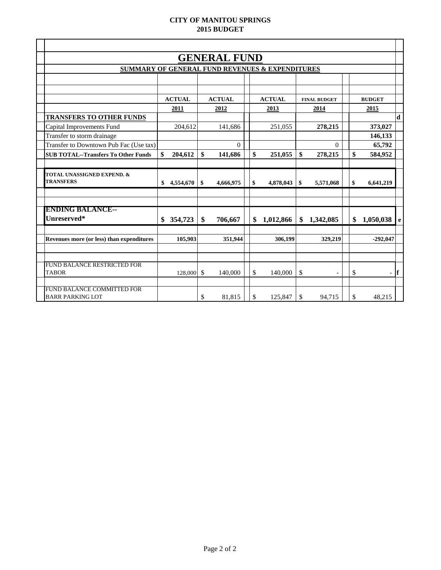#### **CITY OF MANITOU SPRINGS 2015 BUDGET**

| $\mathbf d$                              |
|------------------------------------------|
| 373,027                                  |
| 146,133                                  |
| 65,792                                   |
| 584,952                                  |
|                                          |
|                                          |
| 6,641,219                                |
|                                          |
|                                          |
|                                          |
| 1,050,038<br>$\mathbf{e}$                |
|                                          |
| $-292,047$                               |
|                                          |
|                                          |
|                                          |
| <sup>1</sup><br>$\overline{\phantom{0}}$ |
|                                          |
| 48,215                                   |
| <b>BUDGET</b>                            |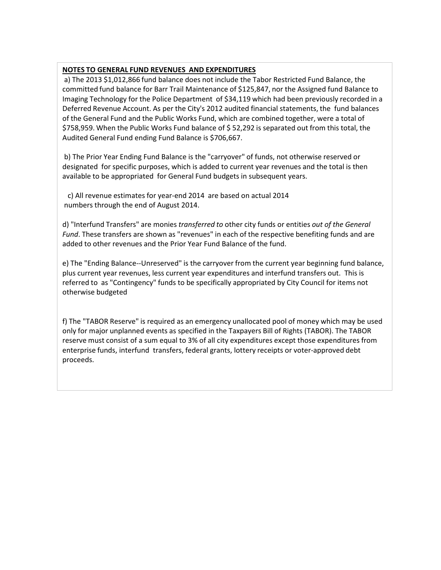#### **NOTES TO GENERAL FUND REVENUES AND EXPENDITURES**

a) The 2013 \$1,012,866 fund balance does not include the Tabor Restricted Fund Balance, the committed fund balance for Barr Trail Maintenance of \$125,847, nor the Assigned fund Balance to Imaging Technology for the Police Department of \$34,119 which had been previously recorded in a Deferred Revenue Account. As per the City's 2012 audited financial statements, the fund balances of the General Fund and the Public Works Fund, which are combined together, were a total of \$758,959. When the Public Works Fund balance of \$ 52,292 is separated out from this total, the Audited General Fund ending Fund Balance is \$706,667.

b) The Prior Year Ending Fund Balance is the "carryover" of funds, not otherwise reserved or designated for specific purposes, which is added to current year revenues and the total is then available to be appropriated for General Fund budgets in subsequent years.

 c) All revenue estimates for year-end 2014 are based on actual 2014 numbers through the end of August 2014.

d) "Interfund Transfers" are monies *transferred to* other city funds or entities *out of the General Fund*. These transfers are shown as "revenues" in each of the respective benefiting funds and are added to other revenues and the Prior Year Fund Balance of the fund.

e) The "Ending Balance--Unreserved" is the carryover from the current year beginning fund balance, plus current year revenues, less current year expenditures and interfund transfers out. This is referred to as "Contingency" funds to be specifically appropriated by City Council for items not otherwise budgeted

f) The "TABOR Reserve" is required as an emergency unallocated pool of money which may be used only for major unplanned events as specified in the Taxpayers Bill of Rights (TABOR). The TABOR reserve must consist of a sum equal to 3% of all city expenditures except those expenditures from enterprise funds, interfund transfers, federal grants, lottery receipts or voter-approved debt proceeds.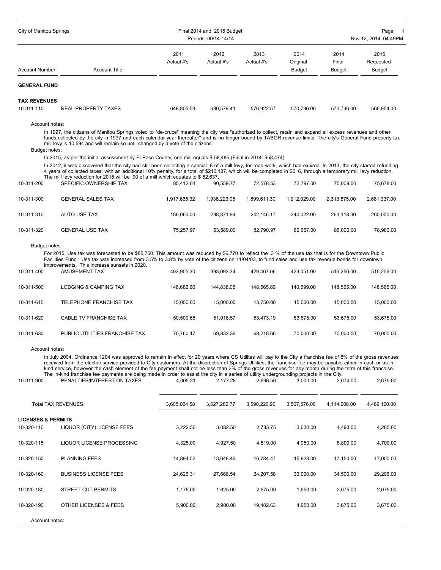| City of Manitou Springs         |                                                                                                                                                                                                                                                                                                                                                                                                                                                                                                                                                                                                                                                                                                                                                                                                                                                                          |                    | Final 2014 and 2015 Budget<br>Periods: 00/14-14/14 |                    |                                   |                                | Page:<br>$\overline{1}$<br>Nov 12, 2014 04:49PM |
|---------------------------------|--------------------------------------------------------------------------------------------------------------------------------------------------------------------------------------------------------------------------------------------------------------------------------------------------------------------------------------------------------------------------------------------------------------------------------------------------------------------------------------------------------------------------------------------------------------------------------------------------------------------------------------------------------------------------------------------------------------------------------------------------------------------------------------------------------------------------------------------------------------------------|--------------------|----------------------------------------------------|--------------------|-----------------------------------|--------------------------------|-------------------------------------------------|
| Account Number                  | <b>Account Title</b>                                                                                                                                                                                                                                                                                                                                                                                                                                                                                                                                                                                                                                                                                                                                                                                                                                                     | 2011<br>Actual #'s | 2012<br>Actual #'s                                 | 2013<br>Actual #'s | 2014<br>Original<br><b>Budget</b> | 2014<br>Final<br><b>Budget</b> | 2015<br>Requested<br><b>Budget</b>              |
| <b>GENERAL FUND</b>             |                                                                                                                                                                                                                                                                                                                                                                                                                                                                                                                                                                                                                                                                                                                                                                                                                                                                          |                    |                                                    |                    |                                   |                                |                                                 |
| <b>TAX REVENUES</b>             |                                                                                                                                                                                                                                                                                                                                                                                                                                                                                                                                                                                                                                                                                                                                                                                                                                                                          |                    |                                                    |                    |                                   |                                |                                                 |
| 10-311-110                      | <b>REAL PROPERTY TAXES</b>                                                                                                                                                                                                                                                                                                                                                                                                                                                                                                                                                                                                                                                                                                                                                                                                                                               | 648,805.53         | 630.579.41                                         | 576,922.57         | 570.736.00                        | 570.736.00                     | 566,954.00                                      |
| Account notes:<br>Budget notes: | In 1997, the citizens of Manitou Springs voted to "de-bruce" meaning the city was "authorized to collect, retain and expend all excess revenues and other<br>funds collected by the city in 1997 and each calendar year thereafter" and is no longer bound by TABOR revenue limits. The city's General Fund property tax<br>mill levy is 10.594 and will remain so until changed by a vote of the citizens.<br>In 2015, as per the initial assessment by El Paso County, one mill equals \$58,485 (Final in 2014: \$58,474).<br>In 2012, it was discovered that the city had still been collecting a special .8 of a mill levy, for road work, which had expired. In 2013, the city started refunding<br>4 years of collected taxes, with an additional 10% penalty, for a total of \$210,137, which will be completed in 2016, through a temporary mill levy reduction. |                    |                                                    |                    |                                   |                                |                                                 |
| 10-311-200                      | The mill levy reduction for 2015 will be .90 of a mill which equates to \$52,637.<br>SPECIFIC OWNERSHIP TAX                                                                                                                                                                                                                                                                                                                                                                                                                                                                                                                                                                                                                                                                                                                                                              | 85.412.64          | 90,559.77                                          | 72.578.53          | 72,797.00                         | 75,009.00                      | 75,678.00                                       |
|                                 |                                                                                                                                                                                                                                                                                                                                                                                                                                                                                                                                                                                                                                                                                                                                                                                                                                                                          |                    |                                                    |                    |                                   |                                |                                                 |
| 10-311-300                      | <b>GENERAL SALES TAX</b>                                                                                                                                                                                                                                                                                                                                                                                                                                                                                                                                                                                                                                                                                                                                                                                                                                                 | 1,917,665.32       | 1,938,223.05                                       | 1,899,611.30       | 1,912,029.00                      | 2,313,875.00                   | 2,681,337.00                                    |
| 10-311-310                      | <b>AUTO USE TAX</b>                                                                                                                                                                                                                                                                                                                                                                                                                                                                                                                                                                                                                                                                                                                                                                                                                                                      | 186.060.00         | 238,371.94                                         | 242,146.17         | 244,022.00                        | 263,118.00                     | 260,000.00                                      |
| 10-311-320                      | <b>GENERAL USE TAX</b>                                                                                                                                                                                                                                                                                                                                                                                                                                                                                                                                                                                                                                                                                                                                                                                                                                                   | 75.257.97          | 53,589.00                                          | 82.790.97          | 62.667.00                         | 86,000.00                      | 78,980.00                                       |
| Budget notes:                   |                                                                                                                                                                                                                                                                                                                                                                                                                                                                                                                                                                                                                                                                                                                                                                                                                                                                          |                    |                                                    |                    |                                   |                                |                                                 |
|                                 | For 2015, Use tax was forecasted to be \$85,750. This amount was reduced by \$6,770 to reflect the .3 % of the use tax that is for the Downtown Public<br>Facilities Fund. Use tax was increased from 3.5% to 3.8% by vote of the citizens on 11/04/03, to fund sales and use tax revenue bonds for downtown                                                                                                                                                                                                                                                                                                                                                                                                                                                                                                                                                             |                    |                                                    |                    |                                   |                                |                                                 |
| 10-311-400                      | improvements. This increase sunsets in 2020.<br><b>AMUSEMENT TAX</b>                                                                                                                                                                                                                                                                                                                                                                                                                                                                                                                                                                                                                                                                                                                                                                                                     | 402,905.30         | 393,093.34                                         | 429,467.06         | 423,051.00                        | 516,256.00                     | 516,256.00                                      |
| 10-311-500                      | <b>LODGING &amp; CAMPING TAX</b>                                                                                                                                                                                                                                                                                                                                                                                                                                                                                                                                                                                                                                                                                                                                                                                                                                         | 148,682.66         | 144,838.05                                         | 148,565.89         | 140,599.00                        | 148,565.00                     | 148,565.00                                      |
| 10-311-610                      | TELEPHONE FRANCHISE TAX                                                                                                                                                                                                                                                                                                                                                                                                                                                                                                                                                                                                                                                                                                                                                                                                                                                  | 15,000.00          | 15,000.00                                          | 13,750.00          | 15,000.00                         | 15,000.00                      | 15,000.00                                       |
| 10-311-620                      | CABLE TV FRANCHISE TAX                                                                                                                                                                                                                                                                                                                                                                                                                                                                                                                                                                                                                                                                                                                                                                                                                                                   | 50,509.68          | 51,018.57                                          | 53,473.19          | 53,675.00                         | 53,675.00                      | 53,675.00                                       |
| 10-311-630                      | PUBLIC UTILITIES FRANCHISE TAX                                                                                                                                                                                                                                                                                                                                                                                                                                                                                                                                                                                                                                                                                                                                                                                                                                           | 70,760.17          | 69,832.36                                          | 68.218.66          | 70,000.00                         | 70,000.00                      | 70,000.00                                       |
| Account notes:<br>10-311-900    | In July 2004, Ordinance 1204 was approved to remain in effect for 20 years where CS Utilites will pay to the City a franchise fee of 8% of the gross revenues<br>received from the electric service provided to City customers. At the discrection of Springs Utilities, the franchise fee may be payable either in cash or as in-<br>kind service, however the cash element of the fee payment shall not be less than 2% of the gross revenues for any month during the term of this franchise.<br>The in-kind franchise fee payments are being made in order to assist the city in a series of utility undergrounding projects in the City.<br>PENALTIES/INTEREST ON TAXES                                                                                                                                                                                             | 4,005.31           | 2,177.28                                           | 2.696.56           | 3.000.00                          | 2.674.00                       | 2,675.00                                        |
|                                 | Total TAX REVENUES:                                                                                                                                                                                                                                                                                                                                                                                                                                                                                                                                                                                                                                                                                                                                                                                                                                                      | 3,605,064.58       | 3,627,282.77                                       | 3,590,220.90       | 3,567,576.00                      | 4,114,908.00                   | 4,469,120.00                                    |
| <b>LICENSES &amp; PERMITS</b>   |                                                                                                                                                                                                                                                                                                                                                                                                                                                                                                                                                                                                                                                                                                                                                                                                                                                                          |                    |                                                    |                    |                                   |                                |                                                 |
| 10-320-110                      | LIQUOR (CITY) LICENSE FEES                                                                                                                                                                                                                                                                                                                                                                                                                                                                                                                                                                                                                                                                                                                                                                                                                                               | 3,222.50           | 3,082.50                                           | 2,783.75           | 3,630.00                          | 4,493.00                       | 4,285.00                                        |
| 10-320-115                      | LIQUOR LICENSE PROCESSING                                                                                                                                                                                                                                                                                                                                                                                                                                                                                                                                                                                                                                                                                                                                                                                                                                                | 4,325.00           | 4,927.50                                           | 4,519.00           | 4,950.00                          | 8,800.00                       | 4,700.00                                        |
| 10-320-150                      | <b>PLANNING FEES</b>                                                                                                                                                                                                                                                                                                                                                                                                                                                                                                                                                                                                                                                                                                                                                                                                                                                     | 14,894.52          | 13,648.46                                          | 16,784.47          | 15,928.00                         | 17,150.00                      | 17,000.00                                       |
| 10-320-160                      | <b>BUSINESS LICENSE FEES</b>                                                                                                                                                                                                                                                                                                                                                                                                                                                                                                                                                                                                                                                                                                                                                                                                                                             | 24,626.31          | 27,668.54                                          | 24,207.58          | 33,000.00                         | 34,500.00                      | 29,296.00                                       |
| 10-320-180                      | STREET CUT PERMITS                                                                                                                                                                                                                                                                                                                                                                                                                                                                                                                                                                                                                                                                                                                                                                                                                                                       | 1,175.00           | 1,625.00                                           | 2,675.00           | 1,650.00                          | 2,075.00                       | 2,075.00                                        |
| 10-320-190                      | OTHER LICENSES & FEES                                                                                                                                                                                                                                                                                                                                                                                                                                                                                                                                                                                                                                                                                                                                                                                                                                                    | 5,900.00           | 2,900.00                                           | 19,482.63          | 4,950.00                          | 3,675.00                       | 3,675.00                                        |
| Account notes:                  |                                                                                                                                                                                                                                                                                                                                                                                                                                                                                                                                                                                                                                                                                                                                                                                                                                                                          |                    |                                                    |                    |                                   |                                |                                                 |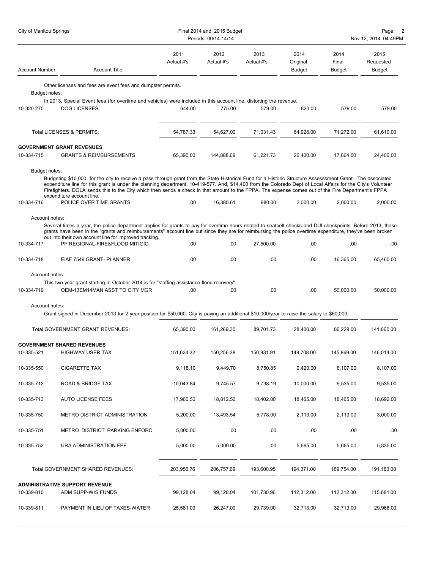| <b>City of Manitou Springs</b>                 |                                                                                                                                                                                                                                                                                                                                                                                                                                                                                                                                         | Final 2014 and 2015 Budget | Page: 2<br>Nov 12, 2014 04:49PM |                    |                                   |                         |                                    |  |
|------------------------------------------------|-----------------------------------------------------------------------------------------------------------------------------------------------------------------------------------------------------------------------------------------------------------------------------------------------------------------------------------------------------------------------------------------------------------------------------------------------------------------------------------------------------------------------------------------|----------------------------|---------------------------------|--------------------|-----------------------------------|-------------------------|------------------------------------|--|
| <b>Account Number</b>                          | <b>Account Title</b>                                                                                                                                                                                                                                                                                                                                                                                                                                                                                                                    | 2011<br>Actual #'s         | 2012<br>Actual #'s              | 2013<br>Actual #'s | 2014<br>Original<br><b>Budget</b> | 2014<br>Final<br>Budget | 2015<br>Requested<br><b>Budget</b> |  |
|                                                | Other licenses and fees are event fees and dumpster permits.                                                                                                                                                                                                                                                                                                                                                                                                                                                                            |                            |                                 |                    |                                   |                         |                                    |  |
| Budget notes:                                  | In 2013, Special Event fees (for overtime and vehicles) were included in this account line, distorting the revenue.                                                                                                                                                                                                                                                                                                                                                                                                                     |                            |                                 |                    |                                   |                         |                                    |  |
| 10-320-270                                     | <b>DOG LICENSES</b>                                                                                                                                                                                                                                                                                                                                                                                                                                                                                                                     | 644.00                     | 775.00                          | 579.00             | 820.00                            | 579.00                  | 579.00                             |  |
|                                                | Total LICENSES & PERMITS:                                                                                                                                                                                                                                                                                                                                                                                                                                                                                                               | 54,787.33                  | 54,627.00                       | 71,031.43          | 64,928.00                         | 71,272.00               | 61,610.00                          |  |
| 10-334-715                                     | <b>GOVERNMENT GRANT REVENUES</b><br><b>GRANTS &amp; REIMBURSEMENTS</b>                                                                                                                                                                                                                                                                                                                                                                                                                                                                  | 65,390.00                  | 144,888.69                      | 61,221.73          | 26,400.00                         | 17,864.00               | 24,400.00                          |  |
| Budget notes:<br>10-334-716                    | Budgeting \$10,000 for the city to receive a pass through grant from the State Historical Fund for a Historic Structure Assesssment Grant. The associated<br>expenditure line for this grant is under the planning department, 10-419-577. And, \$14,400 from the Colorado Dept of Local Affairs for the City's Volunteer<br>Firefighters. DOLA sends this to the City which then sends a check in that amount to the FPPA. The expense comes out of the Fire Department's FPPA<br>expenditure account line.<br>POLICE OVER TIME GRANTS | .00.                       | 16,380.61                       | 980.00             | 2,000.00                          | 2,000.00                | 2,000.00                           |  |
|                                                |                                                                                                                                                                                                                                                                                                                                                                                                                                                                                                                                         |                            |                                 |                    |                                   |                         |                                    |  |
| Account notes:<br>10-334-717                   | Several times a year, the police department applies for grants to pay for overtime hours related to seatbelt checks and DUI checkpoints. Before 2013, these<br>grants have been in the "grants and reimbursements" account line but since they are for reimbursing the police overtime expenditure, they've been broken<br>out into their own account line for improved tracking.<br>PP REGIONAL-FIRE&FLOOD MITIGIO                                                                                                                     | .00                        | .00                             | 27,500.00          | .00                               | .00                     | .00                                |  |
| 10-334-718                                     | EIAF 7549 GRANT- PLANNER                                                                                                                                                                                                                                                                                                                                                                                                                                                                                                                | .00                        | .00                             | .00                | .00                               | 16,365.00               | 65,460.00                          |  |
| Account notes:<br>10-334-719<br>Account notes: | This two year grant starting in October 2014 is for "staffing assistance-flood recovery".<br>OEM-13EM14MAN ASST TO CITY MGR<br>Grant signed in December 2013 for 2 year position for \$50,000. City is paying an additional \$10,000/year to raise the salary to \$60,000.                                                                                                                                                                                                                                                              | .00                        | .00.                            | .00                | .00                               | 50,000.00               | 50,000.00                          |  |
|                                                |                                                                                                                                                                                                                                                                                                                                                                                                                                                                                                                                         |                            |                                 |                    |                                   |                         |                                    |  |
|                                                | Total GOVERNMENT GRANT REVENUES:                                                                                                                                                                                                                                                                                                                                                                                                                                                                                                        | 65,390.00                  | 161,269.30                      | 89,701.73          | 28,400.00                         | 86,229.00               | 141,860.00                         |  |
| 10-335-521                                     | <b>GOVERNMENT SHARED REVENUES</b><br><b>HIGHWAY USER TAX</b>                                                                                                                                                                                                                                                                                                                                                                                                                                                                            | 151,634.32                 | 150,256.38                      | 150,931.91         | 148,708.00                        | 145,869.00              | 146,014.00                         |  |
| 10-335-550                                     | <b>CIGARETTE TAX</b>                                                                                                                                                                                                                                                                                                                                                                                                                                                                                                                    | 9,118.10                   | 9,449.70                        | 8,750.85           | 9,420.00                          | 8,107.00                | 8,107.00                           |  |
| 10-335-712                                     | ROAD & BRIDGE TAX                                                                                                                                                                                                                                                                                                                                                                                                                                                                                                                       | 10,043.84                  | 9,745.57                        | 9,738.19           | 10,000.00                         | 9,535.00                | 9,535.00                           |  |
| 10-335-713                                     | <b>AUTO LICENSE FEES</b>                                                                                                                                                                                                                                                                                                                                                                                                                                                                                                                | 17,960.50                  | 18,812.50                       | 18,402.00          | 18,465.00                         | 18,465.00               | 18,692.00                          |  |
| 10-335-750                                     | METRO DISTRICT ADMINISTRATION                                                                                                                                                                                                                                                                                                                                                                                                                                                                                                           | 5,200.00                   | 13,493.54                       | 5,778.00           | 2,113.00                          | 2,113.00                | 3,000.00                           |  |
| 10-335-751                                     | METRO DISTRICT PARKING ENFORC                                                                                                                                                                                                                                                                                                                                                                                                                                                                                                           | 5,000.00                   | .00                             | .00                | .00                               | .00                     | .00                                |  |
| 10-335-752                                     | URA ADMINISTRATION FEE                                                                                                                                                                                                                                                                                                                                                                                                                                                                                                                  | 5,000.00                   | 5,000.00                        | .00                | 5,665.00                          | 5,665.00                | 5,835.00                           |  |
|                                                | Total GOVERNMENT SHARED REVENUES:                                                                                                                                                                                                                                                                                                                                                                                                                                                                                                       | 203,956.76                 | 206,757.69                      | 193,600.95         | 194,371.00                        | 189,754.00              | 191,183.00                         |  |
|                                                | <b>ADMINISTRATIVE SUPPORT REVENUE</b>                                                                                                                                                                                                                                                                                                                                                                                                                                                                                                   |                            |                                 |                    |                                   |                         |                                    |  |
| 10-339-810                                     | ADM SUPP-W/S FUNDS                                                                                                                                                                                                                                                                                                                                                                                                                                                                                                                      | 99,128.04                  | 99,128.04                       | 101,730.96         | 112,312.00                        | 112,312.00              | 115,681.00                         |  |
| 10-339-811                                     | PAYMENT IN LIEU OF TAXES-WATER                                                                                                                                                                                                                                                                                                                                                                                                                                                                                                          | 25,581.09                  | 26,247.00                       | 29,739.00          | 32,713.00                         | 32,713.00               | 29,968.00                          |  |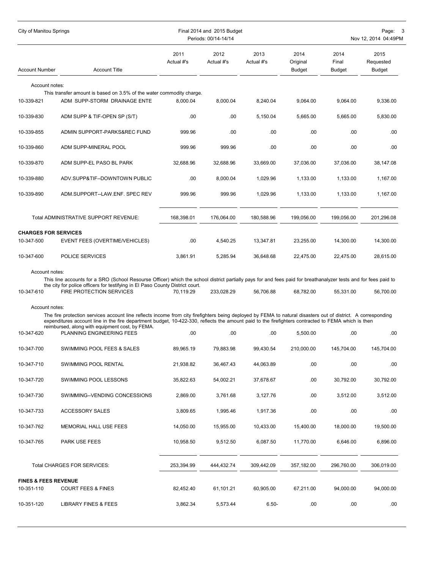| City of Manitou Springs                       |                                                                                                                                                                                                                                                                                                                     |                    | Final 2014 and 2015 Budget<br>Periods: 00/14-14/14 |                    |                                   |                         | Page: 3<br>Nov 12, 2014 04:49PM    |
|-----------------------------------------------|---------------------------------------------------------------------------------------------------------------------------------------------------------------------------------------------------------------------------------------------------------------------------------------------------------------------|--------------------|----------------------------------------------------|--------------------|-----------------------------------|-------------------------|------------------------------------|
| <b>Account Number</b>                         | <b>Account Title</b>                                                                                                                                                                                                                                                                                                | 2011<br>Actual #'s | 2012<br>Actual #'s                                 | 2013<br>Actual #'s | 2014<br>Original<br><b>Budget</b> | 2014<br>Final<br>Budget | 2015<br>Requested<br><b>Budget</b> |
| Account notes:                                |                                                                                                                                                                                                                                                                                                                     |                    |                                                    |                    |                                   |                         |                                    |
| 10-339-821                                    | This transfer amount is based on 3.5% of the water commodity charge.<br>ADM SUPP-STORM DRAINAGE ENTE                                                                                                                                                                                                                | 8,000.04           | 8,000.04                                           | 8,240.04           | 9,064.00                          | 9,064.00                | 9,336.00                           |
| 10-339-830                                    | ADM SUPP & TIF-OPEN SP (S/T)                                                                                                                                                                                                                                                                                        | .00                | .00                                                | 5,150.04           | 5,665.00                          | 5,665.00                | 5,830.00                           |
| 10-339-855                                    | ADMIN SUPPORT-PARKS&REC FUND                                                                                                                                                                                                                                                                                        | 999.96             | .00                                                | .00                | .00                               | .00                     | .00                                |
| 10-339-860                                    | ADM SUPP-MINERAL POOL                                                                                                                                                                                                                                                                                               | 999.96             | 999.96                                             | .00                | .00                               | .00                     | .00                                |
| 10-339-870                                    | ADM SUPP-EL PASO BL PARK                                                                                                                                                                                                                                                                                            | 32,688.96          | 32,688.96                                          | 33,669.00          | 37,036.00                         | 37,036.00               | 38,147.08                          |
| 10-339-880                                    | ADV.SUPP&TIF--DOWNTOWN PUBLIC                                                                                                                                                                                                                                                                                       | .00                | 8,000.04                                           | 1,029.96           | 1,133.00                          | 1,133.00                | 1,167.00                           |
| 10-339-890                                    | ADM.SUPPORT--LAW.ENF. SPEC REV                                                                                                                                                                                                                                                                                      | 999.96             | 999.96                                             | 1,029.96           | 1,133.00                          | 1,133.00                | 1,167.00                           |
|                                               | <b>Total ADMINISTRATIVE SUPPORT REVENUE:</b>                                                                                                                                                                                                                                                                        | 168,398.01         | 176,064.00                                         | 180,588.96         | 199,056.00                        | 199.056.00              | 201,296.08                         |
| <b>CHARGES FOR SERVICES</b>                   |                                                                                                                                                                                                                                                                                                                     |                    |                                                    |                    |                                   |                         |                                    |
| 10-347-500                                    | EVENT FEES (OVERTIME/VEHICLES)                                                                                                                                                                                                                                                                                      | .00                | 4,540.25                                           | 13,347.81          | 23,255.00                         | 14,300.00               | 14,300.00                          |
| 10-347-600                                    | POLICE SERVICES                                                                                                                                                                                                                                                                                                     | 3,861.91           | 5,285.94                                           | 36,648.68          | 22,475.00                         | 22,475.00               | 28,615.00                          |
| Account notes:<br>10-347-610                  | This line accounts for a SRO (School Resourse Officer) which the school district partially pays for and fees paid for breathanalyzer tests and for fees paid to<br>the city for police officers for testifying in El Paso County District court.<br><b>FIRE PROTECTION SERVICES</b>                                 | 70,119.29          | 233,028.29                                         | 56,706.88          | 68,782.00                         | 55,331.00               | 56,700.00                          |
|                                               |                                                                                                                                                                                                                                                                                                                     |                    |                                                    |                    |                                   |                         |                                    |
| Account notes:                                | The fire protection services account line reflects income from city firefighters being deployed by FEMA to natural disasters out of district. A corresponding<br>expenditures account line in the fire department budget, 10-422-330, reflects the amount paid to the firefighters contracted to FEMA which is then |                    |                                                    |                    |                                   |                         |                                    |
| 10-347-620                                    | reimbursed, along with equipment cost, by FEMA.<br>PLANNING ENGINEERING FEES                                                                                                                                                                                                                                        | .00                | .00                                                | .00                | 5,500.00                          | .00                     | .00                                |
| 10-347-700                                    | SWIMMING POOL FEES & SALES                                                                                                                                                                                                                                                                                          | 89,965.19          | 79,883.98                                          | 99,430.54          | 210,000.00                        | 145,704.00              | 145,704.00                         |
| 10-347-710                                    | SWIMMING POOL RENTAL                                                                                                                                                                                                                                                                                                | 21,938.82          | 36,467.43                                          | 44,063.89          | .00                               | .00                     | .00                                |
| 10-347-720                                    | SWIMMING POOL LESSONS                                                                                                                                                                                                                                                                                               | 35,822.63          | 54,002.21                                          | 37,678.67          | .00.                              | 30,792.00               | 30,792.00                          |
| 10-347-730                                    | SWIMMING--VENDING CONCESSIONS                                                                                                                                                                                                                                                                                       | 2,869.00           | 3,761.68                                           | 3,127.76           | .00                               | 3,512.00                | 3,512.00                           |
| 10-347-733                                    | <b>ACCESSORY SALES</b>                                                                                                                                                                                                                                                                                              | 3,809.65           | 1,995.46                                           | 1,917.36           | .00                               | .00                     | .00                                |
| 10-347-762                                    | MEMORIAL HALL USE FEES                                                                                                                                                                                                                                                                                              | 14,050.00          | 15,955.00                                          | 10,433.00          | 15,400.00                         | 18,000.00               | 19,500.00                          |
| 10-347-765                                    | PARK USE FEES                                                                                                                                                                                                                                                                                                       | 10,958.50          | 9,512.50                                           | 6,087.50           | 11,770.00                         | 6,646.00                | 6,896.00                           |
|                                               | Total CHARGES FOR SERVICES:                                                                                                                                                                                                                                                                                         | 253,394.99         | 444,432.74                                         | 309,442.09         | 357,182.00                        | 296,760.00              | 306,019.00                         |
|                                               |                                                                                                                                                                                                                                                                                                                     |                    |                                                    |                    |                                   |                         |                                    |
| <b>FINES &amp; FEES REVENUE</b><br>10-351-110 | <b>COURT FEES &amp; FINES</b>                                                                                                                                                                                                                                                                                       | 82,452.40          | 61,101.21                                          | 60,905.00          | 67,211.00                         | 94,000.00               | 94,000.00                          |
| 10-351-120                                    | <b>LIBRARY FINES &amp; FEES</b>                                                                                                                                                                                                                                                                                     | 3,862.34           | 5,573.44                                           | $6.50 -$           | .00                               | .00                     | .00                                |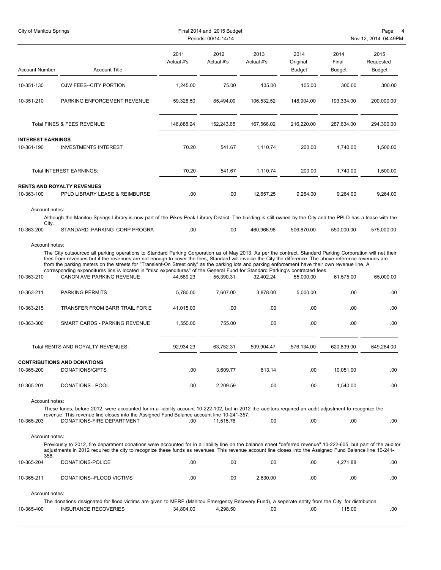| <b>City of Manitou Springs</b>         |                                                                                                                                                                                                                                                                                                                                                                                                                                                                                                                                                                                                                                           |                    | Final 2014 and 2015 Budget<br>Periods: 00/14-14/14 |                    | Nov 12, 2014 04:49PM              |                                |                             |  |  |
|----------------------------------------|-------------------------------------------------------------------------------------------------------------------------------------------------------------------------------------------------------------------------------------------------------------------------------------------------------------------------------------------------------------------------------------------------------------------------------------------------------------------------------------------------------------------------------------------------------------------------------------------------------------------------------------------|--------------------|----------------------------------------------------|--------------------|-----------------------------------|--------------------------------|-----------------------------|--|--|
| <b>Account Number</b>                  | <b>Account Title</b>                                                                                                                                                                                                                                                                                                                                                                                                                                                                                                                                                                                                                      | 2011<br>Actual #'s | 2012<br>Actual #'s                                 | 2013<br>Actual #'s | 2014<br>Original<br><b>Budget</b> | 2014<br>Final<br><b>Budget</b> | 2015<br>Requested<br>Budget |  |  |
| 10-351-130                             | OJW FEES--CITY PORTION                                                                                                                                                                                                                                                                                                                                                                                                                                                                                                                                                                                                                    | 1,245.00           | 75.00                                              | 135.00             | 105.00                            | 300.00                         | 300.00                      |  |  |
| 10-351-210                             | PARKING ENFORCEMENT REVENUE                                                                                                                                                                                                                                                                                                                                                                                                                                                                                                                                                                                                               | 59,328.50          | 85,494.00                                          | 106,532.52         | 148.904.00                        | 193,334.00                     | 200,000.00                  |  |  |
|                                        | Total FINES & FEES REVENUE:                                                                                                                                                                                                                                                                                                                                                                                                                                                                                                                                                                                                               | 146,888.24         | 152,243.65                                         | 167,566.02         | 216,220.00                        | 287,634.00                     | 294,300.00                  |  |  |
| <b>INTEREST EARNINGS</b><br>10-361-190 | <b>INVESTMENTS INTEREST</b>                                                                                                                                                                                                                                                                                                                                                                                                                                                                                                                                                                                                               | 70.20              | 541.67                                             | 1,110.74           | 200.00                            | 1,740.00                       | 1,500.00                    |  |  |
|                                        | Total INTEREST EARNINGS:                                                                                                                                                                                                                                                                                                                                                                                                                                                                                                                                                                                                                  | 70.20              | 541.67                                             | 1,110.74           | 200.00                            | 1,740.00                       | 1,500.00                    |  |  |
| 10-363-100                             | <b>RENTS AND ROYALTY REVENUES</b><br>PPLD LIBRARY LEASE & REIMBURSE                                                                                                                                                                                                                                                                                                                                                                                                                                                                                                                                                                       | .00                | .00                                                | 12.657.25          | 9,264.00                          | 9,264.00                       | 9,264.00                    |  |  |
| Account notes:<br>City.                | Although the Manitou Springs Library is now part of the Pikes Peak Library District. The building is still owned by the City and the PPLD has a lease with the                                                                                                                                                                                                                                                                                                                                                                                                                                                                            |                    |                                                    |                    |                                   |                                |                             |  |  |
| 10-363-200                             | STANDARD PARKING CORP PROGRA                                                                                                                                                                                                                                                                                                                                                                                                                                                                                                                                                                                                              | .00                | .00                                                | 460,966.98         | 506,870.00                        | 550,000.00                     | 575,000.00                  |  |  |
| Account notes:<br>10-363-210           | The City outsourced all parking operations to Standard Parking Corporation as of May 2013. As per the contract, Standard Parking Corporation will net their<br>fees from revenues but if the revenues are not enough to cover the fees, Standard will invoice the City the difference. The above reference revenues are<br>from the parking meters on the streets for "Transient-On Street only" as the parking lots and parking enforcement have their own revenue line. A<br>corresponding expenditures line is located in "misc expenditures" of the General Fund for Standard Parking's contracted fees.<br>CANON AVE PARKING REVENUE | 44,589.23          | 55,390.31                                          | 32,402.24          | 55,000.00                         | 61,575.00                      | 65,000.00                   |  |  |
| 10-363-211                             | <b>PARKING PERMITS</b>                                                                                                                                                                                                                                                                                                                                                                                                                                                                                                                                                                                                                    | 5,780.00           | 7,607.00                                           | 3,878.00           | 5,000.00                          | .00                            | .00                         |  |  |
| 10-363-215                             | TRANSFER FROM BARR TRAIL FOR E                                                                                                                                                                                                                                                                                                                                                                                                                                                                                                                                                                                                            | 41,015.00          | .00                                                | .00                | .00                               | .00                            | .00                         |  |  |
| 10-363-300                             | SMART CARDS - PARKING REVENUE                                                                                                                                                                                                                                                                                                                                                                                                                                                                                                                                                                                                             | 1,550.00           | 755.00                                             | .00                | .00                               | .00                            | .00                         |  |  |
|                                        | Total RENTS AND ROYALTY REVENUES:                                                                                                                                                                                                                                                                                                                                                                                                                                                                                                                                                                                                         | 92,934.23          | 63,752.31                                          | 509,904.47         | 576,134.00                        | 620,839.00                     | 649,264.00                  |  |  |
|                                        | <b>CONTRIBUTIONS AND DONATIONS</b>                                                                                                                                                                                                                                                                                                                                                                                                                                                                                                                                                                                                        |                    |                                                    |                    |                                   |                                |                             |  |  |
| 10-365-200                             | DONATIONS/GIFTS                                                                                                                                                                                                                                                                                                                                                                                                                                                                                                                                                                                                                           | .00.               | 3,609.77                                           | 613.14             | .00.                              | 10,051.00                      | .00                         |  |  |
| 10-365-201                             | DONATIONS - POOL                                                                                                                                                                                                                                                                                                                                                                                                                                                                                                                                                                                                                          | .00.               | 2,209.59                                           | .00                | .00                               | 1,540.00                       | .00                         |  |  |
| Account notes:<br>10-365-203           | These funds, before 2012, were accounted for in a liability account 10-222-102, but in 2012 the auditors required an audit adjustment to recognize the<br>revenue. This revenue line closes into the Assigned Fund Balance account line 10-241-357.<br>DONATIONS-FIRE DEPARTMENT                                                                                                                                                                                                                                                                                                                                                          | .00                | 11.515.76                                          | .00                | .00                               | .00                            | .00                         |  |  |
| Account notes:                         | Previously to 2012, fire department donations were accounted for in a liability line on the balance sheet "deferred revenue" 10-222-605, but part of the auditor<br>adjustments in 2012 required the city to recognize these funds as revenues. This revenue account line closes into the Assigned Fund Balance line 10-241-                                                                                                                                                                                                                                                                                                              |                    |                                                    |                    |                                   |                                |                             |  |  |
| 358.<br>10-365-204                     | DONATIONS-POLICE                                                                                                                                                                                                                                                                                                                                                                                                                                                                                                                                                                                                                          | .00.               | .00                                                | .00                | .00                               | 4,271.88                       | .00                         |  |  |
| 10-365-211                             | DONATIONS--FLOOD VICTIMS                                                                                                                                                                                                                                                                                                                                                                                                                                                                                                                                                                                                                  | .00.               | .00.                                               | 2,630.00           | .00                               | .00                            | .00                         |  |  |
| Account notes:                         |                                                                                                                                                                                                                                                                                                                                                                                                                                                                                                                                                                                                                                           |                    |                                                    |                    |                                   |                                |                             |  |  |
| 10-365-400                             | The donations designated for flood victims are given to MERF (Manitou Emergency Recovery Fund), a seperate entity from the City, for distribution.<br><b>INSURANCE RECOVERIES</b>                                                                                                                                                                                                                                                                                                                                                                                                                                                         | 34,804.00          | 4,298.50                                           | .00                | .00                               | 115.00                         | .00                         |  |  |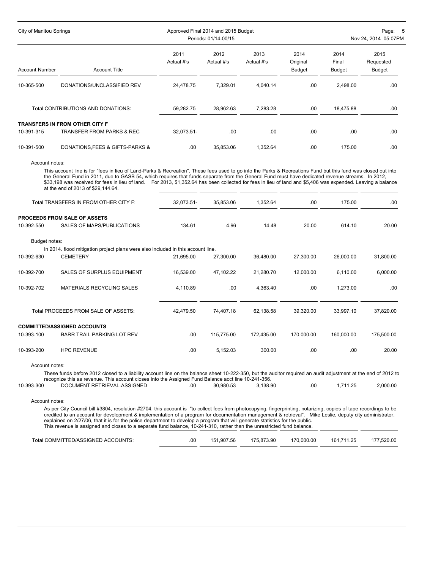| City of Manitou Springs |                                       |            | Approved Final 2014 and 2015 Budget | Page: 5              |               |               |           |
|-------------------------|---------------------------------------|------------|-------------------------------------|----------------------|---------------|---------------|-----------|
|                         |                                       |            | Periods: 01/14-00/15                | Nov 24, 2014 05:07PM |               |               |           |
|                         |                                       | 2011       | 2012                                | 2013                 | 2014          | 2014          | 2015      |
|                         |                                       | Actual #'s | Actual #'s                          | Actual #'s           | Original      | Final         | Requested |
| <b>Account Number</b>   | <b>Account Title</b>                  |            |                                     |                      | <b>Budget</b> | <b>Budget</b> | Budget    |
| 10-365-500              | DONATIONS/UNCLASSIFIED REV            | 24,478.75  | 7,329.01                            | 4,040.14             | .00           | 2,498.00      | .00       |
|                         | Total CONTRIBUTIONS AND DONATIONS:    | 59,282.75  | 28.962.63                           | 7,283.28             | .00           | 18.475.88     | .00       |
|                         | <b>TRANSFERS IN FROM OTHER CITY F</b> |            |                                     |                      |               |               |           |
| 10-391-315              | TRANSFER FROM PARKS & REC             | 32.073.51- | .00                                 | .00                  | .00           | .00           | .00       |
| 10-391-500              | DONATIONS, FEES & GIFTS-PARKS &       | .00        | 35,853.06                           | 1,352.64             | .00           | 175.00        | .00       |

Account notes:

This account line is for "fees in lieu of Land-Parks & Recreation". These fees used to go into the Parks & Recreations Fund but this fund was closed out into the General Fund in 2011, due to GASB 54, which requires that funds separate from the General Fund must have dedicated revenue streams. In 2012, \$33,198 was received for fees in lieu of land. For 2013, \$1,352.64 has been collected for fees in lieu of land and \$5,406 was expended. Leaving a balance at the end of 2013 of \$29,144.64.

|                | Total TRANSFERS IN FROM OTHER CITY F:                                                                                                                                                                                                                                 | 32,073.51- | 35,853.06  | 1,352.64   | .00        | 175.00     | .00        |
|----------------|-----------------------------------------------------------------------------------------------------------------------------------------------------------------------------------------------------------------------------------------------------------------------|------------|------------|------------|------------|------------|------------|
|                | <b>PROCEEDS FROM SALE OF ASSETS</b>                                                                                                                                                                                                                                   |            |            |            |            |            |            |
| 10-392-550     | SALES OF MAPS/PUBLICATIONS                                                                                                                                                                                                                                            | 134.61     | 4.96       | 14.48      | 20.00      | 614.10     | 20.00      |
| Budget notes:  |                                                                                                                                                                                                                                                                       |            |            |            |            |            |            |
|                | In 2014, flood mitigation project plans were also included in this account line.                                                                                                                                                                                      |            |            |            |            |            |            |
| 10-392-630     | <b>CEMETERY</b>                                                                                                                                                                                                                                                       | 21.695.00  | 27.300.00  | 36.480.00  | 27.300.00  | 26.000.00  | 31,800.00  |
| 10-392-700     | <b>SALES OF SURPLUS EQUIPMENT</b>                                                                                                                                                                                                                                     | 16,539.00  | 47,102.22  | 21,280.70  | 12,000.00  | 6,110.00   | 6,000.00   |
| 10-392-702     | MATERIALS RECYCLING SALES                                                                                                                                                                                                                                             | 4,110.89   | .00.       | 4,363.40   | .00.       | 1,273.00   | .00        |
|                | Total PROCEEDS FROM SALE OF ASSETS:                                                                                                                                                                                                                                   | 42,479.50  | 74,407.18  | 62,138.58  | 39,320.00  | 33,997.10  | 37,820.00  |
|                | <b>COMMITTED/ASSIGNED ACCOUNTS</b>                                                                                                                                                                                                                                    |            |            |            |            |            |            |
| 10-393-100     | <b>BARR TRAIL PARKING LOT REV</b>                                                                                                                                                                                                                                     | .00.       | 115.775.00 | 172.435.00 | 170,000.00 | 160,000.00 | 175,500.00 |
| 10-393-200     | <b>HPC REVENUE</b>                                                                                                                                                                                                                                                    | .00.       | 5,152.03   | 300.00     | .00.       | .00        | 20.00      |
| Account notes: |                                                                                                                                                                                                                                                                       |            |            |            |            |            |            |
|                | These funds before 2012 closed to a liability account line on the balance sheet 10-222-350, but the auditor required an audit adjustment at the end of 2012 to<br>recognize this as revenue. This account closes into the Assigned Fund Balance acct line 10-241-356. |            |            |            |            |            |            |
| 10-393-300     | DOCUMENT RETRIEVAL-ASSIGNED                                                                                                                                                                                                                                           | .00.       | 30,980.53  | 3,138.90   | .00.       | 1,711.25   | 2,000.00   |
| Account notes: |                                                                                                                                                                                                                                                                       |            |            |            |            |            |            |

As per City Council bill #3804, resolution #2704, this account is "to collect fees from photocopying, fingerprinting, notarizing, copies of tape recordings to be credited to an account for development & implementation of a program for documentation management & retrieval". Mike Leslie, deputy city administrator, explained on 2/27/06, that it is for the police department to develop a program that will generate statistics for the public. This revenue is assigned and closes to a separate fund balance, 10-241-310, rather than the unrestricted fund balance.

| Total COMMITTED/ASSIGNED ACCOUNTS: | .00 | 151.907.56 | 175.873.90 | 170.000.00 | 161.711.25 | 177,520.00 |
|------------------------------------|-----|------------|------------|------------|------------|------------|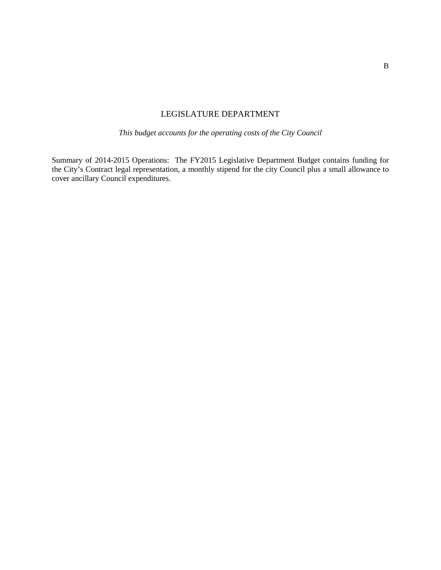#### LEGISLATURE DEPARTMENT

*This budget accounts for the operating costs of the City Council*

Summary of 2014-2015 Operations: The FY2015 Legislative Department Budget contains funding for the City's Contract legal representation, a monthly stipend for the city Council plus a small allowance to cover ancillary Council expenditures.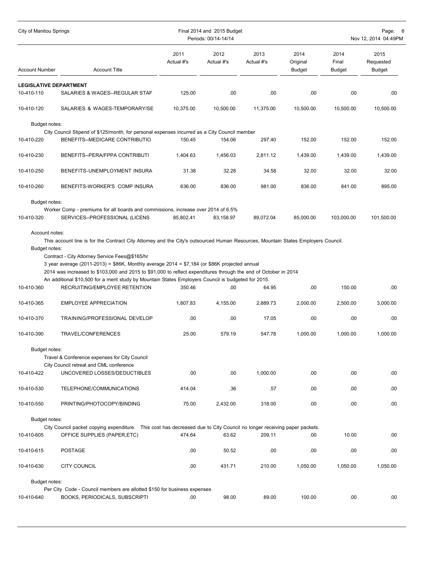| City of Manitou Springs<br>Final 2014 and 2015 Budget<br>Periods: 00/14-14/14 |                                                                                                                                                                                                                                                                                                                                                          |                    |                    |                    |                                   | Page: 6<br>Nov 12, 2014 04:49PM |                                    |  |
|-------------------------------------------------------------------------------|----------------------------------------------------------------------------------------------------------------------------------------------------------------------------------------------------------------------------------------------------------------------------------------------------------------------------------------------------------|--------------------|--------------------|--------------------|-----------------------------------|---------------------------------|------------------------------------|--|
| <b>Account Number</b>                                                         | <b>Account Title</b>                                                                                                                                                                                                                                                                                                                                     | 2011<br>Actual #'s | 2012<br>Actual #'s | 2013<br>Actual #'s | 2014<br>Original<br><b>Budget</b> | 2014<br>Final<br><b>Budget</b>  | 2015<br>Requested<br><b>Budget</b> |  |
| <b>LEGISLATIVE DEPARTMENT</b>                                                 |                                                                                                                                                                                                                                                                                                                                                          |                    |                    |                    |                                   |                                 |                                    |  |
| 10-410-110                                                                    | SALARIES & WAGES--REGULAR STAF                                                                                                                                                                                                                                                                                                                           | 125.00             | .00                | .00                | .00                               | .00                             | .00.                               |  |
| 10-410-120                                                                    | SALARIES & WAGES-TEMPORARY/SE                                                                                                                                                                                                                                                                                                                            | 10,375.00          | 10,500.00          | 11,375.00          | 10,500.00                         | 10,500.00                       | 10,500.00                          |  |
| Budget notes:                                                                 |                                                                                                                                                                                                                                                                                                                                                          |                    |                    |                    |                                   |                                 |                                    |  |
|                                                                               | City Council Stipend of \$125/month, for personal expenses incurred as a City Council member                                                                                                                                                                                                                                                             |                    |                    |                    |                                   |                                 |                                    |  |
| 10-410-220                                                                    | BENEFITS--MEDICARE CONTRIBUTIO                                                                                                                                                                                                                                                                                                                           | 150.45             | 154.06             | 297.40             | 152.00                            | 152.00                          | 152.00                             |  |
| 10-410-230                                                                    | BENEFITS--PERA/FPPA CONTRIBUTI                                                                                                                                                                                                                                                                                                                           | 1,404.63           | 1,456.03           | 2,811.12           | 1,439.00                          | 1,439.00                        | 1,439.00                           |  |
| 10-410-250                                                                    | BENEFITS-UNEMPLOYMENT INSURA                                                                                                                                                                                                                                                                                                                             | 31.38              | 32.28              | 34.58              | 32.00                             | 32.00                           | 32.00                              |  |
| 10-410-260                                                                    | BENEFITS-WORKER'S COMP INSURA                                                                                                                                                                                                                                                                                                                            | 636.00             | 836.00             | 981.00             | 836.00                            | 841.00                          | 895.00                             |  |
| Budget notes:                                                                 |                                                                                                                                                                                                                                                                                                                                                          |                    |                    |                    |                                   |                                 |                                    |  |
|                                                                               | Worker Comp - premiums for all boards and commissions, increase over 2014 of 6.5%                                                                                                                                                                                                                                                                        |                    |                    |                    |                                   |                                 |                                    |  |
| 10-410-320                                                                    | SERVICES--PROFESSIONAL (LICENS                                                                                                                                                                                                                                                                                                                           | 85,802.41          | 83.158.97          | 89,072.04          | 85,000.00                         | 103,000.00                      | 101,500.00                         |  |
| 10-410-360                                                                    | 3 year average (2011-2013) = \$86K, Monthly average 2014 = \$7,184 (or \$86K projected annual<br>2014 was increased to \$103,000 and 2015 to \$91,000 to reflect expenditures through the end of October in 2014<br>An additional \$10,500 for a merit study by Mountain States Employers Council is budgeted for 2015.<br>RECRUITING/EMPLOYEE RETENTION | 350.46             | .00                | 64.95              | .00                               | 150.00                          | .00.                               |  |
| 10-410-365                                                                    | <b>EMPLOYEE APPRECIATION</b>                                                                                                                                                                                                                                                                                                                             | 1,807.83           | 4,155.00           | 2,889.73           | 2,000.00                          | 2,500.00                        | 3,000.00                           |  |
| 10-410-370                                                                    | TRAINING/PROFESSIONAL DEVELOP                                                                                                                                                                                                                                                                                                                            | .00                | .00                | 17.05              | .00                               | .00                             | .00                                |  |
| 10-410-390                                                                    | TRAVEL/CONFERENCES                                                                                                                                                                                                                                                                                                                                       | 25.00              | 579.19             | 547.78             | 1,000.00                          | 1,000.00                        | 1,000.00                           |  |
| Budget notes:                                                                 |                                                                                                                                                                                                                                                                                                                                                          |                    |                    |                    |                                   |                                 |                                    |  |
|                                                                               | Travel & Conference expenses for City Council                                                                                                                                                                                                                                                                                                            |                    |                    |                    |                                   |                                 |                                    |  |
| 10-410-422                                                                    | City Council retreat and CML conference<br>UNCOVERED LOSSES/DEDUCTIBLES                                                                                                                                                                                                                                                                                  | .00                | .00                | 1,000.00           | .00.                              | .00.                            | .00.                               |  |
|                                                                               |                                                                                                                                                                                                                                                                                                                                                          |                    |                    |                    |                                   |                                 |                                    |  |
| 10-410-530                                                                    | TELEPHONE/COMMUNICATIONS                                                                                                                                                                                                                                                                                                                                 | 414.04             | .36                | .57                | .00.                              | .00                             | .00.                               |  |
| 10-410-550                                                                    | PRINTING/PHOTOCOPY/BINDING                                                                                                                                                                                                                                                                                                                               | 75.00              | 2,432.00           | 318.00             | .00                               | .00.                            | .00.                               |  |
| Budget notes:                                                                 |                                                                                                                                                                                                                                                                                                                                                          |                    |                    |                    |                                   |                                 |                                    |  |
| 10-410-605                                                                    | City Council packet copying expenditure. This cost has decreased due to City Council no longer receiving paper packets.<br>OFFICE SUPPLIES (PAPER, ETC)                                                                                                                                                                                                  | 474.64             | 63.62              | 209.11             | .00.                              | 10.00                           | .00                                |  |
| 10-410-615                                                                    | <b>POSTAGE</b>                                                                                                                                                                                                                                                                                                                                           | .00.               | 50.52              | .00                | .00.                              | .00                             | .00.                               |  |
| 10-410-630                                                                    | <b>CITY COUNCIL</b>                                                                                                                                                                                                                                                                                                                                      | .00                | 431.71             | 210.00             | 1,050.00                          | 1,050.00                        | 1,050.00                           |  |
| Budget notes:                                                                 |                                                                                                                                                                                                                                                                                                                                                          |                    |                    |                    |                                   |                                 |                                    |  |
|                                                                               | Per City Code - Council members are allotted \$150 for business expenses                                                                                                                                                                                                                                                                                 |                    |                    |                    |                                   |                                 |                                    |  |
| 10-410-640                                                                    | <b>BOOKS, PERIODICALS, SUBSCRIPTI</b>                                                                                                                                                                                                                                                                                                                    | .00                | 98.00              | 89.00              | 100.00                            | .00.                            | .00.                               |  |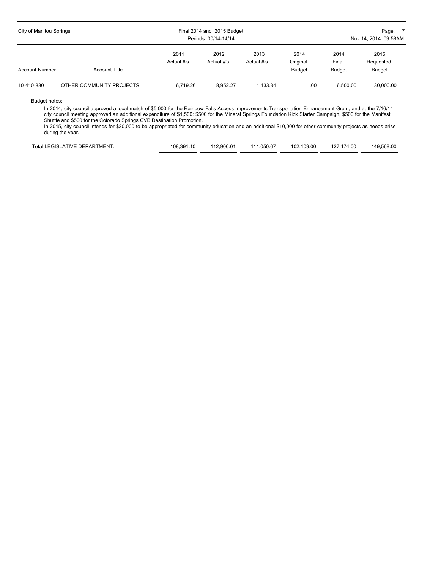| City of Manitou Springs |                          | Final 2014 and 2015 Budget<br>Periods: 00/14-14/14 |                    | Page: 7<br>Nov 14, 2014 09:58AM |                                   |                                |                                    |
|-------------------------|--------------------------|----------------------------------------------------|--------------------|---------------------------------|-----------------------------------|--------------------------------|------------------------------------|
| <b>Account Number</b>   | <b>Account Title</b>     | 2011<br>Actual #'s                                 | 2012<br>Actual #'s | 2013<br>Actual #'s              | 2014<br>Original<br><b>Budget</b> | 2014<br>Final<br><b>Budget</b> | 2015<br>Requested<br><b>Budget</b> |
| 10-410-880              | OTHER COMMUNITY PROJECTS | 6.719.26                                           | 8.952.27           | 1.133.34                        | .00.                              | 6.500.00                       | 30.000.00                          |

Budget notes:

In 2014, city council approved a local match of \$5,000 for the Rainbow Falls Access Improvements Transportation Enhancement Grant, and at the 7/16/14 city council meeting approved an additional expenditure of \$1,500: \$500 for the Mineral Springs Foundation Kick Starter Campaign, \$500 for the Manifest Shuttle and \$500 for the Colorado Springs CVB Destination Promotion.

In 2015, city council intends for \$20,000 to be appropriated for community education and an additional \$10,000 for other community projects as needs arise during the year.

| Total LEGISLATIVE DEPARTMENT: | 108.391.10 | 112.900.01 | 111.050.67 | 102.109.00 | 127.174.00 | 149.568.00 |
|-------------------------------|------------|------------|------------|------------|------------|------------|
|                               |            |            |            |            |            |            |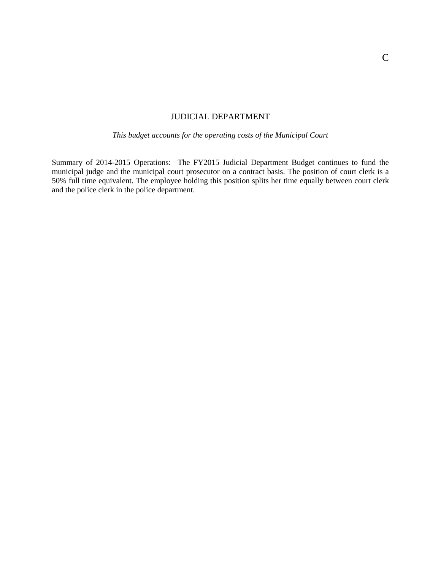#### JUDICIAL DEPARTMENT

#### *This budget accounts for the operating costs of the Municipal Court*

Summary of 2014-2015 Operations: The FY2015 Judicial Department Budget continues to fund the municipal judge and the municipal court prosecutor on a contract basis. The position of court clerk is a 50% full time equivalent. The employee holding this position splits her time equally between court clerk and the police clerk in the police department.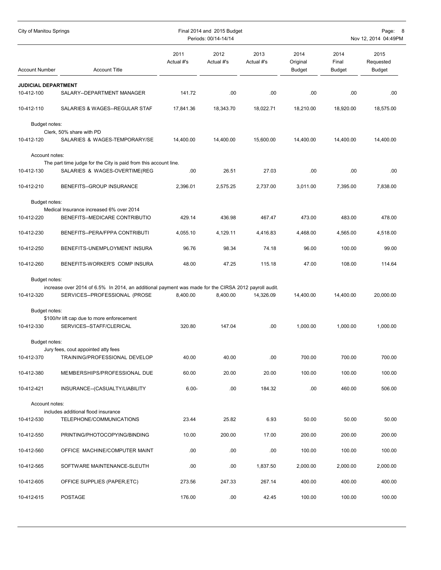| City of Manitou Springs<br>Final 2014 and 2015 Budget<br>Periods: 00/14-14/14                                                                                                                         | Page:<br>- 8<br>Nov 12, 2014 04:49PM |  |  |  |
|-------------------------------------------------------------------------------------------------------------------------------------------------------------------------------------------------------|--------------------------------------|--|--|--|
| 2014<br>2011<br>2012<br>2013<br>2014<br>Actual #'s<br>Actual #'s<br>Actual #'s<br>Original<br>Final<br><b>Account Number</b><br><b>Account Title</b><br><b>Budget</b><br><b>Budget</b>                | 2015<br>Requested<br><b>Budget</b>   |  |  |  |
| <b>JUDICIAL DEPARTMENT</b>                                                                                                                                                                            |                                      |  |  |  |
| 10-412-100<br>SALARY--DEPARTMENT MANAGER<br>141.72<br>.00<br>.00<br>.00                                                                                                                               | .00<br>.00                           |  |  |  |
| 10-412-110<br>SALARIES & WAGES--REGULAR STAF<br>17,841.36<br>18,343.70<br>18,022.71<br>18,210.00                                                                                                      | 18,920.00<br>18,575.00               |  |  |  |
| Budget notes:                                                                                                                                                                                         |                                      |  |  |  |
| Clerk, 50% share with PD<br>10-412-120<br>SALARIES & WAGES-TEMPORARY/SE<br>14,400.00<br>14,400.00<br>15,600.00<br>14,400.00                                                                           | 14,400.00<br>14,400.00               |  |  |  |
| Account notes:                                                                                                                                                                                        |                                      |  |  |  |
| The part time judge for the City is paid from this account line.<br>10-412-130<br>SALARIES & WAGES-OVERTIME(REG<br>.00<br>26.51<br>27.03<br>.00                                                       | .00<br>.00                           |  |  |  |
| 10-412-210<br>BENEFITS--GROUP INSURANCE<br>2,396.01<br>2,575.25<br>2,737.00<br>3,011.00                                                                                                               | 7,395.00<br>7,838.00                 |  |  |  |
| Budget notes:                                                                                                                                                                                         |                                      |  |  |  |
| Medical Insurance increased 6% over 2014<br>10-412-220<br>BENEFITS--MEDICARE CONTRIBUTIO<br>429.14<br>436.98<br>467.47<br>473.00                                                                      | 483.00<br>478.00                     |  |  |  |
| 10-412-230<br>BENEFITS--PERA/FPPA CONTRIBUTI<br>4,055.10<br>4,129.11<br>4,416.83<br>4,468.00                                                                                                          | 4,565.00<br>4,518.00                 |  |  |  |
| 96.76<br>98.34<br>96.00<br>10-412-250<br>BENEFITS-UNEMPLOYMENT INSURA<br>74.18                                                                                                                        | 100.00<br>99.00                      |  |  |  |
| 10-412-260<br>BENEFITS-WORKER'S COMP INSURA<br>48.00<br>47.25<br>115.18<br>47.00                                                                                                                      | 108.00<br>114.64                     |  |  |  |
| Budget notes:                                                                                                                                                                                         |                                      |  |  |  |
| increase over 2014 of 6.5% In 2014, an additional payment was made for the CIRSA 2012 payroll audit.<br>10-412-320<br>SERVICES--PROFESSIONAL (PROSE<br>8,400.00<br>8,400.00<br>14,326.09<br>14,400.00 | 14,400.00<br>20,000.00               |  |  |  |
|                                                                                                                                                                                                       |                                      |  |  |  |
| Budget notes:<br>\$100/hr lift cap due to more enforecement                                                                                                                                           |                                      |  |  |  |
| SERVICES--STAFF/CLERICAL<br>320.80<br>.00<br>10-412-330<br>147.04<br>1,000.00                                                                                                                         | 1,000.00<br>1,000.00                 |  |  |  |
| Budget notes:                                                                                                                                                                                         |                                      |  |  |  |
| Jury fees, cout appointed atty fees<br>40.00<br>.00<br>700.00<br>10-412-370<br>TRAINING/PROFESSIONAL DEVELOP<br>40.00                                                                                 | 700.00<br>700.00                     |  |  |  |
| 60.00<br>20.00<br>20.00<br>100.00<br>10-412-380<br>MEMBERSHIPS/PROFESSIONAL DUE                                                                                                                       | 100.00<br>100.00                     |  |  |  |
| .00<br>.00<br>10-412-421<br>INSURANCE--(CASUALTY/LIABILITY<br>$6.00 -$<br>184.32                                                                                                                      | 460.00<br>506.00                     |  |  |  |
| Account notes:                                                                                                                                                                                        |                                      |  |  |  |
| includes additional flood insurance<br>50.00<br>10-412-530<br>TELEPHONE/COMMUNICATIONS<br>23.44<br>25.82<br>6.93                                                                                      | 50.00<br>50.00                       |  |  |  |
| PRINTING/PHOTOCOPYING/BINDING<br>10-412-550<br>10.00<br>200.00<br>17.00<br>200.00                                                                                                                     | 200.00<br>200.00                     |  |  |  |
| OFFICE MACHINE/COMPUTER MAINT<br>.00.<br>.00<br>.00<br>100.00<br>10-412-560                                                                                                                           | 100.00<br>100.00                     |  |  |  |
| .00<br>10-412-565<br>SOFTWARE MAINTENANCE-SLEUTH<br>.00.<br>1,837.50<br>2,000.00                                                                                                                      | 2,000.00<br>2,000.00                 |  |  |  |
| OFFICE SUPPLIES (PAPER, ETC)<br>247.33<br>267.14<br>400.00<br>10-412-605<br>273.56                                                                                                                    | 400.00<br>400.00                     |  |  |  |
| POSTAGE<br>10-412-615<br>176.00<br>.00.<br>42.45<br>100.00                                                                                                                                            | 100.00<br>100.00                     |  |  |  |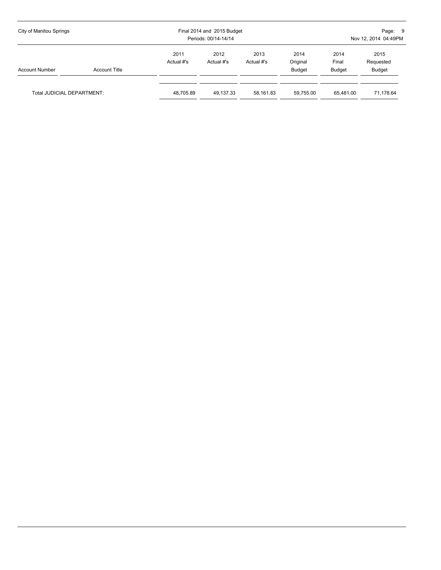| City of Manitou Springs    |                      |                    | Final 2014 and 2015 Budget<br>Periods: 00/14-14/14 |                    | Page: 9<br>Nov 12, 2014 04:49PM   |                                |                                    |
|----------------------------|----------------------|--------------------|----------------------------------------------------|--------------------|-----------------------------------|--------------------------------|------------------------------------|
| <b>Account Number</b>      | <b>Account Title</b> | 2011<br>Actual #'s | 2012<br>Actual #'s                                 | 2013<br>Actual #'s | 2014<br>Original<br><b>Budget</b> | 2014<br>Final<br><b>Budget</b> | 2015<br>Requested<br><b>Budget</b> |
| Total JUDICIAL DEPARTMENT: |                      | 48.705.89          | 49.137.33                                          | 58.161.83          | 59.755.00                         | 65.481.00                      | 71,178.64                          |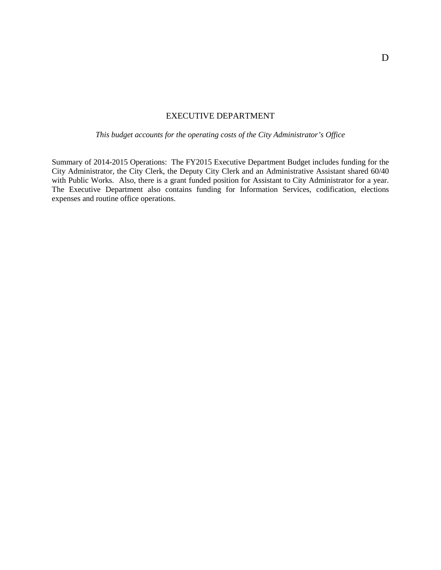#### EXECUTIVE DEPARTMENT

*This budget accounts for the operating costs of the City Administrator's Office*

Summary of 2014-2015 Operations: The FY2015 Executive Department Budget includes funding for the City Administrator, the City Clerk, the Deputy City Clerk and an Administrative Assistant shared 60/40 with Public Works. Also, there is a grant funded position for Assistant to City Administrator for a year. The Executive Department also contains funding for Information Services, codification, elections expenses and routine office operations.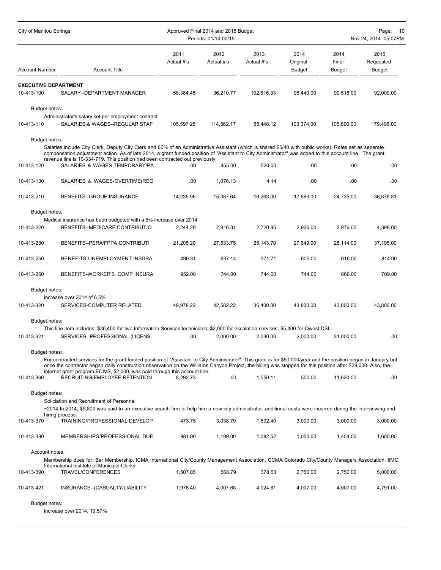| <b>City of Manitou Springs</b>            |                                                                                                                                                                                                                                                                                                                                                                                                                                     | Approved Final 2014 and 2015 Budget<br>Periods: 01/14-00/15 |                    |                    |                                   | Page:<br>10<br>Nov 24, 2014 05:07PM |                                    |  |
|-------------------------------------------|-------------------------------------------------------------------------------------------------------------------------------------------------------------------------------------------------------------------------------------------------------------------------------------------------------------------------------------------------------------------------------------------------------------------------------------|-------------------------------------------------------------|--------------------|--------------------|-----------------------------------|-------------------------------------|------------------------------------|--|
| <b>Account Number</b>                     | <b>Account Title</b>                                                                                                                                                                                                                                                                                                                                                                                                                | 2011<br>Actual #'s                                          | 2012<br>Actual #'s | 2013<br>Actual #'s | 2014<br>Original<br><b>Budget</b> | 2014<br>Final<br><b>Budget</b>      | 2015<br>Requested<br><b>Budget</b> |  |
| <b>EXECUTIVE DEPARTMENT</b><br>10-413-100 | SALARY--DEPARTMENT MANAGER                                                                                                                                                                                                                                                                                                                                                                                                          | 58,384.45                                                   | 96,210.77          | 102,616.33         | 98,440.00                         | 99,518.00                           | 92,000.00                          |  |
| Budget notes:<br>10-413-110               | Administrator's salary set per employment contract<br>SALARIES & WAGES--REGULAR STAF                                                                                                                                                                                                                                                                                                                                                | 105,597.25                                                  | 114,562.17         | 85.448.12          | 103,374.00                        | 105,696.00                          | 179,496.00                         |  |
| Budget notes:                             | Salaries include City Clerk, Deputy City Clerk and 60% of an Administrative Assistant (which is shared 60/40 with public works). Rates set as seperate<br>compensation adjustment action. As of late 2014, a grant funded position of "Assistant to City Administrator" was added to this account line. The grant<br>revenue line is 10-334-719. This position had been contracted out previously.<br>SALARIES & WAGES-TEMPORARY/PA |                                                             |                    |                    |                                   |                                     |                                    |  |
| 10-413-120                                |                                                                                                                                                                                                                                                                                                                                                                                                                                     | .00                                                         | 455.00             | 520.00             | .00                               | .00                                 | .00                                |  |
| 10-413-130                                | SALARIES & WAGES-OVERTIME(REG                                                                                                                                                                                                                                                                                                                                                                                                       | .00                                                         | 1,076.13           | 4.14               | .00                               | .00                                 | .00                                |  |
| 10-413-210                                | BENEFITS-GROUP INSURANCE                                                                                                                                                                                                                                                                                                                                                                                                            | 14.235.96                                                   | 15,387.64          | 16,263.00          | 17,889.00                         | 24,735.00                           | 36,876.81                          |  |
| Budget notes:                             | Medical insurance has been budgeted with a 6% increase over 2014                                                                                                                                                                                                                                                                                                                                                                    |                                                             |                    |                    |                                   |                                     |                                    |  |
| 10-413-220                                | BENEFITS--MEDICARE CONTRIBUTIO                                                                                                                                                                                                                                                                                                                                                                                                      | 2,244.29                                                    | 2,916.31           | 2,720.85           | 2.926.00                          | 2,976.00                            | 4,398.00                           |  |
| 10-413-230                                | BENEFITS--PERA/FPPA CONTRIBUTI                                                                                                                                                                                                                                                                                                                                                                                                      | 21,205.20                                                   | 27,533.75          | 25,143.70          | 27,649.00                         | 28,114.00                           | 37,195.00                          |  |
| 10-413-250                                | BENEFITS-UNEMPLOYMENT INSURA                                                                                                                                                                                                                                                                                                                                                                                                        | 490.31                                                      | 637.14             | 371.71             | 605.00                            | 616.00                              | 814.00                             |  |
| 10-413-260                                | BENEFITS-WORKER'S COMP INSURA                                                                                                                                                                                                                                                                                                                                                                                                       | 952.00                                                      | 744.00             | 744.00             | 744.00                            | 666.00                              | 709.00                             |  |
| Budget notes:<br>10-413-320               | increase over 2014 of 6.5%<br>SERVICES-COMPUTER RELATED                                                                                                                                                                                                                                                                                                                                                                             | 49,978.22                                                   | 42,582.22          | 36.400.00          | 43,800.00                         | 43,800.00                           | 43,800.00                          |  |
| Budget notes:                             | This line item includes: \$36,400 for two Information Services technicians; \$2,000 for escalation services; \$5,400 for Qwest DSL.                                                                                                                                                                                                                                                                                                 |                                                             |                    |                    |                                   |                                     |                                    |  |
| 10-413-321                                | SERVICES--PROFESSIONAL (LICENS                                                                                                                                                                                                                                                                                                                                                                                                      | .00                                                         | 2,000.00           | 2,030.00           | 2,000.00                          | 31,000.00                           | .00                                |  |
| Budget notes:                             | For contracted services for the grant funded position of "Assistant to City Administrator". This grant is for \$50,000/year and the position began in January but<br>once the contractor began daily construction observation on the Williams Canyon Project, the billing was stopped for this position after \$29,000. Also, the<br>internet grant program ECIVS, \$2,000, was paid through this account line.                     |                                                             |                    |                    |                                   |                                     |                                    |  |
| 10-413-360                                | RECRUITING/EMPLOYEE RETENTION                                                                                                                                                                                                                                                                                                                                                                                                       | 8,292.73                                                    | .00.               | 1,556.11           | 500.00                            | 11,620.00                           | .00                                |  |
| Budget notes:                             | Soliciation and Recruitment of Personnel<br>~2014 In 2014, \$9,800 was paid to an executive search firm to help hire a new city administrator, additional costs were incurred during the interviewing and<br>hiring process.                                                                                                                                                                                                        |                                                             |                    |                    |                                   |                                     |                                    |  |
| 10-413-370                                | TRAINING/PROFESSIONAL DEVELOP                                                                                                                                                                                                                                                                                                                                                                                                       | 473.75                                                      | 3,038.79           | 1,692.40           | 3,000.00                          | 3,000.00                            | 3,000.00                           |  |
| 10-413-380                                | MEMBERSHIPS/PROFESSIONAL DUE                                                                                                                                                                                                                                                                                                                                                                                                        | 981.00                                                      | 1,199.00           | 1,082.52           | 1,050.00                          | 1,454.00                            | 1,600.00                           |  |
| Account notes:                            | Membership dues for: Bar Membership, ICMA International City/County Management Association, CCMA Colorado City/County Managers Association, IIMC                                                                                                                                                                                                                                                                                    |                                                             |                    |                    |                                   |                                     |                                    |  |
| 10-413-390                                | International Institute of Municipal Clerks<br>TRAVEL/CONFERENCES                                                                                                                                                                                                                                                                                                                                                                   | 1,507.85                                                    | 568.79             | 378.53             | 2,750.00                          | 2,750.00                            | 5,000.00                           |  |
| 10-413-421                                | INSURANCE--(CASUALTY/LIABILITY                                                                                                                                                                                                                                                                                                                                                                                                      | 1,976.40                                                    | 4,007.68           | 4,024.61           | 4,007.00                          | 4,007.00                            | 4,791.00                           |  |
| Budget notes:                             |                                                                                                                                                                                                                                                                                                                                                                                                                                     |                                                             |                    |                    |                                   |                                     |                                    |  |

increase over 2014, 19.57%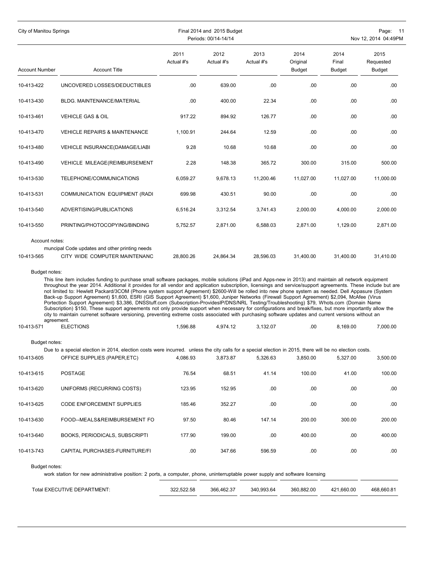| <b>City of Manitou Springs</b>            |                                                                                                                                                                                                                                                                                                                                                                                                                                                                                                                                                                                                                                                                                                                                                                                                                                                                                                                                                                                                                                                                                                                     |                    | Final 2014 and 2015 Budget<br>Periods: 00/14-14/14 |                    |                                   |                                | Page:<br>- 11<br>Nov 12, 2014 04:49PM |
|-------------------------------------------|---------------------------------------------------------------------------------------------------------------------------------------------------------------------------------------------------------------------------------------------------------------------------------------------------------------------------------------------------------------------------------------------------------------------------------------------------------------------------------------------------------------------------------------------------------------------------------------------------------------------------------------------------------------------------------------------------------------------------------------------------------------------------------------------------------------------------------------------------------------------------------------------------------------------------------------------------------------------------------------------------------------------------------------------------------------------------------------------------------------------|--------------------|----------------------------------------------------|--------------------|-----------------------------------|--------------------------------|---------------------------------------|
| <b>Account Number</b>                     | <b>Account Title</b>                                                                                                                                                                                                                                                                                                                                                                                                                                                                                                                                                                                                                                                                                                                                                                                                                                                                                                                                                                                                                                                                                                | 2011<br>Actual #'s | 2012<br>Actual #'s                                 | 2013<br>Actual #'s | 2014<br>Original<br><b>Budget</b> | 2014<br>Final<br><b>Budget</b> | 2015<br>Requested<br><b>Budget</b>    |
| 10-413-422                                | UNCOVERED LOSSES/DEDUCTIBLES                                                                                                                                                                                                                                                                                                                                                                                                                                                                                                                                                                                                                                                                                                                                                                                                                                                                                                                                                                                                                                                                                        | .00.               | 639.00                                             | .00                | .00                               | .00                            | .00                                   |
| 10-413-430                                | BLDG. MAINTENANCE/MATERIAL                                                                                                                                                                                                                                                                                                                                                                                                                                                                                                                                                                                                                                                                                                                                                                                                                                                                                                                                                                                                                                                                                          | .00.               | 400.00                                             | 22.34              | .00                               | .00                            | .00                                   |
| 10-413-461                                | <b>VEHICLE GAS &amp; OIL</b>                                                                                                                                                                                                                                                                                                                                                                                                                                                                                                                                                                                                                                                                                                                                                                                                                                                                                                                                                                                                                                                                                        | 917.22             | 894.92                                             | 126.77             | .00                               | .00                            | .00                                   |
| 10-413-470                                | <b>VEHICLE REPAIRS &amp; MAINTENANCE</b>                                                                                                                                                                                                                                                                                                                                                                                                                                                                                                                                                                                                                                                                                                                                                                                                                                                                                                                                                                                                                                                                            | 1,100.91           | 244.64                                             | 12.59              | .00                               | .00                            | .00                                   |
| 10-413-480                                | VEHICLE INSURANCE(DAMAGE/LIABI                                                                                                                                                                                                                                                                                                                                                                                                                                                                                                                                                                                                                                                                                                                                                                                                                                                                                                                                                                                                                                                                                      | 9.28               | 10.68                                              | 10.68              | .00                               | .00                            | .00                                   |
| 10-413-490                                | VEHICLE MILEAGE(REIMBURSEMENT                                                                                                                                                                                                                                                                                                                                                                                                                                                                                                                                                                                                                                                                                                                                                                                                                                                                                                                                                                                                                                                                                       | 2.28               | 148.38                                             | 365.72             | 300.00                            | 315.00                         | 500.00                                |
| 10-413-530                                | TELEPHONE/COMMUNICATIONS                                                                                                                                                                                                                                                                                                                                                                                                                                                                                                                                                                                                                                                                                                                                                                                                                                                                                                                                                                                                                                                                                            | 6,059.27           | 9,678.13                                           | 11,200.46          | 11,027.00                         | 11,027.00                      | 11,000.00                             |
| 10-413-531                                | COMMUNICATION EQUIPMENT (RADI                                                                                                                                                                                                                                                                                                                                                                                                                                                                                                                                                                                                                                                                                                                                                                                                                                                                                                                                                                                                                                                                                       | 699.98             | 430.51                                             | 90.00              | .00                               | .00                            | .00                                   |
| 10-413-540                                | ADVERTISING/PUBLICATIONS                                                                                                                                                                                                                                                                                                                                                                                                                                                                                                                                                                                                                                                                                                                                                                                                                                                                                                                                                                                                                                                                                            | 6,516.24           | 3,312.54                                           | 3,741.43           | 2,000.00                          | 4,000.00                       | 2,000.00                              |
| 10-413-550                                | PRINTING/PHOTOCOPYING/BINDING                                                                                                                                                                                                                                                                                                                                                                                                                                                                                                                                                                                                                                                                                                                                                                                                                                                                                                                                                                                                                                                                                       | 5.752.57           | 2,871.00                                           | 6,588.03           | 2,871.00                          | 1,129.00                       | 2,871.00                              |
| Account notes:                            |                                                                                                                                                                                                                                                                                                                                                                                                                                                                                                                                                                                                                                                                                                                                                                                                                                                                                                                                                                                                                                                                                                                     |                    |                                                    |                    |                                   |                                |                                       |
| 10-413-565                                | muncipal Code updates and other printing needs<br>CITY WIDE COMPUTER MAINTENANC                                                                                                                                                                                                                                                                                                                                                                                                                                                                                                                                                                                                                                                                                                                                                                                                                                                                                                                                                                                                                                     | 28,800.26          | 24,864.34                                          | 28,596.03          | 31,400.00                         | 31,400.00                      | 31,410.00                             |
| Budget notes:<br>agreement.<br>10-413-571 | This line item includes funding to purchase small software packages, mobile solutions (iPad and Apps-new in 2013) and maintain all network equipment<br>throughout the year 2014. Additional it provides for all vendor and application subscription, licensings and service/support agreements. These include but are<br>not limited to: Hewlett Packard/3COM (Phone system support Agreement) \$2600-Will be rolled into new phone system as needed. Dell Appasure (System<br>Back-up Support Agreement) \$1,600, ESRI (GIS Support Agreement) \$1,600, Juniper Networks (Firewall Support Agreement) \$2,094, McAfee (Virus<br>Portection Support Agreement) \$3,386, DNSStuff.com (Subscription-ProvidesIP/DNS/NRL Testing/Troubleshooting) \$79, Whots.com (Domain Name<br>Subscription) \$150, These support agreements not only provide support when necessary for configurations and break/fixes, but more importantly allow the<br>city to maintain currenet software versioning, preventing extreme costs associated with purchasing software updates and current versions without an<br><b>ELECTIONS</b> | 1,596.88           | 4,974.12                                           | 3,132.07           | .00                               | 8.169.00                       | 7,000.00                              |
| Budget notes:                             |                                                                                                                                                                                                                                                                                                                                                                                                                                                                                                                                                                                                                                                                                                                                                                                                                                                                                                                                                                                                                                                                                                                     |                    |                                                    |                    |                                   |                                |                                       |
| 10-413-605                                | Due to a special election in 2014, election costs were incurred. unless the city calls for a special election in 2015, there will be no election costs.<br>OFFICE SUPPLIES (PAPER, ETC)                                                                                                                                                                                                                                                                                                                                                                                                                                                                                                                                                                                                                                                                                                                                                                                                                                                                                                                             | 4,086.93           | 3.873.87                                           | 5,326.63           | 3.850.00                          | 5.327.00                       | 3,500.00                              |
| 10-413-615                                | <b>POSTAGE</b>                                                                                                                                                                                                                                                                                                                                                                                                                                                                                                                                                                                                                                                                                                                                                                                                                                                                                                                                                                                                                                                                                                      | 76.54              | 68.51                                              | 41.14              | 100.00                            | 41.00                          | 100.00                                |
| 10-413-620                                | UNIFORMS (RECURRING COSTS)                                                                                                                                                                                                                                                                                                                                                                                                                                                                                                                                                                                                                                                                                                                                                                                                                                                                                                                                                                                                                                                                                          | 123.95             | 152.95                                             | .00                | .00                               | .00                            | .00                                   |
| 10-413-625                                | CODE ENFORCEMENT SUPPLIES                                                                                                                                                                                                                                                                                                                                                                                                                                                                                                                                                                                                                                                                                                                                                                                                                                                                                                                                                                                                                                                                                           | 185.46             | 352.27                                             | .00                | .00                               | .00                            | .00                                   |
| 10-413-630                                | FOOD--MEALS&REIMBURSEMENT FO                                                                                                                                                                                                                                                                                                                                                                                                                                                                                                                                                                                                                                                                                                                                                                                                                                                                                                                                                                                                                                                                                        | 97.50              | 80.46                                              | 147.14             | 200.00                            | 300.00                         | 200.00                                |
| 10-413-640                                | BOOKS, PERIODICALS, SUBSCRIPTI                                                                                                                                                                                                                                                                                                                                                                                                                                                                                                                                                                                                                                                                                                                                                                                                                                                                                                                                                                                                                                                                                      | 177.90             | 199.00                                             | .00                | 400.00                            | .00.                           | 400.00                                |
| 10-413-743                                | CAPITAL PURCHASES-FURNITURE/FI                                                                                                                                                                                                                                                                                                                                                                                                                                                                                                                                                                                                                                                                                                                                                                                                                                                                                                                                                                                                                                                                                      | .00.               | 347.66                                             | 596.59             | .00                               | .00.                           | .00                                   |
| Budget notes:                             | work station for new administrative position: 2 ports, a computer, phone, uninterruptable power supply and software licensing                                                                                                                                                                                                                                                                                                                                                                                                                                                                                                                                                                                                                                                                                                                                                                                                                                                                                                                                                                                       |                    |                                                    |                    |                                   |                                |                                       |
|                                           | Total EXECUTIVE DEPARTMENT:                                                                                                                                                                                                                                                                                                                                                                                                                                                                                                                                                                                                                                                                                                                                                                                                                                                                                                                                                                                                                                                                                         | 322,522.58         | 366,462.37                                         | 340,993.64         | 360,882.00                        | 421,660.00                     | 468,660.81                            |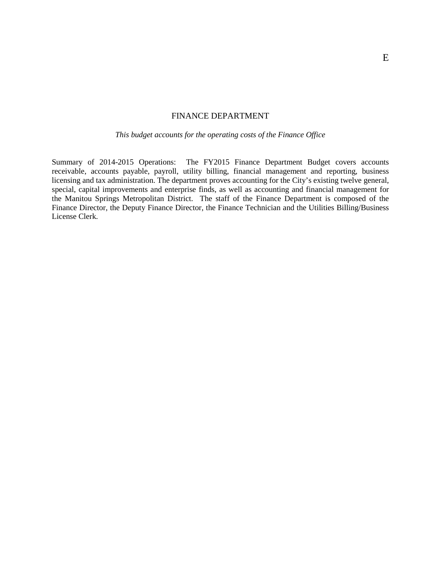#### FINANCE DEPARTMENT

*This budget accounts for the operating costs of the Finance Office*

Summary of 2014-2015 Operations: The FY2015 Finance Department Budget covers accounts receivable, accounts payable, payroll, utility billing, financial management and reporting, business licensing and tax administration. The department proves accounting for the City's existing twelve general, special, capital improvements and enterprise finds, as well as accounting and financial management for the Manitou Springs Metropolitan District. The staff of the Finance Department is composed of the Finance Director, the Deputy Finance Director, the Finance Technician and the Utilities Billing/Business License Clerk.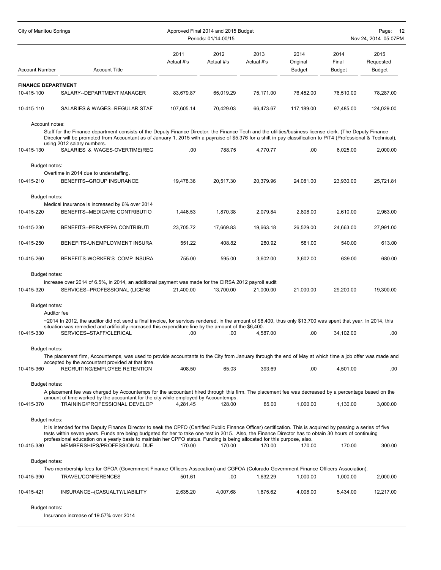| City of Manitou Springs                 | Approved Final 2014 and 2015 Budget<br>Periods: 01/14-00/15                                                                                                                                                                                                                                                                                                                                                                                        |                    |                    |                    |                                   | Page:<br>12<br>Nov 24, 2014 05:07PM |                             |  |
|-----------------------------------------|----------------------------------------------------------------------------------------------------------------------------------------------------------------------------------------------------------------------------------------------------------------------------------------------------------------------------------------------------------------------------------------------------------------------------------------------------|--------------------|--------------------|--------------------|-----------------------------------|-------------------------------------|-----------------------------|--|
| <b>Account Number</b>                   | <b>Account Title</b>                                                                                                                                                                                                                                                                                                                                                                                                                               | 2011<br>Actual #'s | 2012<br>Actual #'s | 2013<br>Actual #'s | 2014<br>Original<br><b>Budget</b> | 2014<br>Final<br><b>Budget</b>      | 2015<br>Requested<br>Budget |  |
|                                         |                                                                                                                                                                                                                                                                                                                                                                                                                                                    |                    |                    |                    |                                   |                                     |                             |  |
| <b>FINANCE DEPARTMENT</b><br>10-415-100 | SALARY--DEPARTMENT MANAGER                                                                                                                                                                                                                                                                                                                                                                                                                         | 83,679.87          | 65,019.29          | 75,171.00          | 76,452.00                         | 76,510.00                           | 78,287.00                   |  |
| 10-415-110                              | SALARIES & WAGES--REGULAR STAF                                                                                                                                                                                                                                                                                                                                                                                                                     | 107,605.14         | 70,429.03          | 66,473.67          | 117,189.00                        | 97,485.00                           | 124,029.00                  |  |
| Account notes:<br>10-415-130            | Staff for the Finance department consists of the Deputy Finance Director, the Finance Tech and the utilities/business license clerk. (The Deputy Finance<br>Director will be promoted from Accountant as of January 1, 2015 with a payraise of \$5,376 for a shift in pay classification to P/T4 (Professional & Technical),<br>using 2012 salary numbers.<br>SALARIES & WAGES-OVERTIME(REG                                                        | .00                | 788.75             | 4,770.77           | .00                               | 6,025.00                            | 2,000.00                    |  |
|                                         |                                                                                                                                                                                                                                                                                                                                                                                                                                                    |                    |                    |                    |                                   |                                     |                             |  |
| Budget notes:                           | Overtime in 2014 due to understaffing.                                                                                                                                                                                                                                                                                                                                                                                                             |                    |                    |                    |                                   |                                     |                             |  |
| 10-415-210                              | BENEFITS--GROUP INSURANCE                                                                                                                                                                                                                                                                                                                                                                                                                          | 19,478.36          | 20,517.30          | 20,379.96          | 24,081.00                         | 23,930.00                           | 25,721.81                   |  |
| Budget notes:                           |                                                                                                                                                                                                                                                                                                                                                                                                                                                    |                    |                    |                    |                                   |                                     |                             |  |
| 10-415-220                              | Medical Insurance is increased by 6% over 2014<br>BENEFITS--MEDICARE CONTRIBUTIO                                                                                                                                                                                                                                                                                                                                                                   | 1,446.53           | 1,870.38           | 2,079.84           | 2,808.00                          | 2,610.00                            | 2,963.00                    |  |
| 10-415-230                              | BENEFITS--PERA/FPPA CONTRIBUTI                                                                                                                                                                                                                                                                                                                                                                                                                     | 23,705.72          | 17,669.83          | 19,663.18          | 26,529.00                         | 24,663.00                           | 27,991.00                   |  |
| 10-415-250                              | BENEFITS-UNEMPLOYMENT INSURA                                                                                                                                                                                                                                                                                                                                                                                                                       | 551.22             | 408.82             | 280.92             | 581.00                            | 540.00                              | 613.00                      |  |
| 10-415-260                              | BENEFITS-WORKER'S COMP INSURA                                                                                                                                                                                                                                                                                                                                                                                                                      | 755.00             | 595.00             | 3,602.00           | 3,602.00                          | 639.00                              | 680.00                      |  |
| Budget notes:                           |                                                                                                                                                                                                                                                                                                                                                                                                                                                    |                    |                    |                    |                                   |                                     |                             |  |
| 10-415-320                              | increase over 2014 of 6.5%, in 2014, an additional payment was made for the CIRSA 2012 payroll audit<br>SERVICES--PROFESSIONAL (LICENS                                                                                                                                                                                                                                                                                                             | 21,400.00          | 13,700.00          | 21,000.00          | 21,000.00                         | 29,200.00                           | 19,300.00                   |  |
| Budget notes:                           |                                                                                                                                                                                                                                                                                                                                                                                                                                                    |                    |                    |                    |                                   |                                     |                             |  |
| Auditor fee                             | ~2014 In 2012, the auditor did not send a final invoice, for services rendered, in the amount of \$6,400, thus only \$13,700 was spent that year. In 2014, this                                                                                                                                                                                                                                                                                    |                    |                    |                    |                                   |                                     |                             |  |
|                                         | situation was remedied and artificially increased this expenditure line by the amount of the \$6,400.                                                                                                                                                                                                                                                                                                                                              |                    |                    |                    |                                   |                                     |                             |  |
| 10-415-330                              | SERVICES--STAFF/CLERICAL                                                                                                                                                                                                                                                                                                                                                                                                                           | .00                | .00                | 4,587.00           | .00                               | 34,102.00                           | .00                         |  |
| Budget notes:                           |                                                                                                                                                                                                                                                                                                                                                                                                                                                    |                    |                    |                    |                                   |                                     |                             |  |
|                                         | The placement firm, Accountemps, was used to provide accountants to the City from January through the end of May at which time a job offer was made and<br>accepted by the accountant provided at that time.                                                                                                                                                                                                                                       |                    |                    |                    |                                   |                                     |                             |  |
| 10-415-360                              | RECRUITING/EMPLOYEE RETENTION                                                                                                                                                                                                                                                                                                                                                                                                                      | 408.50             | 65.03              | 393.69             | .00                               | 4,501.00                            | .00                         |  |
| Budget notes:                           |                                                                                                                                                                                                                                                                                                                                                                                                                                                    |                    |                    |                    |                                   |                                     |                             |  |
|                                         | A placement fee was charged by Accountemps for the accountant hired through this firm. The placement fee was decreased by a percentage based on the<br>amount of time worked by the accountant for the city while employed by Accountemps.                                                                                                                                                                                                         |                    |                    |                    |                                   |                                     |                             |  |
| 10-415-370                              | TRAINING/PROFESSIONAL DEVELOP                                                                                                                                                                                                                                                                                                                                                                                                                      | 4.281.45           | 128.00             | 85.00              | 1.000.00                          | 1,130.00                            | 3,000.00                    |  |
| Budget notes:                           |                                                                                                                                                                                                                                                                                                                                                                                                                                                    |                    |                    |                    |                                   |                                     |                             |  |
|                                         | It is intended for the Deputy Finance Director to seek the CPFO (Certified Public Finance Officer) certification. This is acquired by passing a series of five<br>tests within seven years. Funds are being budgeted for her to take one test in 2015. Also, the Finance Director has to obtain 30 hours of continuing<br>professional education on a yearly basis to maintain her CPFO status. Funding is being allocated for this purpose, also. |                    |                    |                    |                                   |                                     |                             |  |
| 10-415-380                              | MEMBERSHIPS/PROFESSIONAL DUE                                                                                                                                                                                                                                                                                                                                                                                                                       | 170.00             | 170.00             | 170.00             | 170.00                            | 170.00                              | 300.00                      |  |
| Budget notes:                           |                                                                                                                                                                                                                                                                                                                                                                                                                                                    |                    |                    |                    |                                   |                                     |                             |  |
| 10-415-390                              | Two membership fees for GFOA (Government Finance Officers Assocation) and CGFOA (Colorado Government Finance Officers Association).<br>TRAVEL/CONFERENCES                                                                                                                                                                                                                                                                                          | 501.61             | .00.               | 1,632.29           | 1,000.00                          | 1,000.00                            | 2,000.00                    |  |
| 10-415-421                              | INSURANCE--(CASUALTY/LIABILITY                                                                                                                                                                                                                                                                                                                                                                                                                     | 2,635.20           | 4,007.68           | 1,875.62           | 4,008.00                          | 5,434.00                            | 12,217.00                   |  |
| Budget notes:                           | Insurance increase of 19.57% over 2014                                                                                                                                                                                                                                                                                                                                                                                                             |                    |                    |                    |                                   |                                     |                             |  |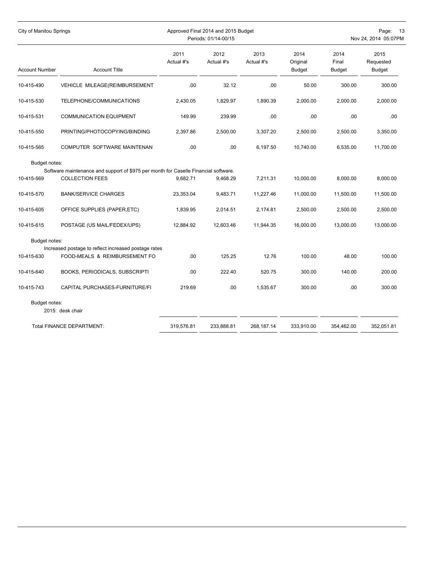| City of Manitou Springs |                                                                                       |                    | Approved Final 2014 and 2015 Budget<br>Periods: 01/14-00/15 | Page:<br>-13<br>Nov 24, 2014 05:07PM |                                   |                                |                                    |
|-------------------------|---------------------------------------------------------------------------------------|--------------------|-------------------------------------------------------------|--------------------------------------|-----------------------------------|--------------------------------|------------------------------------|
| <b>Account Number</b>   | <b>Account Title</b>                                                                  | 2011<br>Actual #'s | 2012<br>Actual #'s                                          | 2013<br>Actual #'s                   | 2014<br>Original<br><b>Budget</b> | 2014<br>Final<br><b>Budget</b> | 2015<br>Requested<br><b>Budget</b> |
| 10-415-490              | VEHICLE MILEAGE(REIMBURSEMENT                                                         | .00.               | 32.12                                                       | .00                                  | 50.00                             | 300.00                         | 300.00                             |
| 10-415-530              | TELEPHONE/COMMUNICATIONS                                                              | 2.430.05           | 1.829.97                                                    | 1.890.39                             | 2.000.00                          | 2.000.00                       | 2,000.00                           |
| 10-415-531              | <b>COMMUNICATION EQUIPMENT</b>                                                        | 149.99             | 239.99                                                      | .00                                  | .00                               | .00                            | .00                                |
| 10-415-550              | PRINTING/PHOTOCOPYING/BINDING                                                         | 2,397.86           | 2,500.00                                                    | 3,307.20                             | 2,500.00                          | 2,500.00                       | 3,350.00                           |
| 10-415-565              | COMPUTER SOFTWARE MAINTENAN                                                           | .00                | .00                                                         | 6,197.50                             | 10,740.00                         | 6,535.00                       | 11,700.00                          |
| Budget notes:           | Software maintenance and support of \$975 per month for Caselle Financial software.   |                    |                                                             |                                      |                                   |                                |                                    |
| 10-415-569              | <b>COLLECTION FEES</b>                                                                | 9,682.71           | 9,468.29                                                    | 7,211.31                             | 10,000.00                         | 8,000.00                       | 8,000.00                           |
| 10-415-570              | <b>BANK/SERVICE CHARGES</b>                                                           | 23,353.04          | 9,483.71                                                    | 11,227.46                            | 11,000.00                         | 11,500.00                      | 11,500.00                          |
| 10-415-605              | OFFICE SUPPLIES (PAPER, ETC)                                                          | 1,839.95           | 2,014.51                                                    | 2,174.81                             | 2,500.00                          | 2,500.00                       | 2,500.00                           |
| 10-415-615              | POSTAGE (US MAIL/FEDEX/UPS)                                                           | 12,884.92          | 12.603.46                                                   | 11,944.35                            | 16.000.00                         | 13.000.00                      | 13,000.00                          |
| Budget notes:           |                                                                                       |                    |                                                             |                                      |                                   |                                |                                    |
| 10-415-630              | Increased postage to reflect increased postage rates<br>FOOD-MEALS & REIMBURSEMENT FO | .00                | 125.25                                                      | 12.76                                | 100.00                            | 48.00                          | 100.00                             |
| 10-415-640              | <b>BOOKS, PERIODICALS, SUBSCRIPTI</b>                                                 | .00.               | 222.40                                                      | 520.75                               | 300.00                            | 140.00                         | 200.00                             |
| 10-415-743              | CAPITAL PURCHASES-FURNITURE/FI                                                        | 219.69             | .00                                                         | 1,535.67                             | 300.00                            | .00.                           | 300.00                             |
| Budget notes:           | 2015: desk chair                                                                      |                    |                                                             |                                      |                                   |                                |                                    |
|                         | <b>Total FINANCE DEPARTMENT:</b>                                                      | 319,576.81         | 233,888.81                                                  | 268,187.14                           | 333,910.00                        | 354,462.00                     | 352,051.81                         |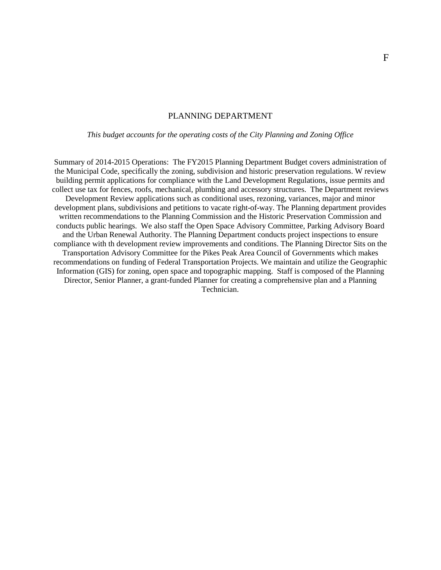#### PLANNING DEPARTMENT

*This budget accounts for the operating costs of the City Planning and Zoning Office*

Summary of 2014-2015 Operations: The FY2015 Planning Department Budget covers administration of the Municipal Code, specifically the zoning, subdivision and historic preservation regulations. W review building permit applications for compliance with the Land Development Regulations, issue permits and collect use tax for fences, roofs, mechanical, plumbing and accessory structures. The Department reviews Development Review applications such as conditional uses, rezoning, variances, major and minor development plans, subdivisions and petitions to vacate right-of-way. The Planning department provides written recommendations to the Planning Commission and the Historic Preservation Commission and conducts public hearings. We also staff the Open Space Advisory Committee, Parking Advisory Board and the Urban Renewal Authority. The Planning Department conducts project inspections to ensure compliance with th development review improvements and conditions. The Planning Director Sits on the Transportation Advisory Committee for the Pikes Peak Area Council of Governments which makes recommendations on funding of Federal Transportation Projects. We maintain and utilize the Geographic Information (GIS) for zoning, open space and topographic mapping. Staff is composed of the Planning Director, Senior Planner, a grant-funded Planner for creating a comprehensive plan and a Planning Technician.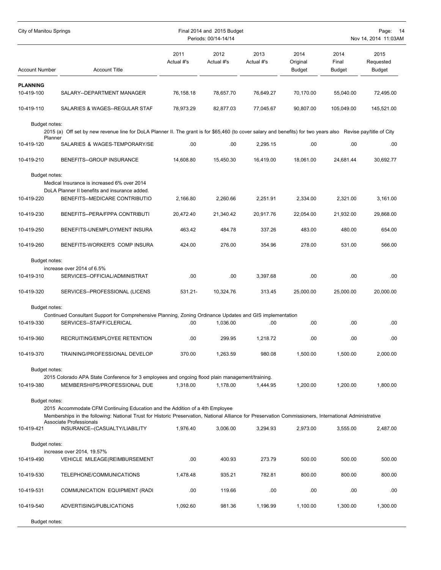| City of Manitou Springs     |                                                                                                                                                                                                                                                                                                            | Final 2014 and 2015 Budget<br>Periods: 00/14-14/14 |                    |                    |                                   | Page:<br>14<br>Nov 14, 2014 11:03AM |                             |  |
|-----------------------------|------------------------------------------------------------------------------------------------------------------------------------------------------------------------------------------------------------------------------------------------------------------------------------------------------------|----------------------------------------------------|--------------------|--------------------|-----------------------------------|-------------------------------------|-----------------------------|--|
| <b>Account Number</b>       | <b>Account Title</b>                                                                                                                                                                                                                                                                                       | 2011<br>Actual #'s                                 | 2012<br>Actual #'s | 2013<br>Actual #'s | 2014<br>Original<br><b>Budget</b> | 2014<br>Final<br><b>Budget</b>      | 2015<br>Requested<br>Budget |  |
| <b>PLANNING</b>             |                                                                                                                                                                                                                                                                                                            |                                                    |                    |                    |                                   |                                     |                             |  |
| 10-419-100                  | SALARY--DEPARTMENT MANAGER                                                                                                                                                                                                                                                                                 | 76,158.18                                          | 78,657.70          | 76,649.27          | 70,170.00                         | 55,040.00                           | 72,495.00                   |  |
| 10-419-110                  | SALARIES & WAGES--REGULAR STAF                                                                                                                                                                                                                                                                             | 78,973.29                                          | 82,877.03          | 77,045.67          | 90,807.00                         | 105,049.00                          | 145,521.00                  |  |
| Budget notes:               |                                                                                                                                                                                                                                                                                                            |                                                    |                    |                    |                                   |                                     |                             |  |
| Planner                     | 2015 (a) Off set by new revenue line for DoLA Planner II. The grant is for \$65,460 (to cover salary and benefits) for two years also Revise pay/title of City                                                                                                                                             |                                                    |                    |                    |                                   |                                     |                             |  |
| 10-419-120                  | SALARIES & WAGES-TEMPORARY/SE                                                                                                                                                                                                                                                                              | .00.                                               | .00                | 2,295.15           | .00                               | .00                                 | .00                         |  |
| 10-419-210                  | BENEFITS-GROUP INSURANCE                                                                                                                                                                                                                                                                                   | 14,608.80                                          | 15,450.30          | 16,419.00          | 18,061.00                         | 24,681.44                           | 30,692.77                   |  |
| Budget notes:               | Medical Insurance is increased 6% over 2014<br>DoLA Planner II benefits and insurance added.                                                                                                                                                                                                               |                                                    |                    |                    |                                   |                                     |                             |  |
| 10-419-220                  | BENEFITS--MEDICARE CONTRIBUTIO                                                                                                                                                                                                                                                                             | 2,166.80                                           | 2,260.66           | 2,251.91           | 2,334.00                          | 2,321.00                            | 3,161.00                    |  |
| 10-419-230                  | BENEFITS--PERA/FPPA CONTRIBUTI                                                                                                                                                                                                                                                                             | 20,472.40                                          | 21,340.42          | 20,917.76          | 22,054.00                         | 21,932.00                           | 29,868.00                   |  |
| 10-419-250                  | BENEFITS-UNEMPLOYMENT INSURA                                                                                                                                                                                                                                                                               | 463.42                                             | 484.78             | 337.26             | 483.00                            | 480.00                              | 654.00                      |  |
| 10-419-260                  | BENEFITS-WORKER'S COMP INSURA                                                                                                                                                                                                                                                                              | 424.00                                             | 276.00             | 354.96             | 278.00                            | 531.00                              | 566.00                      |  |
| Budget notes:<br>10-419-310 | increase over 2014 of 6.5%<br>SERVICES--OFFICIAL/ADMINISTRAT                                                                                                                                                                                                                                               | .00.                                               | .00                | 3,397.68           | .00                               | .00                                 | .00                         |  |
| 10-419-320                  | SERVICES--PROFESSIONAL (LICENS                                                                                                                                                                                                                                                                             | 531.21-                                            | 10,324.76          | 313.45             | 25,000.00                         | 25,000.00                           | 20,000.00                   |  |
| Budget notes:               |                                                                                                                                                                                                                                                                                                            |                                                    |                    |                    |                                   |                                     |                             |  |
|                             | Continued Consultant Support for Comprehensive Planning, Zoning Ordinance Updates and GIS implementation                                                                                                                                                                                                   |                                                    |                    |                    |                                   |                                     |                             |  |
| 10-419-330                  | SERVICES--STAFF/CLERICAL                                                                                                                                                                                                                                                                                   | .00.                                               | 1,036.00           | .00                | .00                               | .00                                 | .00                         |  |
| 10-419-360                  | RECRUITING/EMPLOYEE RETENTION                                                                                                                                                                                                                                                                              | .00.                                               | 299.95             | 1,218.72           | .00                               | .00                                 | .00                         |  |
| 10-419-370                  | TRAINING/PROFESSIONAL DEVELOP                                                                                                                                                                                                                                                                              | 370.00                                             | 1,263.59           | 980.08             | 1,500.00                          | 1,500.00                            | 2,000.00                    |  |
| Budget notes:               |                                                                                                                                                                                                                                                                                                            |                                                    |                    |                    |                                   |                                     |                             |  |
| 10-419-380                  | 2015 Colorado APA State Conference for 3 employees and ongoing flood plain management/training.<br>MEMBERSHIPS/PROFESSIONAL DUE                                                                                                                                                                            | 1.318.00                                           | 1.178.00           | 1.444.95           | 1,200.00                          | 1,200.00                            | 1,800.00                    |  |
| Budget notes:<br>10-419-421 | 2015 Accommodate CFM Continuing Education and the Addition of a 4th Employee<br>Memberships in the following: National Trust for Historic Preservation, National Alliance for Preservation Commissioners, International Administrative<br><b>Associate Professionals</b><br>INSURANCE--(CASUALTY/LIABILITY | 1,976.40                                           | 3,006.00           | 3,294.93           | 2,973.00                          | 3,555.00                            | 2,487.00                    |  |
| Budget notes:               |                                                                                                                                                                                                                                                                                                            |                                                    |                    |                    |                                   |                                     |                             |  |
| 10-419-490                  | increase over 2014, 19.57%<br>VEHICLE MILEAGE(REIMBURSEMENT                                                                                                                                                                                                                                                | .00.                                               | 400.93             | 273.79             | 500.00                            | 500.00                              | 500.00                      |  |
| 10-419-530                  | TELEPHONE/COMMUNICATIONS                                                                                                                                                                                                                                                                                   | 1,478.48                                           | 935.21             | 782.81             | 800.00                            | 800.00                              | 800.00                      |  |
| 10-419-531                  | COMMUNICATION EQUIPMENT (RADI                                                                                                                                                                                                                                                                              | .00                                                | 119.66             | .00                | .00                               | .00                                 | .00.                        |  |
|                             |                                                                                                                                                                                                                                                                                                            |                                                    |                    |                    |                                   |                                     |                             |  |
| 10-419-540                  | ADVERTISING/PUBLICATIONS                                                                                                                                                                                                                                                                                   | 1,092.60                                           | 981.36             | 1,196.99           | 1,100.00                          | 1,300.00                            | 1,300.00                    |  |
| Budget notes:               |                                                                                                                                                                                                                                                                                                            |                                                    |                    |                    |                                   |                                     |                             |  |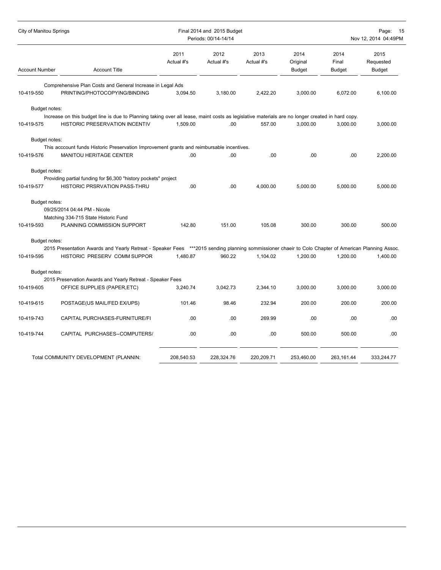| <b>City of Manitou Springs</b> |                                                                                                                                                     |                    | Final 2014 and 2015 Budget<br>Periods: 00/14-14/14 |                    |                                   |                                | Page:<br>15<br>Nov 12, 2014 04:49PM |
|--------------------------------|-----------------------------------------------------------------------------------------------------------------------------------------------------|--------------------|----------------------------------------------------|--------------------|-----------------------------------|--------------------------------|-------------------------------------|
| <b>Account Number</b>          | <b>Account Title</b>                                                                                                                                | 2011<br>Actual #'s | 2012<br>Actual #'s                                 | 2013<br>Actual #'s | 2014<br>Original<br><b>Budget</b> | 2014<br>Final<br><b>Budget</b> | 2015<br>Requested<br><b>Budget</b>  |
|                                | Comprehensive Plan Costs and General Increase in Legal Ads                                                                                          |                    |                                                    |                    |                                   |                                |                                     |
| 10-419-550                     | PRINTING/PHOTOCOPYING/BINDING                                                                                                                       | 3,094.50           | 3,180.00                                           | 2,422.20           | 3,000.00                          | 6.072.00                       | 6,100.00                            |
| Budget notes:                  |                                                                                                                                                     |                    |                                                    |                    |                                   |                                |                                     |
|                                | Increase on this budget line is due to Planning taking over all lease, maint costs as legislative materials are no longer created in hard copy.     |                    |                                                    |                    |                                   |                                |                                     |
| 10-419-575                     | <b>HISTORIC PRESERVATION INCENTIV</b>                                                                                                               | 1,509.00           | .00                                                | 557.00             | 3.000.00                          | 3.000.00                       | 3,000.00                            |
| Budget notes:                  |                                                                                                                                                     |                    |                                                    |                    |                                   |                                |                                     |
|                                | This acccount funds Historic Preservation Improvement grants and reimbursable incentives.                                                           |                    |                                                    |                    |                                   |                                |                                     |
| 10-419-576                     | MANITOU HERITAGE CENTER                                                                                                                             | .00                | .00                                                | .00                | .00                               | .00                            | 2,200.00                            |
| Budget notes:                  |                                                                                                                                                     |                    |                                                    |                    |                                   |                                |                                     |
|                                | Providing partial funding for \$6,300 "history pockets" project                                                                                     |                    |                                                    |                    |                                   |                                |                                     |
| 10-419-577                     | HISTORIC PRSRVATION PASS-THRU                                                                                                                       | .00                | .00                                                | 4,000.00           | 5,000.00                          | 5,000.00                       | 5,000.00                            |
| Budget notes:                  |                                                                                                                                                     |                    |                                                    |                    |                                   |                                |                                     |
|                                | 09/25/2014 04:44 PM - Nicole                                                                                                                        |                    |                                                    |                    |                                   |                                |                                     |
|                                | Matching 334-715 State Historic Fund                                                                                                                |                    |                                                    |                    |                                   |                                |                                     |
| 10-419-593                     | PLANNING COMMISSION SUPPORT                                                                                                                         | 142.80             | 151.00                                             | 105.08             | 300.00                            | 300.00                         | 500.00                              |
| Budget notes:                  |                                                                                                                                                     |                    |                                                    |                    |                                   |                                |                                     |
|                                | 2015 Presentation Awards and Yearly Retreat - Speaker Fees ***2015 sending planning sommissioner chaeir to Colo Chapter of American Planning Assoc. |                    |                                                    |                    |                                   |                                |                                     |
| 10-419-595                     | HISTORIC PRESERV COMM SUPPOR                                                                                                                        | 1,480.87           | 960.22                                             | 1,104.02           | 1,200.00                          | 1,200.00                       | 1,400.00                            |
| Budget notes:                  |                                                                                                                                                     |                    |                                                    |                    |                                   |                                |                                     |
|                                | 2015 Preservation Awards and Yearly Retreat - Speaker Fees                                                                                          |                    |                                                    |                    |                                   |                                |                                     |
| 10-419-605                     | OFFICE SUPPLIES (PAPER, ETC)                                                                                                                        | 3,240.74           | 3,042.73                                           | 2,344.10           | 3,000.00                          | 3,000.00                       | 3,000.00                            |
| 10-419-615                     | POSTAGE(US MAIL/FED EX/UPS)                                                                                                                         | 101.46             | 98.46                                              | 232.94             | 200.00                            | 200.00                         | 200.00                              |
| 10-419-743                     | CAPITAL PURCHASES-FURNITURE/FI                                                                                                                      | .00.               | .00                                                | 269.99             | .00                               | .00                            | .00                                 |
| 10-419-744                     | CAPITAL PURCHASES--COMPUTERS/                                                                                                                       | .00                | .00                                                | .00                | 500.00                            | 500.00                         | .00                                 |
|                                |                                                                                                                                                     |                    |                                                    |                    |                                   |                                |                                     |
|                                | Total COMMUNITY DEVELOPMENT (PLANNIN:                                                                                                               | 208,540.53         | 228,324.76                                         | 220,209.71         | 253,460.00                        | 263,161.44                     | 333,244.77                          |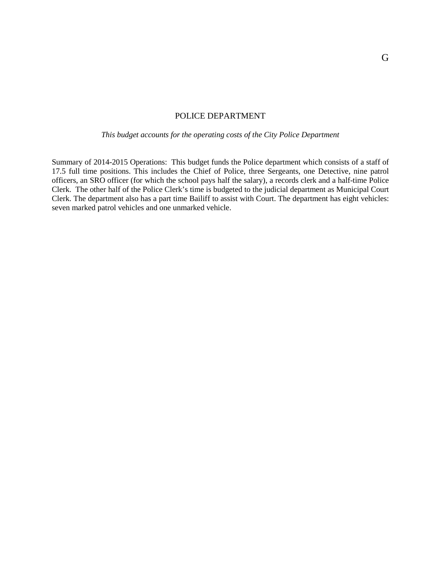## POLICE DEPARTMENT

*This budget accounts for the operating costs of the City Police Department*

Summary of 2014-2015 Operations: This budget funds the Police department which consists of a staff of 17.5 full time positions. This includes the Chief of Police, three Sergeants, one Detective, nine patrol officers, an SRO officer (for which the school pays half the salary), a records clerk and a half-time Police Clerk. The other half of the Police Clerk's time is budgeted to the judicial department as Municipal Court Clerk. The department also has a part time Bailiff to assist with Court. The department has eight vehicles: seven marked patrol vehicles and one unmarked vehicle.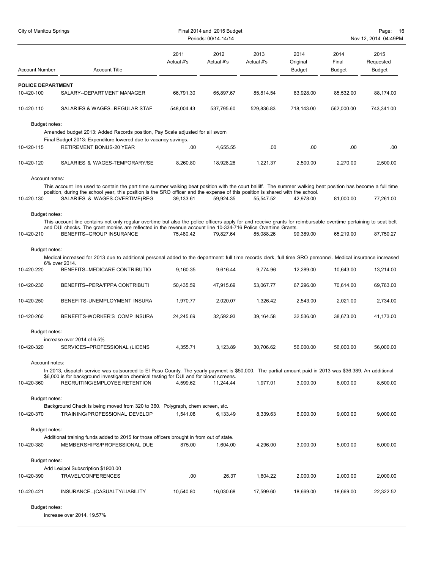| City of Manitou Springs  |                                                                                                                                                                                                                                                                                   |                    | Final 2014 and 2015 Budget<br>Periods: 00/14-14/14 | Page:<br>-16<br>Nov 12, 2014 04:49PM |                                   |                                |                                    |
|--------------------------|-----------------------------------------------------------------------------------------------------------------------------------------------------------------------------------------------------------------------------------------------------------------------------------|--------------------|----------------------------------------------------|--------------------------------------|-----------------------------------|--------------------------------|------------------------------------|
| Account Number           | <b>Account Title</b>                                                                                                                                                                                                                                                              | 2011<br>Actual #'s | 2012<br>Actual #'s                                 | 2013<br>Actual #'s                   | 2014<br>Original<br><b>Budget</b> | 2014<br>Final<br><b>Budget</b> | 2015<br>Requested<br><b>Budget</b> |
| <b>POLICE DEPARTMENT</b> |                                                                                                                                                                                                                                                                                   |                    |                                                    |                                      |                                   |                                |                                    |
| 10-420-100               | SALARY--DEPARTMENT MANAGER                                                                                                                                                                                                                                                        | 66,791.30          | 65,897.67                                          | 85,814.54                            | 83,928.00                         | 85,532.00                      | 88,174.00                          |
| 10-420-110               | SALARIES & WAGES--REGULAR STAF                                                                                                                                                                                                                                                    | 548,004.43         | 537,795.60                                         | 529,836.83                           | 718,143.00                        | 562,000.00                     | 743,341.00                         |
| Budget notes:            |                                                                                                                                                                                                                                                                                   |                    |                                                    |                                      |                                   |                                |                                    |
|                          | Amended budget 2013: Added Records position, Pay Scale adjusted for all sworn                                                                                                                                                                                                     |                    |                                                    |                                      |                                   |                                |                                    |
|                          | Final Budget 2013: Expenditure lowered due to vacancy savings.                                                                                                                                                                                                                    |                    |                                                    |                                      |                                   |                                |                                    |
| 10-420-115               | RETIREMENT BONUS-20 YEAR                                                                                                                                                                                                                                                          | .00                | 4,655.55                                           | .00                                  | .00                               | .00                            | .00                                |
| 10-420-120               | SALARIES & WAGES-TEMPORARY/SE                                                                                                                                                                                                                                                     | 8,260.80           | 18,928.28                                          | 1,221.37                             | 2,500.00                          | 2,270.00                       | 2,500.00                           |
| Account notes:           |                                                                                                                                                                                                                                                                                   |                    |                                                    |                                      |                                   |                                |                                    |
|                          | This account line used to contain the part time summer walking beat position with the court bailiff. The summer walking beat position has become a full time                                                                                                                      |                    |                                                    |                                      |                                   |                                |                                    |
| 10-420-130               | position, during the school year, this position is the SRO officer and the expense of this position is shared with the school.<br>SALARIES & WAGES-OVERTIME(REG                                                                                                                   | 39.133.61          | 59,924.35                                          | 55,547.52                            | 42,978.00                         | 81,000.00                      | 77,261.00                          |
|                          |                                                                                                                                                                                                                                                                                   |                    |                                                    |                                      |                                   |                                |                                    |
| Budget notes:            |                                                                                                                                                                                                                                                                                   |                    |                                                    |                                      |                                   |                                |                                    |
|                          | This account line contains not only regular overtime but also the police officers apply for and receive grants for reimbursable overtime pertaining to seat belt<br>and DUI checks. The grant monies are reflected in the revenue account line 10-334-716 Police Overtime Grants. |                    |                                                    |                                      |                                   |                                |                                    |
| 10-420-210               | <b>BENEFITS--GROUP INSURANCE</b>                                                                                                                                                                                                                                                  | 75,480.42          | 79,827.64                                          | 85,088.26                            | 99,389.00                         | 65,219.00                      | 87,750.27                          |
| Budget notes:            |                                                                                                                                                                                                                                                                                   |                    |                                                    |                                      |                                   |                                |                                    |
|                          | Medical increased for 2013 due to additional personal added to the department: full time records clerk, full time SRO personnel. Medical insurance increased                                                                                                                      |                    |                                                    |                                      |                                   |                                |                                    |
| 10-420-220               | 6% over 2014.<br>BENEFITS--MEDICARE CONTRIBUTIO                                                                                                                                                                                                                                   | 9,160.35           | 9,616.44                                           | 9,774.96                             | 12,289.00                         | 10,643.00                      | 13,214.00                          |
|                          |                                                                                                                                                                                                                                                                                   |                    |                                                    |                                      |                                   |                                |                                    |
| 10-420-230               | BENEFITS--PERA/FPPA CONTRIBUTI                                                                                                                                                                                                                                                    | 50,435.59          | 47,915.69                                          | 53,067.77                            | 67,296.00                         | 70,614.00                      | 69,763.00                          |
| 10-420-250               | BENEFITS-UNEMPLOYMENT INSURA                                                                                                                                                                                                                                                      | 1,970.77           | 2,020.07                                           | 1,326.42                             | 2,543.00                          | 2,021.00                       | 2,734.00                           |
| 10-420-260               | BENEFITS-WORKER'S COMP INSURA                                                                                                                                                                                                                                                     | 24,245.69          | 32,592.93                                          | 39,164.58                            | 32,536.00                         | 38.673.00                      | 41,173.00                          |
| Budget notes:            |                                                                                                                                                                                                                                                                                   |                    |                                                    |                                      |                                   |                                |                                    |
|                          | increase over 2014 of 6.5%                                                                                                                                                                                                                                                        |                    |                                                    |                                      |                                   |                                |                                    |
| 10-420-320               | SERVICES--PROFESSIONAL (LICENS                                                                                                                                                                                                                                                    | 4,355.71           | 3,123.89                                           | 30,706.62                            | 56,000.00                         | 56,000.00                      | 56,000.00                          |
| Account notes:           |                                                                                                                                                                                                                                                                                   |                    |                                                    |                                      |                                   |                                |                                    |
|                          | In 2013, dispatch service was outsourced to El Paso County. The yearly payment is \$50,000. The partial amount paid in 2013 was \$36,389. An additional                                                                                                                           |                    |                                                    |                                      |                                   |                                |                                    |
| 10-420-360               | \$6,000 is for background investigation chemical testing for DUI and for blood screens.<br>RECRUITING/EMPLOYEE RETENTION                                                                                                                                                          | 4,599.62           | 11,244.44                                          | 1,977.01                             | 3,000.00                          | 8,000.00                       | 8.500.00                           |
|                          |                                                                                                                                                                                                                                                                                   |                    |                                                    |                                      |                                   |                                |                                    |
| Budget notes:            |                                                                                                                                                                                                                                                                                   |                    |                                                    |                                      |                                   |                                |                                    |
|                          | Background Check is being moved from 320 to 360. Polygraph, chem screen, stc.<br>TRAINING/PROFESSIONAL DEVELOP                                                                                                                                                                    | 1,541.08           | 6,133.49                                           | 8,339.63                             | 6,000.00                          | 9,000.00                       | 9,000.00                           |
| 10-420-370               |                                                                                                                                                                                                                                                                                   |                    |                                                    |                                      |                                   |                                |                                    |
| Budget notes:            |                                                                                                                                                                                                                                                                                   |                    |                                                    |                                      |                                   |                                |                                    |
|                          | Additional training funds added to 2015 for those officers brought in from out of state.                                                                                                                                                                                          |                    |                                                    |                                      |                                   |                                |                                    |
| 10-420-380               | MEMBERSHIPS/PROFESSIONAL DUE                                                                                                                                                                                                                                                      | 875.00             | 1,604.00                                           | 4,296.00                             | 3,000.00                          | 5,000.00                       | 5,000.00                           |
| Budget notes:            |                                                                                                                                                                                                                                                                                   |                    |                                                    |                                      |                                   |                                |                                    |
|                          | Add Lexipol Subscription \$1900.00                                                                                                                                                                                                                                                |                    |                                                    |                                      |                                   |                                |                                    |
| 10-420-390               | TRAVEL/CONFERENCES                                                                                                                                                                                                                                                                | .00                | 26.37                                              | 1,604.22                             | 2,000.00                          | 2,000.00                       | 2,000.00                           |
| 10-420-421               | INSURANCE--(CASUALTY/LIABILITY                                                                                                                                                                                                                                                    | 10,540.80          | 16,030.68                                          | 17,599.60                            | 18,669.00                         | 18,669.00                      | 22,322.52                          |
| Budget notes:            |                                                                                                                                                                                                                                                                                   |                    |                                                    |                                      |                                   |                                |                                    |

increase over 2014, 19.57%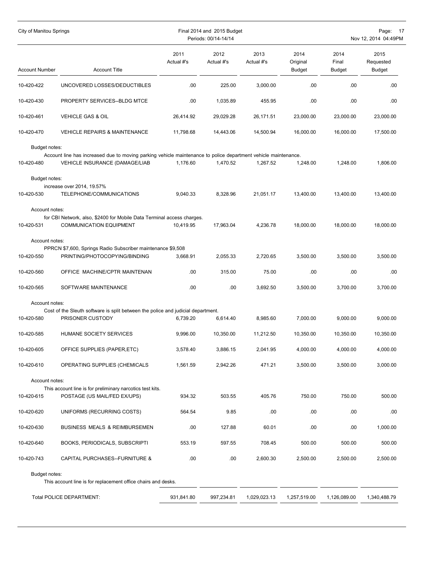| City of Manitou Springs      |                                                                                                                                                  | Final 2014 and 2015 Budget<br>Periods: 00/14-14/14 |                    |                    |                                   |                                | Page: 17<br>Nov 12, 2014 04:49PM |
|------------------------------|--------------------------------------------------------------------------------------------------------------------------------------------------|----------------------------------------------------|--------------------|--------------------|-----------------------------------|--------------------------------|----------------------------------|
| <b>Account Number</b>        | <b>Account Title</b>                                                                                                                             | 2011<br>Actual #'s                                 | 2012<br>Actual #'s | 2013<br>Actual #'s | 2014<br>Original<br><b>Budget</b> | 2014<br>Final<br><b>Budget</b> | 2015<br>Requested<br>Budget      |
| 10-420-422                   | UNCOVERED LOSSES/DEDUCTIBLES                                                                                                                     | .00.                                               | 225.00             | 3,000.00           | .00.                              | .00                            | .00                              |
| 10-420-430                   | PROPERTY SERVICES--BLDG MTCE                                                                                                                     | .00.                                               | 1,035.89           | 455.95             | .00                               | .00                            | .00                              |
| 10-420-461                   | <b>VEHICLE GAS &amp; OIL</b>                                                                                                                     | 26,414.92                                          | 29,029.28          | 26,171.51          | 23,000.00                         | 23,000.00                      | 23,000.00                        |
| 10-420-470                   | <b>VEHICLE REPAIRS &amp; MAINTENANCE</b>                                                                                                         | 11,798.68                                          | 14,443.06          | 14,500.94          | 16,000.00                         | 16,000.00                      | 17,500.00                        |
| Budget notes:<br>10-420-480  | Account line has increased due to moving parking vehicle maintenance to police department vehicle maintenance.<br>VEHICLE INSURANCE (DAMAGE/LIAB | 1,176.60                                           | 1,470.52           | 1,267.52           | 1,248.00                          | 1,248.00                       | 1,806.00                         |
| Budget notes:<br>10-420-530  | increase over 2014, 19.57%<br>TELEPHONE/COMMUNICATIONS                                                                                           | 9,040.33                                           | 8,328.96           | 21,051.17          | 13,400.00                         | 13,400.00                      | 13,400.00                        |
| Account notes:<br>10-420-531 | for CBI Network, also, \$2400 for Mobile Data Terminal access charges.<br><b>COMMUNICATION EQUIPMENT</b>                                         | 10,419.95                                          | 17,963.04          | 4,236.78           | 18,000.00                         | 18,000.00                      | 18,000.00                        |
| Account notes:<br>10-420-550 | PPRCN \$7,600, Springs Radio Subscriber maintenance \$9,508<br>PRINTING/PHOTOCOPYING/BINDING                                                     | 3,668.91                                           | 2,055.33           | 2,720.65           | 3,500.00                          | 3,500.00                       | 3,500.00                         |
| 10-420-560                   | OFFICE MACHINE/CPTR MAINTENAN                                                                                                                    | .00.                                               | 315.00             | 75.00              | .00                               | .00                            | .00                              |
| 10-420-565                   | SOFTWARE MAINTENANCE                                                                                                                             | .00.                                               | .00                | 3,692.50           | 3,500.00                          | 3,700.00                       | 3,700.00                         |
| Account notes:               |                                                                                                                                                  |                                                    |                    |                    |                                   |                                |                                  |
| 10-420-580                   | Cost of the Sleuth software is split between the police and judicial department.<br>PRISONER CUSTODY                                             | 6,739.20                                           | 6,614.40           | 8,985.60           | 7,000.00                          | 9,000.00                       | 9,000.00                         |
| 10-420-585                   | HUMANE SOCIETY SERVICES                                                                                                                          | 9,996.00                                           | 10,350.00          | 11,212.50          | 10,350.00                         | 10,350.00                      | 10,350.00                        |
| 10-420-605                   | OFFICE SUPPLIES (PAPER,ETC)                                                                                                                      | 3,578.40                                           | 3,886.15           | 2,041.95           | 4,000.00                          | 4,000.00                       | 4,000.00                         |
| 10-420-610                   | OPERATING SUPPLIES (CHEMICALS                                                                                                                    | 1,561.59                                           | 2,942.26           | 471.21             | 3,500.00                          | 3,500.00                       | 3,000.00                         |
| Account notes:               | This account line is for preliminary narcotics test kits.                                                                                        |                                                    |                    |                    |                                   |                                |                                  |
| 10-420-615                   | POSTAGE (US MAIL/FED EX/UPS)                                                                                                                     | 934.32                                             | 503.55             | 405.76             | 750.00                            | 750.00                         | 500.00                           |
| 10-420-620                   | UNIFORMS (RECURRING COSTS)                                                                                                                       | 564.54                                             | 9.85               | .00                | .00                               | .00.                           | .00                              |
| 10-420-630                   | <b>BUSINESS MEALS &amp; REIMBURSEMEN</b>                                                                                                         | .00.                                               | 127.88             | 60.01              | .00                               | .00                            | 1,000.00                         |
| 10-420-640                   | BOOKS, PERIODICALS, SUBSCRIPTI                                                                                                                   | 553.19                                             | 597.55             | 708.45             | 500.00                            | 500.00                         | 500.00                           |
| 10-420-743                   | CAPITAL PURCHASES--FURNITURE &                                                                                                                   | .00                                                | .00                | 2,600.30           | 2,500.00                          | 2,500.00                       | 2,500.00                         |
| Budget notes:                | This account line is for replacement office chairs and desks.                                                                                    |                                                    |                    |                    |                                   |                                |                                  |
|                              | Total POLICE DEPARTMENT:                                                                                                                         | 931,841.80                                         | 997,234.81         | 1,029,023.13       | 1,257,519.00                      | 1,126,089.00                   | 1,340,488.79                     |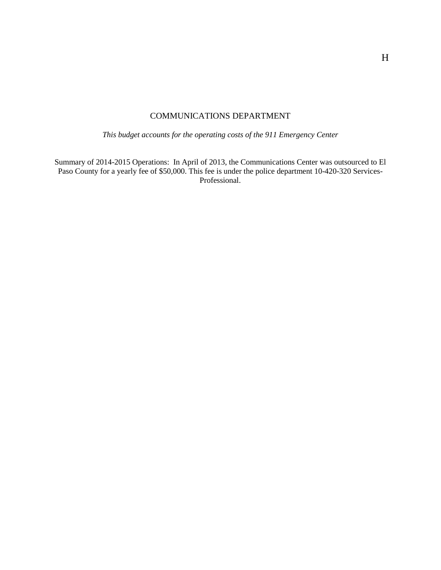# COMMUNICATIONS DEPARTMENT

*This budget accounts for the operating costs of the 911 Emergency Center*

Summary of 2014-2015 Operations: In April of 2013, the Communications Center was outsourced to El Paso County for a yearly fee of \$50,000. This fee is under the police department 10-420-320 Services-Professional.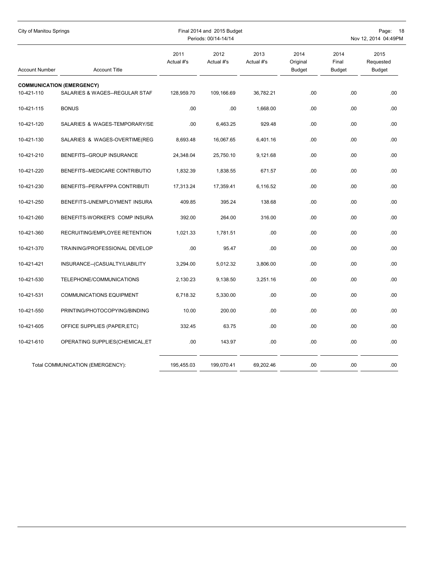| City of Manitou Springs |                                                                    | Final 2014 and 2015 Budget<br>Periods: 00/14-14/14 |                    |                    |                                   |                                | Page: 18<br>Nov 12, 2014 04:49PM   |
|-------------------------|--------------------------------------------------------------------|----------------------------------------------------|--------------------|--------------------|-----------------------------------|--------------------------------|------------------------------------|
| <b>Account Number</b>   | <b>Account Title</b>                                               | 2011<br>Actual #'s                                 | 2012<br>Actual #'s | 2013<br>Actual #'s | 2014<br>Original<br><b>Budget</b> | 2014<br>Final<br><b>Budget</b> | 2015<br>Requested<br><b>Budget</b> |
| 10-421-110              | <b>COMMUNICATION (EMERGENCY)</b><br>SALARIES & WAGES--REGULAR STAF | 128,959.70                                         | 109,166.69         | 36,782.21          | .00                               | .00                            | .00                                |
| 10-421-115              | <b>BONUS</b>                                                       | .00                                                | .00                | 1,668.00           | .00                               | .00                            | .00                                |
| 10-421-120              | SALARIES & WAGES-TEMPORARY/SE                                      | .00                                                | 6,463.25           | 929.48             | .00                               | .00                            | .00                                |
| 10-421-130              | SALARIES & WAGES-OVERTIME(REG                                      | 8,693.48                                           | 16,067.65          | 6,401.16           | .00                               | .00                            | .00                                |
| 10-421-210              | BENEFITS--GROUP INSURANCE                                          | 24,348.04                                          | 25,750.10          | 9,121.68           | .00                               | .00                            | .00                                |
| 10-421-220              | BENEFITS--MEDICARE CONTRIBUTIO                                     | 1,832.39                                           | 1,838.55           | 671.57             | .00                               | .00                            | .00                                |
| 10-421-230              | BENEFITS--PERA/FPPA CONTRIBUTI                                     | 17,313.24                                          | 17,359.41          | 6,116.52           | .00                               | .00                            | .00                                |
| 10-421-250              | BENEFITS-UNEMPLOYMENT INSURA                                       | 409.85                                             | 395.24             | 138.68             | .00                               | .00                            | .00                                |
| 10-421-260              | BENEFITS-WORKER'S COMP INSURA                                      | 392.00                                             | 264.00             | 316.00             | .00                               | .00                            | .00                                |
| 10-421-360              | RECRUITING/EMPLOYEE RETENTION                                      | 1,021.33                                           | 1,781.51           | .00                | .00                               | .00                            | .00                                |
| 10-421-370              | TRAINING/PROFESSIONAL DEVELOP                                      | .00.                                               | 95.47              | .00                | .00                               | .00                            | .00                                |
| 10-421-421              | INSURANCE--(CASUALTY/LIABILITY                                     | 3,294.00                                           | 5,012.32           | 3,806.00           | .00                               | .00                            | .00                                |
| 10-421-530              | TELEPHONE/COMMUNICATIONS                                           | 2,130.23                                           | 9,138.50           | 3,251.16           | .00                               | .00                            | .00                                |
| 10-421-531              | COMMUNICATIONS EQUIPMENT                                           | 6,718.32                                           | 5,330.00           | .00                | .00                               | .00                            | .00                                |
| 10-421-550              | PRINTING/PHOTOCOPYING/BINDING                                      | 10.00                                              | 200.00             | .00.               | .00                               | .00                            | .00                                |
| 10-421-605              | OFFICE SUPPLIES (PAPER, ETC)                                       | 332.45                                             | 63.75              | .00                | .00                               | .00                            | .00                                |
| 10-421-610              | OPERATING SUPPLIES(CHEMICAL, ET                                    | .00                                                | 143.97             | .00                | .00                               | .00                            | .00                                |
|                         | Total COMMUNICATION (EMERGENCY):                                   | 195,455.03                                         | 199,070.41         | 69,202.46          | .00                               | .00                            | .00                                |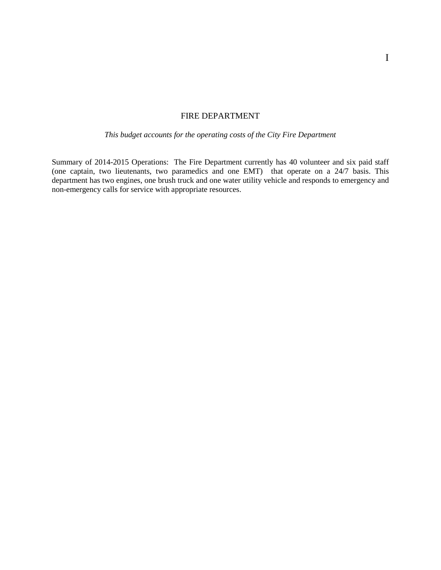# FIRE DEPARTMENT

*This budget accounts for the operating costs of the City Fire Department* 

Summary of 2014-2015 Operations: The Fire Department currently has 40 volunteer and six paid staff (one captain, two lieutenants, two paramedics and one EMT) that operate on a 24/7 basis. This department has two engines, one brush truck and one water utility vehicle and responds to emergency and non-emergency calls for service with appropriate resources.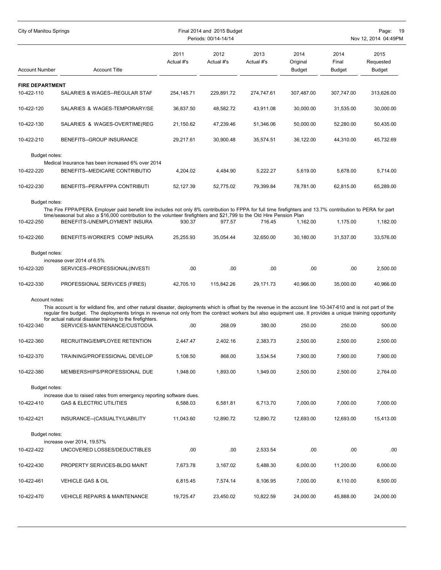| <b>City of Manitou Springs</b> |                                                                                                                                                                                                                                                                                                                                |                    | Final 2014 and 2015 Budget<br>Periods: 00/14-14/14 |                    |                                   | Page:<br>- 19<br>Nov 12, 2014 04:49PM |                                    |  |
|--------------------------------|--------------------------------------------------------------------------------------------------------------------------------------------------------------------------------------------------------------------------------------------------------------------------------------------------------------------------------|--------------------|----------------------------------------------------|--------------------|-----------------------------------|---------------------------------------|------------------------------------|--|
| <b>Account Number</b>          | <b>Account Title</b>                                                                                                                                                                                                                                                                                                           | 2011<br>Actual #'s | 2012<br>Actual #'s                                 | 2013<br>Actual #'s | 2014<br>Original<br><b>Budget</b> | 2014<br>Final<br>Budget               | 2015<br>Requested<br><b>Budget</b> |  |
| <b>FIRE DEPARTMENT</b>         |                                                                                                                                                                                                                                                                                                                                |                    |                                                    |                    |                                   |                                       |                                    |  |
| 10-422-110                     | SALARIES & WAGES--REGULAR STAF                                                                                                                                                                                                                                                                                                 | 254,145.71         | 229,891.72                                         | 274,747.61         | 307,487.00                        | 307,747.00                            | 313,626.00                         |  |
| 10-422-120                     | SALARIES & WAGES-TEMPORARY/SE                                                                                                                                                                                                                                                                                                  | 36,837.50          | 48,582.72                                          | 43,911.08          | 30,000.00                         | 31,535.00                             | 30,000.00                          |  |
| 10-422-130                     | SALARIES & WAGES-OVERTIME(REG                                                                                                                                                                                                                                                                                                  | 21,150.62          | 47,239.46                                          | 51,346.06          | 50,000.00                         | 52,280.00                             | 50,435.00                          |  |
| 10-422-210                     | BENEFITS--GROUP INSURANCE                                                                                                                                                                                                                                                                                                      | 29,217.61          | 30,900.48                                          | 35,574.51          | 36,122.00                         | 44,310.00                             | 45,732.69                          |  |
| Budget notes:                  |                                                                                                                                                                                                                                                                                                                                |                    |                                                    |                    |                                   |                                       |                                    |  |
| 10-422-220                     | Medical Insurance has been increased 6% over 2014<br>BENEFITS--MEDICARE CONTRIBUTIO                                                                                                                                                                                                                                            | 4,204.02           | 4,484.90                                           | 5,222.27           | 5,619.00                          | 5,678.00                              | 5,714.00                           |  |
| 10-422-230                     | BENEFITS--PERA/FPPA CONTRIBUTI                                                                                                                                                                                                                                                                                                 | 52,127.39          | 52,775.02                                          | 79.399.84          | 78,781.00                         | 62,815.00                             | 65.289.00                          |  |
| Budget notes:                  |                                                                                                                                                                                                                                                                                                                                |                    |                                                    |                    |                                   |                                       |                                    |  |
|                                | The Fire FPPA/PERA Employer paid benefit line includes not only 8% contribution to FPPA for full time firefighters and 13.7% contribution to PERA for part<br>time/seasonal but also a \$16,000 contribution to the volunteer firefighters and \$21,799 to the Old Hire Pension Plan                                           |                    |                                                    |                    |                                   |                                       |                                    |  |
| 10-422-250                     | BENEFITS-UNEMPLOYMENT INSURA                                                                                                                                                                                                                                                                                                   | 930.37             | 977.57                                             | 716.45             | 1,162.00                          | 1,175.00                              | 1,182.00                           |  |
| 10-422-260                     | BENEFITS-WORKER'S COMP INSURA                                                                                                                                                                                                                                                                                                  | 25,255.93          | 35,054.44                                          | 32,650.00          | 30,180.00                         | 31,537.00                             | 33,576.00                          |  |
| Budget notes:                  |                                                                                                                                                                                                                                                                                                                                |                    |                                                    |                    |                                   |                                       |                                    |  |
| 10-422-320                     | increase over 2014 of 6.5%<br>SERVICES--PROFESSIONAL(INVESTI                                                                                                                                                                                                                                                                   | .00                | .00.                                               | .00.               | .00                               | .00                                   | 2,500.00                           |  |
| 10-422-330                     | PROFESSIONAL SERVICES (FIRES)                                                                                                                                                                                                                                                                                                  | 42,705.10          | 115,842.26                                         | 29,171.73          | 40,966.00                         | 35,000.00                             | 40,966.00                          |  |
| Account notes:                 |                                                                                                                                                                                                                                                                                                                                |                    |                                                    |                    |                                   |                                       |                                    |  |
|                                | This account is for wildland fire, and other natural disaster, deployments which is offset by the revenue in the account line 10-347-610 and is not part of the<br>regular fire budget. The deployments brings in revenue not only from the contract workers but also equipment use. It provides a unique training opportunity |                    |                                                    |                    |                                   |                                       |                                    |  |
| 10-422-340                     | for actual natural disaster training to the firefighters.<br>SERVICES-MAINTENANCE/CUSTODIA                                                                                                                                                                                                                                     | .00                | 268.09                                             | 380.00             | 250.00                            | 250.00                                | 500.00                             |  |
| 10-422-360                     | RECRUITING/EMPLOYEE RETENTION                                                                                                                                                                                                                                                                                                  | 2,447.47           | 2,402.16                                           | 2,383.73           | 2,500.00                          | 2,500.00                              | 2,500.00                           |  |
| 10-422-370                     | TRAINING/PROFESSIONAL DEVELOP                                                                                                                                                                                                                                                                                                  | 5,108.50           | 868.00                                             | 3,534.54           | 7,900.00                          | 7,900.00                              | 7,900.00                           |  |
| 10-422-380                     | MEMBERSHIPS/PROFESSIONAL DUE                                                                                                                                                                                                                                                                                                   | 1,948.00           | 1,893.00                                           | 1,949.00           | 2,500.00                          | 2,500.00                              | 2,764.00                           |  |
| Budget notes:                  |                                                                                                                                                                                                                                                                                                                                |                    |                                                    |                    |                                   |                                       |                                    |  |
| 10-422-410                     | increase due to raised rates from emergency reporting software dues.<br><b>GAS &amp; ELECTRIC UTILITIES</b>                                                                                                                                                                                                                    | 6,588.03           | 6,581.81                                           | 6,713.70           | 7,000.00                          | 7,000.00                              | 7,000.00                           |  |
| 10-422-421                     | INSURANCE--(CASUALTY/LIABILITY                                                                                                                                                                                                                                                                                                 | 11,043.60          | 12,890.72                                          | 12,890.72          | 12,693.00                         | 12,693.00                             | 15,413.00                          |  |
| Budget notes:                  |                                                                                                                                                                                                                                                                                                                                |                    |                                                    |                    |                                   |                                       |                                    |  |
|                                | increase over 2014, 19.57%                                                                                                                                                                                                                                                                                                     |                    |                                                    |                    |                                   | .00                                   |                                    |  |
| 10-422-422                     | UNCOVERED LOSSES/DEDUCTIBLES                                                                                                                                                                                                                                                                                                   | .00.               | .00                                                | 2,533.54           | .00                               |                                       | .00.                               |  |
| 10-422-430                     | PROPERTY SERVICES-BLDG MAINT                                                                                                                                                                                                                                                                                                   | 7,673.78           | 3,167.02                                           | 5,488.30           | 6,000.00                          | 11,200.00                             | 6,000.00                           |  |
| 10-422-461                     | <b>VEHICLE GAS &amp; OIL</b>                                                                                                                                                                                                                                                                                                   | 6,815.45           | 7,574.14                                           | 8,106.95           | 7,000.00                          | 8,110.00                              | 8,500.00                           |  |
| 10-422-470                     | <b>VEHICLE REPAIRS &amp; MAINTENANCE</b>                                                                                                                                                                                                                                                                                       | 19,725.47          | 23,450.02                                          | 10,822.59          | 24,000.00                         | 45,888.00                             | 24,000.00                          |  |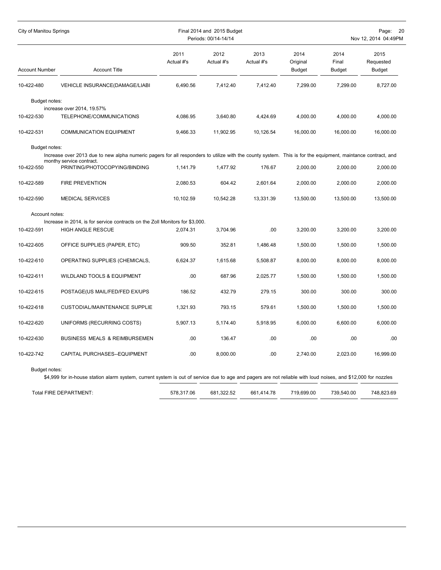| City of Manitou Springs |                                                                                                                                                                                         | Final 2014 and 2015 Budget<br>Periods: 00/14-14/14 |                    |                    | Nov 12, 2014 04:49PM              |                                |                                    |
|-------------------------|-----------------------------------------------------------------------------------------------------------------------------------------------------------------------------------------|----------------------------------------------------|--------------------|--------------------|-----------------------------------|--------------------------------|------------------------------------|
| <b>Account Number</b>   | <b>Account Title</b>                                                                                                                                                                    | 2011<br>Actual #'s                                 | 2012<br>Actual #'s | 2013<br>Actual #'s | 2014<br>Original<br><b>Budget</b> | 2014<br>Final<br><b>Budget</b> | 2015<br>Requested<br><b>Budget</b> |
| 10-422-480              | VEHICLE INSURANCE(DAMAGE/LIABI                                                                                                                                                          | 6,490.56                                           | 7,412.40           | 7,412.40           | 7,299.00                          | 7,299.00                       | 8,727.00                           |
| Budget notes:           | increase over 2014, 19.57%                                                                                                                                                              |                                                    |                    |                    |                                   |                                |                                    |
| 10-422-530              | TELEPHONE/COMMUNICATIONS                                                                                                                                                                | 4,086.95                                           | 3,640.80           | 4,424.69           | 4,000.00                          | 4,000.00                       | 4,000.00                           |
| 10-422-531              | <b>COMMUNICATION EQUIPMENT</b>                                                                                                                                                          | 9,466.33                                           | 11,902.95          | 10,126.54          | 16,000.00                         | 16,000.00                      | 16,000.00                          |
| Budget notes:           |                                                                                                                                                                                         |                                                    |                    |                    |                                   |                                |                                    |
|                         | Increase over 2013 due to new alpha numeric pagers for all responders to utilize with the county system. This is for the equipment, maintance contract, and<br>monthy service contract. |                                                    |                    |                    |                                   |                                |                                    |
| 10-422-550              | PRINTING/PHOTOCOPYING/BINDING                                                                                                                                                           | 1,141.79                                           | 1,477.92           | 176.67             | 2,000.00                          | 2,000.00                       | 2,000.00                           |
| 10-422-589              | <b>FIRE PREVENTION</b>                                                                                                                                                                  | 2,080.53                                           | 604.42             | 2,601.64           | 2,000.00                          | 2,000.00                       | 2,000.00                           |
| 10-422-590              | <b>MEDICAL SERVICES</b>                                                                                                                                                                 | 10,102.59                                          | 10,542.28          | 13,331.39          | 13,500.00                         | 13,500.00                      | 13,500.00                          |
| Account notes:          |                                                                                                                                                                                         |                                                    |                    |                    |                                   |                                |                                    |
| 10-422-591              | Increase in 2014, is for service contracts on the Zoll Monitors for \$3,000.<br><b>HIGH ANGLE RESCUE</b>                                                                                |                                                    |                    | .00                |                                   |                                |                                    |
|                         |                                                                                                                                                                                         | 2,074.31                                           | 3,704.96           |                    | 3,200.00                          | 3,200.00                       | 3,200.00                           |
| 10-422-605              | OFFICE SUPPLIES (PAPER, ETC)                                                                                                                                                            | 909.50                                             | 352.81             | 1,486.48           | 1,500.00                          | 1,500.00                       | 1,500.00                           |
| 10-422-610              | OPERATING SUPPLIES (CHEMICALS,                                                                                                                                                          | 6,624.37                                           | 1,615.68           | 5,508.87           | 8,000.00                          | 8,000.00                       | 8,000.00                           |
| 10-422-611              | <b>WILDLAND TOOLS &amp; EQUIPMENT</b>                                                                                                                                                   | .00.                                               | 687.96             | 2,025.77           | 1,500.00                          | 1,500.00                       | 1,500.00                           |
| 10-422-615              | POSTAGE(US MAIL/FED/FED EX/UPS                                                                                                                                                          | 186.52                                             | 432.79             | 279.15             | 300.00                            | 300.00                         | 300.00                             |
| 10-422-618              | <b>CUSTODIAL/MAINTENANCE SUPPLIE</b>                                                                                                                                                    | 1,321.93                                           | 793.15             | 579.61             | 1,500.00                          | 1,500.00                       | 1,500.00                           |
| 10-422-620              | UNIFORMS (RECURRING COSTS)                                                                                                                                                              | 5,907.13                                           | 5,174.40           | 5,918.95           | 6,000.00                          | 6,600.00                       | 6,000.00                           |
| 10-422-630              | BUSINESS MEALS & REIMBURSEMEN                                                                                                                                                           | .00.                                               | 136.47             | .00                | .00                               | .00                            | .00                                |
| 10-422-742              | CAPITAL PURCHASES--EQUIPMENT                                                                                                                                                            | .00.                                               | 8,000.00           | .00                | 2.740.00                          | 2.023.00                       | 16.999.00                          |
| Budget notes:           |                                                                                                                                                                                         |                                                    |                    |                    |                                   |                                |                                    |

\$4,999 for in-house station alarm system, current system is out of service due to age and pagers are not reliable with loud noises, and \$12,000 for nozzles

| 739.540.00<br>661.414.78<br>Total FIRE DEPARTMENT:<br>578.317.06 |  |            |            |            |
|------------------------------------------------------------------|--|------------|------------|------------|
|                                                                  |  | 681.322.52 | 719.699.00 | 748.823.69 |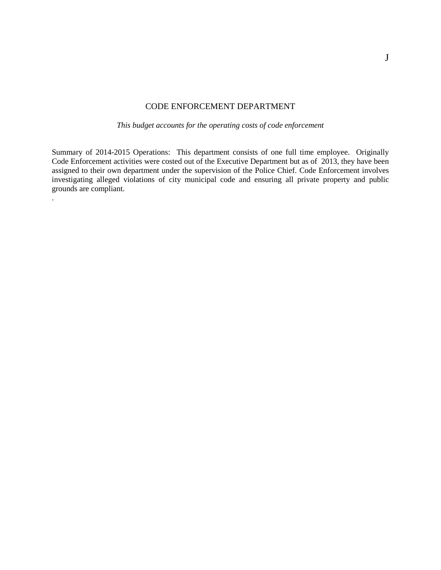## CODE ENFORCEMENT DEPARTMENT

*This budget accounts for the operating costs of code enforcement*

Summary of 2014-2015 Operations: This department consists of one full time employee. Originally Code Enforcement activities were costed out of the Executive Department but as of 2013, they have been assigned to their own department under the supervision of the Police Chief. Code Enforcement involves investigating alleged violations of city municipal code and ensuring all private property and public grounds are compliant.

.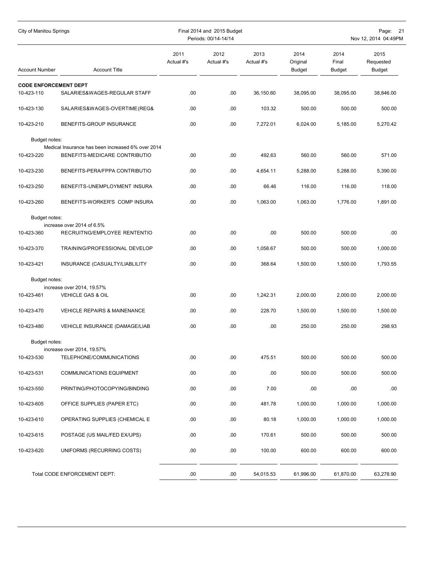| City of Manitou Springs      |                                                                                    |                    | Final 2014 and 2015 Budget<br>Periods: 00/14-14/14 |                    | Page: 21<br>Nov 12, 2014 04:49PM  |                         |                             |  |
|------------------------------|------------------------------------------------------------------------------------|--------------------|----------------------------------------------------|--------------------|-----------------------------------|-------------------------|-----------------------------|--|
| <b>Account Number</b>        | <b>Account Title</b>                                                               | 2011<br>Actual #'s | 2012<br>Actual #'s                                 | 2013<br>Actual #'s | 2014<br>Original<br><b>Budget</b> | 2014<br>Final<br>Budget | 2015<br>Requested<br>Budget |  |
| <b>CODE ENFORCEMENT DEPT</b> |                                                                                    |                    |                                                    |                    |                                   |                         |                             |  |
| 10-423-110                   | SALARIES&WAGES-REGULAR STAFF                                                       | .00                | .00                                                | 36,150.60          | 38,095.00                         | 38,095.00               | 38,846.00                   |  |
| 10-423-130                   | SALARIES&WAGES-OVERTIME(REG&                                                       | .00                | .00                                                | 103.32             | 500.00                            | 500.00                  | 500.00                      |  |
| 10-423-210                   | BENEFITS-GROUP INSURANCE                                                           | .00                | .00                                                | 7,272.01           | 6,024.00                          | 5,185.00                | 5,270.42                    |  |
| Budget notes:                |                                                                                    |                    |                                                    |                    |                                   |                         |                             |  |
| 10-423-220                   | Medical Insurance has been increased 6% over 2014<br>BENEFITS-MEDICARE CONTRIBUTIO | .00.               | .00.                                               | 492.63             | 560.00                            | 560.00                  | 571.00                      |  |
| 10-423-230                   | BENEFITS-PERA/FPPA CONTRIBUTIO                                                     | .00                | .00                                                | 4,654.11           | 5,288.00                          | 5,288.00                | 5,390.00                    |  |
| 10-423-250                   | BENEFITS-UNEMPLOYMENT INSURA                                                       | .00                | .00                                                | 66.46              | 116.00                            | 116.00                  | 118.00                      |  |
| 10-423-260                   | BENEFITS-WORKER'S COMP INSURA                                                      | .00                | .00                                                | 1,063.00           | 1,063.00                          | 1.776.00                | 1,891.00                    |  |
| Budget notes:                |                                                                                    |                    |                                                    |                    |                                   |                         |                             |  |
|                              | increase over 2014 of 6.5%                                                         |                    |                                                    |                    |                                   |                         |                             |  |
| 10-423-360                   | RECRUITNG/EMPLOYEE RENTENTIO                                                       | .00.               | .00                                                | .00                | 500.00                            | 500.00                  | .00                         |  |
| 10-423-370                   | TRAINING/PROFESSIONAL DEVELOP                                                      | .00                | .00.                                               | 1,058.67           | 500.00                            | 500.00                  | 1,000.00                    |  |
| 10-423-421                   | INSURANCE (CASUALTY/LIABLILITY                                                     | .00.               | .00                                                | 368.64             | 1,500.00                          | 1,500.00                | 1,793.55                    |  |
| Budget notes:                |                                                                                    |                    |                                                    |                    |                                   |                         |                             |  |
| 10-423-461                   | increase over 2014, 19.57%<br>VEHICLE GAS & OIL                                    | .00                | .00                                                | 1,242.31           | 2,000.00                          | 2,000.00                | 2,000.00                    |  |
|                              |                                                                                    |                    |                                                    |                    |                                   |                         |                             |  |
| 10-423-470                   | <b>VEHICLE REPAIRS &amp; MAINENANCE</b>                                            | .00.               | .00.                                               | 228.70             | 1,500.00                          | 1,500.00                | 1,500.00                    |  |
| 10-423-480                   | VEHICLE INSURANCE (DAMAGE/LIAB                                                     | .00                | .00                                                | .00                | 250.00                            | 250.00                  | 298.93                      |  |
| Budget notes:                |                                                                                    |                    |                                                    |                    |                                   |                         |                             |  |
| 10-423-530                   | increase over 2014, 19.57%<br>TELEPHONE/COMMUNICATIONS                             | .00                | .00                                                | 475.51             | 500.00                            | 500.00                  | 500.00                      |  |
| 10-423-531                   | <b>COMMUNICATIONS EQUIPMENT</b>                                                    | .00                | .00                                                | .00                | 500.00                            | 500.00                  | 500.00                      |  |
| 10-423-550                   | PRINTING/PHOTOCOPYING/BINDING                                                      | .00                | .00                                                | 7.00               | .00                               | .00                     | .00                         |  |
| 10-423-605                   | OFFICE SUPPLIES (PAPER ETC)                                                        | .00                | .00                                                | 481.78             | 1,000.00                          | 1,000.00                | 1,000.00                    |  |
| 10-423-610                   | OPERATING SUPPLIES (CHEMICAL E                                                     | .00                | .00                                                | 80.18              | 1,000.00                          | 1,000.00                | 1,000.00                    |  |
| 10-423-615                   | POSTAGE (US MAIL/FED EX/UPS)                                                       | .00                | .00                                                | 170.61             | 500.00                            | 500.00                  | 500.00                      |  |
| 10-423-620                   | UNIFORMS (RECURRING COSTS)                                                         | .00                | .00                                                | 100.00             | 600.00                            | 600.00                  | 600.00                      |  |
|                              | Total CODE ENFORCEMENT DEPT:                                                       | .00                | .00                                                | 54,015.53          | 61,996.00                         | 61,870.00               | 63,278.90                   |  |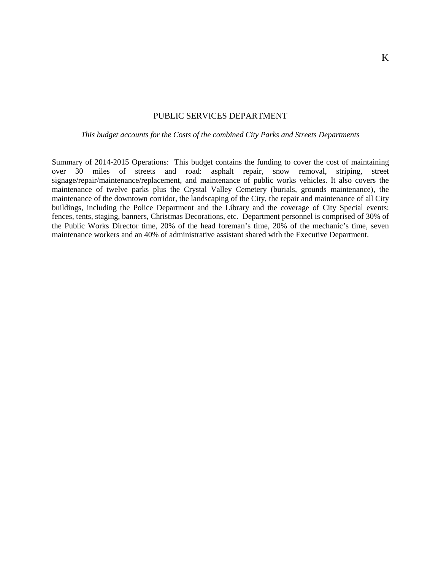## PUBLIC SERVICES DEPARTMENT

## *This budget accounts for the Costs of the combined City Parks and Streets Departments*

Summary of 2014-2015 Operations: This budget contains the funding to cover the cost of maintaining over 30 miles of streets and road: asphalt repair, snow removal, striping, street signage/repair/maintenance/replacement, and maintenance of public works vehicles. It also covers the maintenance of twelve parks plus the Crystal Valley Cemetery (burials, grounds maintenance), the maintenance of the downtown corridor, the landscaping of the City, the repair and maintenance of all City buildings, including the Police Department and the Library and the coverage of City Special events: fences, tents, staging, banners, Christmas Decorations, etc. Department personnel is comprised of 30% of the Public Works Director time, 20% of the head foreman's time, 20% of the mechanic's time, seven maintenance workers and an 40% of administrative assistant shared with the Executive Department.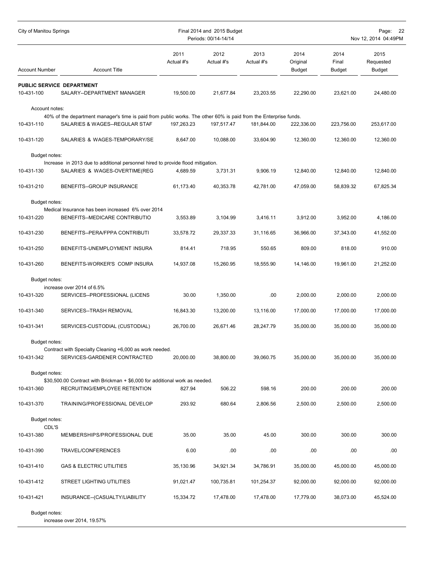| City of Manitou Springs |                                                                                                                                                    |                    | Final 2014 and 2015 Budget<br>Periods: 00/14-14/14 |                    |                                   |                         | Page: 22<br>Nov 12, 2014 04:49PM |  |
|-------------------------|----------------------------------------------------------------------------------------------------------------------------------------------------|--------------------|----------------------------------------------------|--------------------|-----------------------------------|-------------------------|----------------------------------|--|
| <b>Account Number</b>   | <b>Account Title</b>                                                                                                                               | 2011<br>Actual #'s | 2012<br>Actual #'s                                 | 2013<br>Actual #'s | 2014<br>Original<br><b>Budget</b> | 2014<br>Final<br>Budget | 2015<br>Requested<br>Budget      |  |
|                         | PUBLIC SERVICE DEPARTMENT                                                                                                                          |                    |                                                    |                    |                                   |                         |                                  |  |
| 10-431-100              | SALARY--DEPARTMENT MANAGER                                                                                                                         | 19,500.00          | 21,677.84                                          | 23,203.55          | 22,290.00                         | 23,621.00               | 24,480.00                        |  |
| Account notes:          |                                                                                                                                                    |                    |                                                    |                    |                                   |                         |                                  |  |
| 10-431-110              | 40% of the department manager's time is paid from public works. The other 60% is paid from the Enterprise funds.<br>SALARIES & WAGES--REGULAR STAF | 197,263.23         | 197,517.47                                         | 181.844.00         | 222,336.00                        | 223,756.00              | 253,617.00                       |  |
|                         |                                                                                                                                                    |                    |                                                    |                    |                                   |                         |                                  |  |
| 10-431-120              | SALARIES & WAGES-TEMPORARY/SE                                                                                                                      | 8,647.00           | 10,088.00                                          | 33,604.90          | 12,360.00                         | 12,360.00               | 12,360.00                        |  |
| Budget notes:           |                                                                                                                                                    |                    |                                                    |                    |                                   |                         |                                  |  |
|                         | Increase in 2013 due to additional personnel hired to provide flood mitigation.                                                                    |                    |                                                    |                    |                                   |                         |                                  |  |
| 10-431-130              | SALARIES & WAGES-OVERTIME(REG                                                                                                                      | 4,689.59           | 3,731.31                                           | 9,906.19           | 12,840.00                         | 12,840.00               | 12,840.00                        |  |
| 10-431-210              | BENEFITS--GROUP INSURANCE                                                                                                                          | 61,173.40          | 40,353.78                                          | 42,781.00          | 47,059.00                         | 58,839.32               | 67,825.34                        |  |
| Budget notes:           |                                                                                                                                                    |                    |                                                    |                    |                                   |                         |                                  |  |
| 10-431-220              | Medical Insurance has been increased 6% over 2014<br>BENEFITS--MEDICARE CONTRIBUTIO                                                                | 3,553.89           | 3,104.99                                           | 3,416.11           | 3,912.00                          | 3,952.00                | 4,186.00                         |  |
|                         |                                                                                                                                                    |                    |                                                    |                    |                                   |                         |                                  |  |
| 10-431-230              | BENEFITS--PERA/FPPA CONTRIBUTI                                                                                                                     | 33,578.72          | 29,337.33                                          | 31,116.65          | 36,966.00                         | 37,343.00               | 41,552.00                        |  |
| 10-431-250              | BENEFITS-UNEMPLOYMENT INSURA                                                                                                                       | 814.41             | 718.95                                             | 550.65             | 809.00                            | 818.00                  | 910.00                           |  |
| 10-431-260              | BENEFITS-WORKER'S COMP INSURA                                                                                                                      | 14,937.08          | 15,260.95                                          | 18,555.90          | 14,146.00                         | 19,961.00               | 21,252.00                        |  |
| Budget notes:           |                                                                                                                                                    |                    |                                                    |                    |                                   |                         |                                  |  |
|                         | increase over 2014 of 6.5%                                                                                                                         |                    |                                                    |                    |                                   |                         |                                  |  |
| 10-431-320              | SERVICES--PROFESSIONAL (LICENS                                                                                                                     | 30.00              | 1,350.00                                           | .00.               | 2,000.00                          | 2,000.00                | 2,000.00                         |  |
| 10-431-340              | SERVICES--TRASH REMOVAL                                                                                                                            | 16,843.30          | 13,200.00                                          | 13,116.00          | 17,000.00                         | 17,000.00               | 17,000.00                        |  |
| 10-431-341              | SERVICES-CUSTODIAL (CUSTODIAL)                                                                                                                     | 26,700.00          | 26,671.46                                          | 28,247.79          | 35,000.00                         | 35,000.00               | 35,000.00                        |  |
| Budget notes:           |                                                                                                                                                    |                    |                                                    |                    |                                   |                         |                                  |  |
|                         | Contract with Specialty Cleaning +6,000 as work needed.                                                                                            |                    |                                                    |                    |                                   |                         |                                  |  |
| 10-431-342              | SERVICES-GARDENER CONTRACTED                                                                                                                       | 20,000.00          | 38,800.00                                          | 39,060.75          | 35,000.00                         | 35,000.00               | 35,000.00                        |  |
| Budget notes:           |                                                                                                                                                    |                    |                                                    |                    |                                   |                         |                                  |  |
| 10-431-360              | \$30,500.00 Contract with Brickman + \$6,000 for additional work as needed.<br>RECRUITING/EMPLOYEE RETENTION                                       | 827.94             | 506.22                                             | 598.16             | 200.00                            | 200.00                  | 200.00                           |  |
| 10-431-370              | TRAINING/PROFESSIONAL DEVELOP                                                                                                                      | 293.92             | 680.64                                             | 2,806.56           | 2,500.00                          | 2,500.00                | 2,500.00                         |  |
|                         |                                                                                                                                                    |                    |                                                    |                    |                                   |                         |                                  |  |
| Budget notes:<br>CDL'S  |                                                                                                                                                    |                    |                                                    |                    |                                   |                         |                                  |  |
| 10-431-380              | MEMBERSHIPS/PROFESSIONAL DUE                                                                                                                       | 35.00              | 35.00                                              | 45.00              | 300.00                            | 300.00                  | 300.00                           |  |
| 10-431-390              | TRAVEL/CONFERENCES                                                                                                                                 | 6.00               | .00                                                | .00                | .00                               | .00                     | .00                              |  |
| 10-431-410              | <b>GAS &amp; ELECTRIC UTILITIES</b>                                                                                                                | 35,130.96          | 34,921.34                                          | 34,786.91          | 35,000.00                         | 45,000.00               | 45,000.00                        |  |
| 10-431-412              | STREET LIGHTING UTILITIES                                                                                                                          | 91,021.47          | 100,735.81                                         | 101,254.37         | 92,000.00                         | 92,000.00               | 92,000.00                        |  |
| 10-431-421              | INSURANCE--(CASUALTY/LIABILITY                                                                                                                     | 15,334.72          | 17,478.00                                          | 17,478.00          | 17,779.00                         | 38,073.00               | 45,524.00                        |  |
| Budget notes:           |                                                                                                                                                    |                    |                                                    |                    |                                   |                         |                                  |  |
|                         | increase over 2014, 19.57%                                                                                                                         |                    |                                                    |                    |                                   |                         |                                  |  |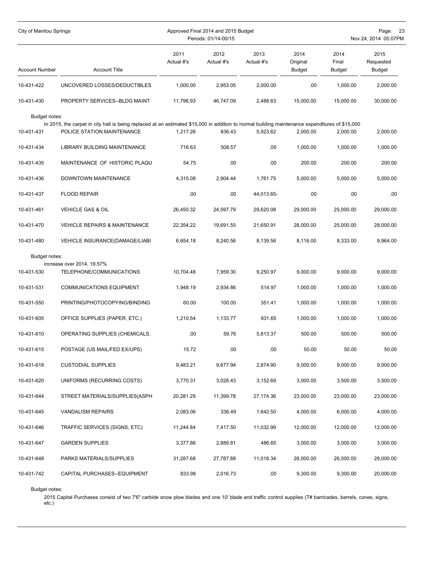| City of Manitou Springs |                                                                                                                                                                               |                    | Approved Final 2014 and 2015 Budget<br>Periods: 01/14-00/15 |                    | -23<br>Page:<br>Nov 24, 2014 05:07PM |                         |                             |
|-------------------------|-------------------------------------------------------------------------------------------------------------------------------------------------------------------------------|--------------------|-------------------------------------------------------------|--------------------|--------------------------------------|-------------------------|-----------------------------|
| <b>Account Number</b>   | <b>Account Title</b>                                                                                                                                                          | 2011<br>Actual #'s | 2012<br>Actual #'s                                          | 2013<br>Actual #'s | 2014<br>Original<br><b>Budget</b>    | 2014<br>Final<br>Budget | 2015<br>Requested<br>Budget |
| 10-431-422              | UNCOVERED LOSSES/DEDUCTIBLES                                                                                                                                                  | 1,000.00           | 2,953.05                                                    | 2,000.00           | .00                                  | 1,000.00                | 2,000.00                    |
| 10-431-430              | PROPERTY SERVICES--BLDG MAINT                                                                                                                                                 | 11,796.93          | 46,747.09                                                   | 2,488.63           | 15,000.00                            | 15,000.00               | 30,000.00                   |
| Budget notes:           |                                                                                                                                                                               |                    |                                                             |                    |                                      |                         |                             |
| 10-431-431              | In 2015, the carpet in city hall is being replaced at an estimated \$15,000 in addition to normal building maintenance expenditures of \$15,000<br>POLICE STATION MAINTENANCE | 1,217.26           | 836.43                                                      | 5,923.62           | 2,000.00                             | 2,000.00                | 2,000.00                    |
| 10-431-434              | LIBRARY BUILDING MAINTENANCE                                                                                                                                                  | 716.63             | 508.57                                                      | .00                | 1,000.00                             | 1,000.00                | 1,000.00                    |
|                         |                                                                                                                                                                               |                    |                                                             |                    |                                      |                         |                             |
| 10-431-435              | MAINTENANCE OF HISTORIC PLAQU                                                                                                                                                 | 54.75              | .00                                                         | .00                | 200.00                               | 200.00                  | 200.00                      |
| 10-431-436              | DOWNTOWN MAINTENANCE                                                                                                                                                          | 4.315.08           | 2,904.44                                                    | 1,761.75           | 5,000.00                             | 5,000.00                | 5,000.00                    |
| 10-431-437              | <b>FLOOD REPAIR</b>                                                                                                                                                           | .00                | .00.                                                        | 44,013.65-         | .00.                                 | .00                     | .00                         |
| 10-431-461              | VEHICLE GAS & OIL                                                                                                                                                             | 26,450.32          | 24,597.79                                                   | 29,620.08          | 29,000.00                            | 25,000.00               | 29,000.00                   |
| 10-431-470              | <b>VEHICLE REPAIRS &amp; MAINTENANCE</b>                                                                                                                                      | 22,354.22          | 19,691.55                                                   | 21,650.91          | 28,000.00                            | 25,000.00               | 28,000.00                   |
| 10-431-480              | VEHICLE INSURANCE(DAMAGE/LIABI                                                                                                                                                | 6,654.18           | 8,240.56                                                    | 8,139.56           | 8,116.00                             | 8,333.00                | 9,964.00                    |
| Budget notes:           |                                                                                                                                                                               |                    |                                                             |                    |                                      |                         |                             |
| 10-431-530              | increase over 2014, 19.57%<br>TELEPHONE/COMMUNICATIONS                                                                                                                        | 10,704.48          | 7,959.30                                                    | 9,250.97           | 9,000.00                             | 9,000.00                | 9,000.00                    |
| 10-431-531              | <b>COMMUNICATIONS EQUIPMENT</b>                                                                                                                                               | 1,948.19           | 2,934.86                                                    | 514.97             | 1,000.00                             | 1,000.00                | 1,000.00                    |
|                         |                                                                                                                                                                               |                    |                                                             |                    |                                      |                         |                             |
| 10-431-550              | PRINTING/PHOTOCOPYING/BINDING                                                                                                                                                 | 60.00              | 100.00                                                      | 351.41             | 1,000.00                             | 1,000.00                | 1.000.00                    |
| 10-431-605              | OFFICE SUPPLIES (PAPER, ETC.)                                                                                                                                                 | 1,210.54           | 1,133.77                                                    | 931.65             | 1,000.00                             | 1,000.00                | 1,000.00                    |
| 10-431-610              | OPERATING SUPPLIES (CHEMICALS,                                                                                                                                                | .00                | 59.76                                                       | 5,813.37           | 500.00                               | 500.00                  | 500.00                      |
| 10-431-615              | POSTAGE (US MAIL/FED EX/UPS)                                                                                                                                                  | 15.72              | .00                                                         | .00                | 50.00                                | 50.00                   | 50.00                       |
| 10-431-618              | <b>CUSTODIAL SUPPLIES</b>                                                                                                                                                     | 9,483.21           | 9,677.94                                                    | 2,874.90           | 9,000.00                             | 9,000.00                | 9,000.00                    |
| 10-431-620              | UNIFORMS (RECURRING COSTS)                                                                                                                                                    | 3,770.31           | 3,028.43                                                    | 3,152.69           | 3,000.00                             | 3,500.00                | 3,500.00                    |
| 10-431-644              | STREET MATERIALS/SUPPLIES(ASPH                                                                                                                                                | 20,281.29          | 11,399.78                                                   | 27,174.36          | 23,000.00                            | 23,000.00               | 23,000.00                   |
| 10-431-645              | <b>VANDALISM REPAIRS</b>                                                                                                                                                      | 2,083.06           | 336.49                                                      | 1,642.50           | 4,000.00                             | 6,000.00                | 4,000.00                    |
| 10-431-646              | TRAFFIC SERVICES (SIGNS, ETC)                                                                                                                                                 | 11,244.84          | 7,417.50                                                    | 11,032.99          | 12,000.00                            | 12,000.00               | 12,000.00                   |
| 10-431-647              | <b>GARDEN SUPPLIES</b>                                                                                                                                                        | 3,377.86           | 2,889.81                                                    | 486.65             | 3,000.00                             | 3,000.00                | 3,000.00                    |
|                         |                                                                                                                                                                               |                    |                                                             |                    |                                      |                         |                             |
| 10-431-648              | PARKS MATERIALS/SUPPLIES                                                                                                                                                      | 31,287.68          | 27,787.88                                                   | 11,018.34          | 28,000.00                            | 26,000.00               | 28,000.00                   |
| 10-431-742              | CAPITAL PURCHASES--EQUIPMENT                                                                                                                                                  | 833.98             | 2,016.73                                                    | .00                | 9,300.00                             | 9,300.00                | 20,000.00                   |

Budget notes:

2015 Capital Purchases consist of two 7'6" carbide snow plow blades and one 10' blade and traffic control supplies (T# barricades, barrels, cones, signs, etc.)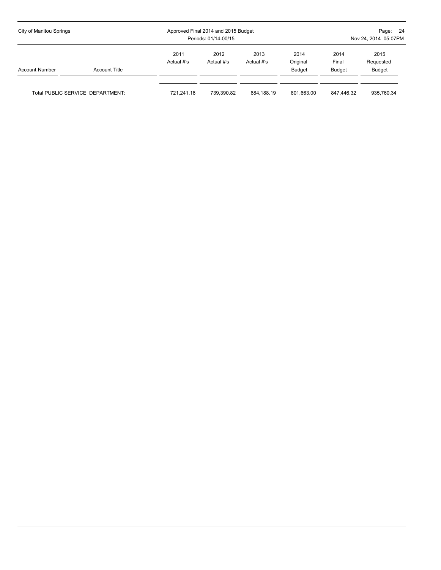| City of Manitou Springs |                                  |                    | Approved Final 2014 and 2015 Budget<br>Periods: 01/14-00/15 | - 24<br>Page:<br>Nov 24, 2014 05:07PM |                                   |                                |                             |
|-------------------------|----------------------------------|--------------------|-------------------------------------------------------------|---------------------------------------|-----------------------------------|--------------------------------|-----------------------------|
| <b>Account Number</b>   | <b>Account Title</b>             | 2011<br>Actual #'s | 2012<br>Actual #'s                                          | 2013<br>Actual #'s                    | 2014<br>Original<br><b>Budget</b> | 2014<br>Final<br><b>Budget</b> | 2015<br>Requested<br>Budget |
|                         | Total PUBLIC SERVICE DEPARTMENT: | 721.241.16         | 739.390.82                                                  | 684,188.19                            | 801.663.00                        | 847.446.32                     | 935,760.34                  |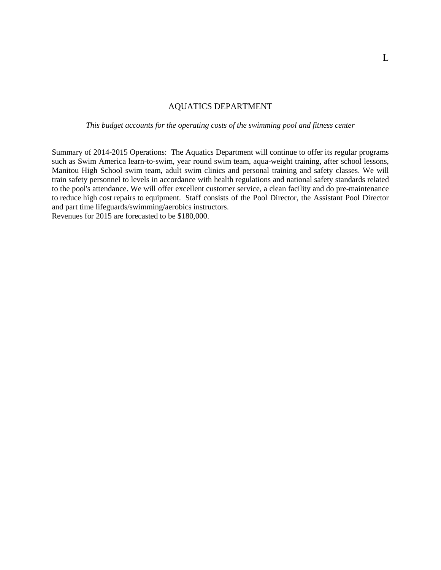#### AQUATICS DEPARTMENT

*This budget accounts for the operating costs of the swimming pool and fitness center*

Summary of 2014-2015 Operations: The Aquatics Department will continue to offer its regular programs such as Swim America learn-to-swim, year round swim team, aqua-weight training, after school lessons, Manitou High School swim team, adult swim clinics and personal training and safety classes. We will train safety personnel to levels in accordance with health regulations and national safety standards related to the pool's attendance. We will offer excellent customer service, a clean facility and do pre-maintenance to reduce high cost repairs to equipment. Staff consists of the Pool Director, the Assistant Pool Director and part time lifeguards/swimming/aerobics instructors.

Revenues for 2015 are forecasted to be \$180,000.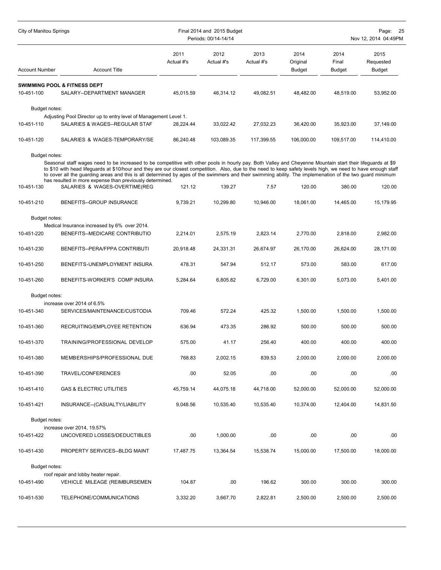| City of Manitou Springs |                                                                                                                                                                                                                                                                                                                                                                                                                                                                                                                                                        | Final 2014 and 2015 Budget<br>Periods: 00/14-14/14 |                    |                    |                                   |                                | Page:<br>-25<br>Nov 12, 2014 04:49PM |  |  |
|-------------------------|--------------------------------------------------------------------------------------------------------------------------------------------------------------------------------------------------------------------------------------------------------------------------------------------------------------------------------------------------------------------------------------------------------------------------------------------------------------------------------------------------------------------------------------------------------|----------------------------------------------------|--------------------|--------------------|-----------------------------------|--------------------------------|--------------------------------------|--|--|
| <b>Account Number</b>   | <b>Account Title</b>                                                                                                                                                                                                                                                                                                                                                                                                                                                                                                                                   | 2011<br>Actual #'s                                 | 2012<br>Actual #'s | 2013<br>Actual #'s | 2014<br>Original<br><b>Budget</b> | 2014<br>Final<br><b>Budget</b> | 2015<br>Requested<br><b>Budget</b>   |  |  |
|                         | <b>SWIMMING POOL &amp; FITNESS DEPT</b>                                                                                                                                                                                                                                                                                                                                                                                                                                                                                                                |                                                    |                    |                    |                                   |                                |                                      |  |  |
| 10-451-100              | SALARY--DEPARTMENT MANAGER                                                                                                                                                                                                                                                                                                                                                                                                                                                                                                                             | 45,015.59                                          | 46,314.12          | 49,082.51          | 48,482.00                         | 48,519.00                      | 53,952.00                            |  |  |
| Budget notes:           |                                                                                                                                                                                                                                                                                                                                                                                                                                                                                                                                                        |                                                    |                    |                    |                                   |                                |                                      |  |  |
|                         | Adjusting Pool Director up to entry level of Management Level 1.                                                                                                                                                                                                                                                                                                                                                                                                                                                                                       |                                                    |                    |                    |                                   |                                |                                      |  |  |
| 10-451-110              | SALARIES & WAGES--REGULAR STAF                                                                                                                                                                                                                                                                                                                                                                                                                                                                                                                         | 28.224.44                                          | 33,022.42          | 27,032.23          | 36,420.00                         | 35.923.00                      | 37,149.00                            |  |  |
| 10-451-120              | SALARIES & WAGES-TEMPORARY/SE                                                                                                                                                                                                                                                                                                                                                                                                                                                                                                                          | 86,240.48                                          | 103,089.35         | 117,399.55         | 106,000.00                        | 109,517.00                     | 114,410.00                           |  |  |
| Budget notes:           |                                                                                                                                                                                                                                                                                                                                                                                                                                                                                                                                                        |                                                    |                    |                    |                                   |                                |                                      |  |  |
|                         | Seasonal staff wages need to be increased to be competitive with other pools in hourly pay. Both Valley and Cheyenne Mountain start their lifeguards at \$9<br>to \$10 with head lifeguards at \$10/hour and they are our closest competition. Also, due to the need to keep safety levels high, we need to have enough staff<br>to cover all the guarding areas and this is all determined by ages of the swimmers and their swimming ability. The implemenation of the two guard minimum<br>has resulted in more expense than previously determined. |                                                    |                    |                    |                                   |                                |                                      |  |  |
| 10-451-130              | SALARIES & WAGES-OVERTIME(REG                                                                                                                                                                                                                                                                                                                                                                                                                                                                                                                          | 121.12                                             | 139.27             | 7.57               | 120.00                            | 380.00                         | 120.00                               |  |  |
| 10-451-210              | BENEFITS--GROUP INSURANCE                                                                                                                                                                                                                                                                                                                                                                                                                                                                                                                              | 9,739.21                                           | 10.299.80          | 10,946.00          | 18,061.00                         | 14,465.00                      | 15,179.95                            |  |  |
| Budget notes:           |                                                                                                                                                                                                                                                                                                                                                                                                                                                                                                                                                        |                                                    |                    |                    |                                   |                                |                                      |  |  |
| 10-451-220              | Medical Insurance increased by 6% over 2014.<br>BENEFITS--MEDICARE CONTRIBUTIO                                                                                                                                                                                                                                                                                                                                                                                                                                                                         | 2,214.01                                           | 2,575.19           | 2,823.14           | 2,770.00                          | 2.818.00                       | 2,982.00                             |  |  |
|                         |                                                                                                                                                                                                                                                                                                                                                                                                                                                                                                                                                        |                                                    |                    |                    |                                   |                                |                                      |  |  |
| 10-451-230              | BENEFITS--PERA/FPPA CONTRIBUTI                                                                                                                                                                                                                                                                                                                                                                                                                                                                                                                         | 20,918.48                                          | 24,331.31          | 26,674.97          | 26,170.00                         | 26,624.00                      | 28,171.00                            |  |  |
| 10-451-250              | BENEFITS-UNEMPLOYMENT INSURA                                                                                                                                                                                                                                                                                                                                                                                                                                                                                                                           | 478.31                                             | 547.94             | 512.17             | 573.00                            | 583.00                         | 617.00                               |  |  |
| 10-451-260              | BENEFITS-WORKER'S COMP INSURA                                                                                                                                                                                                                                                                                                                                                                                                                                                                                                                          | 5,284.64                                           | 6,805.82           | 6,729.00           | 6,301.00                          | 5,073.00                       | 5,401.00                             |  |  |
| Budget notes:           |                                                                                                                                                                                                                                                                                                                                                                                                                                                                                                                                                        |                                                    |                    |                    |                                   |                                |                                      |  |  |
| 10-451-340              | increase over 2014 of 6.5%<br>SERVICES/MAINTENANCE/CUSTODIA                                                                                                                                                                                                                                                                                                                                                                                                                                                                                            | 709.46                                             | 572.24             | 425.32             | 1,500.00                          | 1,500.00                       | 1,500.00                             |  |  |
| 10-451-360              | RECRUITING/EMPLOYEE RETENTION                                                                                                                                                                                                                                                                                                                                                                                                                                                                                                                          | 636.94                                             | 473.35             | 286.92             | 500.00                            | 500.00                         | 500.00                               |  |  |
| 10-451-370              | TRAINING/PROFESSIONAL DEVELOP                                                                                                                                                                                                                                                                                                                                                                                                                                                                                                                          | 575.00                                             | 41.17              | 256.40             | 400.00                            | 400.00                         | 400.00                               |  |  |
| 10-451-380              | MEMBERSHIPS/PROFESSIONAL DUE                                                                                                                                                                                                                                                                                                                                                                                                                                                                                                                           | 768.83                                             | 2,002.15           | 839.53             | 2,000.00                          | 2,000.00                       | 2,000.00                             |  |  |
| 10-451-390              | TRAVEL/CONFERENCES                                                                                                                                                                                                                                                                                                                                                                                                                                                                                                                                     | .00                                                | 52.05              | .00                | .00                               | .00                            | .00                                  |  |  |
| 10-451-410              | <b>GAS &amp; ELECTRIC UTILITIES</b>                                                                                                                                                                                                                                                                                                                                                                                                                                                                                                                    | 45,759.14                                          | 44,075.18          | 44,718.00          | 52,000.00                         | 52,000.00                      | 52,000.00                            |  |  |
| 10-451-421              | INSURANCE--(CASUALTY/LIABILITY                                                                                                                                                                                                                                                                                                                                                                                                                                                                                                                         | 9,048.56                                           | 10,535.40          | 10,535.40          | 10,374.00                         | 12,404.00                      | 14,831.50                            |  |  |
| Budget notes:           |                                                                                                                                                                                                                                                                                                                                                                                                                                                                                                                                                        |                                                    |                    |                    |                                   |                                |                                      |  |  |
| 10-451-422              | increase over 2014, 19.57%<br>UNCOVERED LOSSES/DEDUCTIBLES                                                                                                                                                                                                                                                                                                                                                                                                                                                                                             | .00                                                | 1,000.00           | .00                | .00                               | .00                            | .00                                  |  |  |
| 10-451-430              | PROPERTY SERVICES--BLDG MAINT                                                                                                                                                                                                                                                                                                                                                                                                                                                                                                                          | 17,487.75                                          | 13,364.54          | 15,538.74          | 15,000.00                         | 17,500.00                      | 18,000.00                            |  |  |
| Budget notes:           |                                                                                                                                                                                                                                                                                                                                                                                                                                                                                                                                                        |                                                    |                    |                    |                                   |                                |                                      |  |  |
| 10-451-490              | roof repair and lobby heater repair.<br>VEHICLE MILEAGE (REIMBURSEMEN                                                                                                                                                                                                                                                                                                                                                                                                                                                                                  | 104.87                                             | .00                | 196.62             | 300.00                            | 300.00                         | 300.00                               |  |  |
| 10-451-530              | TELEPHONE/COMMUNICATIONS                                                                                                                                                                                                                                                                                                                                                                                                                                                                                                                               | 3,332.20                                           | 3,667.70           | 2,822.81           | 2,500.00                          | 2,500.00                       | 2,500.00                             |  |  |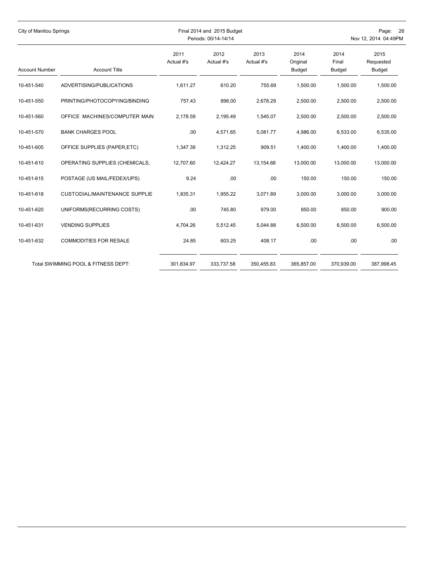| City of Manitou Springs |                                      |                    | Final 2014 and 2015 Budget<br>Periods: 00/14-14/14 |                    | Page: 26<br>Nov 12, 2014 04:49PM  |                                |                             |
|-------------------------|--------------------------------------|--------------------|----------------------------------------------------|--------------------|-----------------------------------|--------------------------------|-----------------------------|
| <b>Account Number</b>   | <b>Account Title</b>                 | 2011<br>Actual #'s | 2012<br>Actual #'s                                 | 2013<br>Actual #'s | 2014<br>Original<br><b>Budget</b> | 2014<br>Final<br><b>Budget</b> | 2015<br>Requested<br>Budget |
| 10-451-540              | ADVERTISING/PUBLICATIONS             | 1,611.27           | 610.20                                             | 755.69             | 1,500.00                          | 1,500.00                       | 1,500.00                    |
| 10-451-550              | PRINTING/PHOTOCOPYING/BINDING        | 757.43             | 898.00                                             | 2,678.29           | 2,500.00                          | 2,500.00                       | 2,500.00                    |
| 10-451-560              | OFFICE MACHINES/COMPUTER MAIN        | 2,178.59           | 2,195.49                                           | 1,545.07           | 2,500.00                          | 2,500.00                       | 2,500.00                    |
| 10-451-570              | <b>BANK CHARGES POOL</b>             | .00                | 4,571.65                                           | 5,081.77           | 4.986.00                          | 6,533.00                       | 6,535.00                    |
| 10-451-605              | OFFICE SUPPLIES (PAPER, ETC)         | 1,347.39           | 1,312.25                                           | 909.51             | 1,400.00                          | 1,400.00                       | 1,400.00                    |
| 10-451-610              | OPERATING SUPPLIES (CHEMICALS,       | 12,707.60          | 12,424.27                                          | 13,154.68          | 13,000.00                         | 13,000.00                      | 13,000.00                   |
| 10-451-615              | POSTAGE (US MAIL/FEDEX/UPS)          | 9.24               | .00                                                | .00                | 150.00                            | 150.00                         | 150.00                      |
| 10-451-618              | <b>CUSTODIAL/MAINTENANCE SUPPLIE</b> | 1,835.31           | 1,955.22                                           | 3,071.89           | 3,000.00                          | 3,000.00                       | 3,000.00                    |
| 10-451-620              | UNIFORMS(RECURRING COSTS)            | .00                | 745.80                                             | 979.00             | 850.00                            | 850.00                         | 900.00                      |
| 10-451-631              | <b>VENDING SUPPLIES</b>              | 4.704.26           | 5,512.45                                           | 5,044.88           | 6,500.00                          | 6,500.00                       | 6,500.00                    |
| 10-451-632              | <b>COMMODITIES FOR RESALE</b>        | 24.85              | 603.25                                             | 408.17             | .00                               | .00                            | .00                         |
|                         | Total SWIMMING POOL & FITNESS DEPT:  | 301,834.97         | 333,737.58                                         | 350,455.83         | 365,857.00                        | 370,939.00                     | 387,998.45                  |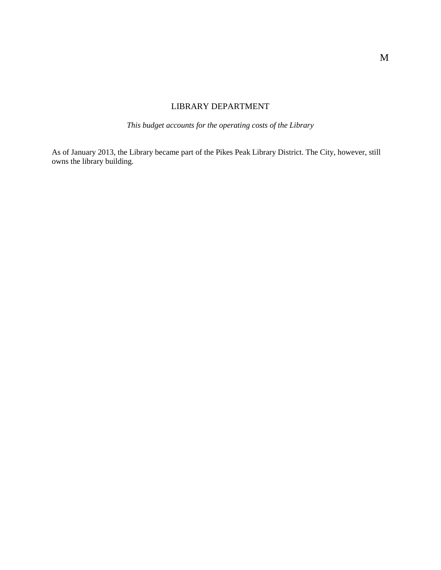# LIBRARY DEPARTMENT

*This budget accounts for the operating costs of the Library*

As of January 2013, the Library became part of the Pikes Peak Library District. The City, however, still owns the library building.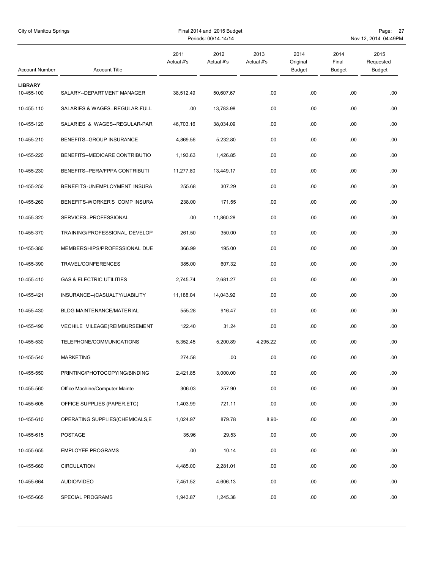| City of Manitou Springs<br>Final 2014 and 2015 Budget<br>Periods: 00/14-14/14 |                                     |                    |                    |                    |                                   | Page: 27<br>Nov 12, 2014 04:49PM |                             |  |
|-------------------------------------------------------------------------------|-------------------------------------|--------------------|--------------------|--------------------|-----------------------------------|----------------------------------|-----------------------------|--|
| <b>Account Number</b>                                                         | <b>Account Title</b>                | 2011<br>Actual #'s | 2012<br>Actual #'s | 2013<br>Actual #'s | 2014<br>Original<br><b>Budget</b> | 2014<br>Final<br><b>Budget</b>   | 2015<br>Requested<br>Budget |  |
| <b>LIBRARY</b><br>10-455-100                                                  | SALARY--DEPARTMENT MANAGER          | 38,512.49          | 50,607.67          | .00.               | .00                               | .00                              | .00                         |  |
| 10-455-110                                                                    | SALARIES & WAGES--REGULAR-FULL      | .00.               | 13,783.98          | .00.               | .00.                              | .00                              | .00                         |  |
| 10-455-120                                                                    | SALARIES & WAGES--REGULAR-PAR       | 46,703.16          | 38,034.09          | .00                | .00                               | .00                              | .00                         |  |
| 10-455-210                                                                    | BENEFITS--GROUP INSURANCE           | 4,869.56           | 5,232.80           | .00.               | .00                               | .00                              | .00                         |  |
| 10-455-220                                                                    | BENEFITS--MEDICARE CONTRIBUTIO      | 1,193.63           | 1,426.85           | .00                | .00.                              | .00                              | .00                         |  |
| 10-455-230                                                                    | BENEFITS--PERA/FPPA CONTRIBUTI      | 11,277.80          | 13,449.17          | .00.               | .00                               | .00                              | .00                         |  |
| 10-455-250                                                                    | BENEFITS-UNEMPLOYMENT INSURA        | 255.68             | 307.29             | .00                | .00                               | .00                              | .00                         |  |
| 10-455-260                                                                    | BENEFITS-WORKER'S COMP INSURA       | 238.00             | 171.55             | .00                | .00                               | .00                              | .00                         |  |
| 10-455-320                                                                    | SERVICES--PROFESSIONAL              | .00                | 11,860.28          | .00                | .00                               | .00                              | .00                         |  |
| 10-455-370                                                                    | TRAINING/PROFESSIONAL DEVELOP       | 261.50             | 350.00             | .00                | .00.                              | .00                              | .00                         |  |
| 10-455-380                                                                    | MEMBERSHIPS/PROFESSIONAL DUE        | 366.99             | 195.00             | .00.               | .00                               | .00                              | .00                         |  |
| 10-455-390                                                                    | TRAVEL/CONFERENCES                  | 385.00             | 607.32             | .00                | .00                               | .00                              | .00                         |  |
| 10-455-410                                                                    | <b>GAS &amp; ELECTRIC UTILITIES</b> | 2,745.74           | 2,681.27           | .00                | .00.                              | .00                              | .00                         |  |
| 10-455-421                                                                    | INSURANCE--(CASUALTY/LIABILITY      | 11,188.04          | 14,043.92          | .00                | .00                               | .00                              | .00                         |  |
| 10-455-430                                                                    | BLDG MAINTENANCE/MATERIAL           | 555.28             | 916.47             | .00.               | .00                               | .00                              | .00                         |  |
| 10-455-490                                                                    | VECHILE MILEAGE(REIMBURSEMENT       | 122.40             | 31.24              | .00.               | .00                               | .00                              | .00                         |  |
| 10-455-530                                                                    | TELEPHONE/COMMUNICATIONS            | 5,352.45           | 5,200.89           | 4,295.22           | .00                               | .00                              | .00                         |  |
| 10-455-540                                                                    | <b>MARKETING</b>                    | 274.58             | .00                | .00                | .00.                              | .00                              | .00                         |  |
| 10-455-550                                                                    | PRINTING/PHOTOCOPYING/BINDING       | 2,421.85           | 3,000.00           | .00                | .00.                              | .00                              | .00.                        |  |
| 10-455-560                                                                    | Office Machine/Computer Mainte      | 306.03             | 257.90             | .00                | .00.                              | .00                              | .00                         |  |
| 10-455-605                                                                    | OFFICE SUPPLIES (PAPER, ETC)        | 1,403.99           | 721.11             | .00                | .00.                              | .00                              | .00.                        |  |
| 10-455-610                                                                    | OPERATING SUPPLIES(CHEMICALS,E      | 1,024.97           | 879.78             | $8.90 -$           | .00.                              | .00                              | .00                         |  |
| 10-455-615                                                                    | POSTAGE                             | 35.96              | 29.53              | .00.               | .00.                              | .00                              | .00                         |  |
| 10-455-655                                                                    | <b>EMPLOYEE PROGRAMS</b>            | .00                | 10.14              | .00                | .00.                              | .00                              | .00                         |  |
| 10-455-660                                                                    | <b>CIRCULATION</b>                  | 4,485.00           | 2,281.01           | .00                | .00.                              | .00                              | .00                         |  |
| 10-455-664                                                                    | AUDIO/VIDEO                         | 7,451.52           | 4,606.13           | .00                | .00.                              | .00                              | .00                         |  |
| 10-455-665                                                                    | SPECIAL PROGRAMS                    | 1,943.87           | 1,245.38           | .00                | .00.                              | .00.                             | .00.                        |  |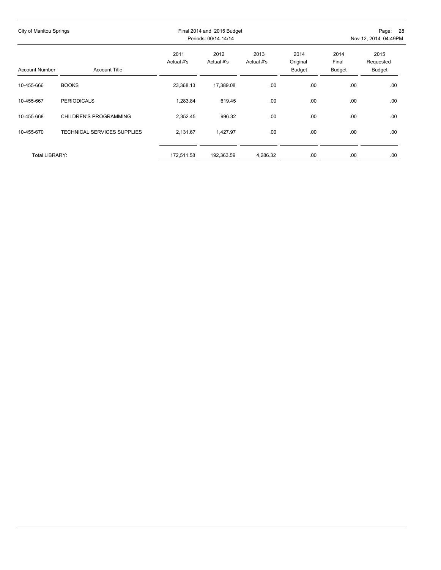| City of Manitou Springs |                                    |                    | Final 2014 and 2015 Budget<br>Periods: 00/14-14/14 |                    | Page: 28<br>Nov 12, 2014 04:49PM  |                         |                             |  |
|-------------------------|------------------------------------|--------------------|----------------------------------------------------|--------------------|-----------------------------------|-------------------------|-----------------------------|--|
| <b>Account Number</b>   | <b>Account Title</b>               | 2011<br>Actual #'s | 2012<br>Actual #'s                                 | 2013<br>Actual #'s | 2014<br>Original<br><b>Budget</b> | 2014<br>Final<br>Budget | 2015<br>Requested<br>Budget |  |
| 10-455-666              | <b>BOOKS</b>                       | 23,368.13          | 17,389.08                                          | .00                | .00                               | .00                     | .00                         |  |
| 10-455-667              | <b>PERIODICALS</b>                 | 1,283.84           | 619.45                                             | .00                | .00                               | .00                     | .00                         |  |
| 10-455-668              | CHILDREN'S PROGRAMMING             | 2,352.45           | 996.32                                             | .00                | .00                               | .00                     | .00                         |  |
| 10-455-670              | <b>TECHNICAL SERVICES SUPPLIES</b> | 2,131.67           | 1,427.97                                           | .00                | .00                               | .00                     | .00                         |  |
| <b>Total LIBRARY:</b>   |                                    | 172,511.58         | 192,363.59                                         | 4,286.32           | .00.                              | .00                     | .00                         |  |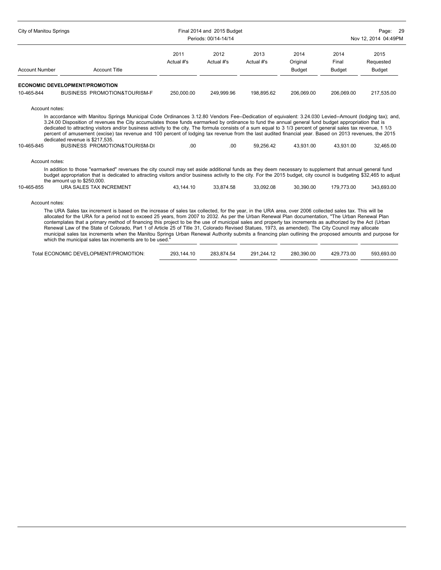| City of Manitou Springs |                                                                                                                                                                                                                                                                                                                                                                                                                                                                                                                                                                                                                                                                                                                   |                    | Final 2014 and 2015 Budget<br>Periods: 00/14-14/14 | Page:<br>-29<br>Nov 12, 2014 04:49PM |                            |                                |                             |
|-------------------------|-------------------------------------------------------------------------------------------------------------------------------------------------------------------------------------------------------------------------------------------------------------------------------------------------------------------------------------------------------------------------------------------------------------------------------------------------------------------------------------------------------------------------------------------------------------------------------------------------------------------------------------------------------------------------------------------------------------------|--------------------|----------------------------------------------------|--------------------------------------|----------------------------|--------------------------------|-----------------------------|
| <b>Account Number</b>   | <b>Account Title</b>                                                                                                                                                                                                                                                                                                                                                                                                                                                                                                                                                                                                                                                                                              | 2011<br>Actual #'s | 2012<br>Actual #'s                                 | 2013<br>Actual #'s                   | 2014<br>Original<br>Budget | 2014<br>Final<br><b>Budget</b> | 2015<br>Requested<br>Budget |
|                         |                                                                                                                                                                                                                                                                                                                                                                                                                                                                                                                                                                                                                                                                                                                   |                    |                                                    |                                      |                            |                                |                             |
|                         | <b>ECONOMIC DEVELOPMENT/PROMOTION</b>                                                                                                                                                                                                                                                                                                                                                                                                                                                                                                                                                                                                                                                                             |                    |                                                    |                                      |                            |                                |                             |
| 10-465-844              | <b>BUSINESS PROMOTION&amp;TOURISM-F</b>                                                                                                                                                                                                                                                                                                                                                                                                                                                                                                                                                                                                                                                                           | 250,000.00         | 249.999.96                                         | 198,895.62                           | 206,069.00                 | 206,069.00                     | 217,535.00                  |
| 10-465-845              | In accordance with Manitou Springs Municipal Code Ordinances 3.12.80 Vendors Fee--Dedication of equivalent: 3.24.030 Levied--Amount (lodging tax); and,<br>3.24.00 Disposition of revenues the City accumulates those funds earmarked by ordinance to fund the annual general fund budget appropriation that is<br>dedicated to attracting visitors and/or business activity to the city. The formula consists of a sum equal to 3 1/3 percent of general sales tax revenue, 1 1/3<br>percent of amusement (excise) tax revenue and 100 percent of lodging tax revenue from the last audited financial year. Based on 2013 revenues, the 2015<br>dedicated revenue is \$217,535.<br>BUSINESS PROMOTION&TOURISM-DI | .00                | .00.                                               | 59.256.42                            | 43.931.00                  | 43.931.00                      | 32.465.00                   |
| Account notes:          |                                                                                                                                                                                                                                                                                                                                                                                                                                                                                                                                                                                                                                                                                                                   |                    |                                                    |                                      |                            |                                |                             |
|                         | In addition to those "earmarked" revenues the city council may set aside additional funds as they deem necessary to supplement that annual general fund<br>budget appropriation that is dedicated to attracting visitors and/or business activity to the city. For the 2015 budget, city council is budgeting \$32,465 to adjust<br>the amount up to \$250,000.                                                                                                                                                                                                                                                                                                                                                   |                    |                                                    |                                      |                            |                                |                             |
| 10-465-855              | URA SALES TAX INCREMENT                                                                                                                                                                                                                                                                                                                                                                                                                                                                                                                                                                                                                                                                                           | 43.144.10          | 33.874.58                                          | 33.092.08                            | 30.390.00                  | 179.773.00                     | 343.693.00                  |
| Account notes:          |                                                                                                                                                                                                                                                                                                                                                                                                                                                                                                                                                                                                                                                                                                                   |                    |                                                    |                                      |                            |                                |                             |
|                         | The URA Sales tax increment is based on the increase of sales tax collected, for the year, in the URA area, over 2006 collected sales tax. This will be<br>allocated for the URA for a period not to exceed 25 years, from 2007 to 2032. As per the Urban Renewal Plan documentation, "The Urban Renewal Plan                                                                                                                                                                                                                                                                                                                                                                                                     |                    |                                                    |                                      |                            |                                |                             |

contemplates that a primary method of financing this project to be the use of municipal sales and property tax increments as authorized by the Act (Urban Renewal Law of the State of Colorado, Part 1 of Article 25 of Title 31, Colorado Revised Statues, 1973, as amended). The City Council may allocate municipal sales tax increments when the Manitou Springs Urban Renewal Authority submits a financing plan outlining the proposed amounts and purpose for which the municipal sales tax increments are to be used."

| Total ECONOMIC DEVELOPMENT/PROMOTION: | 293.144.10 | 283.874.54 | 291.244.12 | 280.390.00 | 429.773.00 | 593.693.00 |
|---------------------------------------|------------|------------|------------|------------|------------|------------|
|---------------------------------------|------------|------------|------------|------------|------------|------------|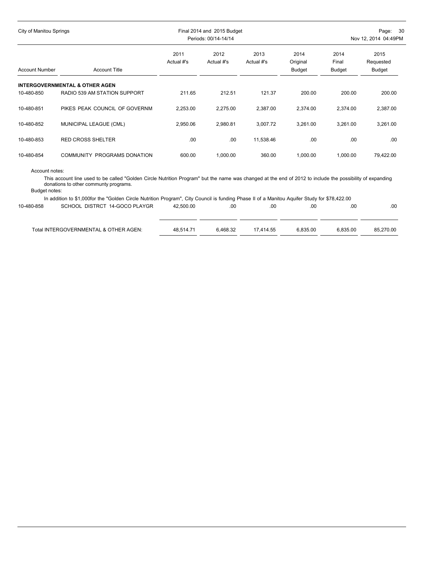| City of Manitou Springs |                                           |                    | Final 2014 and 2015 Budget<br>Periods: 00/14-14/14 | Page: 30<br>Nov 12, 2014 04:49PM |                            |                                |                             |
|-------------------------|-------------------------------------------|--------------------|----------------------------------------------------|----------------------------------|----------------------------|--------------------------------|-----------------------------|
| <b>Account Number</b>   | <b>Account Title</b>                      | 2011<br>Actual #'s | 2012<br>Actual #'s                                 | 2013<br>Actual #'s               | 2014<br>Original<br>Budget | 2014<br>Final<br><b>Budget</b> | 2015<br>Requested<br>Budget |
|                         | <b>INTERGOVERNMENTAL &amp; OTHER AGEN</b> |                    |                                                    |                                  |                            |                                |                             |
| 10-480-850              | RADIO 539 AM STATION SUPPORT              | 211.65             | 212.51                                             | 121.37                           | 200.00                     | 200.00                         | 200.00                      |
| 10-480-851              | PIKES PEAK COUNCIL OF GOVERNM             | 2,253.00           | 2,275.00                                           | 2,387.00                         | 2,374.00                   | 2,374.00                       | 2,387.00                    |
| 10-480-852              | MUNICIPAL LEAGUE (CML)                    | 2,950.06           | 2,980.81                                           | 3,007.72                         | 3,261.00                   | 3,261.00                       | 3,261.00                    |
| 10-480-853              | <b>RED CROSS SHELTER</b>                  | .00                | .00                                                | 11,538.46                        | .00                        | .00                            | .00                         |
| 10-480-854              | <b>COMMUNITY PROGRAMS DONATION</b>        | 600.00             | 1,000.00                                           | 360.00                           | 1,000.00                   | 1,000.00                       | 79,422.00                   |
|                         |                                           |                    |                                                    |                                  |                            |                                |                             |

Account notes:

This account line used to be called "Golden Circle Nutrition Program" but the name was changed at the end of 2012 to include the possibility of expanding donations to other communty programs.

Budget notes:

|            | In addition to \$1,000for the "Golden Circle Nutrition Program", City Council is funding Phase II of a Manitou Aguifer Study for \$78,422.00 |           |          |           |          |          |           |
|------------|----------------------------------------------------------------------------------------------------------------------------------------------|-----------|----------|-----------|----------|----------|-----------|
| 10-480-858 | SCHOOL DISTRCT 14-GOCO PLAYGR                                                                                                                | 42.500.00 | .00      | .00       | .00      | .00      | .00       |
|            |                                                                                                                                              |           |          |           |          |          |           |
|            |                                                                                                                                              |           |          |           |          |          |           |
|            | Total INTERGOVERNMENTAL & OTHER AGEN:                                                                                                        | 48.514.71 | 6.468.32 | 17.414.55 | 6.835.00 | 6.835.00 | 85.270.00 |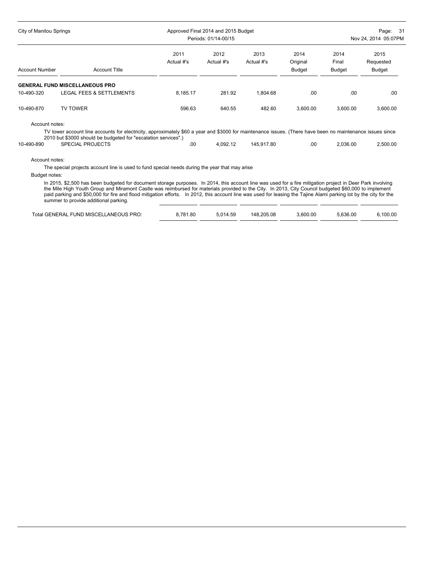| City of Manitou Springs |                                                                                                                                                                                                                             |                    | Approved Final 2014 and 2015 Budget<br>Periods: 01/14-00/15 |                    |                                   |                                | Page: 31<br>Nov 24, 2014 05:07PM |  |  |
|-------------------------|-----------------------------------------------------------------------------------------------------------------------------------------------------------------------------------------------------------------------------|--------------------|-------------------------------------------------------------|--------------------|-----------------------------------|--------------------------------|----------------------------------|--|--|
| <b>Account Number</b>   | <b>Account Title</b>                                                                                                                                                                                                        | 2011<br>Actual #'s | 2012<br>Actual #'s                                          | 2013<br>Actual #'s | 2014<br>Original<br><b>Budget</b> | 2014<br>Final<br><b>Budget</b> | 2015<br>Requested<br>Budget      |  |  |
|                         | <b>GENERAL FUND MISCELLANEOUS PRO</b>                                                                                                                                                                                       |                    |                                                             |                    |                                   |                                |                                  |  |  |
| 10-490-320              | <b>LEGAL FEES &amp; SETTLEMENTS</b>                                                                                                                                                                                         | 8,185.17           | 281.92                                                      | 1,804.68           | .00                               | .00                            | .00                              |  |  |
| 10-490-870              | <b>TV TOWER</b>                                                                                                                                                                                                             | 596.63             | 640.55                                                      | 482.60             | 3.600.00                          | 3.600.00                       | 3,600.00                         |  |  |
| Account notes:          |                                                                                                                                                                                                                             |                    |                                                             |                    |                                   |                                |                                  |  |  |
|                         | TV tower account line accounts for electricity, approximately \$60 a year and \$3000 for maintenance issues. (There have been no maintenance issues since<br>2010 but \$3000 should be budgeted for "escalation services".) |                    |                                                             |                    |                                   |                                |                                  |  |  |
| 10-490-890              | <b>SPECIAL PROJECTS</b>                                                                                                                                                                                                     | .00                | 4.092.12                                                    | 145,917.80         | .00                               | 2,036.00                       | 2,500.00                         |  |  |
| Account notes:          | The special projects account line is used to fund special needs during the year that may arise                                                                                                                              |                    |                                                             |                    |                                   |                                |                                  |  |  |

Budget notes:

In 2015, \$2,500 has been budgeted for document storage purposes. In 2014, this account line was used for a fire mitigation project in Deer Park involving the Mile High Youth Group and Miramont Castle was reimbursed for materials provided to the City. In 2013, City Council budgeted \$60,000 to implement paid parking and \$50,000 for fire and flood mitigation efforts. In 2012, this account line was used for leasing the Tajine Alami parking lot by the city for the summer to provide additional parking.

| Total GENERAL FUND MISCELLANEOUS PRO: | 8.781.80 | 5.014.59 | 148.205.08 | 3.600.00 | 5.636.00 | 6.100.00 |
|---------------------------------------|----------|----------|------------|----------|----------|----------|
|                                       |          |          |            |          |          |          |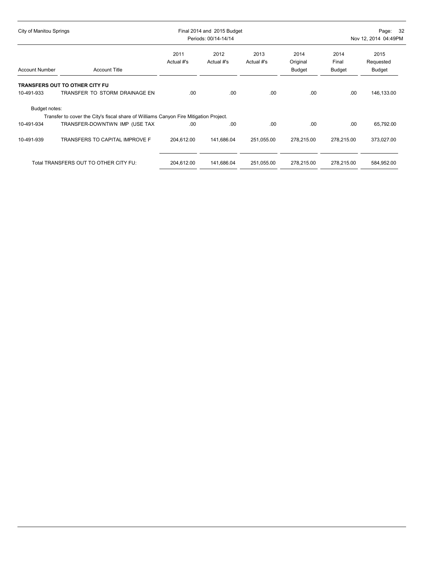| City of Manitou Springs |                                                                                       | Final 2014 and 2015 Budget<br>Periods: 00/14-14/14 |                    |                    |                            | Page: 32<br>Nov 12, 2014 04:49PM |                             |  |
|-------------------------|---------------------------------------------------------------------------------------|----------------------------------------------------|--------------------|--------------------|----------------------------|----------------------------------|-----------------------------|--|
| <b>Account Number</b>   | <b>Account Title</b>                                                                  | 2011<br>Actual #'s                                 | 2012<br>Actual #'s | 2013<br>Actual #'s | 2014<br>Original<br>Budget | 2014<br>Final<br>Budget          | 2015<br>Requested<br>Budget |  |
|                         | <b>TRANSFERS OUT TO OTHER CITY FU</b>                                                 |                                                    |                    |                    |                            |                                  |                             |  |
| 10-491-933              | TRANSFER TO STORM DRAINAGE EN                                                         | .00                                                | .00                | .00                | .00                        | .00                              | 146,133.00                  |  |
| Budget notes:           |                                                                                       |                                                    |                    |                    |                            |                                  |                             |  |
|                         | Transfer to cover the City's fiscal share of Williams Canyon Fire Mitigation Project. |                                                    |                    |                    |                            |                                  |                             |  |
| 10-491-934              | TRANSFER-DOWNTWN IMP (USE TAX                                                         | .00                                                | .00                | .00                | .00                        | .00                              | 65,792.00                   |  |
| 10-491-939              | TRANSFERS TO CAPITAL IMPROVE F                                                        | 204,612.00                                         | 141,686.04         | 251,055.00         | 278,215.00                 | 278,215.00                       | 373,027.00                  |  |
|                         | Total TRANSFERS OUT TO OTHER CITY FU:                                                 | 204,612.00                                         | 141,686.04         | 251,055.00         | 278,215.00                 | 278,215.00                       | 584,952.00                  |  |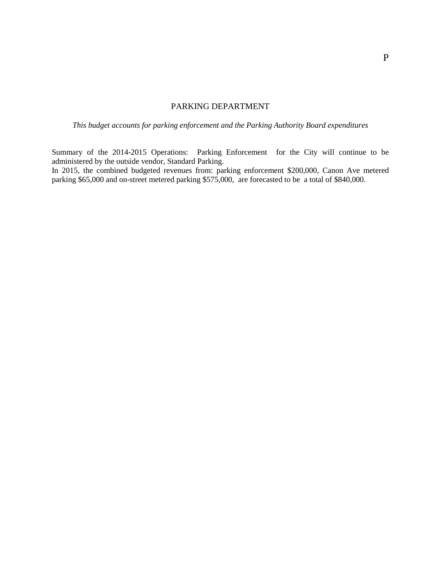## PARKING DEPARTMENT

*This budget accounts for parking enforcement and the Parking Authority Board expenditures*

Summary of the 2014-2015 Operations: Parking Enforcement for the City will continue to be administered by the outside vendor, Standard Parking.

In 2015, the combined budgeted revenues from: parking enforcement \$200,000, Canon Ave metered parking \$65,000 and on-street metered parking \$575,000, are forecasted to be a total of \$840,000.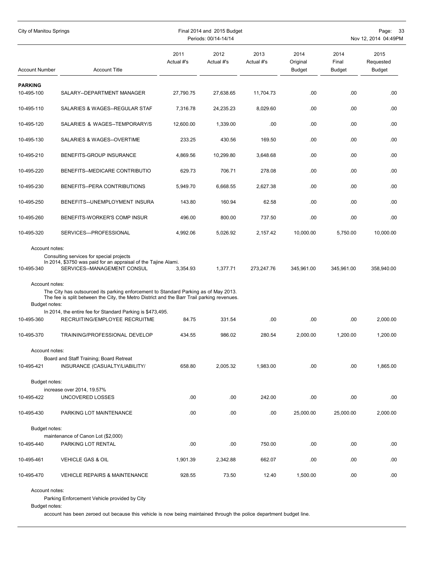| City of Manitou Springs                                         |                                                                                                                                                                                                                                                                                                                                |                    | Final 2014 and 2015 Budget<br>Periods: 00/14-14/14 |                    | Page:<br>33<br>Nov 12, 2014 04:49PM |                                |                             |  |
|-----------------------------------------------------------------|--------------------------------------------------------------------------------------------------------------------------------------------------------------------------------------------------------------------------------------------------------------------------------------------------------------------------------|--------------------|----------------------------------------------------|--------------------|-------------------------------------|--------------------------------|-----------------------------|--|
| <b>Account Number</b>                                           | <b>Account Title</b>                                                                                                                                                                                                                                                                                                           | 2011<br>Actual #'s | 2012<br>Actual #'s                                 | 2013<br>Actual #'s | 2014<br>Original<br><b>Budget</b>   | 2014<br>Final<br><b>Budget</b> | 2015<br>Requested<br>Budget |  |
| <b>PARKING</b><br>10-495-100                                    | SALARY--DEPARTMENT MANAGER                                                                                                                                                                                                                                                                                                     | 27,790.75          | 27,638.65                                          | 11,704.73          | .00                                 | .00                            | .00                         |  |
| 10-495-110                                                      | SALARIES & WAGES--REGULAR STAF                                                                                                                                                                                                                                                                                                 | 7,316.78           | 24,235.23                                          | 8,029.60           | .00                                 | .00                            | .00                         |  |
| 10-495-120                                                      | SALARIES & WAGES--TEMPORARY/S                                                                                                                                                                                                                                                                                                  | 12,600.00          | 1,339.00                                           | .00                | .00                                 | .00                            | .00                         |  |
| 10-495-130                                                      | SALARIES & WAGES--OVERTIME                                                                                                                                                                                                                                                                                                     | 233.25             | 430.56                                             | 169.50             | .00                                 | .00                            | .00                         |  |
| 10-495-210                                                      | BENEFITS-GROUP INSURANCE                                                                                                                                                                                                                                                                                                       | 4,869.56           | 10,299.80                                          | 3,648.68           | .00                                 | .00                            | .00                         |  |
| 10-495-220                                                      | BENEFITS--MEDICARE CONTRIBUTIO                                                                                                                                                                                                                                                                                                 | 629.73             | 706.71                                             | 278.08             | .00                                 | .00                            | .00                         |  |
| 10-495-230                                                      | BENEFITS--PERA CONTRIBUTIONS                                                                                                                                                                                                                                                                                                   | 5,949.70           | 6,668.55                                           | 2,627.38           | .00                                 | .00                            | .00                         |  |
| 10-495-250                                                      | BENEFITS--UNEMPLOYMENT INSURA                                                                                                                                                                                                                                                                                                  | 143.80             | 160.94                                             | 62.58              | .00                                 | .00                            | .00                         |  |
| 10-495-260                                                      | BENEFITS-WORKER'S COMP INSUR                                                                                                                                                                                                                                                                                                   | 496.00             | 800.00                                             | 737.50             | .00                                 | .00                            | .00                         |  |
| 10-495-320                                                      | SERVICES---PROFESSIONAL                                                                                                                                                                                                                                                                                                        | 4,992.06           | 5,026.92                                           | 2,157.42           | 10,000.00                           | 5,750.00                       | 10,000.00                   |  |
| Account notes:<br>10-495-340<br>Account notes:<br>Budget notes: | Consulting services for special projects<br>In 2014, \$3750 was paid for an appraisal of the Tajine Alami.<br>SERVICES--MANAGEMENT CONSUL<br>The City has outsourced its parking enforcement to Standard Parking as of May 2013.<br>The fee is split between the City, the Metro District and the Barr Trail parking revenues. | 3,354.93           | 1,377.71                                           | 273,247.76         | 345,961.00                          | 345,961.00                     | 358,940.00                  |  |
| 10-495-360                                                      | In 2014, the entire fee for Standard Parking is \$473,495.<br>RECRUITING/EMPLOYEE RECRUITME                                                                                                                                                                                                                                    | 84.75              | 331.54                                             | .00                | .00                                 | .00                            | 2,000.00                    |  |
| 10-495-370                                                      | TRAINING/PROFESSIONAL DEVELOP                                                                                                                                                                                                                                                                                                  | 434.55             | 986.02                                             | 280.54             | 2,000.00                            | 1,200.00                       | 1,200.00                    |  |
| Account notes:<br>10-495-421                                    | Board and Staff Training; Board Retreat<br>INSURANCE (CASUALTY/LIABILITY/                                                                                                                                                                                                                                                      | 658.80             | 2,005.32                                           | 1,983.00           | .00                                 | .00.                           | 1,865.00                    |  |
| Budget notes:                                                   | increase over 2014, 19.57%                                                                                                                                                                                                                                                                                                     |                    |                                                    |                    |                                     |                                |                             |  |
| 10-495-422                                                      | UNCOVERED LOSSES                                                                                                                                                                                                                                                                                                               | .00.               | .00.                                               | 242.00             | .00                                 | .00                            | .00                         |  |
| 10-495-430                                                      | PARKING LOT MAINTENANCE                                                                                                                                                                                                                                                                                                        | .00                | .00                                                | .00                | 25,000.00                           | 25,000.00                      | 2,000.00                    |  |
| Budget notes:                                                   |                                                                                                                                                                                                                                                                                                                                |                    |                                                    |                    |                                     |                                |                             |  |
| 10-495-440                                                      | maintenance of Canon Lot (\$2,000)<br>PARKING LOT RENTAL                                                                                                                                                                                                                                                                       | .00                | .00                                                | 750.00             | .00                                 | .00.                           | .00                         |  |
| 10-495-461                                                      | <b>VEHICLE GAS &amp; OIL</b>                                                                                                                                                                                                                                                                                                   | 1,901.39           | 2,342.88                                           | 662.07             | .00                                 | .00                            | .00                         |  |
| 10-495-470                                                      | <b>VEHICLE REPAIRS &amp; MAINTENANCE</b>                                                                                                                                                                                                                                                                                       | 928.55             | 73.50                                              | 12.40              | 1,500.00                            | .00.                           | .00                         |  |
| Account notes:                                                  |                                                                                                                                                                                                                                                                                                                                |                    |                                                    |                    |                                     |                                |                             |  |

Parking Enforcement Vehicle provided by City

Budget notes:

account has been zeroed out because this vehicle is now being maintained through the police department budget line.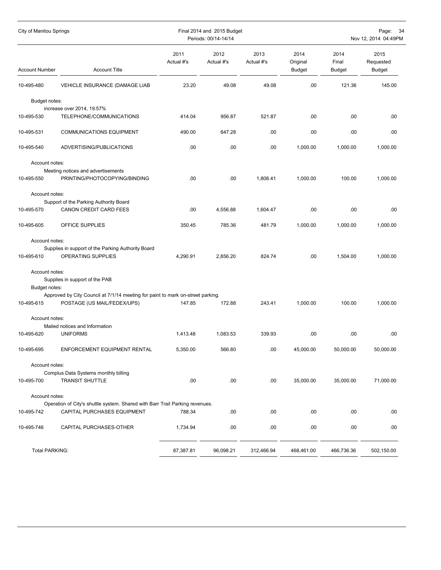| City of Manitou Springs         |                                                                                                                |                    | Final 2014 and 2015 Budget<br>Periods: 00/14-14/14 |                    |                                   |                                | Page: 34<br>Nov 12, 2014 04:49PM |
|---------------------------------|----------------------------------------------------------------------------------------------------------------|--------------------|----------------------------------------------------|--------------------|-----------------------------------|--------------------------------|----------------------------------|
| <b>Account Number</b>           | <b>Account Title</b>                                                                                           | 2011<br>Actual #'s | 2012<br>Actual #'s                                 | 2013<br>Actual #'s | 2014<br>Original<br><b>Budget</b> | 2014<br>Final<br><b>Budget</b> | 2015<br>Requested<br>Budget      |
| 10-495-480                      | VEHICLE INSURANCE (DAMAGE LIAB                                                                                 | 23.20              | 49.08                                              | 49.08              | .00.                              | 121.36                         | 145.00                           |
| Budget notes:<br>10-495-530     | increase over 2014, 19.57%<br>TELEPHONE/COMMUNICATIONS                                                         | 414.04             | 956.87                                             | 521.87             | .00                               | .00                            | .00                              |
| 10-495-531                      | <b>COMMUNICATIONS EQUIPMENT</b>                                                                                | 490.00             | 647.28                                             | .00                | .00                               | .00                            | .00                              |
| 10-495-540                      | ADVERTISING/PUBLICATIONS                                                                                       | .00                | .00                                                | .00                | 1,000.00                          | 1,000.00                       | 1,000.00                         |
| Account notes:                  |                                                                                                                |                    |                                                    |                    |                                   |                                |                                  |
| 10-495-550                      | Meeting notices and advertisements<br>PRINTING/PHOTOCOPYING/BINDING                                            | .00                | .00                                                | 1,808.41           | 1,000.00                          | 100.00                         | 1,000.00                         |
| Account notes:                  | Support of the Parking Authority Board                                                                         |                    |                                                    |                    |                                   |                                |                                  |
| 10-495-570                      | CANON CREDIT CARD FEES                                                                                         | .00                | 4,556.88                                           | 1,604.47           | .00                               | .00                            | .00                              |
| 10-495-605                      | OFFICE SUPPLIES                                                                                                | 350.45             | 785.36                                             | 481.79             | 1,000.00                          | 1,000.00                       | 1,000.00                         |
| Account notes:                  |                                                                                                                |                    |                                                    |                    |                                   |                                |                                  |
| 10-495-610                      | Supplies in support of the Parking Authority Board<br>OPERATING SUPPLIES                                       | 4,290.91           | 2,856.20                                           | 824.74             | .00.                              | 1,504.00                       | 1,000.00                         |
| Account notes:<br>Budget notes: | Supplies in support of the PAB                                                                                 |                    |                                                    |                    |                                   |                                |                                  |
| 10-495-615                      | Approved by City Council at 7/1/14 meeting for paint to mark on-street parking.<br>POSTAGE (US MAIL/FEDEX/UPS) | 147.85             | 172.88                                             | 243.41             | 1,000.00                          | 100.00                         | 1,000.00                         |
| Account notes:                  | Mailed notices and Information                                                                                 |                    |                                                    |                    |                                   |                                |                                  |
| 10-495-620                      | <b>UNIFORMS</b>                                                                                                | 1.413.48           | 1,083.53                                           | 339.93             | .00                               | .00                            | .00.                             |
| 10-495-695                      | ENFORCEMENT EQUIPMENT RENTAL                                                                                   | 5,350.00           | 566.80                                             | .00                | 45,000.00                         | 50,000.00                      | 50,000.00                        |
| Account notes:                  |                                                                                                                |                    |                                                    |                    |                                   |                                |                                  |
| 10-495-700                      | Complus Data Systems monthly billing<br><b>TRANSIT SHUTTLE</b>                                                 | .00                | .00                                                | .00                | 35,000.00                         | 35,000.00                      | 71,000.00                        |
| Account notes:                  |                                                                                                                |                    |                                                    |                    |                                   |                                |                                  |
| 10-495-742                      | Operation of City's shuttle system. Shared with Barr Trail Parking revenues.<br>CAPITAL PURCHASES EQUIPMENT    | 788.34             | .00                                                | .00                | .00                               | .00                            | .00                              |
| 10-495-746                      | CAPITAL PURCHASES-OTHER                                                                                        | 1,734.94           | .00                                                | .00                | .00                               | .00                            | .00                              |
| Total PARKING:                  |                                                                                                                | 87,387.81          | 96,098.21                                          | 312,466.94         | 468,461.00                        | 466,736.36                     | 502,150.00                       |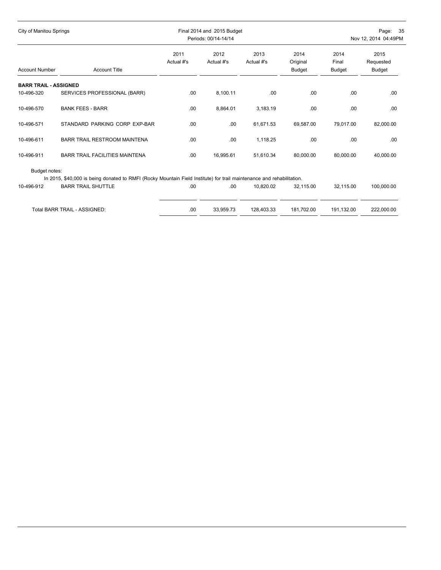| City of Manitou Springs      |                                                                                                                                                    |                    | Final 2014 and 2015 Budget<br>Periods: 00/14-14/14 |                    |                                   |                         | Page: 35<br>Nov 12, 2014 04:49PM |  |  |
|------------------------------|----------------------------------------------------------------------------------------------------------------------------------------------------|--------------------|----------------------------------------------------|--------------------|-----------------------------------|-------------------------|----------------------------------|--|--|
| <b>Account Number</b>        | <b>Account Title</b>                                                                                                                               | 2011<br>Actual #'s | 2012<br>Actual #'s                                 | 2013<br>Actual #'s | 2014<br>Original<br><b>Budget</b> | 2014<br>Final<br>Budget | 2015<br>Requested<br>Budget      |  |  |
| <b>BARR TRAIL - ASSIGNED</b> |                                                                                                                                                    |                    |                                                    |                    |                                   |                         |                                  |  |  |
| 10-496-320                   | SERVICES PROFESSIONAL (BARR)                                                                                                                       | .00.               | 8,100.11                                           | .00.               | .00                               | .00                     | .00                              |  |  |
| 10-496-570                   | <b>BANK FEES - BARR</b>                                                                                                                            | .00                | 8,864.01                                           | 3,183.19           | .00                               | .00                     | .00                              |  |  |
| 10-496-571                   | STANDARD PARKING CORP EXP-BAR                                                                                                                      | .00.               | .00                                                | 61,671.53          | 69,587.00                         | 79,017.00               | 82,000.00                        |  |  |
| 10-496-611                   | <b>BARR TRAIL RESTROOM MAINTENA</b>                                                                                                                | .00.               | .00                                                | 1,118.25           | .00                               | .00                     | .00.                             |  |  |
| 10-496-911                   | <b>BARR TRAIL FACILITIES MAINTENA</b>                                                                                                              | .00.               | 16,995.61                                          | 51,610.34          | 80,000.00                         | 80.000.00               | 40,000.00                        |  |  |
| Budget notes:<br>10-496-912  | In 2015, \$40,000 is being donated to RMFI (Rocky Mountain Field Institute) for trail maintenance and rehabilitation.<br><b>BARR TRAIL SHUTTLE</b> | .00                | .00                                                | 10,820.02          | 32,115.00                         | 32.115.00               | 100,000.00                       |  |  |
|                              |                                                                                                                                                    |                    |                                                    |                    |                                   |                         |                                  |  |  |
|                              | Total BARR TRAIL - ASSIGNED:                                                                                                                       | .00                | 33,959.73                                          | 128,403.33         | 181,702.00                        | 191,132.00              | 222,000.00                       |  |  |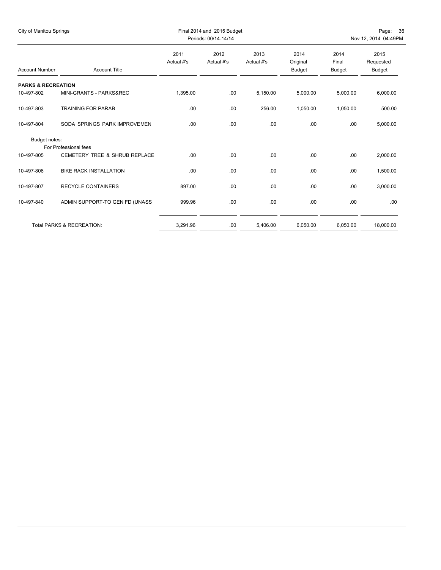| City of Manitou Springs              |                                                                   |                    | Final 2014 and 2015 Budget<br>Periods: 00/14-14/14 |                    |                                   | Page: 36<br>Nov 12, 2014 04:49PM |                                    |  |
|--------------------------------------|-------------------------------------------------------------------|--------------------|----------------------------------------------------|--------------------|-----------------------------------|----------------------------------|------------------------------------|--|
| <b>Account Number</b>                | <b>Account Title</b>                                              | 2011<br>Actual #'s | 2012<br>Actual #'s                                 | 2013<br>Actual #'s | 2014<br>Original<br><b>Budget</b> | 2014<br>Final<br><b>Budget</b>   | 2015<br>Requested<br><b>Budget</b> |  |
| <b>PARKS &amp; RECREATION</b>        |                                                                   |                    |                                                    |                    |                                   |                                  |                                    |  |
| 10-497-802                           | MINI-GRANTS - PARKS&REC                                           | 1,395.00           | .00                                                | 5,150.00           | 5,000.00                          | 5,000.00                         | 6,000.00                           |  |
| 10-497-803                           | <b>TRAINING FOR PARAB</b>                                         | .00                | .00                                                | 256.00             | 1,050.00                          | 1,050.00                         | 500.00                             |  |
| 10-497-804                           | SODA SPRINGS PARK IMPROVEMEN                                      | .00                | .00                                                | .00                | .00.                              | .00.                             | 5,000.00                           |  |
| Budget notes:                        |                                                                   |                    |                                                    |                    |                                   |                                  |                                    |  |
| 10-497-805                           | For Professional fees<br><b>CEMETERY TREE &amp; SHRUB REPLACE</b> | .00                | .00                                                | .00                | .00.                              | .00                              | 2,000.00                           |  |
|                                      |                                                                   |                    |                                                    |                    |                                   |                                  |                                    |  |
| 10-497-806                           | <b>BIKE RACK INSTALLATION</b>                                     | .00                | .00                                                | .00                | .00.                              | .00                              | 1,500.00                           |  |
| 10-497-807                           | <b>RECYCLE CONTAINERS</b>                                         | 897.00             | .00.                                               | .00                | .00.                              | .00                              | 3,000.00                           |  |
| 10-497-840                           | ADMIN SUPPORT-TO GEN FD (UNASS                                    | 999.96             | .00                                                | .00                | .00.                              | .00                              | .00.                               |  |
|                                      |                                                                   |                    |                                                    |                    |                                   |                                  |                                    |  |
| <b>Total PARKS &amp; RECREATION:</b> |                                                                   | 3,291.96           | .00                                                | 5.406.00           | 6,050.00                          | 6,050.00                         | 18,000.00                          |  |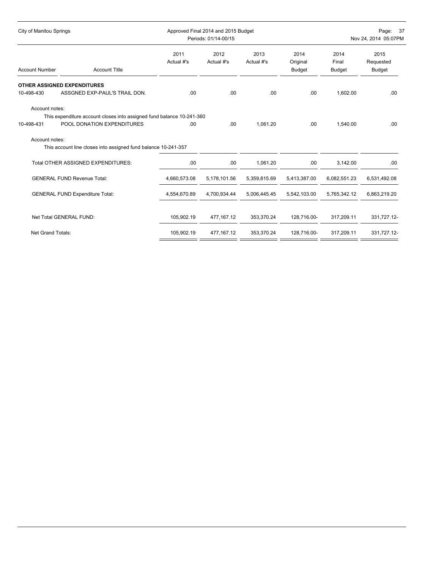| <b>City of Manitou Springs</b> |                                                                                                     |                    | Approved Final 2014 and 2015 Budget<br>Periods: 01/14-00/15 |                    | Page: 37<br>Nov 24, 2014 05:07PM  |                                |                                    |  |
|--------------------------------|-----------------------------------------------------------------------------------------------------|--------------------|-------------------------------------------------------------|--------------------|-----------------------------------|--------------------------------|------------------------------------|--|
| <b>Account Number</b>          | <b>Account Title</b>                                                                                | 2011<br>Actual #'s | 2012<br>Actual #'s                                          | 2013<br>Actual #'s | 2014<br>Original<br><b>Budget</b> | 2014<br>Final<br><b>Budget</b> | 2015<br>Requested<br><b>Budget</b> |  |
|                                | <b>OTHER ASSIGNED EXPENDITURES</b>                                                                  |                    |                                                             |                    |                                   |                                |                                    |  |
| 10-498-430                     | ASSGNED EXP-PAUL'S TRAIL DON.                                                                       | .00.               | .00                                                         | .00.               | .00.                              | 1,602.00                       | .00                                |  |
| Account notes:<br>10-498-431   | This expenditure account closes into assigned fund balance 10-241-360<br>POOL DONATION EXPENDITURES | .00                | .00                                                         | 1.061.20           | .00.                              | 1.540.00                       | .00                                |  |
| Account notes:                 | This account line closes into assigned fund balance 10-241-357                                      |                    |                                                             |                    |                                   |                                |                                    |  |
|                                | Total OTHER ASSIGNED EXPENDITURES:                                                                  | .00                | .00                                                         | 1,061.20           | .00                               | 3,142.00                       | .00                                |  |
|                                | <b>GENERAL FUND Revenue Total:</b>                                                                  | 4,660,573.08       | 5,178,101.56                                                | 5,359,815.69       | 5,413,387.00                      | 6,082,551.23                   | 6,531,492.08                       |  |
|                                | <b>GENERAL FUND Expenditure Total:</b>                                                              | 4,554,670.89       | 4,700,934.44                                                | 5,006,445.45       | 5,542,103.00                      | 5,765,342.12                   | 6,863,219.20                       |  |
|                                | Net Total GENERAL FUND:                                                                             | 105,902.19         | 477,167.12                                                  | 353,370.24         | 128,716.00-                       | 317,209.11                     | 331,727.12-                        |  |
| <b>Net Grand Totals:</b>       |                                                                                                     | 105,902.19         | 477, 167. 12                                                | 353,370.24         | 128,716.00-                       | 317,209.11                     | 331,727.12-                        |  |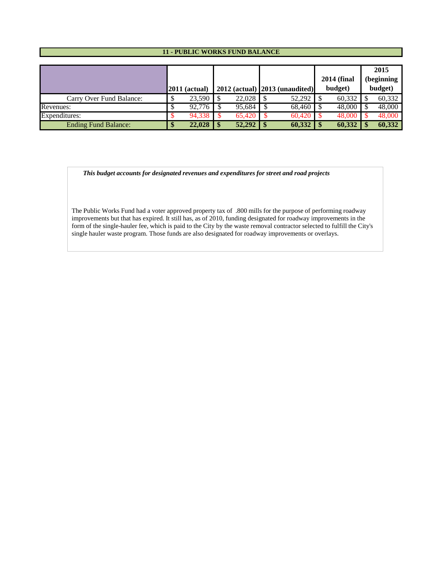#### **11 - PUBLIC WORKS FUND BALANCE**

|                             |                 |        |    |                                     | <b>2014 (final</b> | 2015<br>(beginning |
|-----------------------------|-----------------|--------|----|-------------------------------------|--------------------|--------------------|
|                             | $2011$ (actual) |        |    | $2012$ (actual) $ 2013$ (unaudited) | budget)            | budget)            |
| Carry Over Fund Balance:    | $23.590$ S      | 22,028 |    | 52,292                              | 60,332             | 60,332             |
| Revenues:                   | 92.776          | 95.684 |    | 68,460 \$                           | 48,000             | 48,000             |
| Expenditures:               | 94,338          | 65.420 |    | $60,420$ \$                         | 48,000             | 48,000             |
| <b>Ending Fund Balance:</b> | 22,028          | 52,292 | -8 | 60,332                              | 60,332             | 60,332             |

 *This budget accounts for designated revenues and expenditures for street and road projects*

The Public Works Fund had a voter approved property tax of .800 mills for the purpose of performing roadway improvements but that has expired. It still has, as of 2010, funding designated for roadway improvements in the form of the single-hauler fee, which is paid to the City by the waste removal contractor selected to fulfill the City's single hauler waste program. Those funds are also designated for roadway improvements or overlays.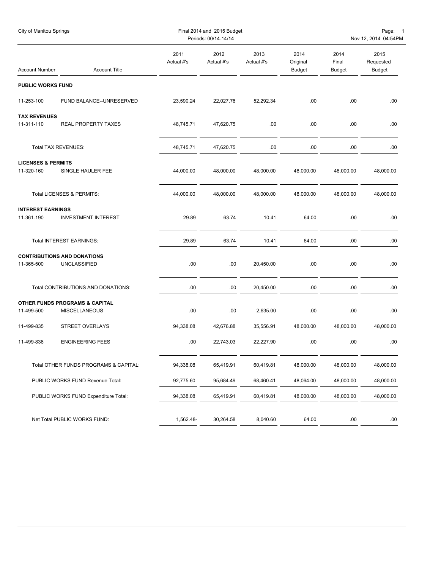| City of Manitou Springs                     |                                                                   |                    | Final 2014 and 2015 Budget<br>Periods: 00/14-14/14 |                    |                                   | Page:<br>$\overline{\mathbf{1}}$<br>Nov 12, 2014 04:54PM |                                    |
|---------------------------------------------|-------------------------------------------------------------------|--------------------|----------------------------------------------------|--------------------|-----------------------------------|----------------------------------------------------------|------------------------------------|
| <b>Account Number</b>                       | <b>Account Title</b>                                              | 2011<br>Actual #'s | 2012<br>Actual #'s                                 | 2013<br>Actual #'s | 2014<br>Original<br><b>Budget</b> | 2014<br>Final<br><b>Budget</b>                           | 2015<br>Requested<br><b>Budget</b> |
| <b>PUBLIC WORKS FUND</b>                    |                                                                   |                    |                                                    |                    |                                   |                                                          |                                    |
| 11-253-100                                  | FUND BALANCE--UNRESERVED                                          | 23,590.24          | 22,027.76                                          | 52,292.34          | .00                               | .00                                                      | .00                                |
| <b>TAX REVENUES</b><br>11-311-110           | <b>REAL PROPERTY TAXES</b>                                        | 48,745.71          | 47,620.75                                          | .00                | .00                               | .00                                                      | .00                                |
|                                             | Total TAX REVENUES:                                               | 48,745.71          | 47,620.75                                          | .00                | .00                               | .00                                                      | .00                                |
| <b>LICENSES &amp; PERMITS</b><br>11-320-160 | SINGLE HAULER FEE                                                 | 44,000.00          | 48,000.00                                          | 48,000.00          | 48,000.00                         | 48,000.00                                                | 48,000.00                          |
|                                             | Total LICENSES & PERMITS:                                         | 44,000.00          | 48,000.00                                          | 48,000.00          | 48,000.00                         | 48,000.00                                                | 48,000.00                          |
| <b>INTEREST EARNINGS</b><br>11-361-190      | <b>INVESTMENT INTEREST</b>                                        | 29.89              | 63.74                                              | 10.41              | 64.00                             | .00                                                      | .00                                |
|                                             | Total INTEREST EARNINGS:                                          | 29.89              | 63.74                                              | 10.41              | 64.00                             | .00                                                      | .00                                |
| 11-365-500                                  | <b>CONTRIBUTIONS AND DONATIONS</b><br>UNCLASSIFIED                | .00                | .00                                                | 20,450.00          | .00                               | .00                                                      | .00.                               |
|                                             | Total CONTRIBUTIONS AND DONATIONS:                                | .00                | .00                                                | 20,450.00          | .00                               | .00                                                      | .00.                               |
| 11-499-500                                  | <b>OTHER FUNDS PROGRAMS &amp; CAPITAL</b><br><b>MISCELLANEOUS</b> | .00                | .00                                                | 2,635.00           | .00                               | .00                                                      | .00                                |
| 11-499-835                                  | STREET OVERLAYS                                                   | 94,338.08          | 42,676.88                                          | 35,556.91          | 48,000.00                         | 48,000.00                                                | 48,000.00                          |
| 11-499-836                                  | <b>ENGINEERING FEES</b>                                           | .00                | 22,743.03                                          | 22,227.90          | .00                               | .00                                                      | .00                                |
|                                             | Total OTHER FUNDS PROGRAMS & CAPITAL:                             | 94,338.08          | 65,419.91                                          | 60,419.81          | 48,000.00                         | 48,000.00                                                | 48,000.00                          |
| PUBLIC WORKS FUND Revenue Total:            |                                                                   | 92,775.60          | 95,684.49                                          | 68,460.41          | 48,064.00                         | 48,000.00                                                | 48,000.00                          |
|                                             | PUBLIC WORKS FUND Expenditure Total:                              | 94,338.08          | 65,419.91                                          | 60,419.81          | 48,000.00                         | 48,000.00                                                | 48,000.00                          |
|                                             | Net Total PUBLIC WORKS FUND:                                      | 1,562.48-          | 30,264.58                                          | 8,040.60           | 64.00                             | .00                                                      | .00.                               |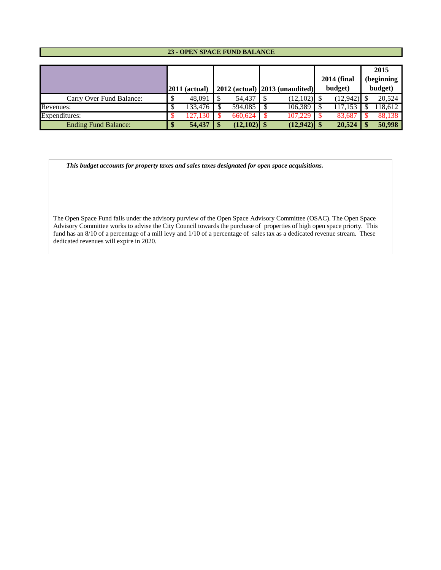#### **23 - OPEN SPACE FUND BALANCE**

|                             |                 |               |                                  | <b>2014 (final</b> | 2015<br>(beginning |
|-----------------------------|-----------------|---------------|----------------------------------|--------------------|--------------------|
|                             | $2011$ (actual) |               | $2012$ (actual) 2013 (unaudited) | budget)            | budget)            |
| Carry Over Fund Balance:    | 48,091          | 54,437        | $(12,102)$ \$                    | $(12,942)$ \$      | 20,524             |
| Revenues:                   | 133,476         | 594,085       | 106,389                          | 117.153            | 18.612             |
| Expenditures:               | 27.130          | 660.624       | 107.229                          | 83.687             | 88.138             |
| <b>Ending Fund Balance:</b> | 54,437          | $(12,102)$ \$ | $(12, 942)$ \$                   | 20,524             | 50,998             |

 *This budget accounts for property taxes and sales taxes designated for open space acquisitions.* 

The Open Space Fund falls under the advisory purview of the Open Space Advisory Committee (OSAC). The Open Space Advisory Committee works to advise the City Council towards the purchase of properties of high open space priorty. This fund has an 8/10 of a percentage of a mill levy and 1/10 of a percentage of sales tax as a dedicated revenue stream. These dedicated revenues will expire in 2020.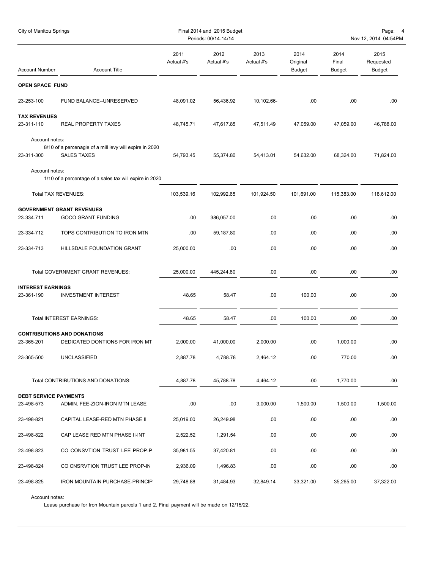| City of Manitou Springs      |                                                                               |                    | Final 2014 and 2015 Budget<br>Periods: 00/14-14/14 |                    |                                   |                                | Page:<br>Nov 12, 2014 04:54PM |
|------------------------------|-------------------------------------------------------------------------------|--------------------|----------------------------------------------------|--------------------|-----------------------------------|--------------------------------|-------------------------------|
| <b>Account Number</b>        | <b>Account Title</b>                                                          | 2011<br>Actual #'s | 2012<br>Actual #'s                                 | 2013<br>Actual #'s | 2014<br>Original<br><b>Budget</b> | 2014<br>Final<br><b>Budget</b> | 2015<br>Requested<br>Budget   |
| <b>OPEN SPACE FUND</b>       |                                                                               |                    |                                                    |                    |                                   |                                |                               |
| 23-253-100                   | FUND BALANCE--UNRESERVED                                                      | 48,091.02          | 56,436.92                                          | 10,102.66-         | .00                               | .00                            | .00.                          |
| <b>TAX REVENUES</b>          |                                                                               |                    |                                                    |                    |                                   |                                |                               |
| 23-311-110                   | <b>REAL PROPERTY TAXES</b>                                                    | 48,745.71          | 47,617.85                                          | 47,511.49          | 47,059.00                         | 47,059.00                      | 46,788.00                     |
| Account notes:               |                                                                               |                    |                                                    |                    |                                   |                                |                               |
| 23-311-300                   | 8/10 of a percenagle of a mill levy will expire in 2020<br><b>SALES TAXES</b> | 54,793.45          | 55,374.80                                          | 54,413.01          | 54,632.00                         | 68,324.00                      | 71,824.00                     |
| Account notes:               | 1/10 of a percentage of a sales tax will expire in 2020                       |                    |                                                    |                    |                                   |                                |                               |
|                              | Total TAX REVENUES:                                                           | 103,539.16         | 102,992.65                                         | 101,924.50         | 101,691.00                        | 115,383.00                     | 118,612.00                    |
| 23-334-711                   | <b>GOVERNMENT GRANT REVENUES</b><br><b>GOCO GRANT FUNDING</b>                 | .00                | 386,057.00                                         | .00                | .00                               | .00                            | .00                           |
| 23-334-712                   | TOPS CONTRIBUTION TO IRON MTN                                                 | .00.               | 59,187.80                                          | .00                | .00                               | .00                            | .00                           |
| 23-334-713                   | HILLSDALE FOUNDATION GRANT                                                    | 25,000.00          | .00                                                | .00                | .00.                              | .00                            | .00.                          |
|                              | Total GOVERNMENT GRANT REVENUES:                                              | 25,000.00          | 445,244.80                                         | .00                | .00                               | .00                            | .00                           |
| <b>INTEREST EARNINGS</b>     |                                                                               |                    |                                                    |                    |                                   |                                |                               |
| 23-361-190                   | <b>INVESTMENT INTEREST</b>                                                    | 48.65              | 58.47                                              | .00                | 100.00                            | .00                            | .00                           |
|                              | Total INTEREST EARNINGS:                                                      | 48.65              | 58.47                                              | .00                | 100.00                            | .00.                           | .00.                          |
|                              | <b>CONTRIBUTIONS AND DONATIONS</b>                                            |                    |                                                    |                    |                                   |                                |                               |
| 23-365-201                   | DEDICATED DONTIONS FOR IRON MT                                                | 2,000.00           | 41,000.00                                          | 2,000.00           | .00                               | 1,000.00                       | .00                           |
| 23-365-500                   | <b>UNCLASSIFIED</b>                                                           | 2,887.78           | 4,788.78                                           | 2,464.12           | .00                               | 770.00                         | .00.                          |
|                              | Total CONTRIBUTIONS AND DONATIONS:                                            | 4,887.78           | 45,788.78                                          | 4,464.12           | .00                               | 1,770.00                       | .00.                          |
| <b>DEBT SERVICE PAYMENTS</b> |                                                                               |                    |                                                    |                    |                                   |                                |                               |
| 23-498-573                   | ADMIN. FEE-ZION-IRON MTN LEASE                                                | .00                | .00                                                | 3,000.00           | 1,500.00                          | 1,500.00                       | 1,500.00                      |
| 23-498-821                   | CAPITAL LEASE-RED MTN PHASE II                                                | 25,019.00          | 26,249.98                                          | .00                | .00                               | .00                            | .00.                          |
| 23-498-822                   | CAP LEASE RED MTN PHASE II-INT                                                | 2,522.52           | 1,291.54                                           | .00                | .00                               | .00.                           | .00.                          |
| 23-498-823                   | CO CONSVTION TRUST LEE PROP-P                                                 | 35,981.55          | 37,420.81                                          | .00.               | .00                               | .00.                           | .00.                          |
| 23-498-824                   | CO CNSRVTION TRUST LEE PROP-IN                                                | 2,936.09           | 1,496.83                                           | .00                | .00                               | .00                            | .00.                          |
| 23-498-825                   | <b>IRON MOUNTAIN PURCHASE-PRINCIP</b>                                         | 29,748.88          | 31,484.93                                          | 32,849.14          | 33,321.00                         | 35,265.00                      | 37,322.00                     |

#### Account notes:

Lease purchase for Iron Mountain parcels 1 and 2. Final payment will be made on 12/15/22.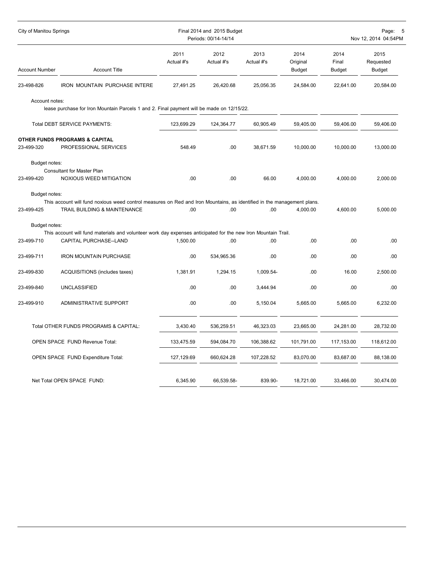| City of Manitou Springs     |                                                                                                                                                        |                    | Final 2014 and 2015 Budget<br>Periods: 00/14-14/14 |                    |                                   |                                | Page:<br>Nov 12, 2014 04:54PM      |
|-----------------------------|--------------------------------------------------------------------------------------------------------------------------------------------------------|--------------------|----------------------------------------------------|--------------------|-----------------------------------|--------------------------------|------------------------------------|
| <b>Account Number</b>       | <b>Account Title</b>                                                                                                                                   | 2011<br>Actual #'s | 2012<br>Actual #'s                                 | 2013<br>Actual #'s | 2014<br>Original<br><b>Budget</b> | 2014<br>Final<br><b>Budget</b> | 2015<br>Requested<br><b>Budget</b> |
| 23-498-826                  | <b>IRON MOUNTAIN PURCHASE INTERE</b>                                                                                                                   | 27,491.25          | 26,420.68                                          | 25,056.35          | 24,584.00                         | 22.641.00                      | 20,584.00                          |
| Account notes:              | lease purchase for Iron Mountain Parcels 1 and 2. Final payment will be made on 12/15/22.                                                              |                    |                                                    |                    |                                   |                                |                                    |
|                             | Total DEBT SERVICE PAYMENTS:                                                                                                                           | 123,699.29         | 124,364.77                                         | 60,905.49          | 59,405.00                         | 59,406.00                      | 59,406.00                          |
| 23-499-320                  | OTHER FUNDS PROGRAMS & CAPITAL<br>PROFESSIONAL SERVICES                                                                                                | 548.49             | .00                                                | 38,671.59          | 10,000.00                         | 10,000.00                      | 13,000.00                          |
| Budget notes:<br>23-499-420 | Consultant for Master Plan<br>NOXIOUS WEED MITIGATION                                                                                                  | .00                | .00                                                | 66.00              | 4,000.00                          | 4,000.00                       | 2,000.00                           |
| Budget notes:<br>23-499-425 | This account will fund noxious weed control measures on Red and Iron Mountains, as identified in the management plans.<br>TRAIL BUILDING & MAINTENANCE | .00                | .00                                                | .00                | 4,000.00                          | 4,600.00                       | 5,000.00                           |
| Budget notes:               | This account will fund materials and volunteer work day expenses anticipated for the new Iron Mountain Trail.                                          |                    |                                                    |                    |                                   |                                |                                    |
| 23-499-710                  | CAPITAL PURCHASE--LAND                                                                                                                                 | 1,500.00           | .00                                                | .00                | .00.                              | .00.                           | .00.                               |
| 23-499-711                  | <b>IRON MOUNTAIN PURCHASE</b>                                                                                                                          | .00                | 534,965.36                                         | .00                | .00                               | .00                            | .00                                |
| 23-499-830                  | ACQUISITIONS (includes taxes)                                                                                                                          | 1,381.91           | 1,294.15                                           | 1,009.54-          | .00                               | 16.00                          | 2,500.00                           |
| 23-499-840                  | <b>UNCLASSIFIED</b>                                                                                                                                    | .00                | .00                                                | 3,444.94           | .00                               | .00                            | .00                                |
| 23-499-910                  | ADMINISTRATIVE SUPPORT                                                                                                                                 | .00                | .00                                                | 5,150.04           | 5,665.00                          | 5,665.00                       | 6,232.00                           |
|                             | Total OTHER FUNDS PROGRAMS & CAPITAL:                                                                                                                  | 3,430.40           | 536,259.51                                         | 46,323.03          | 23,665.00                         | 24,281.00                      | 28,732.00                          |
|                             | OPEN SPACE FUND Revenue Total:                                                                                                                         | 133,475.59         | 594,084.70                                         | 106,388.62         | 101,791.00                        | 117,153.00                     | 118,612.00                         |
|                             | OPEN SPACE FUND Expenditure Total:                                                                                                                     | 127,129.69         | 660,624.28                                         | 107,228.52         | 83,070.00                         | 83,687.00                      | 88,138.00                          |
|                             | Net Total OPEN SPACE FUND:                                                                                                                             | 6,345.90           | 66,539.58-                                         | 839.90-            | 18,721.00                         | 33,466.00                      | 30,474.00                          |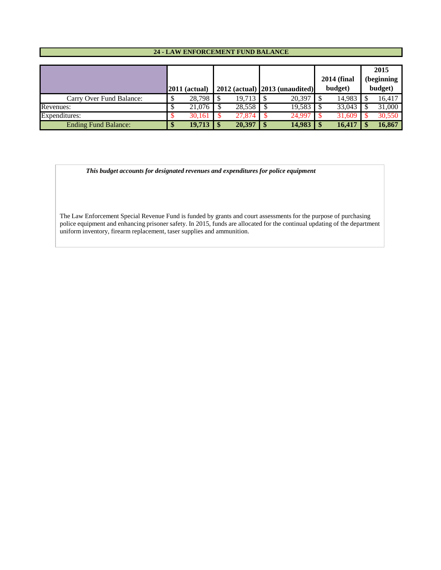#### **24 - LAW ENFORCEMENT FUND BALANCE**

|                             |                 |        |    |                                          | <b>2014 (final</b> | 2015<br>(beginning |
|-----------------------------|-----------------|--------|----|------------------------------------------|--------------------|--------------------|
|                             | $2011$ (actual) |        |    | $2012$ (actual) $\vert 2013$ (unaudited) | budget)            | budget)            |
| Carry Over Fund Balance:    | 28,798          | 19.713 |    | 20,397                                   | 14,983             | 16,417             |
| Revenues:                   | 21.076          | 28.558 |    | 19,583                                   | 33,043             | 31,000             |
| Expenditures:               | 30.161          | 27.874 |    | 24.997                                   | 31.609             | 30,550             |
| <b>Ending Fund Balance:</b> | $19,713$   \$   | 20,397 | -S | 14,983                                   | 16,417             | 16,867             |

 *This budget accounts for designated revenues and expenditures for police equipment*

The Law Enforcement Special Revenue Fund is funded by grants and court assessments for the purpose of purchasing police equipment and enhancing prisoner safety. In 2015, funds are allocated for the continual updating of the department uniform inventory, firearm replacement, taser supplies and ammunition.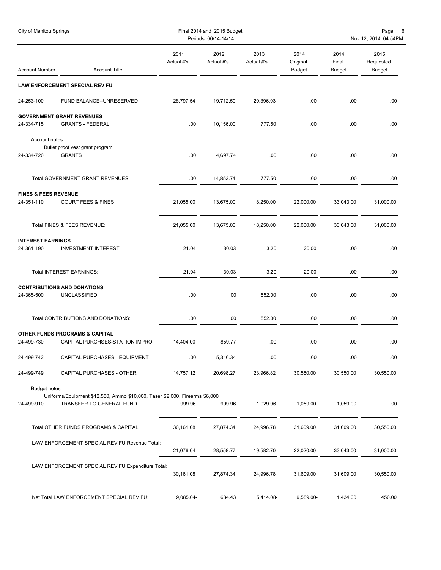| City of Manitou Springs                       |                                                                                                         |                    | Final 2014 and 2015 Budget<br>Periods: 00/14-14/14 |                    |                                   |                                | Page:<br>$\epsilon$<br>Nov 12, 2014 04:54PM |
|-----------------------------------------------|---------------------------------------------------------------------------------------------------------|--------------------|----------------------------------------------------|--------------------|-----------------------------------|--------------------------------|---------------------------------------------|
| <b>Account Number</b>                         | <b>Account Title</b>                                                                                    | 2011<br>Actual #'s | 2012<br>Actual #'s                                 | 2013<br>Actual #'s | 2014<br>Original<br><b>Budget</b> | 2014<br>Final<br><b>Budget</b> | 2015<br>Requested<br><b>Budget</b>          |
|                                               | <b>LAW ENFORCEMENT SPECIAL REV FU</b>                                                                   |                    |                                                    |                    |                                   |                                |                                             |
| 24-253-100                                    | FUND BALANCE--UNRESERVED                                                                                | 28,797.54          | 19,712.50                                          | 20,396.93          | .00                               | .00                            | .00                                         |
| 24-334-715                                    | <b>GOVERNMENT GRANT REVENUES</b><br><b>GRANTS - FEDERAL</b>                                             | .00                | 10,156.00                                          | 777.50             | .00.                              | .00                            | .00                                         |
| Account notes:<br>24-334-720                  | Bullet proof vest grant program<br><b>GRANTS</b>                                                        | .00                | 4,697.74                                           | .00                | .00                               | .00                            | .00                                         |
|                                               | Total GOVERNMENT GRANT REVENUES:                                                                        | .00                | 14,853.74                                          | 777.50             | .00                               | .00                            | .00                                         |
| <b>FINES &amp; FEES REVENUE</b><br>24-351-110 | <b>COURT FEES &amp; FINES</b>                                                                           | 21,055.00          | 13,675.00                                          | 18,250.00          | 22,000.00                         | 33,043.00                      | 31,000.00                                   |
|                                               | Total FINES & FEES REVENUE:                                                                             | 21,055.00          | 13,675.00                                          | 18,250.00          | 22,000.00                         | 33,043.00                      | 31,000.00                                   |
| <b>INTEREST EARNINGS</b><br>24-361-190        | <b>INVESTMENT INTEREST</b>                                                                              | 21.04              | 30.03                                              | 3.20               | 20.00                             | .00                            | .00.                                        |
|                                               | Total INTEREST EARNINGS:                                                                                | 21.04              | 30.03                                              | 3.20               | 20.00                             | .00                            | .00                                         |
| 24-365-500                                    | <b>CONTRIBUTIONS AND DONATIONS</b><br>UNCLASSIFIED                                                      | .00                | .00                                                | 552.00             | .00                               | .00                            | .00                                         |
|                                               | Total CONTRIBUTIONS AND DONATIONS:                                                                      | .00                | .00                                                | 552.00             | .00                               | .00                            | .00                                         |
| 24-499-730                                    | <b>OTHER FUNDS PROGRAMS &amp; CAPITAL</b><br>CAPITAL PURCHSES-STATION IMPRO                             | 14,404.00          | 859.77                                             | .00                | .00                               | .00                            | .00                                         |
| 24-499-742                                    | CAPITAL PURCHASES - EQUIPMENT                                                                           | .00                | 5,316.34                                           | .00                | .00                               | .00                            | .00                                         |
| 24-499-749                                    | CAPITAL PURCHASES - OTHER                                                                               | 14,757.12          | 20,698.27                                          | 23,966.82          | 30,550.00                         | 30,550.00                      | 30,550.00                                   |
| Budget notes:<br>24-499-910                   | Uniforms/Equipment \$12,550, Ammo \$10,000, Taser \$2,000, Firearms \$6,000<br>TRANSFER TO GENERAL FUND | 999.96             | 999.96                                             | 1,029.96           | 1,059.00                          | 1,059.00                       | .00                                         |
|                                               | Total OTHER FUNDS PROGRAMS & CAPITAL:                                                                   | 30,161.08          | 27,874.34                                          | 24,996.78          | 31,609.00                         | 31,609.00                      | 30,550.00                                   |
|                                               | LAW ENFORCEMENT SPECIAL REV FU Revenue Total:                                                           | 21,076.04          | 28,558.77                                          | 19,582.70          | 22,020.00                         | 33,043.00                      | 31,000.00                                   |
|                                               | LAW ENFORCEMENT SPECIAL REV FU Expenditure Total:                                                       | 30,161.08          | 27,874.34                                          | 24,996.78          | 31,609.00                         | 31,609.00                      | 30,550.00                                   |
|                                               | Net Total LAW ENFORCEMENT SPECIAL REV FU:                                                               | 9,085.04-          | 684.43                                             | 5,414.08-          | 9,589.00-                         | 1,434.00                       | 450.00                                      |
|                                               |                                                                                                         |                    |                                                    |                    |                                   |                                |                                             |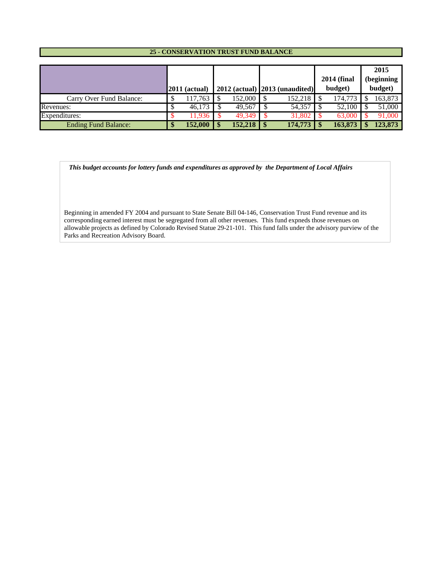#### **25 - CONSERVATION TRUST FUND BALANCE**

|                             |                 |             |                                     | <b>2014 (final</b> | 2015<br>(beginning |
|-----------------------------|-----------------|-------------|-------------------------------------|--------------------|--------------------|
|                             | $2011$ (actual) |             | $2012$ (actual) $ 2013$ (unaudited) | budget)            | budget)            |
| Carry Over Fund Balance:    | 17.763          | 152,000 \$  | 152,218                             | 174,773            | 163,873            |
| Revenues:                   | 46.173          | $49,567$ \$ | 54,357                              | 52,100             | 51,000             |
| Expenditures:               | 11,936          | 49.349      | 31.802                              | 63,000             | 91,000             |
| <b>Ending Fund Balance:</b> | 152.000         | 152,218     | 174,773                             | 163,873            | 123,873            |

 *This budget accounts for lottery funds and expenditures as approved by the Department of Local Affairs*

Beginning in amended FY 2004 and pursuant to State Senate Bill 04-146, Conservation Trust Fund revenue and its corresponding earned interest must be segregated from all other revenues. This fund expneds those revenues on allowable projects as defined by Colorado Revised Statue 29-21-101. This fund falls under the advisory purview of the Parks and Recreation Advisory Board.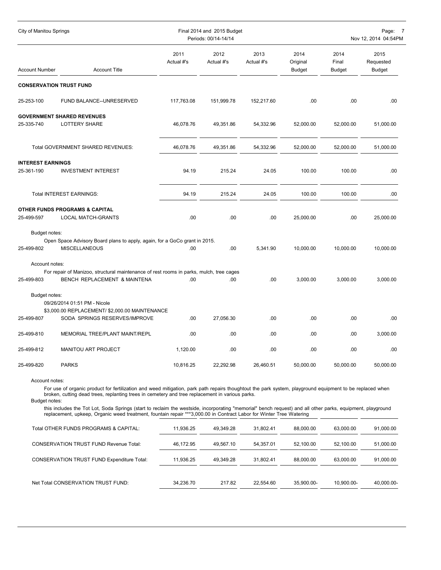| City of Manitou Springs         |                                                                                                                                                                                                                                                                                   |                    | Final 2014 and 2015 Budget<br>Periods: 00/14-14/14 |                    |                                   |                                | Page:<br>-7<br>Nov 12, 2014 04:54PM |
|---------------------------------|-----------------------------------------------------------------------------------------------------------------------------------------------------------------------------------------------------------------------------------------------------------------------------------|--------------------|----------------------------------------------------|--------------------|-----------------------------------|--------------------------------|-------------------------------------|
| <b>Account Number</b>           | <b>Account Title</b>                                                                                                                                                                                                                                                              | 2011<br>Actual #'s | 2012<br>Actual #'s                                 | 2013<br>Actual #'s | 2014<br>Original<br><b>Budget</b> | 2014<br>Final<br><b>Budget</b> | 2015<br>Requested<br>Budget         |
| <b>CONSERVATION TRUST FUND</b>  |                                                                                                                                                                                                                                                                                   |                    |                                                    |                    |                                   |                                |                                     |
| 25-253-100                      | FUND BALANCE--UNRESERVED                                                                                                                                                                                                                                                          | 117,763.08         | 151,999.78                                         | 152,217.60         | .00.                              | .00                            | .00.                                |
|                                 | <b>GOVERNMENT SHARED REVENUES</b>                                                                                                                                                                                                                                                 |                    |                                                    |                    |                                   |                                |                                     |
| 25-335-740                      | LOTTERY SHARE                                                                                                                                                                                                                                                                     | 46,078.76          | 49,351.86                                          | 54,332.96          | 52,000.00                         | 52,000.00                      | 51,000.00                           |
|                                 | Total GOVERNMENT SHARED REVENUES:                                                                                                                                                                                                                                                 | 46,078.76          | 49,351.86                                          | 54,332.96          | 52,000.00                         | 52,000.00                      | 51,000.00                           |
| <b>INTEREST EARNINGS</b>        |                                                                                                                                                                                                                                                                                   |                    |                                                    |                    |                                   |                                |                                     |
| 25-361-190                      | <b>INVESTMENT INTEREST</b>                                                                                                                                                                                                                                                        | 94.19              | 215.24                                             | 24.05              | 100.00                            | 100.00                         | .00.                                |
|                                 | Total INTEREST EARNINGS:                                                                                                                                                                                                                                                          | 94.19              | 215.24                                             | 24.05              | 100.00                            | 100.00                         | .00                                 |
| 25-499-597                      | <b>OTHER FUNDS PROGRAMS &amp; CAPITAL</b><br>LOCAL MATCH-GRANTS                                                                                                                                                                                                                   | .00                | .00                                                | .00                | 25,000.00                         | .00                            | 25,000.00                           |
| Budget notes:                   |                                                                                                                                                                                                                                                                                   |                    |                                                    |                    |                                   |                                |                                     |
| 25-499-802                      | Open Space Advisory Board plans to apply, again, for a GoCo grant in 2015.<br><b>MISCELLANEOUS</b>                                                                                                                                                                                | .00                | .00                                                | 5,341.90           | 10,000.00                         | 10,000.00                      | 10,000.00                           |
| Account notes:                  |                                                                                                                                                                                                                                                                                   |                    |                                                    |                    |                                   |                                |                                     |
| 25-499-803                      | For repair of Manizoo, structural maintenance of rest rooms in parks, mulch, tree cages<br>BENCH REPLACEMENT & MAINTENA                                                                                                                                                           | .00.               | .00                                                | .00                | 3,000.00                          | 3,000.00                       | 3,000.00                            |
| Budget notes:                   |                                                                                                                                                                                                                                                                                   |                    |                                                    |                    |                                   |                                |                                     |
|                                 | 09/26/2014 01:51 PM - Nicole                                                                                                                                                                                                                                                      |                    |                                                    |                    |                                   |                                |                                     |
|                                 | \$3,000.00 REPLACEMENT/ \$2,000.00 MAINTENANCE                                                                                                                                                                                                                                    |                    |                                                    |                    |                                   |                                |                                     |
| 25-499-807                      | SODA SPRINGS RESERVES/IMPROVE                                                                                                                                                                                                                                                     | .00.               | 27,056.30                                          | .00                | .00.                              | .00                            | .00                                 |
| 25-499-810                      | MEMORIAL TREE/PLANT MAINT/REPL                                                                                                                                                                                                                                                    | .00                | .00                                                | .00                | .00                               | .00                            | 3,000.00                            |
| 25-499-812                      | MANITOU ART PROJECT                                                                                                                                                                                                                                                               | 1,120.00           | .00                                                | .00                | .00                               | .00                            | .00                                 |
| 25-499-820                      | <b>PARKS</b>                                                                                                                                                                                                                                                                      | 10,816.25          | 22,292.98                                          | 26,460.51          | 50,000.00                         | 50,000.00                      | 50,000.00                           |
| Account notes:<br>Budget notes: | For use of organic product for fertilization and weed mitigation, park path repairs thoughtout the park system, playground equipment to be replaced when<br>broken, cutting dead trees, replanting trees in cemetery and tree replacement in various parks.                       |                    |                                                    |                    |                                   |                                |                                     |
|                                 | this includes the Tot Lot, Soda Springs (start to reclaim the westside, incorporating "memorial" bench request) and all other parks, equipment, playground<br>replacement, upkeep, Organic weed treatment, fountain repair ***3,000.00 in Contract Labor for Winter Tree Watering |                    |                                                    |                    |                                   |                                |                                     |
|                                 | Total OTHER FUNDS PROGRAMS & CAPITAL:                                                                                                                                                                                                                                             | 11,936.25          | 49,349.28                                          | 31,802.41          | 88,000.00                         | 63,000.00                      | 91,000.00                           |
|                                 | <b>CONSERVATION TRUST FUND Revenue Total:</b>                                                                                                                                                                                                                                     | 46,172.95          | 49,567.10                                          | 54,357.01          | 52,100.00                         | 52,100.00                      | 51,000.00                           |
|                                 | <b>CONSERVATION TRUST FUND Expenditure Total:</b>                                                                                                                                                                                                                                 | 11,936.25          | 49,349.28                                          | 31,802.41          | 88,000.00                         | 63,000.00                      | 91,000.00                           |
|                                 | Net Total CONSERVATION TRUST FUND:                                                                                                                                                                                                                                                | 34,236.70          | 217.82                                             | 22,554.60          | 35,900.00-                        | 10,900.00-                     | 40,000.00-                          |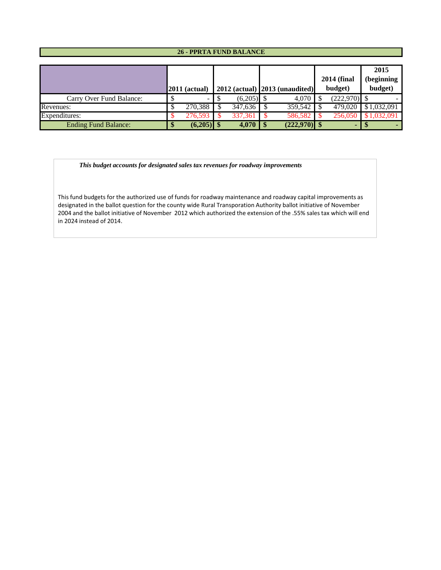## **26 - PPRTA FUND BALANCE**

|                             | $\sqrt{2011}$ (actual) |              | $2012$ (actual) $ 2013$ (unaudited) | <b>2014 (final</b><br>budget) | 2015<br>(beginning<br>budget) |
|-----------------------------|------------------------|--------------|-------------------------------------|-------------------------------|-------------------------------|
| Carry Over Fund Balance:    |                        | $(6,205)$ \$ | 4.070                               | $(222,970)$ \$                |                               |
| Revenues:                   | 270,388                | 347,636      | $359,542$                           | 479,020                       | \$1,032,091                   |
| Expenditures:               | 276.593                | 337.361      | 586,582                             | 256,050                       | 1.032.091                     |
| <b>Ending Fund Balance:</b> | $(6,205)$ \$           | 4,070        | $(222,970)$ \$                      |                               |                               |

 *This budget accounts for designated sales tax revenues for roadway improvements*

This fund budgets for the authorized use of funds for roadway maintenance and roadway capital improvements as designated in the ballot question for the county wide Rural Transporation Authority ballot initiative of November 2004 and the ballot initiative of November 2012 which authorized the extension of the .55% sales tax which will end in 2024 instead of 2014.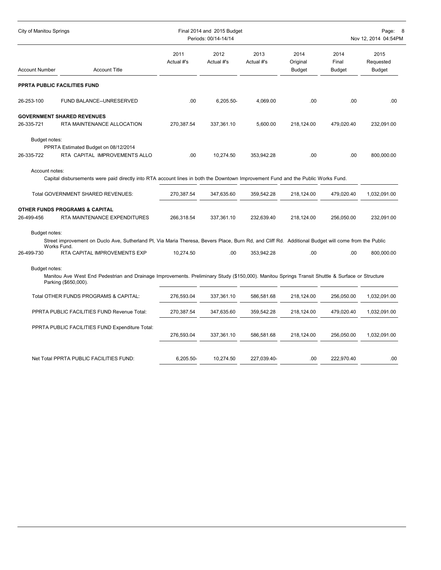| <b>City of Manitou Springs</b> |                                                                                                                                                                          |                    | Final 2014 and 2015 Budget<br>Periods: 00/14-14/14 |                    |                                   |                                | Page:<br>- 8<br>Nov 12, 2014 04:54PM |
|--------------------------------|--------------------------------------------------------------------------------------------------------------------------------------------------------------------------|--------------------|----------------------------------------------------|--------------------|-----------------------------------|--------------------------------|--------------------------------------|
| <b>Account Number</b>          | <b>Account Title</b>                                                                                                                                                     | 2011<br>Actual #'s | 2012<br>Actual #'s                                 | 2013<br>Actual #'s | 2014<br>Original<br><b>Budget</b> | 2014<br>Final<br><b>Budget</b> | 2015<br>Requested<br><b>Budget</b>   |
|                                | PPRTA PUBLIC FACILITIES FUND                                                                                                                                             |                    |                                                    |                    |                                   |                                |                                      |
| 26-253-100                     | FUND BALANCE--UNRESERVED                                                                                                                                                 | .00                | 6,205.50-                                          | 4,069.00           | .00                               | .00                            | .00                                  |
|                                | <b>GOVERNMENT SHARED REVENUES</b>                                                                                                                                        |                    |                                                    |                    |                                   |                                |                                      |
| 26-335-721                     | RTA MAINTENANCE ALLOCATION                                                                                                                                               | 270,387.54         | 337,361.10                                         | 5,600.00           | 218,124.00                        | 479,020.40                     | 232,091.00                           |
| Budget notes:<br>26-335-722    | PPRTA Estimated Budget on 08/12/2014<br>RTA CAPITAL IMPROVEMENTS ALLO                                                                                                    | .00                | 10,274.50                                          | 353,942.28         | .00.                              | .00                            | 800,000.00                           |
| Account notes:                 | Capital disbursements were paid directly into RTA account lines in both the Downtown Improvement Fund and the Public Works Fund.                                         |                    |                                                    |                    |                                   |                                |                                      |
|                                | Total GOVERNMENT SHARED REVENUES:                                                                                                                                        | 270,387.54         | 347,635.60                                         | 359,542.28         | 218,124.00                        | 479,020.40                     | 1,032,091.00                         |
|                                | OTHER FUNDS PROGRAMS & CAPITAL                                                                                                                                           |                    |                                                    |                    |                                   |                                |                                      |
| 26-499-456                     | RTA MAINTENANCE EXPENDITURES                                                                                                                                             | 266,318.54         | 337,361.10                                         | 232,639.40         | 218,124.00                        | 256,050.00                     | 232,091.00                           |
| Budget notes:                  | Street improvement on Duclo Ave, Sutherland Pl, Via Maria Theresa, Bevers Place, Burn Rd, and Cliff Rd. Additional Budget will come from the Public<br>Works Fund.       |                    |                                                    |                    |                                   |                                |                                      |
| 26-499-730                     | RTA CAPITAL IMPROVEMENTS EXP                                                                                                                                             | 10,274.50          | .00.                                               | 353,942.28         | .00                               | .00                            | 800,000.00                           |
| Budget notes:                  | Manitou Ave West End Pedestrian and Drainage Improvements. Preliminary Study (\$150,000). Manitou Springs Transit Shuttle & Surface or Structure<br>Parking (\$650,000). |                    |                                                    |                    |                                   |                                |                                      |
|                                | Total OTHER FUNDS PROGRAMS & CAPITAL:                                                                                                                                    | 276,593.04         | 337,361.10                                         | 586,581.68         | 218,124.00                        | 256,050.00                     | 1,032,091.00                         |
|                                | PPRTA PUBLIC FACILITIES FUND Revenue Total:                                                                                                                              | 270,387.54         | 347,635.60                                         | 359,542.28         | 218,124.00                        | 479,020.40                     | 1,032,091.00                         |
|                                | PPRTA PUBLIC FACILITIES FUND Expenditure Total:                                                                                                                          | 276,593.04         | 337,361.10                                         | 586,581.68         | 218,124.00                        | 256,050.00                     | 1,032,091.00                         |
|                                | Net Total PPRTA PUBLIC FACILITIES FUND:                                                                                                                                  | 6,205.50-          | 10,274.50                                          | 227,039.40-        | .00.                              | 222,970.40                     | .00                                  |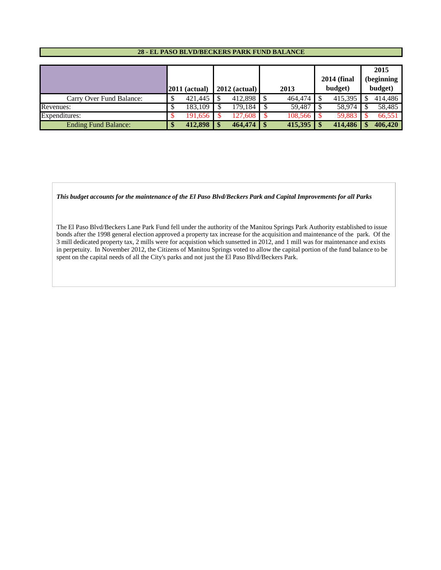#### **28 - EL PASO BLVD/BECKERS PARK FUND BALANCE**

|                             |                 |                 |      |         |                    | 2015       |
|-----------------------------|-----------------|-----------------|------|---------|--------------------|------------|
|                             |                 |                 |      |         | <b>2014 (final</b> | (beginning |
|                             | $2011$ (actual) | $2012$ (actual) |      | 2013    | budget)            | budget)    |
| Carry Over Fund Balance:    | 421,445         | 412,898         |      | 464,474 | 415,395            | 414,486    |
| Revenues:                   | 183.109         | 179.184         |      | 59,487  | 58.974             | 58.485     |
| Expenditures:               | 191.656         | 127.608         |      | 108,566 | 59.883             | 66,551     |
| <b>Ending Fund Balance:</b> | 412,898         | 464,474         | - \$ | 415,395 | 414,486            | 406,420    |

*This budget accounts for the maintenance of the El Paso Blvd/Beckers Park and Capital Improvements for all Parks*

The El Paso Blvd/Beckers Lane Park Fund fell under the authority of the Manitou Springs Park Authority established to issue bonds after the 1998 general election approved a property tax increase for the acquisition and maintenance of the park. Of the 3 mill dedicated property tax, 2 mills were for acquistion which sunsetted in 2012, and 1 mill was for maintenance and exists in perpetuity. In November 2012, the Citizens of Manitou Springs voted to allow the capital portion of the fund balance to be spent on the capital needs of all the City's parks and not just the El Paso Blvd/Beckers Park.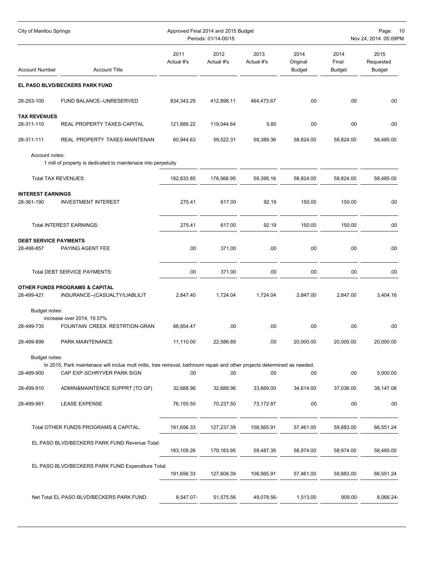| City of Manitou Springs                    |                                                                                                                         |                    | Approved Final 2014 and 2015 Budget<br>Periods: 01/14-00/15 |                    |                                   |                                | Page:<br>-10<br>Nov 24, 2014 05:09PM |
|--------------------------------------------|-------------------------------------------------------------------------------------------------------------------------|--------------------|-------------------------------------------------------------|--------------------|-----------------------------------|--------------------------------|--------------------------------------|
| <b>Account Number</b>                      | <b>Account Title</b>                                                                                                    | 2011<br>Actual #'s | 2012<br>Actual #'s                                          | 2013<br>Actual #'s | 2014<br>Original<br><b>Budget</b> | 2014<br>Final<br><b>Budget</b> | 2015<br>Requested<br>Budget          |
|                                            | EL PASO BLVD/BECKERS PARK FUND                                                                                          |                    |                                                             |                    |                                   |                                |                                      |
| 28-253-100                                 | FUND BALANCE--UNRESERVED                                                                                                | 834, 343. 29       | 412,898.11                                                  | 464,473.67         | .00                               | .00                            | .00                                  |
| <b>TAX REVENUES</b><br>28-311-110          | REAL PROPERTY TAXES-CAPITAL                                                                                             | 121,889.22         | 119,044.64                                                  | 5.80               | .00                               | .00                            | .00.                                 |
| 28-311-111                                 | REAL PROPERTY TAXES-MAINTENAN                                                                                           | 60,944.63          | 59,522.31                                                   | 59,389.36          | 58,824.00                         | 58,824.00                      | 58,485.00                            |
| Account notes:                             | 1 mill of property is dedicated to maintenace into perpetuity                                                           |                    |                                                             |                    |                                   |                                |                                      |
|                                            | <b>Total TAX REVENUES:</b>                                                                                              | 182,833.85         | 178,566.95                                                  | 59,395.16          | 58,824.00                         | 58,824.00                      | 58,485.00                            |
| <b>INTEREST EARNINGS</b><br>28-361-190     | <b>INVESTMENT INTEREST</b>                                                                                              | 275.41             | 617.00                                                      | 92.19              | 150.00                            | 150.00                         | .00.                                 |
|                                            | Total INTEREST EARNINGS:                                                                                                | 275.41             | 617.00                                                      | 92.19              | 150.00                            | 150.00                         | .00                                  |
| <b>DEBT SERVICE PAYMENTS</b><br>28-498-857 | PAYING AGENT FEE                                                                                                        | .00                | 371.00                                                      | .00                | .00                               | .00                            | .00                                  |
|                                            | Total DEBT SERVICE PAYMENTS:                                                                                            | .00                | 371.00                                                      | .00                | .00                               | .00                            | .00                                  |
| 28-499-421                                 | <b>OTHER FUNDS PROGRAMS &amp; CAPITAL</b><br>INSURANCE--(CASUALTY/LIABLILIT                                             | 2,847.40           | 1,724.04                                                    | 1,724.04           | 2,847.00                          | 2,847.00                       | 3,404.16                             |
| Budget notes:<br>28-499-735                | increase over 2014, 19.57%<br>FOUNTAIN CREEK RESTRTION-GRAN                                                             | 68,854.47          | .00                                                         | .00                | .00                               | .00                            | .00                                  |
| 28-499-899                                 | PARK MAINTENANCE                                                                                                        | 11,110.00          | 22,586.89                                                   | .00                | 20,000.00                         | 20,000.00                      | 20,000.00                            |
| Budget notes:                              | In 2015, Park maintenace will inclue mutt mitts, tree removal, bathroom repair and other projects determined as needed. |                    |                                                             |                    |                                   |                                |                                      |
| 28-499-900                                 | CAP EXP-SCHRYVER PARK SIGN                                                                                              | .00                | .00                                                         | .00                | .00                               | .00                            | 5,000.00                             |
| 28-499-910                                 | ADMIN&MAINTENCE SUPPRT (TO GF)                                                                                          | 32,688.96          | 32,688.96                                                   | 33,669.00          | 34,614.00                         | 37,036.00                      | 38,147.08                            |
| 28-499-961                                 | <b>LEASE EXPENSE</b>                                                                                                    | 76,155.50          | 70,237.50                                                   | 73,172.87          | .00                               | .00                            | .00                                  |
|                                            | Total OTHER FUNDS PROGRAMS & CAPITAL:                                                                                   | 191,656.33         | 127,237.39                                                  | 108,565.91         | 57,461.00                         | 59,883.00                      | 66,551.24                            |
|                                            | EL PASO BLVD/BECKERS PARK FUND Revenue Total:                                                                           | 183,109.26         | 179,183.95                                                  | 59,487.35          | 58,974.00                         | 58,974.00                      | 58,485.00                            |
|                                            | EL PASO BLVD/BECKERS PARK FUND Expenditure Total:                                                                       | 191,656.33         | 127,608.39                                                  | 108,565.91         | 57,461.00                         | 59,883.00                      | 66,551.24                            |
|                                            | Net Total EL PASO BLVD/BECKERS PARK FUND:                                                                               | 8,547.07-          | 51,575.56                                                   | 49,078.56-         | 1,513.00                          | 909.00-                        | 8,066.24-                            |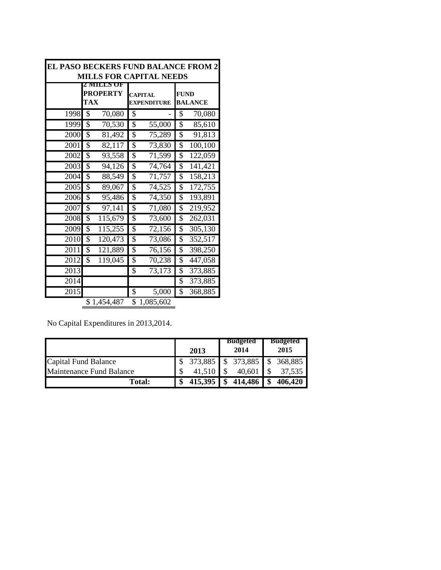| EL PASO BECKERS FUND BALANCE FROM 2 |                                  |                                      |                        |  |  |  |  |
|-------------------------------------|----------------------------------|--------------------------------------|------------------------|--|--|--|--|
|                                     |                                  | <b>MILLS FOR CAPITAL NEEDS</b>       |                        |  |  |  |  |
|                                     | LLS UF<br><b>PROPERTY</b><br>TAX | <b>CAPITAL</b><br><b>EXPENDITURE</b> | FUND<br><b>BALANCE</b> |  |  |  |  |
| 1998                                | \$<br>70,080                     | \$                                   | 70,080<br>\$           |  |  |  |  |
| 1999                                | \$                               | \$                                   | \$                     |  |  |  |  |
|                                     | 70,530                           | 55,000                               | 85,610                 |  |  |  |  |
| 2000                                | \$                               | \$                                   | \$                     |  |  |  |  |
|                                     | 81,492                           | 75,289                               | 91,813                 |  |  |  |  |
| 2001                                | \$                               | \$                                   | \$                     |  |  |  |  |
|                                     | 82,117                           | 73,830                               | 100,100                |  |  |  |  |
| 2002                                | \$                               | \$                                   | \$                     |  |  |  |  |
|                                     | 93,558                           | 71,599                               | $\overline{1}22,059$   |  |  |  |  |
| 2003                                | \$                               | \$                                   | \$                     |  |  |  |  |
|                                     | 94,126                           | 74,764                               | 141,421                |  |  |  |  |
| 2004                                | \$                               | \$                                   | \$                     |  |  |  |  |
|                                     | 88,549                           | 71,757                               | 158,213                |  |  |  |  |
| 2005                                | \$                               | \$                                   | \$                     |  |  |  |  |
|                                     | 89,067                           | 74,525                               | 172,755                |  |  |  |  |
| 2006                                | \$                               | $\overline{7}4,350$                  | \$                     |  |  |  |  |
|                                     | 95,486                           | \$                                   | 193,891                |  |  |  |  |
| 2007                                | \$                               | \$                                   | \$                     |  |  |  |  |
|                                     | 97,141                           | 71,080                               | 219,952                |  |  |  |  |
| 2008                                | \$                               | \$                                   | \$                     |  |  |  |  |
|                                     | 115,679                          | 73,600                               | 262,031                |  |  |  |  |
| 2009                                | \$                               | \$                                   | \$                     |  |  |  |  |
|                                     | 115,255                          | 72,156                               | 305,130                |  |  |  |  |
| 2010                                | 120,473                          | \$                                   | 352,517                |  |  |  |  |
|                                     | \$                               | 73,086                               | \$                     |  |  |  |  |
| 2011                                | \$                               | \$                                   | \$                     |  |  |  |  |
|                                     | 121,889                          | 76,156                               | 398,250                |  |  |  |  |
| 2012                                | \$                               | \$                                   | \$                     |  |  |  |  |
|                                     | 119,045                          | 70,238                               | 447,058                |  |  |  |  |
| 2013                                |                                  | \$<br>73,173                         | \$<br>373,885          |  |  |  |  |
| 2014                                |                                  |                                      | \$<br>373,885          |  |  |  |  |
| 2015                                |                                  | 5,000<br>\$                          | \$<br>368,885          |  |  |  |  |
|                                     | \$1,454,487                      | \$<br>1,085,602                      |                        |  |  |  |  |

No Capital Expenditures in 2013,2014.

|                          | 2013               | <b>Budgeted</b><br>2014 | Budgeted<br>2015 |
|--------------------------|--------------------|-------------------------|------------------|
| Capital Fund Balance     | 373,885 \$ 373,885 |                         | 368,885          |
| Maintenance Fund Balance | 41,510             | 40,601                  | 37,535           |
| <b>Total:</b>            | $415,395$          | \$<br>414,486           | 406,420          |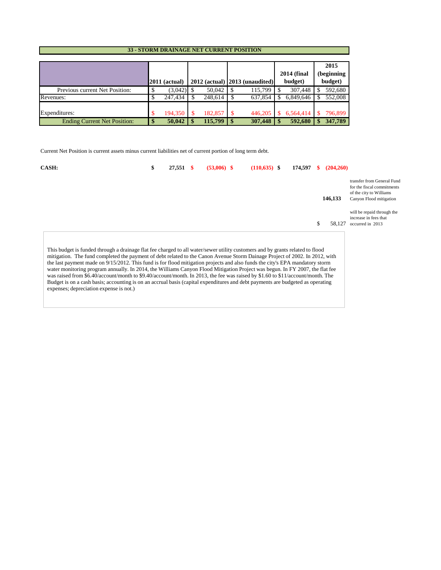#### **33 - STORM DRAINAGE NET CURRENT POSITION**

|                                     | $2011$ (actual) |         |      | $2012$ (actual) $ 2013$ (unaudited) | <b>2014 (final</b><br>budget) | 2015<br>(beginning)<br>budget) |
|-------------------------------------|-----------------|---------|------|-------------------------------------|-------------------------------|--------------------------------|
| Previous current Net Position:      | (3,042)         | 50,042  |      | 115,799                             | 307,448                       | 592,680                        |
| Revenues:                           | 247.434         | 248.614 |      | 637,854                             | 6,849,646                     | 552,008                        |
| Expenditures:                       | 194.350         | 182,857 |      | 446,205                             | 6,564,414                     | 796,899                        |
| <b>Ending Current Net Position:</b> | \$<br>50.042    | 115,799 | l \$ | 307,448                             | 592,680                       | 347,789                        |

Current Net Position is current assets minus current liabilities net of current portion of long term debt.

| CASH:                                                                                                                                                                                                                                                                                                                                                                                                                                                                                                                                                                                                                                                                                                                                                                                                                                       | S | 27,551 | $(53,006)$ \$ | $(110, 635)$ \$ | 174.597 | (204, 260)   |                                                                                                                |
|---------------------------------------------------------------------------------------------------------------------------------------------------------------------------------------------------------------------------------------------------------------------------------------------------------------------------------------------------------------------------------------------------------------------------------------------------------------------------------------------------------------------------------------------------------------------------------------------------------------------------------------------------------------------------------------------------------------------------------------------------------------------------------------------------------------------------------------------|---|--------|---------------|-----------------|---------|--------------|----------------------------------------------------------------------------------------------------------------|
|                                                                                                                                                                                                                                                                                                                                                                                                                                                                                                                                                                                                                                                                                                                                                                                                                                             |   |        |               |                 |         | 146,133      | transfer from General Fund<br>for the fiscal commitments<br>of the city to Williams<br>Canyon Flood mitigation |
|                                                                                                                                                                                                                                                                                                                                                                                                                                                                                                                                                                                                                                                                                                                                                                                                                                             |   |        |               |                 |         | \$<br>58,127 | will be repaid through the<br>increase in fees that<br>occurred in 2013                                        |
| This budget is funded through a drainage flat fee charged to all water/sewer utility customers and by grants related to flood<br>mitigation. The fund completed the payment of debt related to the Canon Avenue Storm Dainage Project of 2002. In 2012, with<br>the last payment made on 9/15/2012. This fund is for flood mitigation projects and also funds the city's EPA mandatory storm<br>water monitoring program annually. In 2014, the Williams Canyon Flood Mitigation Project was begun. In FY 2007, the flat fee<br>was raised from \$6.40/account/month to \$9.40/account/month. In 2013, the fee was raised by \$1.60 to \$11/account/month. The<br>Budget is on a cash basis; accounting is on an accrual basis (capital expenditures and debt payments are budgeted as operating<br>expenses; depreciation expense is not.) |   |        |               |                 |         |              |                                                                                                                |

<u> 1980 - Johann Barbara, martxa alemaniar a</u>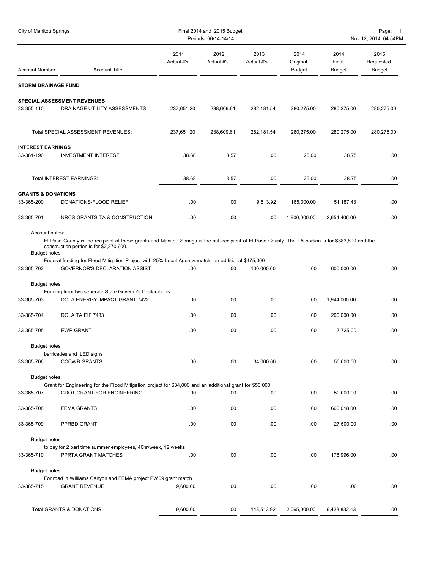| City of Manitou Springs                |                                                                                                                                                                                                 |                    | Final 2014 and 2015 Budget<br>Periods: 00/14-14/14 |                    | Page: 11<br>Nov 12, 2014 04:54PM  |                                |                                    |  |
|----------------------------------------|-------------------------------------------------------------------------------------------------------------------------------------------------------------------------------------------------|--------------------|----------------------------------------------------|--------------------|-----------------------------------|--------------------------------|------------------------------------|--|
| <b>Account Number</b>                  | <b>Account Title</b>                                                                                                                                                                            | 2011<br>Actual #'s | 2012<br>Actual #'s                                 | 2013<br>Actual #'s | 2014<br>Original<br><b>Budget</b> | 2014<br>Final<br><b>Budget</b> | 2015<br>Requested<br><b>Budget</b> |  |
| <b>STORM DRAINAGE FUND</b>             |                                                                                                                                                                                                 |                    |                                                    |                    |                                   |                                |                                    |  |
|                                        | SPECIAL ASSESSMENT REVENUES                                                                                                                                                                     |                    |                                                    |                    |                                   |                                |                                    |  |
| 33-355-110                             | DRAINAGE UTILITY ASSESSMENTS                                                                                                                                                                    | 237,651.20         | 238,609.61                                         | 282,181.54         | 280,275.00                        | 280,275.00                     | 280,275.00                         |  |
|                                        | Total SPECIAL ASSESSMENT REVENUES:                                                                                                                                                              | 237,651.20         | 238,609.61                                         | 282,181.54         | 280,275.00                        | 280,275.00                     | 280,275.00                         |  |
| <b>INTEREST EARNINGS</b><br>33-361-190 | <b>INVESTMENT INTEREST</b>                                                                                                                                                                      | 38.68              | 3.57                                               | .00                | 25.00                             | 38.75                          | .00                                |  |
|                                        | <b>Total INTEREST EARNINGS:</b>                                                                                                                                                                 | 38.68              | 3.57                                               | .00                | 25.00                             | 38.75                          | .00                                |  |
| <b>GRANTS &amp; DONATIONS</b>          |                                                                                                                                                                                                 |                    |                                                    |                    |                                   |                                |                                    |  |
| 33-365-200                             | DONATIONS-FLOOD RELIEF                                                                                                                                                                          | .00                | .00                                                | 9,513.92           | 165,000.00                        | 51,187.43                      | .00                                |  |
| 33-365-701                             | NRCS GRANTS-TA & CONSTRUCTION                                                                                                                                                                   | .00                | .00                                                | .00                | 1,900,000.00                      | 2,654,406.00                   | .00                                |  |
| Account notes:<br>Budget notes:        | El Paso County is the recipient of these grants and Manitou Springs is the sub-recipient of El Paso County. The TA portion is for \$383,800 and the<br>construction portion is for \$2,270,600. |                    |                                                    |                    |                                   |                                |                                    |  |
| 33-365-702                             | Federal funding for Flood Mitigation Project with 25% Local Agency match, an additional \$475,000<br>GOVERNOR'S DECLARATION ASSIST                                                              | .00                | .00                                                | 100,000.00         | .00                               | 600,000.00                     | .00                                |  |
| Budget notes:                          |                                                                                                                                                                                                 |                    |                                                    |                    |                                   |                                |                                    |  |
|                                        | Funding from two seperate State Govenor's Declarations.                                                                                                                                         |                    |                                                    |                    |                                   |                                |                                    |  |
| 33-365-703                             | DOLA ENERGY IMPACT GRANT 7422                                                                                                                                                                   | .00                | .00                                                | .00                | .00                               | 1,944,000.00                   | .00                                |  |
| 33-365-704                             | DOLA TA EIF 7433                                                                                                                                                                                | .00                | .00                                                | .00                | .00                               | 200,000.00                     | .00                                |  |
| 33-365-705                             | <b>EWP GRANT</b>                                                                                                                                                                                | .00                | .00                                                | .00                | .00                               | 7,725.00                       | .00                                |  |
| Budget notes:                          |                                                                                                                                                                                                 |                    |                                                    |                    |                                   |                                |                                    |  |
| 33-365-706                             | barricades and LED signs<br><b>CCCWB GRANTS</b>                                                                                                                                                 | .00                | .00                                                | 34,000.00          | .00                               | 50,000.00                      | .00                                |  |
| Budget notes:                          |                                                                                                                                                                                                 |                    |                                                    |                    |                                   |                                |                                    |  |
|                                        | Grant for Engineering for the Flood Mitigation project for \$34,000 and an additional grant for \$50,000.                                                                                       |                    |                                                    |                    |                                   |                                |                                    |  |
| 33-365-707                             | CDOT GRANT FOR ENGINEERING                                                                                                                                                                      | .00                | .00                                                | .00                | .00                               | 50,000.00                      | .00                                |  |
| 33-365-708                             | <b>FEMA GRANTS</b>                                                                                                                                                                              | .00                | .00                                                | .00                | .00                               | 660,018.00                     | .00                                |  |
| 33-365-709                             | PPRBD GRANT                                                                                                                                                                                     | .00                | .00                                                | .00                | .00                               | 27,500.00                      | .00                                |  |
| Budget notes:                          |                                                                                                                                                                                                 |                    |                                                    |                    |                                   |                                |                                    |  |
| 33-365-710                             | to pay for 2 part time summer employees, 40hr/week, 12 weeks<br>PPRTA GRANT MATCHES                                                                                                             | .00                | .00                                                | .00                | .00                               | 178,996.00                     | .00                                |  |
| Budget notes:                          |                                                                                                                                                                                                 |                    |                                                    |                    |                                   |                                |                                    |  |
|                                        | For road in Williams Canyon and FEMA project PW09 grant match                                                                                                                                   |                    |                                                    |                    |                                   |                                |                                    |  |
| 33-365-715                             | <b>GRANT REVENUE</b>                                                                                                                                                                            | 9,600.00           | .00                                                | .00                | .00                               | .00                            | .00                                |  |
|                                        | Total GRANTS & DONATIONS:                                                                                                                                                                       | 9,600.00           | .00                                                | 143,513.92         | 2,065,000.00                      | 6,423,832.43                   | .00                                |  |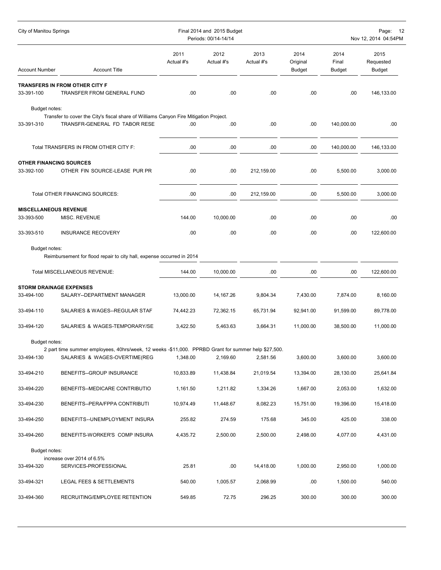| City of Manitou Springs        |                                                                                                                        |                    | Final 2014 and 2015 Budget<br>Periods: 00/14-14/14 |                    |                                   |                                | Page: 12<br>Nov 12, 2014 04:54PM   |
|--------------------------------|------------------------------------------------------------------------------------------------------------------------|--------------------|----------------------------------------------------|--------------------|-----------------------------------|--------------------------------|------------------------------------|
| <b>Account Number</b>          | <b>Account Title</b>                                                                                                   | 2011<br>Actual #'s | 2012<br>Actual #'s                                 | 2013<br>Actual #'s | 2014<br>Original<br><b>Budget</b> | 2014<br>Final<br><b>Budget</b> | 2015<br>Requested<br><b>Budget</b> |
|                                | <b>TRANSFERS IN FROM OTHER CITY F</b>                                                                                  |                    |                                                    |                    |                                   |                                |                                    |
| 33-391-100                     | TRANSFER FROM GENERAL FUND                                                                                             | .00                | .00                                                | .00.               | .00                               | .00                            | 146,133.00                         |
| Budget notes:<br>33-391-310    | Transfer to cover the City's fiscal share of Williams Canyon Fire Mitigation Project.<br>TRANSFR-GENERAL FD TABOR RESE | .00                | .00                                                | .00.               | .00                               | 140,000.00                     | .00                                |
|                                | Total TRANSFERS IN FROM OTHER CITY F:                                                                                  | .00                | .00                                                | .00                | .00.                              | 140,000.00                     | 146,133.00                         |
| <b>OTHER FINANCING SOURCES</b> |                                                                                                                        |                    |                                                    |                    |                                   |                                |                                    |
| 33-392-100                     | OTHER FIN SOURCE-LEASE PUR PR                                                                                          | .00                | .00                                                | 212,159.00         | .00.                              | 5,500.00                       | 3,000.00                           |
|                                | <b>Total OTHER FINANCING SOURCES:</b>                                                                                  | .00                | .00                                                | 212,159.00         | .00                               | 5,500.00                       | 3,000.00                           |
| <b>MISCELLANEOUS REVENUE</b>   |                                                                                                                        |                    |                                                    |                    |                                   |                                |                                    |
| 33-393-500                     | MISC. REVENUE                                                                                                          | 144.00             | 10,000.00                                          | .00.               | .00                               | .00                            | .00                                |
| 33-393-510                     | <b>INSURANCE RECOVERY</b>                                                                                              | .00                | .00                                                | .00.               | .00.                              | .00                            | 122,600.00                         |
| Budget notes:                  |                                                                                                                        |                    |                                                    |                    |                                   |                                |                                    |
|                                | Reimbursement for flood repair to city hall, expense occurred in 2014                                                  |                    |                                                    |                    |                                   |                                |                                    |
|                                | Total MISCELLANEOUS REVENUE:                                                                                           | 144.00             | 10,000.00                                          | .00.               | .00                               | .00                            | 122,600.00                         |
| <b>STORM DRAINAGE EXPENSES</b> |                                                                                                                        |                    |                                                    |                    |                                   |                                |                                    |
| 33-494-100                     | SALARY--DEPARTMENT MANAGER                                                                                             | 13,000.00          | 14,167.26                                          | 9,804.34           | 7,430.00                          | 7,874.00                       | 8,160.00                           |
| 33-494-110                     | SALARIES & WAGES--REGULAR STAF                                                                                         | 74,442.23          | 72,362.15                                          | 65,731.94          | 92,941.00                         | 91,599.00                      | 89,778.00                          |
| 33-494-120                     | SALARIES & WAGES-TEMPORARY/SE                                                                                          | 3,422.50           | 5,463.63                                           | 3,664.31           | 11,000.00                         | 38,500.00                      | 11,000.00                          |
| Budget notes:                  |                                                                                                                        |                    |                                                    |                    |                                   |                                |                                    |
|                                | 2 part time summer employees, 40hrs/week, 12 weeks -\$11,000. PPRBD Grant for summer help \$27,500.                    |                    |                                                    |                    |                                   |                                |                                    |
| 33-494-130                     | SALARIES & WAGES-OVERTIME(REG                                                                                          | 1,348.00           | 2,169.60                                           | 2,581.56           | 3,600.00                          | 3,600.00                       | 3,600.00                           |
| 33-494-210                     | BENEFITS--GROUP INSURANCE                                                                                              | 10,833.89          | 11,438.84                                          | 21,019.54          | 13,394.00                         | 28,130.00                      | 25,641.84                          |
| 33-494-220                     | BENEFITS--MEDICARE CONTRIBUTIO                                                                                         | 1,161.50           | 1,211.82                                           | 1,334.26           | 1,667.00                          | 2,053.00                       | 1,632.00                           |
| 33-494-230                     | BENEFITS--PERA/FPPA CONTRIBUTI                                                                                         | 10,974.49          | 11,448.67                                          | 8,082.23           | 15,751.00                         | 19,396.00                      | 15,418.00                          |
| 33-494-250                     | BENEFITS--UNEMPLOYMENT INSURA                                                                                          | 255.82             | 274.59                                             | 175.68             | 345.00                            | 425.00                         | 338.00                             |
| 33-494-260                     | BENEFITS-WORKER'S COMP INSURA                                                                                          | 4,435.72           | 2,500.00                                           | 2,500.00           | 2,498.00                          | 4,077.00                       | 4,431.00                           |
| Budget notes:                  |                                                                                                                        |                    |                                                    |                    |                                   |                                |                                    |
| 33-494-320                     | increase over 2014 of 6.5%<br>SERVICES-PROFESSIONAL                                                                    | 25.81              | .00                                                | 14,418.00          | 1,000.00                          | 2,950.00                       | 1,000.00                           |
| 33-494-321                     | LEGAL FEES & SETTLEMENTS                                                                                               | 540.00             | 1,005.57                                           | 2,068.99           | .00                               | 1,500.00                       | 540.00                             |
| 33-494-360                     | RECRUITING/EMPLOYEE RETENTION                                                                                          | 549.85             | 72.75                                              | 296.25             | 300.00                            | 300.00                         | 300.00                             |
|                                |                                                                                                                        |                    |                                                    |                    |                                   |                                |                                    |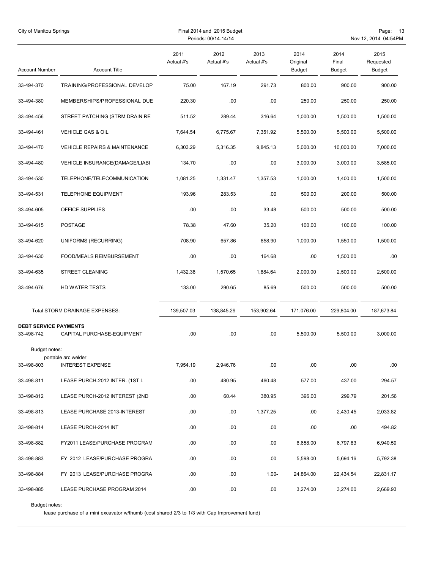| City of Manitou Springs                    |                                          |                    | Final 2014 and 2015 Budget<br>Periods: 00/14-14/14 |                    | Page: 13<br>Nov 12, 2014 04:54PM  |                         |                             |  |
|--------------------------------------------|------------------------------------------|--------------------|----------------------------------------------------|--------------------|-----------------------------------|-------------------------|-----------------------------|--|
| Account Number                             | <b>Account Title</b>                     | 2011<br>Actual #'s | 2012<br>Actual #'s                                 | 2013<br>Actual #'s | 2014<br>Original<br><b>Budget</b> | 2014<br>Final<br>Budget | 2015<br>Requested<br>Budget |  |
| 33-494-370                                 | TRAINING/PROFESSIONAL DEVELOP            | 75.00              | 167.19                                             | 291.73             | 800.00                            | 900.00                  | 900.00                      |  |
| 33-494-380                                 | MEMBERSHIPS/PROFESSIONAL DUE             | 220.30             | .00                                                | .00                | 250.00                            | 250.00                  | 250.00                      |  |
| 33-494-456                                 | STREET PATCHING (STRM DRAIN RE           | 511.52             | 289.44                                             | 316.64             | 1,000.00                          | 1,500.00                | 1,500.00                    |  |
| 33-494-461                                 | <b>VEHICLE GAS &amp; OIL</b>             | 7,644.54           | 6,775.67                                           | 7,351.92           | 5,500.00                          | 5,500.00                | 5,500.00                    |  |
| 33-494-470                                 | <b>VEHICLE REPAIRS &amp; MAINTENANCE</b> | 6,303.29           | 5,316.35                                           | 9,845.13           | 5,000.00                          | 10,000.00               | 7,000.00                    |  |
| 33-494-480                                 | VEHICLE INSURANCE(DAMAGE/LIABI           | 134.70             | .00                                                | .00                | 3,000.00                          | 3,000.00                | 3,585.00                    |  |
| 33-494-530                                 | TELEPHONE/TELECOMMUNICATION              | 1,081.25           | 1,331.47                                           | 1,357.53           | 1,000.00                          | 1,400.00                | 1,500.00                    |  |
| 33-494-531                                 | <b>TELEPHONE EQUIPMENT</b>               | 193.96             | 283.53                                             | .00                | 500.00                            | 200.00                  | 500.00                      |  |
| 33-494-605                                 | OFFICE SUPPLIES                          | .00                | .00                                                | 33.48              | 500.00                            | 500.00                  | 500.00                      |  |
| 33-494-615                                 | <b>POSTAGE</b>                           | 78.38              | 47.60                                              | 35.20              | 100.00                            | 100.00                  | 100.00                      |  |
| 33-494-620                                 | UNIFORMS (RECURRING)                     | 708.90             | 657.86                                             | 858.90             | 1,000.00                          | 1,550.00                | 1,500.00                    |  |
| 33-494-630                                 | FOOD/MEALS REIMBURSEMENT                 | .00                | .00                                                | 164.68             | .00                               | 1,500.00                | .00                         |  |
| 33-494-635                                 | STREET CLEANING                          | 1,432.38           | 1,570.65                                           | 1,884.64           | 2,000.00                          | 2,500.00                | 2,500.00                    |  |
| 33-494-676                                 | HD WATER TESTS                           | 133.00             | 290.65                                             | 85.69              | 500.00                            | 500.00                  | 500.00                      |  |
|                                            | Total STORM DRAINAGE EXPENSES:           | 139,507.03         | 138,845.29                                         | 153,902.64         | 171.076.00                        | 229,804.00              | 187,673.84                  |  |
| <b>DEBT SERVICE PAYMENTS</b><br>33-498-742 | CAPITAL PURCHASE-EQUIPMENT               | .00                | .00                                                | .00.               | 5,500.00                          | 5.500.00                | 3,000.00                    |  |
| Budget notes:                              | portable arc welder                      |                    |                                                    |                    |                                   |                         |                             |  |
| 33-498-803                                 | <b>INTEREST EXPENSE</b>                  | 7,954.19           | 2,946.76                                           | .00                | .00                               | .00                     | .00                         |  |
| 33-498-811                                 | LEASE PURCH-2012 INTER. (1ST L           | .00                | 480.95                                             | 460.48             | 577.00                            | 437.00                  | 294.57                      |  |
| 33-498-812                                 | LEASE PURCH-2012 INTEREST (2ND           | .00                | 60.44                                              | 380.95             | 396.00                            | 299.79                  | 201.56                      |  |
| 33-498-813                                 | LEASE PURCHASE 2013-INTEREST             | .00                | .00                                                | 1,377.25           | .00                               | 2,430.45                | 2,033.82                    |  |
| 33-498-814                                 | LEASE PURCH-2014 INT                     | .00                | .00                                                | .00                | .00                               | .00                     | 494.82                      |  |
| 33-498-882                                 | FY2011 LEASE/PURCHASE PROGRAM            | .00                | .00                                                | .00                | 6,658.00                          | 6,797.83                | 6,940.59                    |  |
| 33-498-883                                 | FY 2012 LEASE/PURCHASE PROGRA            | .00                | .00                                                | .00                | 5,598.00                          | 5,694.16                | 5,792.38                    |  |
| 33-498-884                                 | FY 2013 LEASE/PURCHASE PROGRA            | .00                | .00                                                | $1.00 -$           | 24,864.00                         | 22,434.54               | 22,831.17                   |  |
| 33-498-885                                 | LEASE PURCHASE PROGRAM 2014              | .00                | .00                                                | .00.               | 3,274.00                          | 3,274.00                | 2,669.93                    |  |

Budget notes:

lease purchase of a mini excavator w/thumb (cost shared 2/3 to 1/3 with Cap Improvement fund)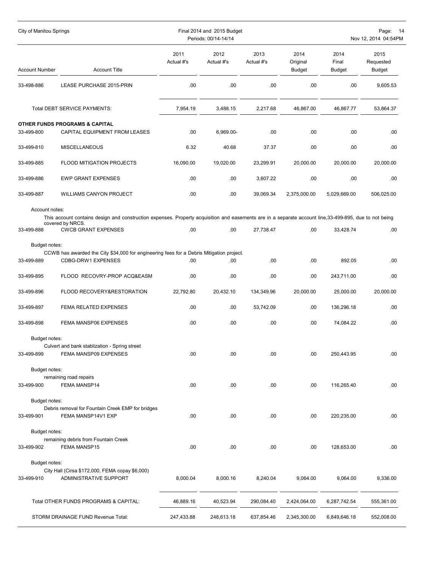| City of Manitou Springs |                                                                                                                                                                             |                    | Final 2014 and 2015 Budget<br>Periods: 00/14-14/14 |                    |                                   |                                | Page: 14<br>Nov 12, 2014 04:54PM   |
|-------------------------|-----------------------------------------------------------------------------------------------------------------------------------------------------------------------------|--------------------|----------------------------------------------------|--------------------|-----------------------------------|--------------------------------|------------------------------------|
| <b>Account Number</b>   | <b>Account Title</b>                                                                                                                                                        | 2011<br>Actual #'s | 2012<br>Actual #'s                                 | 2013<br>Actual #'s | 2014<br>Original<br><b>Budget</b> | 2014<br>Final<br><b>Budget</b> | 2015<br>Requested<br><b>Budget</b> |
| 33-498-886              | LEASE PURCHASE 2015-PRIN                                                                                                                                                    | .00                | .00.                                               | .00                | .00.                              | .00                            | 9,605.53                           |
|                         | Total DEBT SERVICE PAYMENTS:                                                                                                                                                | 7,954.19           | 3,488.15                                           | 2,217.68           | 46,867.00                         | 46,867.77                      | 53,864.37                          |
|                         | <b>OTHER FUNDS PROGRAMS &amp; CAPITAL</b>                                                                                                                                   |                    |                                                    |                    |                                   |                                |                                    |
| 33-499-800              | CAPITAL EQUIPMENT FROM LEASES                                                                                                                                               | .00.               | 6,969.00-                                          | .00                | .00                               | .00                            | .00                                |
| 33-499-810              | <b>MISCELLANEOUS</b>                                                                                                                                                        | 6.32               | 40.68                                              | 37.37              | .00                               | .00                            | .00                                |
| 33-499-885              | FLOOD MITIGATION PROJECTS                                                                                                                                                   | 16,090.00          | 19,020.00                                          | 23,299.91          | 20,000.00                         | 20,000.00                      | 20,000.00                          |
| 33-499-886              | <b>EWP GRANT EXPENSES</b>                                                                                                                                                   | .00                | .00.                                               | 3,607.22           | .00                               | .00                            | .00                                |
| 33-499-887              | <b>WILLIAMS CANYON PROJECT</b>                                                                                                                                              | .00                | .00.                                               | 39,069.34          | 2,375,000.00                      | 5,029,669.00                   | 506,025.00                         |
| Account notes:          |                                                                                                                                                                             |                    |                                                    |                    |                                   |                                |                                    |
|                         | This account contains design and construction expenses. Property acquisition and easements are in a separate account line, 33-499-895, due to not being<br>covered by NRCS. |                    |                                                    |                    |                                   |                                |                                    |
| 33-499-888              | <b>CWCB GRANT EXPENSES</b>                                                                                                                                                  | .00                | .00                                                | 27,738.47          | .00.                              | 33,428.74                      | .00                                |
| Budget notes:           |                                                                                                                                                                             |                    |                                                    |                    |                                   |                                |                                    |
|                         | CCWB has awarded the City \$34,000 for engineering fees for a Debris Mitigation project.                                                                                    |                    |                                                    |                    |                                   |                                |                                    |
| 33-499-889              | CDBG-DRW1 EXPENSES                                                                                                                                                          | .00                | .00                                                | .00                | .00                               | 892.05                         | .00                                |
| 33-499-895              | FLOOD RECOVRY-PROP ACQ&EASM                                                                                                                                                 | .00                | .00                                                | .00                | .00.                              | 243,711.00                     | .00                                |
| 33-499-896              | FLOOD RECOVERY&RESTORATION                                                                                                                                                  | 22,792.80          | 20,432.10                                          | 134,349.96         | 20,000.00                         | 25,000.00                      | 20,000.00                          |
| 33-499-897              | <b>FEMA RELATED EXPENSES</b>                                                                                                                                                | .00                | .00.                                               | 53,742.09          | .00.                              | 136,296.18                     | .00                                |
| 33-499-898              | FEMA MANSP06 EXPENSES                                                                                                                                                       | .00.               | .00.                                               | .00                | .00.                              | 74,084.22                      | .00                                |
| Budget notes:           |                                                                                                                                                                             |                    |                                                    |                    |                                   |                                |                                    |
|                         | Culvert and bank stablization - Spring street                                                                                                                               |                    |                                                    |                    |                                   |                                |                                    |
| 33-499-899              | FEMA MANSP09 EXPENSES                                                                                                                                                       | .00                | .00                                                | .00                | .00                               | 250,443.95                     | .00                                |
| Budget notes:           |                                                                                                                                                                             |                    |                                                    |                    |                                   |                                |                                    |
| 33-499-900              | remaining road repairs<br>FEMA MANSP14                                                                                                                                      | .00                | .00.                                               | .00                | .00                               | 116,265.40                     | .00.                               |
| Budget notes:           |                                                                                                                                                                             |                    |                                                    |                    |                                   |                                |                                    |
|                         | Debris removal for Fountain Creek EMP for bridges                                                                                                                           |                    |                                                    |                    |                                   |                                |                                    |
| 33-499-901              | FEMA MANSP14V1 EXP                                                                                                                                                          | .00                | .00.                                               | .00                | .00                               | 220,235.00                     | .00.                               |
| Budget notes:           |                                                                                                                                                                             |                    |                                                    |                    |                                   |                                |                                    |
| 33-499-902              | remaining debris from Fountain Creek<br>FEMA MANSP15                                                                                                                        | .00                | .00.                                               | .00.               | .00                               | 128,653.00                     | .00.                               |
|                         |                                                                                                                                                                             |                    |                                                    |                    |                                   |                                |                                    |
| Budget notes:           | City Hall (Cirsa \$172,000, FEMA copay \$6,000)                                                                                                                             |                    |                                                    |                    |                                   |                                |                                    |
| 33-499-910              | ADMINISTRATIVE SUPPORT                                                                                                                                                      | 8,000.04           | 8,000.16                                           | 8,240.04           | 9,064.00                          | 9,064.00                       | 9,336.00                           |
|                         | Total OTHER FUNDS PROGRAMS & CAPITAL:                                                                                                                                       | 46,889.16          | 40,523.94                                          | 290,084.40         | 2,424,064.00                      | 6,287,742.54                   | 555,361.00                         |
|                         | STORM DRAINAGE FUND Revenue Total:                                                                                                                                          | 247,433.88         | 248,613.18                                         | 637,854.46         | 2,345,300.00                      | 6,849,646.18                   | 552,008.00                         |
|                         |                                                                                                                                                                             |                    |                                                    |                    |                                   |                                |                                    |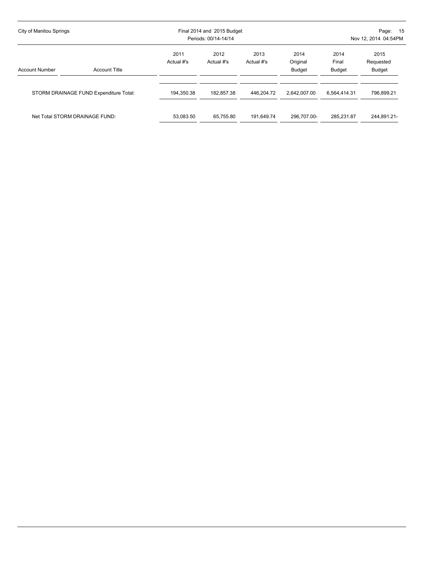| City of Manitou Springs |                                        |                    | Final 2014 and 2015 Budget<br>Periods: 00/14-14/14 |                    | Page: 15<br>Nov 12, 2014 04:54PM |                                |                                    |  |  |
|-------------------------|----------------------------------------|--------------------|----------------------------------------------------|--------------------|----------------------------------|--------------------------------|------------------------------------|--|--|
| <b>Account Number</b>   | <b>Account Title</b>                   | 2011<br>Actual #'s | 2012<br>Actual #'s                                 | 2013<br>Actual #'s | 2014<br>Original<br>Budget       | 2014<br>Final<br><b>Budget</b> | 2015<br>Requested<br><b>Budget</b> |  |  |
|                         | STORM DRAINAGE FUND Expenditure Total: | 194,350.38         | 182.857.38                                         | 446.204.72         | 2.642.007.00                     | 6,564,414.31                   | 796,899.21                         |  |  |
|                         | Net Total STORM DRAINAGE FUND:         | 53,083.50          | 65.755.80                                          | 191.649.74         | 296.707.00-                      | 285.231.87                     | 244,891.21-                        |  |  |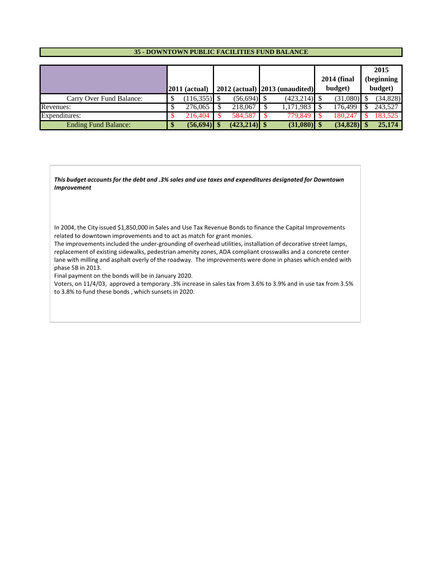#### **35 - DOWNTOWN PUBLIC FACILITIES FUND BALANCE**

|                             |                 |                |                                          | <b>2014 (final</b> | 2015<br>(beginning |
|-----------------------------|-----------------|----------------|------------------------------------------|--------------------|--------------------|
|                             | $2011$ (actual) |                | $2012$ (actual) $\vert 2013$ (unaudited) | budget)            | budget)            |
| Carry Over Fund Balance:    | $(116,355)$ \$  | $(56, 694)$ \$ | $(423,214)$ \$                           | $(31,080)$ \$      | (34, 828)          |
| Revenues:                   | 276,065         | 218,067        | 1,171,983                                | 176.499            | 243.527            |
| Expenditures:               | 216,404         | 584.587        | 779.849                                  | 180.247            | 183.525            |
| <b>Ending Fund Balance:</b> | $(56, 694)$ \$  | $(423,214)$ \$ | $(31,080)$ \$                            | $(34,828)$ \$      | 25,174             |

*This budget accounts for the debt and .3% sales and use taxes and expenditures designated for Downtown Improvement*

In 2004, the City issued \$1,850,000 in Sales and Use Tax Revenue Bonds to finance the Capital Improvements related to downtown improvements and to act as match for grant monies.

The improvements included the under-grounding of overhead utilities, installation of decorative street lamps, replacement of existing sidewalks, pedestrian amenity zones, ADA compliant crosswalks and a concrete center lane with milling and asphalt overly of the roadway. The improvements were done in phases which ended with phase 5B in 2013.

Final payment on the bonds will be in January 2020.

Voters, on 11/4/03, approved a temporary .3% increase in sales tax from 3.6% to 3.9% and in use tax from 3.5% to 3.8% to fund these bonds , which sunsets in 2020.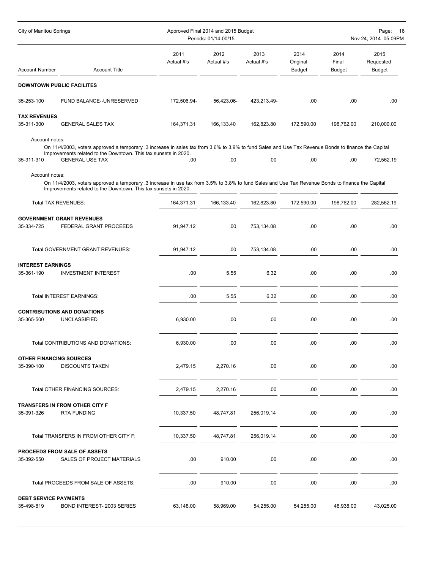| City of Manitou Springs           |                                                                                                                                                                                                                                                  | Approved Final 2014 and 2015 Budget<br>Periods: 01/14-00/15 | Page:<br>16<br>Nov 24, 2014 05:09PM |                    |                                   |                                |                             |
|-----------------------------------|--------------------------------------------------------------------------------------------------------------------------------------------------------------------------------------------------------------------------------------------------|-------------------------------------------------------------|-------------------------------------|--------------------|-----------------------------------|--------------------------------|-----------------------------|
| Account Number                    | <b>Account Title</b>                                                                                                                                                                                                                             | 2011<br>Actual #'s                                          | 2012<br>Actual #'s                  | 2013<br>Actual #'s | 2014<br>Original<br><b>Budget</b> | 2014<br>Final<br><b>Budget</b> | 2015<br>Requested<br>Budget |
|                                   | <b>DOWNTOWN PUBLIC FACILITES</b>                                                                                                                                                                                                                 |                                                             |                                     |                    |                                   |                                |                             |
| 35-253-100                        | FUND BALANCE--UNRESERVED                                                                                                                                                                                                                         | 172,506.94-                                                 | 56,423.06-                          | 423,213.49-        | .00                               | .00                            | .00                         |
| <b>TAX REVENUES</b><br>35-311-300 | <b>GENERAL SALES TAX</b>                                                                                                                                                                                                                         | 164,371.31                                                  | 166,133.40                          | 162,823.80         | 172,590.00                        | 198,762.00                     | 210,000.00                  |
| Account notes:<br>35-311-310      | On 11/4/2003, voters approved a temporary .3 increase in sales tax from 3.6% to 3.9% to fund Sales and Use Tax Revenue Bonds to finance the Capital<br>Improvements related to the Downtown. This tax sunsets in 2020.<br><b>GENERAL USE TAX</b> | .00                                                         | .00                                 | .00                | .00                               | .00                            | 72,562.19                   |
| Account notes:                    |                                                                                                                                                                                                                                                  |                                                             |                                     |                    |                                   |                                |                             |
|                                   | On 11/4/2003, voters approved a temporary .3 increase in use tax from 3.5% to 3.8% to fund Sales and Use Tax Revenue Bonds to finance the Capital<br>Improvements related to the Downtown. This tax sunsets in 2020.                             |                                                             |                                     |                    |                                   |                                |                             |
|                                   | <b>Total TAX REVENUES:</b>                                                                                                                                                                                                                       | 164,371.31                                                  | 166,133.40                          | 162,823.80         | 172,590.00                        | 198,762.00                     | 282,562.19                  |
| 35-334-725                        | <b>GOVERNMENT GRANT REVENUES</b><br>FEDERAL GRANT PROCEEDS                                                                                                                                                                                       | 91,947.12                                                   | .00                                 | 753,134.08         | .00                               | .00                            | .00                         |
|                                   | Total GOVERNMENT GRANT REVENUES:                                                                                                                                                                                                                 | 91,947.12                                                   | .00                                 | 753,134.08         | .00                               | .00                            | .00                         |
| <b>INTEREST EARNINGS</b>          |                                                                                                                                                                                                                                                  |                                                             |                                     |                    |                                   |                                |                             |
| 35-361-190                        | <b>INVESTMENT INTEREST</b>                                                                                                                                                                                                                       | .00                                                         | 5.55                                | 6.32               | .00                               | .00                            | .00                         |
|                                   | Total INTEREST EARNINGS:                                                                                                                                                                                                                         | .00.                                                        | 5.55                                | 6.32               | .00                               | .00                            | .00                         |
| 35-365-500                        | <b>CONTRIBUTIONS AND DONATIONS</b><br><b>UNCLASSIFIED</b>                                                                                                                                                                                        | 6,930.00                                                    | .00                                 | .00                | .00                               | .00                            | .00.                        |
|                                   | Total CONTRIBUTIONS AND DONATIONS:                                                                                                                                                                                                               | 6,930.00                                                    | .00                                 | .00                | .00                               | .00                            | .00                         |
| <b>OTHER FINANCING SOURCES</b>    |                                                                                                                                                                                                                                                  |                                                             |                                     |                    |                                   |                                |                             |
| 35-390-100                        | <b>DISCOUNTS TAKEN</b>                                                                                                                                                                                                                           | 2,479.15                                                    | 2,270.16                            | .00                | .00                               | .00                            | .00                         |
|                                   | Total OTHER FINANCING SOURCES:                                                                                                                                                                                                                   | 2,479.15                                                    | 2,270.16                            | .00                | .00                               | .00                            | .00.                        |
| 35-391-326                        | TRANSFERS IN FROM OTHER CITY F<br><b>RTA FUNDING</b>                                                                                                                                                                                             | 10,337.50                                                   | 48,747.81                           | 256,019.14         | .00                               | .00                            | .00.                        |
|                                   | Total TRANSFERS IN FROM OTHER CITY F:                                                                                                                                                                                                            | 10,337.50                                                   | 48,747.81                           | 256,019.14         | .00                               | .00                            | .00                         |
| 35-392-550                        | <b>PROCEEDS FROM SALE OF ASSETS</b><br>SALES OF PROJECT MATERIALS                                                                                                                                                                                | .00.                                                        | 910.00                              | .00                | .00                               | .00                            | .00                         |
|                                   | Total PROCEEDS FROM SALE OF ASSETS:                                                                                                                                                                                                              | .00                                                         | 910.00                              | .00                | .00                               | .00                            | .00.                        |
| <b>DEBT SERVICE PAYMENTS</b>      |                                                                                                                                                                                                                                                  |                                                             |                                     |                    |                                   |                                |                             |
| 35-498-819                        | BOND INTEREST-2003 SERIES                                                                                                                                                                                                                        | 63,148.00                                                   | 58,969.00                           | 54,255.00          | 54,255.00                         | 48,938.00                      | 43,025.00                   |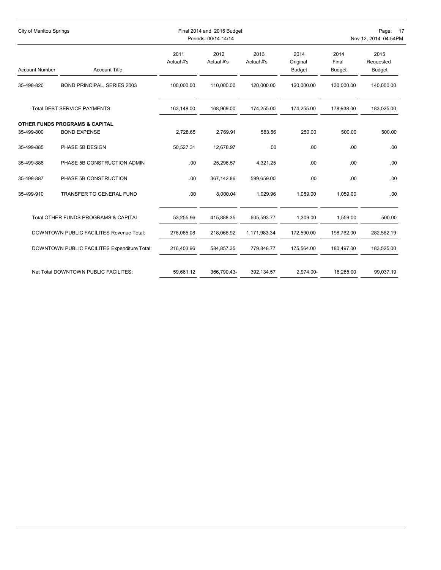| <b>City of Manitou Springs</b> |                                                                  |                    | Final 2014 and 2015 Budget<br>Periods: 00/14-14/14 |                    | Page: 17<br>Nov 12, 2014 04:54PM  |                                |                                    |  |
|--------------------------------|------------------------------------------------------------------|--------------------|----------------------------------------------------|--------------------|-----------------------------------|--------------------------------|------------------------------------|--|
| <b>Account Number</b>          | <b>Account Title</b>                                             | 2011<br>Actual #'s | 2012<br>Actual #'s                                 | 2013<br>Actual #'s | 2014<br>Original<br><b>Budget</b> | 2014<br>Final<br><b>Budget</b> | 2015<br>Requested<br><b>Budget</b> |  |
| 35-498-820                     | BOND PRINCIPAL, SERIES 2003                                      | 100,000.00         | 110,000.00                                         | 120,000.00         | 120,000.00                        | 130,000.00                     | 140,000.00                         |  |
|                                | <b>Total DEBT SERVICE PAYMENTS:</b>                              | 163,148.00         | 168,969.00                                         | 174,255.00         | 174,255.00                        | 178,938.00                     | 183,025.00                         |  |
| 35-499-800                     | <b>OTHER FUNDS PROGRAMS &amp; CAPITAL</b><br><b>BOND EXPENSE</b> | 2,728.65           | 2,769.91                                           | 583.56             | 250.00                            | 500.00                         | 500.00                             |  |
| 35-499-885                     | PHASE 5B DESIGN                                                  | 50,527.31          | 12,678.97                                          | .00                | .00                               | .00                            | .00                                |  |
| 35-499-886                     | PHASE 5B CONSTRUCTION ADMIN                                      | .00                | 25,296.57                                          | 4,321.25           | .00                               | .00                            | .00                                |  |
| 35-499-887                     | PHASE 5B CONSTRUCTION                                            | .00                | 367,142.86                                         | 599,659.00         | .00                               | .00                            | .00                                |  |
| 35-499-910                     | TRANSFER TO GENERAL FUND                                         | .00                | 8,000.04                                           | 1,029.96           | 1,059.00                          | 1.059.00                       | .00                                |  |
|                                | Total OTHER FUNDS PROGRAMS & CAPITAL:                            | 53,255.96          | 415,888.35                                         | 605,593.77         | 1,309.00                          | 1,559.00                       | 500.00                             |  |
|                                | DOWNTOWN PUBLIC FACILITES Revenue Total:                         | 276,065.08         | 218,066.92                                         | 1,171,983.34       | 172,590.00                        | 198,762.00                     | 282,562.19                         |  |
|                                | DOWNTOWN PUBLIC FACILITES Expenditure Total:                     | 216,403.96         | 584,857.35                                         | 779,848.77         | 175,564.00                        | 180,497.00                     | 183,525.00                         |  |
|                                | Net Total DOWNTOWN PUBLIC FACILITES:                             | 59,661.12          | 366,790.43-                                        | 392,134.57         | 2,974.00-                         | 18,265.00                      | 99,037.19                          |  |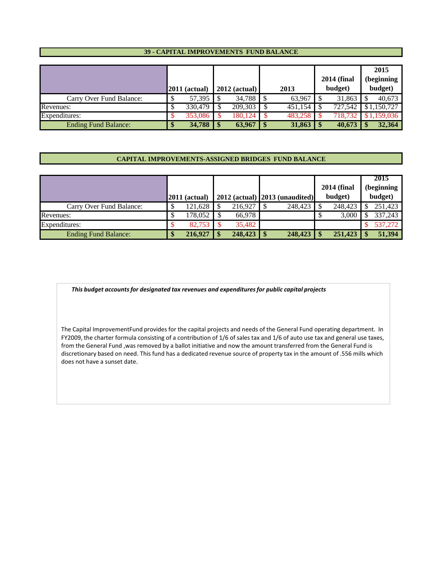#### **39 - CAPITAL IMPROVEMENTS FUND BALANCE**

|                             | $2011$ (actual) |         |                 |           |      |               |         | <b>2014 (final</b> | 2015<br>(beginning |        |  |
|-----------------------------|-----------------|---------|-----------------|-----------|------|---------------|---------|--------------------|--------------------|--------|--|
|                             |                 |         | $2012$ (actual) |           | 2013 |               | budget) |                    | budget)            |        |  |
| Carry Over Fund Balance:    |                 |         |                 | 34,788 \$ |      | 63,967        |         | 31,863             |                    | 40,673 |  |
| Revenues:                   |                 | 330,479 |                 | 209,303   |      | 451,154       |         | 727,542            | \$1,150,727        |        |  |
| Expenditures:               |                 | 353,086 |                 | 180.124   |      | 483.258       |         | 718.732            | \$1.159.036        |        |  |
| <b>Ending Fund Balance:</b> |                 | 34,788  |                 | 63,967    | l \$ | $31,863$   \$ |         | 40.673             |                    | 32,364 |  |

#### **CAPITAL IMPROVEMENTS-ASSIGNED BRIDGES FUND BALANCE**

|                             |                 |         |               |                                          |                    | 2015       |
|-----------------------------|-----------------|---------|---------------|------------------------------------------|--------------------|------------|
|                             |                 |         |               |                                          | <b>2014 (final</b> | (beginning |
|                             | $2011$ (actual) |         |               | $2012$ (actual) $\vert 2013$ (unaudited) | budget)            | budget)    |
| Carry Over Fund Balance:    | 121.628         | 216.927 |               | 248,423                                  | 248.423            | 251,423    |
| Revenues:                   | 178,052         | 66,978  |               |                                          | 3,000              | 337,243    |
| Expenditures:               | 82.753          | 35,482  |               |                                          |                    | 537,272    |
| <b>Ending Fund Balance:</b> | 216,927         | 248,423 | <sup>\$</sup> | 248,423                                  | 251,423            | 51,394     |

*This budget accounts for designated tax revenues and expenditures for public capital projects*

The Capital ImprovementFund provides for the capital projects and needs of the General Fund operating department. In FY2009, the charter formula consisting of a contribution of 1/6 of sales tax and 1/6 of auto use tax and general use taxes, from the General Fund ,was removed by a ballot initiative and now the amount transferred from the General Fund is discretionary based on need. This fund has a dedicated revenue source of property tax in the amount of .556 mills which does not have a sunset date.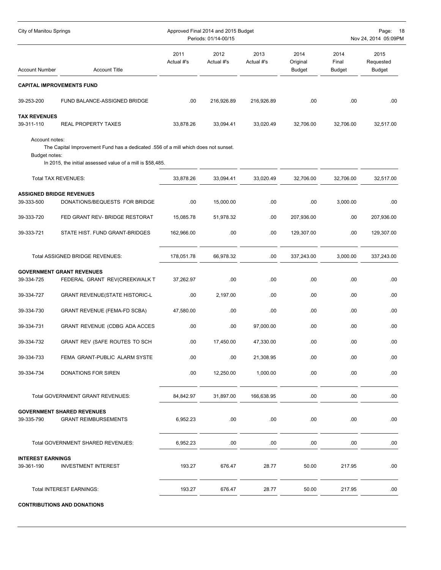| City of Manitou Springs                       |                                                                                                                                                  |                    | Approved Final 2014 and 2015 Budget<br>Periods: 01/14-00/15 | Page:<br>- 18<br>Nov 24, 2014 05:09PM |                                   |                         |                                    |
|-----------------------------------------------|--------------------------------------------------------------------------------------------------------------------------------------------------|--------------------|-------------------------------------------------------------|---------------------------------------|-----------------------------------|-------------------------|------------------------------------|
| <b>Account Number</b>                         | <b>Account Title</b>                                                                                                                             | 2011<br>Actual #'s | 2012<br>Actual #'s                                          | 2013<br>Actual #'s                    | 2014<br>Original<br><b>Budget</b> | 2014<br>Final<br>Budget | 2015<br>Requested<br><b>Budget</b> |
| <b>CAPITAL IMPROVEMENTS FUND</b>              |                                                                                                                                                  |                    |                                                             |                                       |                                   |                         |                                    |
| 39-253-200                                    | FUND BALANCE-ASSIGNED BRIDGE                                                                                                                     | .00                | 216,926.89                                                  | 216,926.89                            | .00.                              | .00                     | .00                                |
| <b>TAX REVENUES</b><br>39-311-110             | <b>REAL PROPERTY TAXES</b>                                                                                                                       | 33.878.26          | 33,094.41                                                   | 33,020.49                             | 32,706.00                         | 32,706.00               | 32,517.00                          |
| Account notes:<br>Budget notes:               | The Capital Improvement Fund has a dedicated .556 of a mill which does not sunset.<br>In 2015, the initial assessed value of a mill is \$58,485. |                    |                                                             |                                       |                                   |                         |                                    |
|                                               | Total TAX REVENUES:                                                                                                                              | 33,878.26          | 33,094.41                                                   | 33,020.49                             | 32,706.00                         | 32,706.00               | 32,517.00                          |
| <b>ASSIGNED BRIDGE REVENUES</b><br>39-333-500 | DONATIONS/BEQUESTS FOR BRIDGE                                                                                                                    | .00                | 15,000.00                                                   | .00                                   | .00                               | 3,000.00                | .00                                |
| 39-333-720                                    | FED GRANT REV- BRIDGE RESTORAT                                                                                                                   | 15.085.78          | 51,978.32                                                   | .00                                   | 207,936.00                        | .00                     | 207,936.00                         |
| 39-333-721                                    | STATE HIST. FUND GRANT-BRIDGES                                                                                                                   | 162,966.00         | .00                                                         | .00                                   | 129,307.00                        | .00                     | 129,307.00                         |
|                                               | Total ASSIGNED BRIDGE REVENUES:                                                                                                                  | 178,051.78         | 66,978.32                                                   | .00                                   | 337,243.00                        | 3,000.00                | 337,243.00                         |
| 39-334-725                                    | <b>GOVERNMENT GRANT REVENUES</b><br>FEDERAL GRANT REV(CREEKWALK T                                                                                | 37,262.97          | .00                                                         | .00                                   | .00                               | .00                     | .00                                |
| 39-334-727                                    | <b>GRANT REVENUE(STATE HISTORIC-L</b>                                                                                                            | .00                | 2,197.00                                                    | .00                                   | .00                               | .00                     | .00                                |
| 39-334-730                                    | <b>GRANT REVENUE (FEMA-FD SCBA)</b>                                                                                                              | 47,580.00          | .00                                                         | .00                                   | .00                               | .00                     | .00                                |
| 39-334-731                                    | GRANT REVENUE (CDBG ADA ACCES                                                                                                                    | .00                | .00                                                         | 97,000.00                             | .00                               | .00                     | .00                                |
| 39-334-732                                    | GRANT REV (SAFE ROUTES TO SCH                                                                                                                    | .00                | 17,450.00                                                   | 47,330.00                             | .00                               | .00                     | .00                                |
| 39-334-733                                    | FEMA GRANT-PUBLIC ALARM SYSTE                                                                                                                    | .00                | .00                                                         | 21,308.95                             | .00                               | .00                     | .00                                |
| 39-334-734                                    | DONATIONS FOR SIREN                                                                                                                              | .00                | 12,250.00                                                   | 1,000.00                              | .00                               | .00                     | .00                                |
|                                               | Total GOVERNMENT GRANT REVENUES:                                                                                                                 | 84,842.97          | 31,897.00                                                   | 166,638.95                            | .00                               | .00                     | .00                                |
| 39-335-790                                    | <b>GOVERNMENT SHARED REVENUES</b><br><b>GRANT REIMBURSEMENTS</b>                                                                                 | 6,952.23           | .00                                                         | .00                                   | .00                               | .00.                    | .00.                               |
|                                               | Total GOVERNMENT SHARED REVENUES:                                                                                                                | 6,952.23           | .00                                                         | .00                                   | .00                               | .00                     | .00                                |
| <b>INTEREST EARNINGS</b><br>39-361-190        | <b>INVESTMENT INTEREST</b>                                                                                                                       | 193.27             | 676.47                                                      | 28.77                                 | 50.00                             | 217.95                  | .00.                               |
|                                               | Total INTEREST EARNINGS:                                                                                                                         | 193.27             | 676.47                                                      | 28.77                                 | 50.00                             | 217.95                  | .00                                |

**CONTRIBUTIONS AND DONATIONS**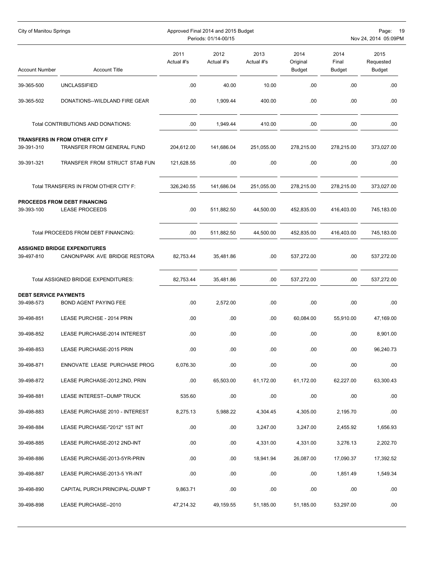| City of Manitou Springs      |                                                                      |                    | Approved Final 2014 and 2015 Budget<br>Periods: 01/14-00/15 |                    | Page: 19<br>Nov 24, 2014 05:09PM  |                                |                                    |
|------------------------------|----------------------------------------------------------------------|--------------------|-------------------------------------------------------------|--------------------|-----------------------------------|--------------------------------|------------------------------------|
| <b>Account Number</b>        | <b>Account Title</b>                                                 | 2011<br>Actual #'s | 2012<br>Actual #'s                                          | 2013<br>Actual #'s | 2014<br>Original<br><b>Budget</b> | 2014<br>Final<br><b>Budget</b> | 2015<br>Requested<br><b>Budget</b> |
| 39-365-500                   | <b>UNCLASSIFIED</b>                                                  | .00                | 40.00                                                       | 10.00              | .00                               | .00                            | .00                                |
| 39-365-502                   | DONATIONS--WILDLAND FIRE GEAR                                        | .00                | 1,909.44                                                    | 400.00             | .00                               | .00                            | .00                                |
|                              | Total CONTRIBUTIONS AND DONATIONS:                                   | .00                | 1,949.44                                                    | 410.00             | .00.                              | .00                            | .00                                |
|                              | TRANSFERS IN FROM OTHER CITY F                                       |                    |                                                             |                    |                                   |                                |                                    |
| 39-391-310                   | TRANSFER FROM GENERAL FUND                                           | 204,612.00         | 141,686.04                                                  | 251,055.00         | 278,215.00                        | 278,215.00                     | 373,027.00                         |
| 39-391-321                   | TRANSFER FROM STRUCT STAB FUN                                        | 121,628.55         | .00                                                         | .00                | .00                               | .00                            | .00                                |
|                              | Total TRANSFERS IN FROM OTHER CITY F:                                | 326,240.55         | 141,686.04                                                  | 251,055.00         | 278,215.00                        | 278,215.00                     | 373,027.00                         |
|                              | <b>PROCEEDS FROM DEBT FINANCING</b>                                  |                    |                                                             |                    |                                   |                                |                                    |
| 39-393-100                   | <b>LEASE PROCEEDS</b>                                                | .00                | 511,882.50                                                  | 44,500.00          | 452,835.00                        | 416,403.00                     | 745,183.00                         |
|                              | Total PROCEEDS FROM DEBT FINANCING:                                  | .00.               | 511,882.50                                                  | 44,500.00          | 452,835.00                        | 416,403.00                     | 745,183.00                         |
| 39-497-810                   | <b>ASSIGNED BRIDGE EXPENDITURES</b><br>CANON/PARK AVE BRIDGE RESTORA | 82,753.44          | 35,481.86                                                   | .00                | 537,272.00                        | .00                            | 537,272.00                         |
|                              | Total ASSIGNED BRIDGE EXPENDITURES:                                  | 82,753.44          | 35,481.86                                                   | .00                | 537,272.00                        | .00                            | 537,272.00                         |
| <b>DEBT SERVICE PAYMENTS</b> |                                                                      |                    |                                                             |                    |                                   |                                |                                    |
| 39-498-573                   | <b>BOND AGENT PAYING FEE</b>                                         | .00.               | 2,572.00                                                    | .00                | .00                               | .00                            | .00                                |
| 39-498-851                   | LEASE PURCHSE - 2014 PRIN                                            | .00                | .00                                                         | .00                | 60,084.00                         | 55,910.00                      | 47,169.00                          |
| 39-498-852                   | LEASE PURCHASE-2014 INTEREST                                         | .00                | .00                                                         | .00                | .00.                              | .00                            | 8,901.00                           |
| 39-498-853                   | LEASE PURCHASE-2015 PRIN                                             | .00                | .00                                                         | .00                | .00                               | .00                            | 96,240.73                          |
| 39-498-871                   | ENNOVATE LEASE PURCHASE PROG                                         | 6,076.30           | .00.                                                        | .00                | .00                               | .00                            | .00.                               |
| 39-498-872                   | LEASE PURCHASE-2012,2ND, PRIN                                        | .00.               | 65,503.00                                                   | 61,172.00          | 61,172.00                         | 62,227.00                      | 63,300.43                          |
| 39-498-881                   | LEASE INTEREST--DUMP TRUCK                                           | 535.60             | .00.                                                        | .00                | .00                               | .00.                           | .00.                               |
| 39-498-883                   | LEASE PURCHASE 2010 - INTEREST                                       | 8,275.13           | 5,988.22                                                    | 4,304.45           | 4,305.00                          | 2,195.70                       | .00.                               |
| 39-498-884                   | LEASE PURCHASE-"2012" 1ST INT                                        | .00                | .00.                                                        | 3,247.00           | 3,247.00                          | 2,455.92                       | 1,656.93                           |
| 39-498-885                   | LEASE PURCHASE-2012 2ND-INT                                          | .00.               | .00.                                                        | 4,331.00           | 4,331.00                          | 3,276.13                       | 2,202.70                           |
| 39-498-886                   | LEASE PURCHASE-2013-5YR-PRIN                                         | .00                | .00.                                                        | 18,941.94          | 26,087.00                         | 17,090.37                      | 17,392.52                          |
| 39-498-887                   | LEASE PURCHASE-2013-5 YR-INT                                         | .00                | .00                                                         | .00                | .00                               | 1,851.49                       | 1,549.34                           |
| 39-498-890                   | CAPITAL PURCH.PRINCIPAL-DUMP T                                       | 9,863.71           | .00                                                         | .00                | .00                               | .00                            | .00                                |
| 39-498-898                   | LEASE PURCHASE--2010                                                 | 47,214.32          | 49,159.55                                                   | 51,185.00          | 51,185.00                         | 53,297.00                      | .00                                |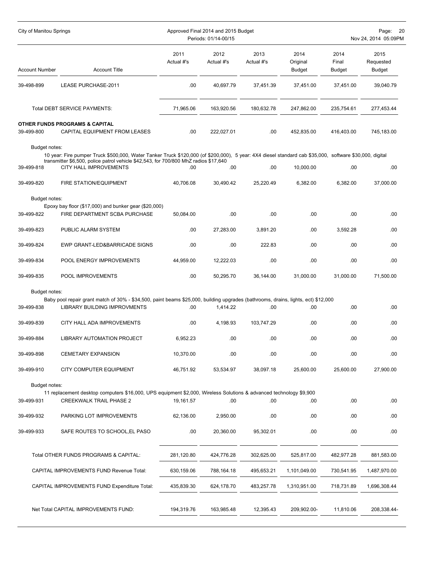| <b>City of Manitou Springs</b> |                                                                                                                                                                                                                                                                                  |                    | Approved Final 2014 and 2015 Budget<br>Periods: 01/14-00/15 | Page:<br>20<br>Nov 24, 2014 05:09PM |                                   |                                |                             |
|--------------------------------|----------------------------------------------------------------------------------------------------------------------------------------------------------------------------------------------------------------------------------------------------------------------------------|--------------------|-------------------------------------------------------------|-------------------------------------|-----------------------------------|--------------------------------|-----------------------------|
| <b>Account Number</b>          | <b>Account Title</b>                                                                                                                                                                                                                                                             | 2011<br>Actual #'s | 2012<br>Actual #'s                                          | 2013<br>Actual #'s                  | 2014<br>Original<br><b>Budget</b> | 2014<br>Final<br><b>Budget</b> | 2015<br>Requested<br>Budget |
| 39-498-899                     | LEASE PURCHASE-2011                                                                                                                                                                                                                                                              | .00                | 40,697.79                                                   | 37,451.39                           | 37,451.00                         | 37,451.00                      | 39,040.79                   |
|                                | <b>Total DEBT SERVICE PAYMENTS:</b>                                                                                                                                                                                                                                              | 71.965.06          | 163,920.56                                                  | 180,632.78                          | 247,862.00                        | 235,754.61                     | 277,453.44                  |
| 39-499-800                     | <b>OTHER FUNDS PROGRAMS &amp; CAPITAL</b><br>CAPITAL EQUIPMENT FROM LEASES                                                                                                                                                                                                       | .00                | 222,027.01                                                  | .00.                                | 452,835.00                        | 416,403.00                     | 745,183.00                  |
| Budget notes:<br>39-499-818    | 10 year: Fire pumper Truck \$500,000, Water Tanker Truck \$120,000 (of \$200,000), 5 year: 4X4 diesel standard cab \$35,000, software \$30,000, digital<br>transmitter \$6,500, police patrol vehicle \$42,543, for 700/800 MhZ radios \$17,640<br><b>CITY HALL IMPROVEMENTS</b> | .00                | .00                                                         | .00                                 | 10,000.00                         | .00                            | .00.                        |
| 39-499-820                     | FIRE STATION/EQUIPMENT                                                                                                                                                                                                                                                           | 40,706.08          | 30,490.42                                                   | 25,220.49                           | 6,382.00                          | 6,382.00                       | 37,000.00                   |
| Budget notes:                  | Epoxy bay floor (\$17,000) and bunker gear (\$20,000)                                                                                                                                                                                                                            |                    |                                                             |                                     |                                   |                                |                             |
| 39-499-822                     | FIRE DEPARTMENT SCBA PURCHASE                                                                                                                                                                                                                                                    | 50.084.00          | .00                                                         | .00                                 | .00                               | .00                            | .00                         |
| 39-499-823                     | PUBLIC ALARM SYSTEM                                                                                                                                                                                                                                                              | .00                | 27,283.00                                                   | 3,891.20                            | .00.                              | 3,592.28                       | .00.                        |
| 39-499-824                     | EWP GRANT-LED&BARRICADE SIGNS                                                                                                                                                                                                                                                    | .00                | .00                                                         | 222.83                              | .00                               | .00                            | .00                         |
| 39-499-834                     | POOL ENERGY IMPROVEMENTS                                                                                                                                                                                                                                                         | 44,959.00          | 12,222.03                                                   | .00                                 | .00                               | .00.                           | .00                         |
| 39-499-835                     | POOL IMPROVEMENTS                                                                                                                                                                                                                                                                | .00                | 50,295.70                                                   | 36,144.00                           | 31,000.00                         | 31,000.00                      | 71,500.00                   |
| Budget notes:                  |                                                                                                                                                                                                                                                                                  |                    |                                                             |                                     |                                   |                                |                             |
| 39-499-838                     | Baby pool repair grant match of 30% - \$34,500, paint beams \$25,000, building upgrades (bathrooms, drains, lights, ect) \$12,000<br>LIBRARY BUILDING IMPROVMENTS                                                                                                                | .00                | 1,414.22                                                    | .00                                 | .00                               | .00                            | .00.                        |
| 39-499-839                     | CITY HALL ADA IMPROVEMENTS                                                                                                                                                                                                                                                       | .00                | 4,198.93                                                    | 103,747.29                          | .00                               | .00                            | .00                         |
| 39-499-884                     | <b>LIBRARY AUTOMATION PROJECT</b>                                                                                                                                                                                                                                                | 6,952.23           | .00                                                         | .00                                 | .00.                              | .00.                           | .00                         |
| 39-499-898                     | <b>CEMETARY EXPANSION</b>                                                                                                                                                                                                                                                        | 10,370.00          | .00                                                         | .00                                 | .00                               | .00                            | .00                         |
| 39-499-910                     | CITY COMPUTER EQUIPMENT                                                                                                                                                                                                                                                          | 46,751.92          | 53,534.97                                                   | 38,097.18                           | 25,600.00                         | 25,600.00                      | 27,900.00                   |
| Budget notes:                  |                                                                                                                                                                                                                                                                                  |                    |                                                             |                                     |                                   |                                |                             |
| 39-499-931                     | 11 replacement desktop computers \$16,000, UPS equipment \$2,000, Wireless Solutions & advanced technology \$9,900<br><b>CREEKWALK TRAIL PHASE 2</b>                                                                                                                             | 19,161.57          | .00                                                         | .00                                 | .00                               | .00                            | .00.                        |
| 39-499-932                     | PARKING LOT IMPROVEMENTS                                                                                                                                                                                                                                                         | 62,136.00          | 2,950.00                                                    | .00                                 | .00                               | .00                            | .00                         |
| 39-499-933                     | SAFE ROUTES TO SCHOOL, EL PASO                                                                                                                                                                                                                                                   | .00                | 20,360.00                                                   | 95,302.01                           | .00                               | .00                            | .00.                        |
|                                | Total OTHER FUNDS PROGRAMS & CAPITAL:                                                                                                                                                                                                                                            | 281,120.80         | 424,776.28                                                  | 302,625.00                          | 525,817.00                        | 482,977.28                     | 881,583.00                  |
|                                | CAPITAL IMPROVEMENTS FUND Revenue Total:                                                                                                                                                                                                                                         | 630,159.06         | 788,164.18                                                  | 495,653.21                          | 1,101,049.00                      | 730,541.95                     | 1,487,970.00                |
|                                | CAPITAL IMPROVEMENTS FUND Expenditure Total:                                                                                                                                                                                                                                     | 435,839.30         | 624,178.70                                                  | 483,257.78                          | 1,310,951.00                      | 718,731.89                     | 1,696,308.44                |
|                                | Net Total CAPITAL IMPROVEMENTS FUND:                                                                                                                                                                                                                                             | 194,319.76         | 163,985.48                                                  | 12,395.43                           | 209,902.00-                       | 11,810.06                      | 208,338.44-                 |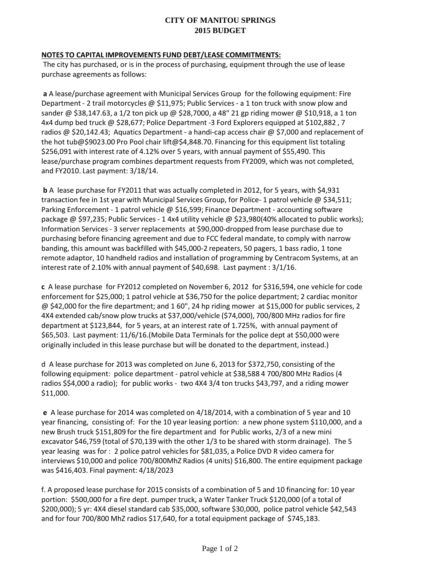# **CITY OF MANITOU SPRINGS 2015 BUDGET**

## **NOTES TO CAPITAL IMPROVEMENTS FUND DEBT/LEASE COMMITMENTS:**

The city has purchased, or is in the process of purchasing, equipment through the use of lease purchase agreements as follows:

**a** A lease/purchase agreement with Municipal Services Group for the following equipment: Fire Department - 2 trail motorcycles @ \$11,975; Public Services - a 1 ton truck with snow plow and sander @ \$38,147.63, a 1/2 ton pick up @ \$28,7000, a 48" 21 gp riding mower @ \$10,918, a 1 ton 4x4 dump bed truck @ \$28,677; Police Department -3 Ford Explorers equipped at \$102,882 , 7 radios @ \$20,142.43; Aquatics Department - a handi-cap access chair @ \$7,000 and replacement of the hot tub@\$9023.00 Pro Pool chair lift@\$4,848.70. Financing for this equipment list totaling \$256,091 with interest rate of 4.12% over 5 years, with annual payment of \$55,490. This lease/purchase program combines department requests from FY2009, which was not completed, and FY2010. Last payment: 3/18/14.

**b** A lease purchase for FY2011 that was actually completed in 2012, for 5 years, with \$4,931 transaction fee in 1st year with Municipal Services Group, for Police-1 patrol vehicle @ \$34,511; Parking Enforcement - 1 patrol vehicle @ \$16,599; Finance Department - accounting software package @ \$97,235; Public Services - 1 4x4 utility vehicle @ \$23,980(40% allocated to public works); Information Services - 3 server replacements at \$90,000-dropped from lease purchase due to purchasing before financing agreement and due to FCC federal mandate, to comply with narrow banding, this amount was backfilled with \$45,000-2 repeaters, 50 pagers, 1 bass radio, 1 tone remote adaptor, 10 handheld radios and installation of programming by Centracom Systems, at an interest rate of 2.10% with annual payment of \$40,698. Last payment : 3/1/16.

**c** A lease purchase for FY2012 completed on November 6, 2012 for \$316,594, one vehicle for code enforcement for \$25,000; 1 patrol vehicle at \$36,750 for the police department; 2 cardiac monitor @ \$42,000 for the fire department; and 1 60", 24 hp riding mower at \$15,000 for public services, 2 4X4 extended cab/snow plow trucks at \$37,000/vehicle (\$74,000), 700/800 MHz radios for fire department at \$123,844, for 5 years, at an interest rate of 1.725%, with annual payment of \$65,503. Last payment: 11/6/16.(Mobile Data Terminals for the police dept at \$50,000 were originally included in this lease purchase but will be donated to the department, instead.)

d A lease purchase for 2013 was completed on June 6, 2013 for \$372,750, consisting of the following equipment: police department - patrol vehicle at \$38,588 4 700/800 MHz Radios (4 radios \$\$4,000 a radio); for public works - two 4X4 3/4 ton trucks \$43,797, and a riding mower \$11,000.

**e** A lease purchase for 2014 was completed on 4/18/2014, with a combination of 5 year and 10 year financing, consisting of: For the 10 year leasing portion: a new phone system \$110,000, and a new Brush truck \$151,809 for the fire department and for Public works, 2/3 of a new mini excavator \$46,759 (total of \$70,139 with the other 1/3 to be shared with storm drainage). The 5 year leasing was for : 2 police patrol vehicles for \$81,035, a Police DVD R video camera for interviews \$10,000 and police 700/800MhZ Radios (4 units) \$16,800. The entire equipment package was \$416,403. Final payment: 4/18/2023

f. A proposed lease purchase for 2015 consists of a combination of 5 and 10 financing for: 10 year portion: \$500,000 for a fire dept. pumper truck, a Water Tanker Truck \$120,000 (of a total of \$200,000); 5 yr: 4X4 diesel standard cab \$35,000, software \$30,000, police patrol vehicle \$42,543 and for four 700/800 MhZ radios \$17,640, for a total equipment package of \$745,183.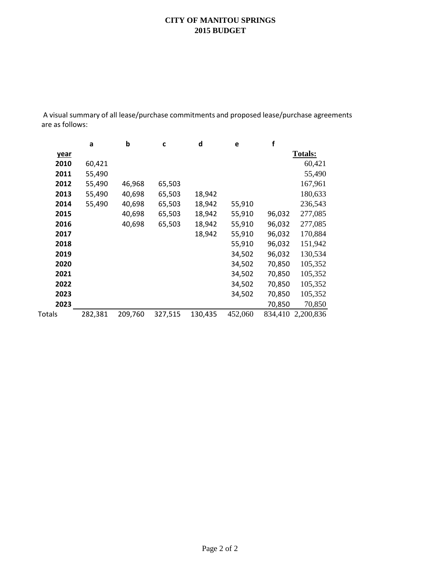# **CITY OF MANITOU SPRINGS 2015 BUDGET**

A visual summary of all lease/purchase commitments and proposed lease/purchase agreements are as follows:

|             | a       | b       | C       | d       | e       | f       |                |
|-------------|---------|---------|---------|---------|---------|---------|----------------|
| <u>year</u> |         |         |         |         |         |         | <b>Totals:</b> |
| 2010        | 60,421  |         |         |         |         |         | 60,421         |
| 2011        | 55,490  |         |         |         |         |         | 55,490         |
| 2012        | 55,490  | 46,968  | 65,503  |         |         |         | 167,961        |
| 2013        | 55,490  | 40,698  | 65,503  | 18,942  |         |         | 180,633        |
| 2014        | 55,490  | 40,698  | 65,503  | 18,942  | 55,910  |         | 236,543        |
| 2015        |         | 40,698  | 65,503  | 18,942  | 55,910  | 96,032  | 277,085        |
| 2016        |         | 40,698  | 65,503  | 18,942  | 55,910  | 96,032  | 277,085        |
| 2017        |         |         |         | 18,942  | 55,910  | 96,032  | 170,884        |
| 2018        |         |         |         |         | 55,910  | 96,032  | 151,942        |
| 2019        |         |         |         |         | 34,502  | 96,032  | 130,534        |
| 2020        |         |         |         |         | 34,502  | 70,850  | 105,352        |
| 2021        |         |         |         |         | 34,502  | 70,850  | 105,352        |
| 2022        |         |         |         |         | 34,502  | 70,850  | 105,352        |
| 2023        |         |         |         |         | 34,502  | 70,850  | 105,352        |
| 2023        |         |         |         |         |         | 70,850  | 70,850         |
| Totals      | 282,381 | 209,760 | 327,515 | 130,435 | 452,060 | 834,410 | 2,200,836      |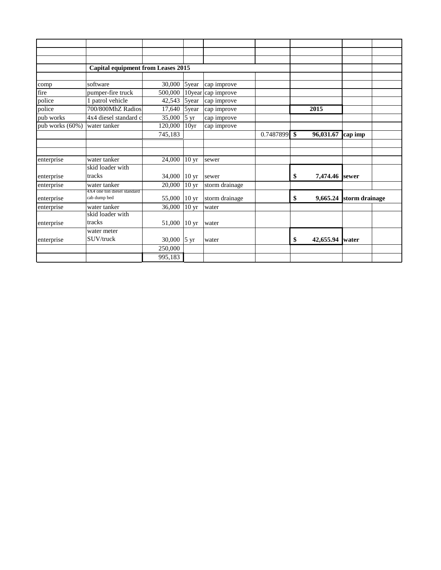|                 | <b>Capital equipment from Leases 2015</b>   |                        |                  |                |           |                      |                |  |
|-----------------|---------------------------------------------|------------------------|------------------|----------------|-----------|----------------------|----------------|--|
|                 |                                             |                        |                  |                |           |                      |                |  |
| comp            | software                                    | $30,000$   5year       |                  | cap improve    |           |                      |                |  |
| fire            | pumper-fire truck                           | 500,000                | 10year           | cap improve    |           |                      |                |  |
| police          | 1 patrol vehicle                            | 42,543                 | 5year            | cap improve    |           |                      |                |  |
| police          | 700/800MhZ Radios                           | 17,640                 | 5year            | cap improve    |           | 2015                 |                |  |
| pub works       | 4x4 diesel standard c                       | 35,000                 | 5 yr             | cap improve    |           |                      |                |  |
| pub works (60%) | water tanker                                | 120,000                | 10 <sub>yr</sub> | cap improve    |           |                      |                |  |
|                 |                                             | 745,183                |                  |                | 0.7487899 | \$<br>96,031.67      | cap imp        |  |
|                 |                                             |                        |                  |                |           |                      |                |  |
|                 |                                             |                        |                  |                |           |                      |                |  |
| enterprise      | water tanker                                | 24,000                 | 10 <sub>yr</sub> | sewer          |           |                      |                |  |
|                 | skid loader with                            |                        |                  |                |           |                      |                |  |
| enterprise      | tracks                                      | 34,000                 | 10 <sub>yr</sub> | sewer          |           | \$<br>7,474.46 sewer |                |  |
| enterprise      | water tanker                                | 20,000                 | 10 <sub>yr</sub> | storm drainage |           |                      |                |  |
| enterprise      | 4X4 one ton diesel standard<br>cab dump bed | 55,000                 | 10 <sub>yr</sub> | storm drainage |           | \$<br>9,665.24       | storm drainage |  |
| enterprise      | water tanker                                | 36,000                 | 10 <sub>yr</sub> | water          |           |                      |                |  |
|                 | skid loader with                            |                        |                  |                |           |                      |                |  |
| enterprise      | tracks                                      | 51,000                 | 10 <sub>yr</sub> | water          |           |                      |                |  |
|                 | water meter                                 |                        |                  |                |           |                      |                |  |
| enterprise      | SUV/truck                                   | 30,000 $ 5 \text{ yr}$ |                  | water          |           | \$<br>42,655.94      | <b>I</b> water |  |
|                 |                                             | 250,000                |                  |                |           |                      |                |  |
|                 |                                             | 995,183                |                  |                |           |                      |                |  |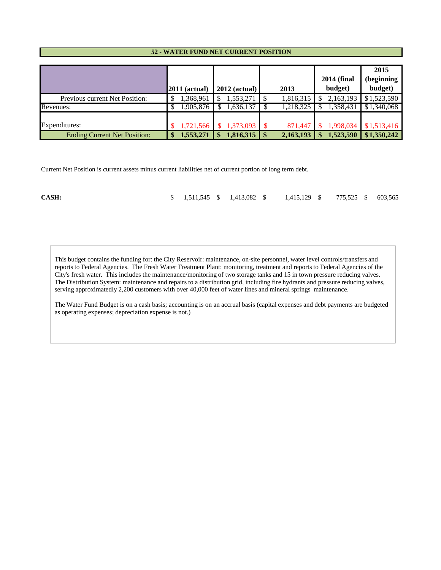#### **52 - WATER FUND NET CURRENT POSITION**

|                                     | $2011$ (actual) | $2012$ (actual) | 2013                       | <b>2014 (final</b><br>budget) | 2015<br>(beginning<br>budget) |
|-------------------------------------|-----------------|-----------------|----------------------------|-------------------------------|-------------------------------|
| Previous current Net Position:      | 1,368,961       | 1,553,271       | 1,816,315                  | 2,163,193                     | \$1,523,590                   |
| Revenues:                           | 1,905,876       | 1,636,137       | 1,218,325                  | 1,358,431                     | \$1,340,068                   |
| Expenditures:                       | 1,721,566       | $1,373,093$ \$  | 871.447                    | 1,998,034                     | \$1,513,416                   |
| <b>Ending Current Net Position:</b> | 1,553,271       | 1,816,315       | 2,163,193<br>$\mathbf{\$}$ | 1,523,590                     | \$1,350,242                   |

Current Net Position is current assets minus current liabilities net of current portion of long term debt.

| CASH: |  |  |  | \$ 1,511,545 \$ 1,413,082 \$ 1,415,129 \$ 775,525 \$ 603,565 |  |  |  |  |  |  |
|-------|--|--|--|--------------------------------------------------------------|--|--|--|--|--|--|
|-------|--|--|--|--------------------------------------------------------------|--|--|--|--|--|--|

This budget contains the funding for: the City Reservoir: maintenance, on-site personnel, water level controls/transfers and reports to Federal Agencies. The Fresh Water Treatment Plant: monitoring, treatment and reports to Federal Agencies of the City's fresh water. This includes the maintenance/monitoring of two storage tanks and 15 in town pressure reducing valves. The Distribution System: maintenance and repairs to a distribution grid, including fire hydrants and pressure reducing valves, serving approximatedly 2,200 customers with over 40,000 feet of water lines and mineral springs maintenance.

The Water Fund Budget is on a cash basis; accounting is on an accrual basis (capital expenses and debt payments are budgeted as operating expenses; depreciation expense is not.)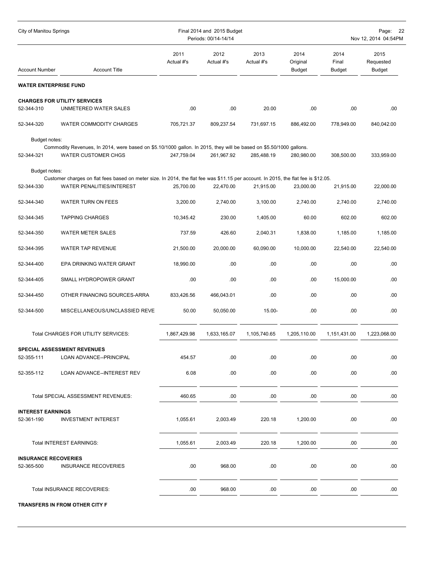| 2013<br>2011<br>2012<br>2014<br>2014<br>2015<br>Actual #'s<br>Original<br>Final<br>Requested<br>Actual #'s<br>Actual #'s<br><b>Account Title</b><br><b>Budget</b><br><b>Budget</b><br><b>Account Number</b><br>Budget<br><b>WATER ENTERPRISE FUND</b><br><b>CHARGES FOR UTILITY SERVICES</b><br>52-344-310<br>UNMETERED WATER SALES<br>.00<br>.00<br>.00<br>.00<br>.00<br>20.00<br>WATER COMMODITY CHARGES<br>52-344-320<br>705,721.37<br>809,237.54<br>731,697.15<br>886,492.00<br>778,949.00<br>840,042.00<br>Budget notes:<br>Commodity Revenues, In 2014, were based on \$5.10/1000 gallon. In 2015, they will be based on \$5.50/1000 gallons.<br>52-344-321<br><b>WATER CUSTOMER CHGS</b><br>247,759.04<br>261,967.92<br>285,488.19<br>280,980.00<br>308,500.00<br>333,959.00<br>Budget notes:<br>Customer charges on flat fees based on meter size. In 2014, the flat fee was \$11.15 per account. In 2015, the flat fee is \$12.05.<br>52-344-330<br>WATER PENALITIES/INTEREST<br>22,470.00<br>25,700.00<br>21,915.00<br>23,000.00<br>21,915.00<br>22,000.00<br>52-344-340<br>WATER TURN ON FEES<br>3,200.00<br>2,740.00<br>3,100.00<br>2,740.00<br>2,740.00<br>2,740.00<br><b>TAPPING CHARGES</b><br>10,345.42<br>230.00<br>1,405.00<br>60.00<br>602.00<br>602.00<br>52-344-345 | Page:<br>- 22<br>Nov 12, 2014 04:54PM |  |  |
|------------------------------------------------------------------------------------------------------------------------------------------------------------------------------------------------------------------------------------------------------------------------------------------------------------------------------------------------------------------------------------------------------------------------------------------------------------------------------------------------------------------------------------------------------------------------------------------------------------------------------------------------------------------------------------------------------------------------------------------------------------------------------------------------------------------------------------------------------------------------------------------------------------------------------------------------------------------------------------------------------------------------------------------------------------------------------------------------------------------------------------------------------------------------------------------------------------------------------------------------------------------------------------------|---------------------------------------|--|--|
|                                                                                                                                                                                                                                                                                                                                                                                                                                                                                                                                                                                                                                                                                                                                                                                                                                                                                                                                                                                                                                                                                                                                                                                                                                                                                          |                                       |  |  |
|                                                                                                                                                                                                                                                                                                                                                                                                                                                                                                                                                                                                                                                                                                                                                                                                                                                                                                                                                                                                                                                                                                                                                                                                                                                                                          |                                       |  |  |
|                                                                                                                                                                                                                                                                                                                                                                                                                                                                                                                                                                                                                                                                                                                                                                                                                                                                                                                                                                                                                                                                                                                                                                                                                                                                                          |                                       |  |  |
|                                                                                                                                                                                                                                                                                                                                                                                                                                                                                                                                                                                                                                                                                                                                                                                                                                                                                                                                                                                                                                                                                                                                                                                                                                                                                          |                                       |  |  |
|                                                                                                                                                                                                                                                                                                                                                                                                                                                                                                                                                                                                                                                                                                                                                                                                                                                                                                                                                                                                                                                                                                                                                                                                                                                                                          |                                       |  |  |
|                                                                                                                                                                                                                                                                                                                                                                                                                                                                                                                                                                                                                                                                                                                                                                                                                                                                                                                                                                                                                                                                                                                                                                                                                                                                                          |                                       |  |  |
|                                                                                                                                                                                                                                                                                                                                                                                                                                                                                                                                                                                                                                                                                                                                                                                                                                                                                                                                                                                                                                                                                                                                                                                                                                                                                          |                                       |  |  |
|                                                                                                                                                                                                                                                                                                                                                                                                                                                                                                                                                                                                                                                                                                                                                                                                                                                                                                                                                                                                                                                                                                                                                                                                                                                                                          |                                       |  |  |
|                                                                                                                                                                                                                                                                                                                                                                                                                                                                                                                                                                                                                                                                                                                                                                                                                                                                                                                                                                                                                                                                                                                                                                                                                                                                                          |                                       |  |  |
|                                                                                                                                                                                                                                                                                                                                                                                                                                                                                                                                                                                                                                                                                                                                                                                                                                                                                                                                                                                                                                                                                                                                                                                                                                                                                          |                                       |  |  |
| 52-344-350<br><b>WATER METER SALES</b><br>737.59<br>426.60<br>2,040.31<br>1,838.00<br>1,185.00<br>1,185.00                                                                                                                                                                                                                                                                                                                                                                                                                                                                                                                                                                                                                                                                                                                                                                                                                                                                                                                                                                                                                                                                                                                                                                               |                                       |  |  |
| WATER TAP REVENUE<br>21,500.00<br>20,000.00<br>60,090.00<br>10,000.00<br>22,540.00<br>22,540.00<br>52-344-395                                                                                                                                                                                                                                                                                                                                                                                                                                                                                                                                                                                                                                                                                                                                                                                                                                                                                                                                                                                                                                                                                                                                                                            |                                       |  |  |
| .00<br>.00<br>.00<br>.00<br>.00<br>52-344-400<br>EPA DRINKING WATER GRANT<br>18,990.00                                                                                                                                                                                                                                                                                                                                                                                                                                                                                                                                                                                                                                                                                                                                                                                                                                                                                                                                                                                                                                                                                                                                                                                                   |                                       |  |  |
| .00<br>.00<br>.00<br>.00<br>52-344-405<br>SMALL HYDROPOWER GRANT<br>15,000.00<br>.00                                                                                                                                                                                                                                                                                                                                                                                                                                                                                                                                                                                                                                                                                                                                                                                                                                                                                                                                                                                                                                                                                                                                                                                                     |                                       |  |  |
| OTHER FINANCING SOURCES-ARRA<br>833,426.56<br>466,043.01<br>.00<br>.00<br>.00<br>.00<br>52-344-450                                                                                                                                                                                                                                                                                                                                                                                                                                                                                                                                                                                                                                                                                                                                                                                                                                                                                                                                                                                                                                                                                                                                                                                       |                                       |  |  |
| 50.00<br>.00<br>.00.<br>.00<br>52-344-500<br>MISCELLANEOUS/UNCLASSIED REVE<br>50,050.00<br>$15.00 -$                                                                                                                                                                                                                                                                                                                                                                                                                                                                                                                                                                                                                                                                                                                                                                                                                                                                                                                                                                                                                                                                                                                                                                                     |                                       |  |  |
| Total CHARGES FOR UTILITY SERVICES:<br>1,867,429.98<br>1,205,110.00<br>1,223,068.00<br>1,633,165.07<br>1,105,740.65<br>1,151,431.00                                                                                                                                                                                                                                                                                                                                                                                                                                                                                                                                                                                                                                                                                                                                                                                                                                                                                                                                                                                                                                                                                                                                                      |                                       |  |  |
| SPECIAL ASSESSMENT REVENUES                                                                                                                                                                                                                                                                                                                                                                                                                                                                                                                                                                                                                                                                                                                                                                                                                                                                                                                                                                                                                                                                                                                                                                                                                                                              |                                       |  |  |
| 52-355-111<br>LOAN ADVANCE--PRINCIPAL<br>454.57<br>.00<br>.00<br>.00<br>.00.<br>.00                                                                                                                                                                                                                                                                                                                                                                                                                                                                                                                                                                                                                                                                                                                                                                                                                                                                                                                                                                                                                                                                                                                                                                                                      |                                       |  |  |
| 6.08<br>.00<br>.00<br>.00<br>.00<br>.00<br>52-355-112<br>LOAN ADVANCE--INTEREST REV                                                                                                                                                                                                                                                                                                                                                                                                                                                                                                                                                                                                                                                                                                                                                                                                                                                                                                                                                                                                                                                                                                                                                                                                      |                                       |  |  |
| Total SPECIAL ASSESSMENT REVENUES:<br>460.65<br>.00<br>.00.<br>.00<br>.00.<br>.00.                                                                                                                                                                                                                                                                                                                                                                                                                                                                                                                                                                                                                                                                                                                                                                                                                                                                                                                                                                                                                                                                                                                                                                                                       |                                       |  |  |
| <b>INTEREST EARNINGS</b>                                                                                                                                                                                                                                                                                                                                                                                                                                                                                                                                                                                                                                                                                                                                                                                                                                                                                                                                                                                                                                                                                                                                                                                                                                                                 |                                       |  |  |
| 52-361-190<br><b>INVESTMENT INTEREST</b><br>1,055.61<br>220.18<br>1,200.00<br>.00<br>2,003.49<br>.00                                                                                                                                                                                                                                                                                                                                                                                                                                                                                                                                                                                                                                                                                                                                                                                                                                                                                                                                                                                                                                                                                                                                                                                     |                                       |  |  |
| Total INTEREST EARNINGS:<br>1,055.61<br>2,003.49<br>220.18<br>1,200.00<br>.00.<br>.00                                                                                                                                                                                                                                                                                                                                                                                                                                                                                                                                                                                                                                                                                                                                                                                                                                                                                                                                                                                                                                                                                                                                                                                                    |                                       |  |  |
| <b>INSURANCE RECOVERIES</b><br>.00<br>.00<br>52-365-500<br><b>INSURANCE RECOVERIES</b><br>.00<br>.00.<br>.00<br>968.00                                                                                                                                                                                                                                                                                                                                                                                                                                                                                                                                                                                                                                                                                                                                                                                                                                                                                                                                                                                                                                                                                                                                                                   |                                       |  |  |
| Total INSURANCE RECOVERIES:<br>.00<br>968.00<br>.00<br>.00<br>.00.<br>.00.                                                                                                                                                                                                                                                                                                                                                                                                                                                                                                                                                                                                                                                                                                                                                                                                                                                                                                                                                                                                                                                                                                                                                                                                               |                                       |  |  |

**TRANSFERS IN FROM OTHER CITY F**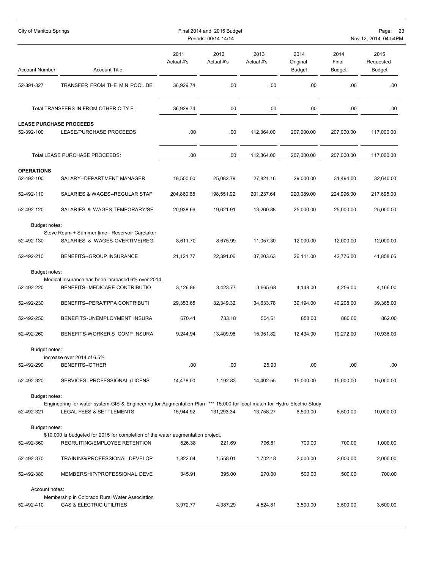| City of Manitou Springs                      |                                                                                                                                                      |                    | Final 2014 and 2015 Budget<br>Periods: 00/14-14/14 | Page: 23<br>Nov 12, 2014 04:54PM |                                   |                         |                                    |
|----------------------------------------------|------------------------------------------------------------------------------------------------------------------------------------------------------|--------------------|----------------------------------------------------|----------------------------------|-----------------------------------|-------------------------|------------------------------------|
| <b>Account Number</b>                        | <b>Account Title</b>                                                                                                                                 | 2011<br>Actual #'s | 2012<br>Actual #'s                                 | 2013<br>Actual #'s               | 2014<br>Original<br><b>Budget</b> | 2014<br>Final<br>Budget | 2015<br>Requested<br><b>Budget</b> |
| 52-391-327                                   | TRANSFER FROM THE MIN POOL DE                                                                                                                        | 36,929.74          | .00                                                | .00                              | .00                               | .00                     | .00                                |
|                                              | Total TRANSFERS IN FROM OTHER CITY F:                                                                                                                | 36,929.74          | .00                                                | .00                              | .00                               | .00                     | .00                                |
| <b>LEASE PURCHASE PROCEEDS</b><br>52-392-100 | LEASE/PURCHASE PROCEEDS                                                                                                                              | .00.               | .00                                                | 112,364.00                       | 207,000.00                        | 207,000.00              | 117,000.00                         |
|                                              | Total LEASE PURCHASE PROCEEDS:                                                                                                                       | .00                | .00                                                | 112,364.00                       | 207,000.00                        | 207,000.00              | 117,000.00                         |
| <b>OPERATIONS</b><br>52-492-100              | SALARY--DEPARTMENT MANAGER                                                                                                                           | 19,500.00          | 25,082.79                                          | 27,821.16                        | 29,000.00                         | 31,494.00               | 32,640.00                          |
| 52-492-110                                   | SALARIES & WAGES--REGULAR STAF                                                                                                                       | 204,860.65         | 198,551.92                                         | 201,237.64                       | 220,089.00                        | 224,996.00              | 217,695.00                         |
| 52-492-120                                   | SALARIES & WAGES-TEMPORARY/SE                                                                                                                        | 20,938.66          | 19,621.91                                          | 13,260.88                        | 25,000.00                         | 25,000.00               | 25,000.00                          |
| Budget notes:                                |                                                                                                                                                      |                    |                                                    |                                  |                                   |                         |                                    |
| 52-492-130                                   | Steve Ream + Summer time - Reservoir Caretaker<br>SALARIES & WAGES-OVERTIME(REG                                                                      | 8,611.70           | 8,675.99                                           | 11,057.30                        | 12,000.00                         | 12,000.00               | 12,000.00                          |
| 52-492-210                                   | BENEFITS--GROUP INSURANCE                                                                                                                            | 21,121.77          | 22,391.06                                          | 37,203.63                        | 26,111.00                         | 42,776.00               | 41,858.66                          |
| Budget notes:                                |                                                                                                                                                      |                    |                                                    |                                  |                                   |                         |                                    |
| 52-492-220                                   | Medical insurance has been increased 6% over 2014.<br>BENEFITS--MEDICARE CONTRIBUTIO                                                                 | 3,126.86           | 3,423.77                                           | 3,665.68                         | 4,148.00                          | 4,256.00                | 4,166.00                           |
| 52-492-230                                   | BENEFITS--PERA/FPPA CONTRIBUTI                                                                                                                       | 29,353.65          | 32,349.32                                          | 34,633.78                        | 39,194.00                         | 40,208.00               | 39,365.00                          |
| 52-492-250                                   | BENEFITS-UNEMPLOYMENT INSURA                                                                                                                         | 670.41             | 733.18                                             | 504.61                           | 858.00                            | 880.00                  | 862.00                             |
| 52-492-260                                   | BENEFITS-WORKER'S COMP INSURA                                                                                                                        | 9,244.94           | 13,409.96                                          | 15,951.82                        | 12,434.00                         | 10,272.00               | 10,936.00                          |
| Budget notes:                                |                                                                                                                                                      |                    |                                                    |                                  |                                   |                         |                                    |
| 52-492-290                                   | increase over 2014 of 6.5%<br><b>BENEFITS--OTHER</b>                                                                                                 | .00.               | .00.                                               | 25.90                            | .00.                              | .00.                    | .00                                |
| 52-492-320                                   | SERVICES--PROFESSIONAL (LICENS                                                                                                                       | 14,478.00          | 1,192.83                                           | 14,402.55                        | 15,000.00                         | 15,000.00               | 15,000.00                          |
| Budget notes:                                |                                                                                                                                                      |                    |                                                    |                                  |                                   |                         |                                    |
| 52-492-321                                   | Engineering for water system-GIS & Engineering for Augmentation Plan *** 15,000 for local match for Hydro Electric Study<br>LEGAL FEES & SETTLEMENTS | 15,944.92          | 131,293.34                                         | 13.758.27                        | 6,500.00                          | 8,500.00                | 10,000.00                          |
| Budget notes:                                |                                                                                                                                                      |                    |                                                    |                                  |                                   |                         |                                    |
|                                              | \$10,000 is budgeted for 2015 for completion of the water augmentation project.                                                                      |                    |                                                    |                                  |                                   |                         |                                    |
| 52-492-360                                   | RECRUITING/EMPLOYEE RETENTION                                                                                                                        | 526.38             | 221.69                                             | 796.81                           | 700.00                            | 700.00                  | 1,000.00                           |
| 52-492-370                                   | TRAINING/PROFESSIONAL DEVELOP                                                                                                                        | 1,822.04           | 1,558.01                                           | 1,702.18                         | 2,000.00                          | 2,000.00                | 2,000.00                           |
| 52-492-380                                   | MEMBERSHIP/PROFESSIONAL DEVE                                                                                                                         | 345.91             | 395.00                                             | 270.00                           | 500.00                            | 500.00                  | 700.00                             |
| Account notes:                               |                                                                                                                                                      |                    |                                                    |                                  |                                   |                         |                                    |
| 52-492-410                                   | Membership in Colorado Rural Water Association<br><b>GAS &amp; ELECTRIC UTILITIES</b>                                                                | 3,972.77           | 4,387.29                                           | 4,524.81                         | 3,500.00                          | 3,500.00                | 3,500.00                           |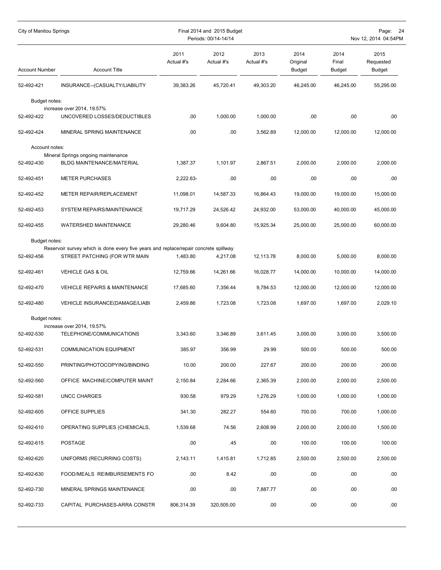| City of Manitou Springs<br>Final 2014 and 2015 Budget<br>Periods: 00/14-14/14 |                                                                                                                       |                    |                    |                    |                                   | Page: 24<br>Nov 12, 2014 04:54PM |                                    |  |  |  |  |  |
|-------------------------------------------------------------------------------|-----------------------------------------------------------------------------------------------------------------------|--------------------|--------------------|--------------------|-----------------------------------|----------------------------------|------------------------------------|--|--|--|--|--|
| <b>Account Number</b>                                                         | <b>Account Title</b>                                                                                                  | 2011<br>Actual #'s | 2012<br>Actual #'s | 2013<br>Actual #'s | 2014<br>Original<br><b>Budget</b> | 2014<br>Final<br><b>Budget</b>   | 2015<br>Requested<br><b>Budget</b> |  |  |  |  |  |
| 52-492-421                                                                    | INSURANCE--(CASUALTY/LIABILITY                                                                                        | 39,383.26          | 45,720.41          | 49,303.20          | 46,245.00                         | 46,245.00                        | 55,295.00                          |  |  |  |  |  |
| Budget notes:                                                                 |                                                                                                                       |                    |                    |                    |                                   |                                  |                                    |  |  |  |  |  |
| 52-492-422                                                                    | increase over 2014, 19.57%<br>UNCOVERED LOSSES/DEDUCTIBLES                                                            | .00                | 1,000.00           | 1,000.00           | .00                               | .00                              | .00                                |  |  |  |  |  |
| 52-492-424                                                                    | MINERAL SPRING MAINTENANCE                                                                                            | .00                | .00                | 3,562.89           | 12,000.00                         | 12,000.00                        | 12,000.00                          |  |  |  |  |  |
| Account notes:                                                                |                                                                                                                       |                    |                    |                    |                                   |                                  |                                    |  |  |  |  |  |
| 52-492-430                                                                    | Mineral Springs ongoing maintenance<br><b>BLDG MAINTENANCE/MATERIAL</b>                                               | 1,387.37           | 1,101.97           | 2,867.51           | 2,000.00                          | 2,000.00                         | 2,000.00                           |  |  |  |  |  |
| 52-492-451                                                                    | <b>METER PURCHASES</b>                                                                                                | 2,222.63-          | .00                | .00                | .00                               | .00                              | .00.                               |  |  |  |  |  |
| 52-492-452                                                                    | METER REPAIR/REPLACEMENT                                                                                              | 11,098.01          | 14,587.33          | 16,864.43          | 19,000.00                         | 19,000.00                        | 15,000.00                          |  |  |  |  |  |
| 52-492-453                                                                    | SYSTEM REPAIRS/MAINTENANCE                                                                                            | 19,717.29          | 24,526.42          | 24,932.00          | 53,000.00                         | 40,000.00                        | 45,000.00                          |  |  |  |  |  |
| 52-492-455                                                                    | WATERSHED MAINTENANCE                                                                                                 | 29,280.46          | 9,604.80           | 15,925.34          | 25,000.00                         | 25,000.00                        | 60,000.00                          |  |  |  |  |  |
| Budget notes:                                                                 |                                                                                                                       |                    |                    |                    |                                   |                                  |                                    |  |  |  |  |  |
| 52-492-456                                                                    | Reservoir survey which is done every five years and replace/repair concrete spillway<br>STREET PATCHING (FOR WTR MAIN | 1,483.80           | 4,217.08           | 12,113.78          | 8,000.00                          | 5,000.00                         | 8,000.00                           |  |  |  |  |  |
| 52-492-461                                                                    | VEHICLE GAS & OIL                                                                                                     | 12,759.66          | 14,261.66          | 16,028.77          | 14,000.00                         | 10,000.00                        | 14,000.00                          |  |  |  |  |  |
| 52-492-470                                                                    | <b>VEHICLE REPAIRS &amp; MAINTENANCE</b>                                                                              | 17,685.60          | 7,356.44           | 9,784.53           | 12,000.00                         | 12,000.00                        | 12,000.00                          |  |  |  |  |  |
| 52-492-480                                                                    | VEHICLE INSURANCE(DAMAGE/LIABI                                                                                        | 2,459.86           | 1,723.08           | 1,723.08           | 1,697.00                          | 1.697.00                         | 2,029.10                           |  |  |  |  |  |
| Budget notes:                                                                 |                                                                                                                       |                    |                    |                    |                                   |                                  |                                    |  |  |  |  |  |
| 52-492-530                                                                    | increase over 2014, 19.57%<br>TELEPHONE/COMMUNICATIONS                                                                | 3,343.60           | 3.346.89           | 3,611.45           | 3,000.00                          | 3,000.00                         | 3.500.00                           |  |  |  |  |  |
| 52-492-531                                                                    | <b>COMMUNICATION EQUIPMENT</b>                                                                                        | 385.97             | 356.99             | 29.99              | 500.00                            | 500.00                           | 500.00                             |  |  |  |  |  |
| 52-492-550                                                                    | PRINTING/PHOTOCOPYING/BINDING                                                                                         | 10.00              | 200.00             | 227.67             | 200.00                            | 200.00                           | 200.00                             |  |  |  |  |  |
| 52-492-560                                                                    | OFFICE MACHINE/COMPUTER MAINT                                                                                         | 2,150.84           | 2,284.66           | 2,365.39           | 2,000.00                          | 2,000.00                         | 2,500.00                           |  |  |  |  |  |
| 52-492-581                                                                    | UNCC CHARGES                                                                                                          | 930.58             | 979.29             | 1,276.29           | 1,000.00                          | 1,000.00                         | 1,000.00                           |  |  |  |  |  |
| 52-492-605                                                                    | OFFICE SUPPLIES                                                                                                       | 341.30             | 282.27             | 554.60             | 700.00                            | 700.00                           | 1,000.00                           |  |  |  |  |  |
| 52-492-610                                                                    | OPERATING SUPPLIES (CHEMICALS,                                                                                        | 1,539.68           | 74.56              | 2,608.99           | 2,000.00                          | 2,000.00                         | 1,500.00                           |  |  |  |  |  |
| 52-492-615                                                                    | POSTAGE                                                                                                               | .00.               | .45                | .00                | 100.00                            | 100.00                           | 100.00                             |  |  |  |  |  |
| 52-492-620                                                                    | UNIFORMS (RECURRING COSTS)                                                                                            | 2,143.11           | 1,415.81           | 1,712.85           | 2,500.00                          | 2,500.00                         | 2,500.00                           |  |  |  |  |  |
| 52-492-630                                                                    | FOOD/MEALS REIMBURSEMENTS FO                                                                                          | .00                | 8.42               | .00                | .00.                              | .00                              | .00.                               |  |  |  |  |  |
| 52-492-730                                                                    | MINERAL SPRINGS MAINTENANCE                                                                                           | .00                | .00                | 7,887.77           | .00                               | .00                              | .00                                |  |  |  |  |  |
| 52-492-733                                                                    | CAPITAL PURCHASES-ARRA CONSTR                                                                                         | 806,314.39         | 320,505.00         | .00                | .00.                              | .00.                             | .00                                |  |  |  |  |  |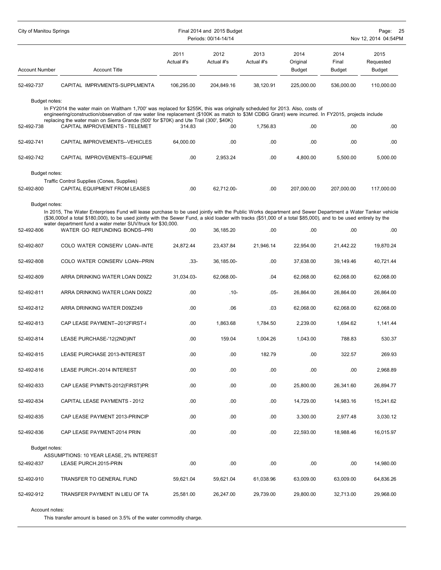| City of Manitou Springs     |                                                                                                                                                                                                                                                                                                                                                                                                                             |                    | Final 2014 and 2015 Budget<br>Periods: 00/14-14/14 | Page:<br>25<br>Nov 12, 2014 04:54PM |                                   |                                |                                    |
|-----------------------------|-----------------------------------------------------------------------------------------------------------------------------------------------------------------------------------------------------------------------------------------------------------------------------------------------------------------------------------------------------------------------------------------------------------------------------|--------------------|----------------------------------------------------|-------------------------------------|-----------------------------------|--------------------------------|------------------------------------|
| <b>Account Number</b>       | <b>Account Title</b>                                                                                                                                                                                                                                                                                                                                                                                                        | 2011<br>Actual #'s | 2012<br>Actual #'s                                 | 2013<br>Actual #'s                  | 2014<br>Original<br><b>Budget</b> | 2014<br>Final<br><b>Budget</b> | 2015<br>Requested<br><b>Budget</b> |
| 52-492-737                  | CAPITAL IMPRVMENTS-SUPPLMENTA                                                                                                                                                                                                                                                                                                                                                                                               | 106,295.00         | 204,849.16                                         | 38,120.91                           | 225,000.00                        | 536,000.00                     | 110,000.00                         |
| Budget notes:<br>52-492-738 | In FY2014 the water main on Waltham 1,700' was replaced for \$255K, this was originally scheduled for 2013. Also, costs of<br>engineering/construction/observation of raw water line replacement (\$100K as match to \$3M CDBG Grant) were incurred. In FY2015, projects include<br>replacing the water main on Sierra Grande (500' for \$70K) and Ute Trail (300', \$40K)<br>CAPITAL IMPROVEMENTS - TELEMET                | 314.83             | .00                                                | 1.756.83                            | .00                               | .00                            | .00                                |
| 52-492-741                  | CAPITAL IMPROVEMENTS--VEHICLES                                                                                                                                                                                                                                                                                                                                                                                              | 64,000.00          | .00                                                | .00                                 | .00                               | .00                            | .00                                |
| 52-492-742                  | CAPITAL IMPROVEMENTS--EQUIPME                                                                                                                                                                                                                                                                                                                                                                                               | .00                | 2,953.24                                           | .00                                 | 4,800.00                          | 5,500.00                       | 5,000.00                           |
| Budget notes:<br>52-492-800 | Traffic Control Supplies (Cones, Supplies)<br>CAPITAL EQUIPMENT FROM LEASES                                                                                                                                                                                                                                                                                                                                                 | .00                | 62,712.00-                                         | .00                                 | 207,000.00                        | 207,000.00                     | 117,000.00                         |
| Budget notes:<br>52-492-806 | In 2015, The Water Enterprises Fund will lease purchase to be used jointly with the Public Works department and Sewer Department a Water Tanker vehicle<br>(\$36,000of a total \$180,000), to be used jointly with the Sewer Fund, a skid loader with tracks (\$51,000 of a total \$85,000), and to be used entirely by the<br>water department fund a water meter SUV/truck for \$30,000.<br>WATER GO REFUNDING BONDS--PRI | .00                | 36,185.20                                          | .00                                 | .00                               | .00                            | .00                                |
|                             |                                                                                                                                                                                                                                                                                                                                                                                                                             |                    |                                                    |                                     |                                   |                                |                                    |
| 52-492-807                  | COLO WATER CONSERV LOAN--INTE                                                                                                                                                                                                                                                                                                                                                                                               | 24,872.44          | 23,437.84                                          | 21,946.14                           | 22,954.00                         | 21,442.22                      | 19,870.24                          |
| 52-492-808                  | COLO WATER CONSERV LOAN--PRIN                                                                                                                                                                                                                                                                                                                                                                                               | $.33-$             | 36,185.00-                                         | .00                                 | 37,638.00                         | 39,149.46                      | 40,721.44                          |
| 52-492-809                  | ARRA DRINKING WATER LOAN D09Z2                                                                                                                                                                                                                                                                                                                                                                                              | 31,034.03-         | 62,068.00-                                         | .04                                 | 62,068.00                         | 62,068.00                      | 62,068.00                          |
| 52-492-811                  | ARRA DRINKING WATER LOAN D09Z2                                                                                                                                                                                                                                                                                                                                                                                              | .00                | $.10 -$                                            | $.05 -$                             | 26,864.00                         | 26,864.00                      | 26,864.00                          |
| 52-492-812                  | ARRA DRINKING WATER D09Z249                                                                                                                                                                                                                                                                                                                                                                                                 | .00                | .06                                                | .03                                 | 62,068.00                         | 62.068.00                      | 62,068.00                          |
| 52-492-813                  | CAP LEASE PAYMENT--2012FIRST-I                                                                                                                                                                                                                                                                                                                                                                                              | .00                | 1,863.68                                           | 1,784.50                            | 2,239.00                          | 1.694.62                       | 1,141.44                           |
| 52-492-814                  | LEASE PURCHASE-'12(2ND)INT                                                                                                                                                                                                                                                                                                                                                                                                  | .00                | 159.04                                             | 1,004.26                            | 1,043.00                          | 788.83                         | 530.37                             |
| 52-492-815                  | LEASE PURCHASE 2013-INTEREST                                                                                                                                                                                                                                                                                                                                                                                                | .00                | .00                                                | 182.79                              | .00                               | 322.57                         | 269.93                             |
| 52-492-816                  | LEASE PURCH.-2014 INTEREST                                                                                                                                                                                                                                                                                                                                                                                                  | .00                | .00                                                | .00                                 | .00                               | .00                            | 2,968.89                           |
| 52-492-833                  | CAP LEASE PYMNTS-2012(FIRST)PR                                                                                                                                                                                                                                                                                                                                                                                              | .00                | .00                                                | .00                                 | 25,800.00                         | 26,341.60                      | 26,894.77                          |
| 52-492-834                  | CAPITAL LEASE PAYMENTS - 2012                                                                                                                                                                                                                                                                                                                                                                                               | .00                | .00                                                | .00                                 | 14,729.00                         | 14,983.16                      | 15,241.62                          |
| 52-492-835                  | CAP LEASE PAYMENT 2013-PRINCIP                                                                                                                                                                                                                                                                                                                                                                                              | .00                | .00.                                               | .00                                 | 3,300.00                          | 2,977.48                       | 3,030.12                           |
| 52-492-836                  | CAP LEASE PAYMENT-2014 PRIN                                                                                                                                                                                                                                                                                                                                                                                                 | .00                | .00                                                | .00.                                | 22,593.00                         | 18,988.46                      | 16,015.97                          |
| Budget notes:               | ASSUMPTIONS: 10 YEAR LEASE, 2% INTEREST                                                                                                                                                                                                                                                                                                                                                                                     |                    |                                                    |                                     |                                   |                                |                                    |
| 52-492-837                  | LEASE PURCH.2015-PRIN                                                                                                                                                                                                                                                                                                                                                                                                       | .00                | .00                                                | .00                                 | .00                               | .00                            | 14,980.00                          |
| 52-492-910                  | TRANSFER TO GENERAL FUND                                                                                                                                                                                                                                                                                                                                                                                                    | 59,621.04          | 59,621.04                                          | 61,038.96                           | 63,009.00                         | 63,009.00                      | 64,836.26                          |
| 52-492-912                  | TRANSFER PAYMENT IN LIEU OF TA                                                                                                                                                                                                                                                                                                                                                                                              | 25,581.00          | 26,247.00                                          | 29,739.00                           | 29,800.00                         | 32,713.00                      | 29,968.00                          |

Account notes:

This transfer amount is based on 3.5% of the water commodity charge.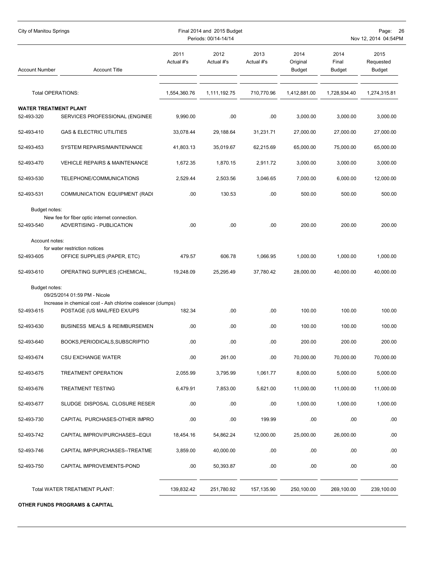| City of Manitou Springs                                            |                                                                                             |                    | Final 2014 and 2015 Budget<br>Periods: 00/14-14/14 | Page:<br>26<br>Nov 12, 2014 04:54PM |                                   |                                |                                    |  |
|--------------------------------------------------------------------|---------------------------------------------------------------------------------------------|--------------------|----------------------------------------------------|-------------------------------------|-----------------------------------|--------------------------------|------------------------------------|--|
| <b>Account Title</b><br><b>Account Number</b><br>Total OPERATIONS: |                                                                                             | 2011<br>Actual #'s | 2012<br>Actual #'s                                 | 2013<br>Actual #'s                  | 2014<br>Original<br><b>Budget</b> | 2014<br>Final<br><b>Budget</b> | 2015<br>Requested<br><b>Budget</b> |  |
|                                                                    |                                                                                             | 1,554,360.76       | 1,111,192.75                                       | 710,770.96                          | 1,412,881.00                      | 1,728,934.40                   | 1,274,315.81                       |  |
| <b>WATER TREATMENT PLANT</b>                                       |                                                                                             |                    |                                                    |                                     |                                   |                                |                                    |  |
| 52-493-320                                                         | SERVICES PROFESSIONAL (ENGINEE                                                              | 9,990.00           | .00                                                | .00                                 | 3,000.00                          | 3,000.00                       | 3,000.00                           |  |
| 52-493-410                                                         | <b>GAS &amp; ELECTRIC UTILITIES</b>                                                         | 33,078.44          | 29,188.64                                          | 31,231.71                           | 27,000.00                         | 27,000.00                      | 27,000.00                          |  |
| 52-493-453                                                         | SYSTEM REPAIRS/MAINTENANCE                                                                  | 41,803.13          | 35,019.67                                          | 62,215.69                           | 65,000.00                         | 75,000.00                      | 65,000.00                          |  |
| 52-493-470                                                         | <b>VEHICLE REPAIRS &amp; MAINTENANCE</b>                                                    | 1,672.35           | 1,870.15                                           | 2,911.72                            | 3,000.00                          | 3,000.00                       | 3,000.00                           |  |
| 52-493-530                                                         | TELEPHONE/COMMUNICATIONS                                                                    | 2,529.44           | 2,503.56                                           | 3,046.65                            | 7,000.00                          | 6,000.00                       | 12,000.00                          |  |
| 52-493-531                                                         | COMMUNICATION EQUIPMENT (RADI                                                               | .00                | 130.53                                             | .00                                 | 500.00                            | 500.00                         | 500.00                             |  |
| Budget notes:<br>52-493-540                                        | New fee for fiber optic internet connection.<br>ADVERTISING - PUBLICATION                   | .00.               | .00                                                | .00                                 | 200.00                            | 200.00                         | 200.00                             |  |
| Account notes:                                                     |                                                                                             |                    |                                                    |                                     |                                   |                                |                                    |  |
| 52-493-605                                                         | for water restriction notices<br>OFFICE SUPPLIES (PAPER, ETC)                               | 479.57             | 606.78                                             | 1,066.95                            | 1,000.00                          | 1,000.00                       | 1,000.00                           |  |
| 52-493-610                                                         | OPERATING SUPPLIES (CHEMICAL,                                                               | 19,248.09          | 25,295.49                                          | 37,780.42                           | 28,000.00                         | 40,000.00                      | 40,000.00                          |  |
| Budget notes:                                                      | 09/25/2014 01:59 PM - Nicole<br>Increase in chemical cost - Ash chlorine coalescer (clumps) |                    |                                                    |                                     |                                   |                                |                                    |  |
| 52-493-615                                                         | POSTAGE (US MAIL/FED EX/UPS                                                                 | 182.34             | .00                                                | .00                                 | 100.00                            | 100.00                         | 100.00                             |  |
| 52-493-630                                                         | BUSINESS MEALS & REIMBURSEMEN                                                               | .00                | .00                                                | .00                                 | 100.00                            | 100.00                         | 100.00                             |  |
| 52-493-640                                                         | BOOKS, PERIODICALS, SUBSCRIPTIO                                                             | .00                | .00                                                | .00                                 | 200.00                            | 200.00                         | 200.00                             |  |
| 52-493-674                                                         | <b>CSU EXCHANGE WATER</b>                                                                   | .00                | 261.00                                             | .00                                 | 70,000.00                         | 70,000.00                      | 70,000.00                          |  |
| 52-493-675                                                         | TREATMENT OPERATION                                                                         | 2,055.99           | 3,795.99                                           | 1,061.77                            | 8,000.00                          | 5,000.00                       | 5,000.00                           |  |
| 52-493-676                                                         | <b>TREATMENT TESTING</b>                                                                    | 6,479.91           | 7,853.00                                           | 5,621.00                            | 11,000.00                         | 11,000.00                      | 11,000.00                          |  |
| 52-493-677                                                         | SLUDGE DISPOSAL CLOSURE RESER                                                               | .00                | .00                                                | .00                                 | 1,000.00                          | 1,000.00                       | 1,000.00                           |  |
| 52-493-730                                                         | CAPITAL PURCHASES-OTHER IMPRO                                                               | .00                | .00                                                | 199.99                              | .00.                              | .00                            | .00.                               |  |
| 52-493-742                                                         | CAPITAL IMPROV/PURCHASES--EQUI                                                              | 18,454.16          | 54,862.24                                          | 12,000.00                           | 25,000.00                         | 26,000.00                      | .00                                |  |
| 52-493-746                                                         | CAPITAL IMP/PURCHASES--TREATME                                                              | 3,859.00           | 40,000.00                                          | .00                                 | .00                               | .00                            | .00                                |  |
| 52-493-750                                                         | CAPITAL IMPROVEMENTS-POND                                                                   | .00.               | 50,393.87                                          | .00                                 | .00                               | .00                            | .00                                |  |
|                                                                    | Total WATER TREATMENT PLANT:                                                                | 139,832.42         | 251,780.92                                         | 157,135.90                          | 250,100.00                        | 269,100.00                     | 239,100.00                         |  |

**OTHER FUNDS PROGRAMS & CAPITAL**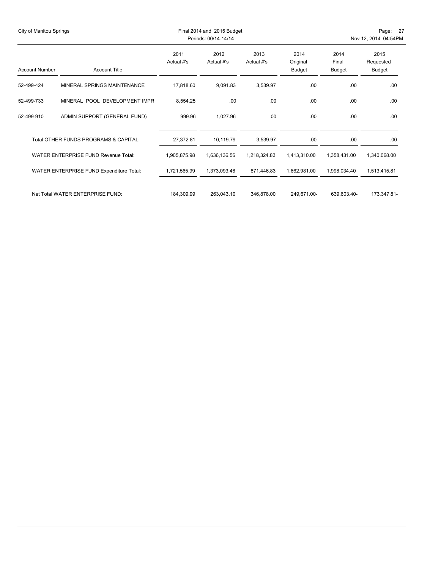| City of Manitou Springs               |                                          |                    | Final 2014 and 2015 Budget<br>Periods: 00/14-14/14 |                    |                            |                                | Page: 27<br>Nov 12, 2014 04:54PM |  |  |  |
|---------------------------------------|------------------------------------------|--------------------|----------------------------------------------------|--------------------|----------------------------|--------------------------------|----------------------------------|--|--|--|
| <b>Account Number</b>                 | <b>Account Title</b>                     | 2011<br>Actual #'s | 2012<br>Actual #'s                                 | 2013<br>Actual #'s | 2014<br>Original<br>Budget | 2014<br>Final<br><b>Budget</b> | 2015<br>Requested<br>Budget      |  |  |  |
| 52-499-424                            | MINERAL SPRINGS MAINTENANCE              | 17,818.60          | 9,091.83                                           | 3,539.97           | .00                        | .00                            | .00                              |  |  |  |
| 52-499-733                            | MINERAL POOL DEVELOPMENT IMPR            | 8,554.25           | .00                                                | .00.               | .00                        | .00                            | .00                              |  |  |  |
| 52-499-910                            | ADMIN SUPPORT (GENERAL FUND)             | 999.96             | 1,027.96                                           | .00.               | .00                        | .00.                           | .00                              |  |  |  |
| Total OTHER FUNDS PROGRAMS & CAPITAL: |                                          | 27,372.81          | 10,119.79                                          | 3,539.97           | .00.                       | .00                            | .00                              |  |  |  |
| WATER ENTERPRISE FUND Revenue Total:  |                                          | 1,905,875.98       | 1,636,136.56                                       | 1.218.324.83       | 1.413.310.00               | 1.358.431.00                   | 1,340,068.00                     |  |  |  |
|                                       | WATER ENTERPRISE FUND Expenditure Total: | 1,721,565.99       | 1,373,093.46                                       | 871,446.83         | 1,662,981.00               | 1,998,034.40                   | 1,513,415.81                     |  |  |  |
|                                       | Net Total WATER ENTERPRISE FUND:         | 184,309.99         | 263,043.10                                         | 346,878.00         | 249,671.00-                | 639,603.40-                    | 173,347.81-                      |  |  |  |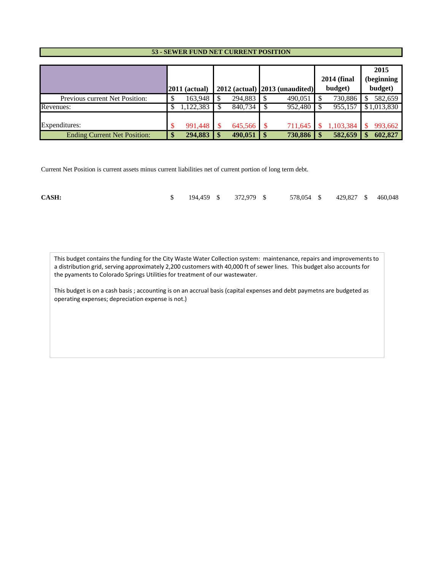#### **53 - SEWER FUND NET CURRENT POSITION**

|                                     |                 |  |         |                   |                                    | <b>2014 (final</b> | 2015<br>(beginning |
|-------------------------------------|-----------------|--|---------|-------------------|------------------------------------|--------------------|--------------------|
|                                     | $2011$ (actual) |  |         |                   | $2012$ (actual) $2013$ (unaudited) | budget)            | budget)            |
| Previous current Net Position:      | 163,948         |  | 294,883 |                   | 490,051                            | 730,886            | 582,659            |
| Revenues:                           | 1,122,383       |  | 840,734 |                   | 952,480                            | 955,157            | \$1,013,830        |
| Expenditures:                       | 991,448         |  | 645,566 |                   | 711,645                            | 1,103,384          | 993,662            |
| <b>Ending Current Net Position:</b> | 294,883         |  | 490,051 | $\boldsymbol{\$}$ | 730,886                            | 582,659            | 602,827            |

Current Net Position is current assets minus current liabilities net of current portion of long term debt.

| CASH: |  | $\frac{194,459}{8}$ 372,979 \$ |  |  |  |  |  | 578,054 \$ 429,827 \$ 460,048 |  |  |
|-------|--|--------------------------------|--|--|--|--|--|-------------------------------|--|--|
|-------|--|--------------------------------|--|--|--|--|--|-------------------------------|--|--|

This budget contains the funding for the City Waste Water Collection system: maintenance, repairs and improvements to a distribution grid, serving approximately 2,200 customers with 40,000 ft of sewer lines. This budget also accounts for the pyaments to Colorado Springs Utilities for treatment of our wastewater.

This budget is on a cash basis ; accounting is on an accrual basis (capital expenses and debt paymetns are budgeted as operating expenses; depreciation expense is not.)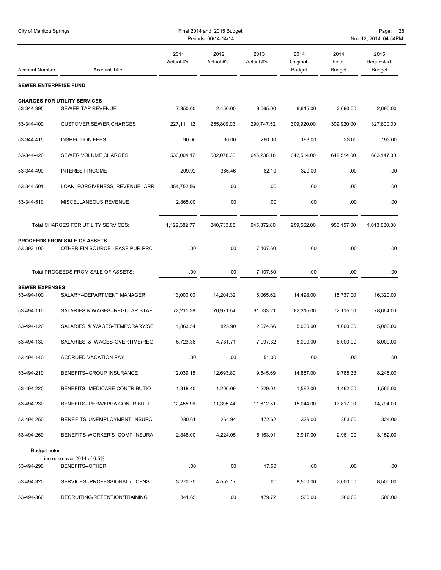| City of Manitou Springs      |                                                                |                    | Final 2014 and 2015 Budget<br>Periods: 00/14-14/14 |                    |                                   |                         | Page:<br>-28<br>Nov 12, 2014 04:54PM |
|------------------------------|----------------------------------------------------------------|--------------------|----------------------------------------------------|--------------------|-----------------------------------|-------------------------|--------------------------------------|
| <b>Account Number</b>        | <b>Account Title</b>                                           | 2011<br>Actual #'s | 2012<br>Actual #'s                                 | 2013<br>Actual #'s | 2014<br>Original<br><b>Budget</b> | 2014<br>Final<br>Budget | 2015<br>Requested<br><b>Budget</b>   |
| <b>SEWER ENTERPRISE FUND</b> |                                                                |                    |                                                    |                    |                                   |                         |                                      |
| 53-344-395                   | <b>CHARGES FOR UTILITY SERVICES</b><br>SEWER TAP REVENUE       | 7,350.00           | 2,450.00                                           | 9,065.00           | 6,615.00                          | 2,690.00                | 2,690.00                             |
| 53-344-400                   | <b>CUSTOMER SEWER CHARGES</b>                                  | 227,111.12         | 255,809.03                                         | 290,747.52         | 309,920.00                        | 309,920.00              | 327,800.00                           |
| 53-344-415                   | <b>INSPECTION FEES</b>                                         | 90.00              | 30.00                                              | 260.00             | 193.00                            | 33.00                   | 193.00                               |
| 53-344-420                   | SEWER VOLUME CHARGES                                           | 530,004.17         | 582,078.36                                         | 645,238.18         | 642,514.00                        | 642,514.00              | 683,147.30                           |
| 53-344-490                   | <b>INTEREST INCOME</b>                                         | 209.92             | 366.46                                             | 62.10              | 320.00                            | .00                     | .00                                  |
| 53-344-501                   | LOAN FORGIVENESS REVENUE--ARR                                  | 354,752.56         | .00                                                | .00                | .00.                              | .00                     | .00                                  |
| 53-344-510                   | MISCELLANEOUS REVENUE                                          | 2,865.00           | .00                                                | .00                | .00                               | .00                     | .00                                  |
|                              | Total CHARGES FOR UTILITY SERVICES:                            | 1,122,382.77       | 840,733.85                                         | 945,372.80         | 959,562.00                        | 955,157.00              | 1,013,830.30                         |
| 53-392-100                   | PROCEEDS FROM SALE OF ASSETS<br>OTHER FIN SOURCE-LEASE PUR PRC | .00                | .00                                                | 7,107.60           | .00                               | .00                     | .00                                  |
|                              | Total PROCEEDS FROM SALE OF ASSETS:                            | .00                | .00                                                | 7,107.60           | .00.                              | .00                     | .00                                  |
| <b>SEWER EXPENSES</b>        |                                                                |                    |                                                    |                    |                                   |                         |                                      |
| 53-494-100                   | SALARY--DEPARTMENT MANAGER                                     | 13,000.00          | 14,204.32                                          | 15,065.62          | 14,498.00                         | 15,737.00               | 16,320.00                            |
| 53-494-110                   | SALARIES & WAGES--REGULAR STAF                                 | 72,211.38          | 70,971.54                                          | 61,533.21          | 82,315.00                         | 72,115.00               | 78,664.00                            |
| 53-494-120                   | SALARIES & WAGES-TEMPORARY/SE                                  | 1,863.54           | 825.90                                             | 2,074.66           | 5,000.00                          | 1,000.00                | 5,000.00                             |
| 53-494-130                   | SALARIES & WAGES-OVERTIME(REG                                  | 5,723.38           | 4,781.71                                           | 7,997.32           | 8,000.00                          | 8,000.00                | 8,000.00                             |
| 53-494-140                   | <b>ACCRUED VACATION PAY</b>                                    | .00                | .00.                                               | 51.00              | .00.                              | .00                     | .00                                  |
| 53-494-210                   | BENEFITS--GROUP INSURANCE                                      | 12,039.15          | 12,693.80                                          | 19,545.69          | 14,887.00                         | 9,785.33                | 8,245.00                             |
| 53-494-220                   | BENEFITS--MEDICARE CONTRIBUTIO                                 | 1,318.40           | 1,206.09                                           | 1,229.01           | 1,592.00                          | 1,462.00                | 1,566.00                             |
| 53-494-230                   | BENEFITS--PERA/FPPA CONTRIBUTI                                 | 12,455.96          | 11,395.44                                          | 11,612.51          | 15,044.00                         | 13,817.00               | 14,794.00                            |
| 53-494-250                   | BENEFITS-UNEMPLOYMENT INSURA                                   | 280.61             | 264.94                                             | 172.62             | 329.00                            | 303.00                  | 324.00                               |
| 53-494-260                   | BENEFITS-WORKER'S COMP INSURA                                  | 2,848.00           | 4,224.05                                           | 5,163.01           | 3,917.00                          | 2,961.00                | 3,152.00                             |
| Budget notes:<br>53-494-290  | increase over 2014 of 6.5%<br><b>BENEFITS--OTHER</b>           | .00                | .00                                                | 17.50              | .00.                              | .00                     | .00                                  |
| 53-494-320                   | SERVICES--PROFESSIONAL (LICENS                                 | 3,270.75           | 4,552.17                                           | .00.               | 8,500.00                          | 2,000.00                | 8,500.00                             |
| 53-494-360                   | RECRUITING/RETENTION/TRAINING                                  | 341.65             | .00.                                               | 479.72             | 500.00                            | 500.00                  | 500.00                               |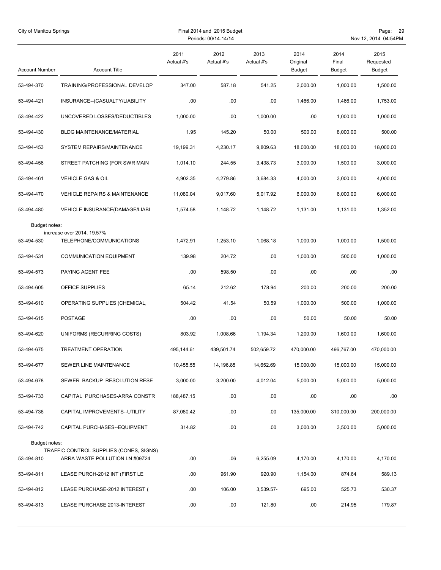| City of Manitou Springs     |                                                                           |                    | Final 2014 and 2015 Budget<br>Periods: 00/14-14/14 |                    |                                   |                                | Page: 29<br>Nov 12, 2014 04:54PM   |
|-----------------------------|---------------------------------------------------------------------------|--------------------|----------------------------------------------------|--------------------|-----------------------------------|--------------------------------|------------------------------------|
| <b>Account Number</b>       | <b>Account Title</b>                                                      | 2011<br>Actual #'s | 2012<br>Actual #'s                                 | 2013<br>Actual #'s | 2014<br>Original<br><b>Budget</b> | 2014<br>Final<br><b>Budget</b> | 2015<br>Requested<br><b>Budget</b> |
| 53-494-370                  | TRAINING/PROFESSIONAL DEVELOP                                             | 347.00             | 587.18                                             | 541.25             | 2,000.00                          | 1,000.00                       | 1,500.00                           |
| 53-494-421                  | INSURANCE--(CASUALTY/LIABILITY                                            | .00                | .00                                                | .00                | 1,466.00                          | 1,466.00                       | 1,753.00                           |
| 53-494-422                  | UNCOVERED LOSSES/DEDUCTIBLES                                              | 1,000.00           | .00                                                | 1.000.00           | .00                               | 1,000.00                       | 1,000.00                           |
| 53-494-430                  | BLDG MAINTENANCE/MATERIAL                                                 | 1.95               | 145.20                                             | 50.00              | 500.00                            | 8,000.00                       | 500.00                             |
| 53-494-453                  | SYSTEM REPAIRS/MAINTENANCE                                                | 19,199.31          | 4,230.17                                           | 9,809.63           | 18,000.00                         | 18,000.00                      | 18,000.00                          |
| 53-494-456                  | STREET PATCHING (FOR SWR MAIN                                             | 1,014.10           | 244.55                                             | 3,438.73           | 3,000.00                          | 1,500.00                       | 3,000.00                           |
| 53-494-461                  | <b>VEHICLE GAS &amp; OIL</b>                                              | 4,902.35           | 4,279.86                                           | 3,684.33           | 4,000.00                          | 3,000.00                       | 4,000.00                           |
| 53-494-470                  | <b>VEHICLE REPAIRS &amp; MAINTENANCE</b>                                  | 11,080.04          | 9,017.60                                           | 5,017.92           | 6,000.00                          | 6,000.00                       | 6,000.00                           |
| 53-494-480                  | VEHICLE INSURANCE(DAMAGE/LIABI                                            | 1,574.58           | 1,148.72                                           | 1.148.72           | 1.131.00                          | 1,131.00                       | 1,352.00                           |
| Budget notes:               | increase over 2014, 19.57%                                                |                    |                                                    |                    |                                   |                                |                                    |
| 53-494-530                  | TELEPHONE/COMMUNICATIONS                                                  | 1,472.91           | 1,253.10                                           | 1,068.18           | 1,000.00                          | 1,000.00                       | 1,500.00                           |
| 53-494-531                  | <b>COMMUNICATION EQUIPMENT</b>                                            | 139.98             | 204.72                                             | .00                | 1,000.00                          | 500.00                         | 1,000.00                           |
| 53-494-573                  | PAYING AGENT FEE                                                          | .00.               | 598.50                                             | .00                | .00                               | .00                            | .00.                               |
| 53-494-605                  | OFFICE SUPPLIES                                                           | 65.14              | 212.62                                             | 178.94             | 200.00                            | 200.00                         | 200.00                             |
| 53-494-610                  | OPERATING SUPPLIES (CHEMICAL,                                             | 504.42             | 41.54                                              | 50.59              | 1,000.00                          | 500.00                         | 1,000.00                           |
| 53-494-615                  | <b>POSTAGE</b>                                                            | .00.               | .00                                                | .00                | 50.00                             | 50.00                          | 50.00                              |
| 53-494-620                  | UNIFORMS (RECURRING COSTS)                                                | 803.92             | 1,008.66                                           | 1,194.34           | 1,200.00                          | 1.600.00                       | 1,600.00                           |
| 53-494-675                  | <b>TREATMENT OPERATION</b>                                                | 495,144.61         | 439,501.74                                         | 502,659.72         | 470,000.00                        | 496,767.00                     | 470,000.00                         |
| 53-494-677                  | SEWER LINE MAINTENANCE                                                    | 10,455.55          | 14,196.85                                          | 14,652.69          | 15,000.00                         | 15,000.00                      | 15,000.00                          |
| 53-494-678                  | SEWER BACKUP RESOLUTION RESE                                              | 3,000.00           | 3,200.00                                           | 4,012.04           | 5,000.00                          | 5,000.00                       | 5,000.00                           |
| 53-494-733                  | CAPITAL PURCHASES-ARRA CONSTR                                             | 188,487.15         | .00.                                               | .00                | .00                               | .00                            | .00                                |
| 53-494-736                  | CAPITAL IMPROVEMENTS--UTILITY                                             | 87,080.42          | .00                                                | .00                | 135,000.00                        | 310,000.00                     | 200,000.00                         |
| 53-494-742                  | CAPITAL PURCHASES--EQUIPMENT                                              | 314.82             | .00                                                | .00                | 3,000.00                          | 3,500.00                       | 5,000.00                           |
| Budget notes:<br>53-494-810 | TRAFFIC CONTROL SUPPLIES (CONES, SIGNS)<br>ARRA WASTE POLLUTION LN #09Z24 | .00                | .06                                                | 6,255.09           | 4,170.00                          | 4,170.00                       | 4,170.00                           |
| 53-494-811                  | LEASE PURCH-2012 INT (FIRST LE                                            | .00                | 961.90                                             | 920.90             | 1,154.00                          | 874.64                         | 589.13                             |
| 53-494-812                  | LEASE PURCHASE-2012 INTEREST (                                            | .00                | 106.00                                             | 3,539.57-          | 695.00                            | 525.73                         | 530.37                             |
| 53-494-813                  | LEASE PURCHASE 2013-INTEREST                                              | .00                | .00                                                | 121.80             | .00                               | 214.95                         | 179.87                             |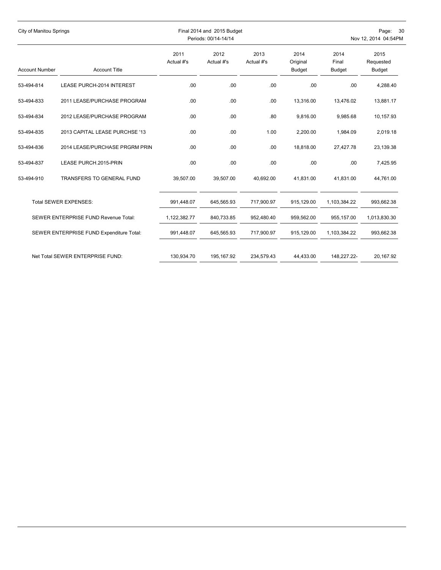|                       | City of Manitou Springs                  |                    | Final 2014 and 2015 Budget<br>Periods: 00/14-14/14 |                    |                                   |                                | Page:<br>- 30<br>Nov 12, 2014 04:54PM |  |  |
|-----------------------|------------------------------------------|--------------------|----------------------------------------------------|--------------------|-----------------------------------|--------------------------------|---------------------------------------|--|--|
| <b>Account Number</b> | <b>Account Title</b>                     | 2011<br>Actual #'s | 2012<br>Actual #'s                                 | 2013<br>Actual #'s | 2014<br>Original<br><b>Budget</b> | 2014<br>Final<br><b>Budget</b> | 2015<br>Requested<br><b>Budget</b>    |  |  |
| 53-494-814            | <b>LEASE PURCH-2014 INTEREST</b>         | .00                | .00                                                | .00                | .00                               | .00                            | 4,288.40                              |  |  |
| 53-494-833            | 2011 LEASE/PURCHASE PROGRAM              | .00                | .00                                                | .00                | 13,316.00                         | 13,476.02                      | 13,881.17                             |  |  |
| 53-494-834            | 2012 LEASE/PURCHASE PROGRAM              | .00                | .00                                                | .80                | 9,816.00                          | 9,985.68                       | 10,157.93                             |  |  |
| 53-494-835            | 2013 CAPITAL LEASE PURCHSE '13           | .00                | .00                                                | 1.00               | 2,200.00                          | 1,984.09                       | 2,019.18                              |  |  |
| 53-494-836            | 2014 LEASE/PURCHASE PRGRM PRIN           | .00                | .00                                                | .00                | 18,818.00                         | 27,427.78                      | 23,139.38                             |  |  |
| 53-494-837            | LEASE PURCH.2015-PRIN                    | .00                | .00                                                | .00                | .00.                              | .00                            | 7,425.95                              |  |  |
| 53-494-910            | <b>TRANSFERS TO GENERAL FUND</b>         | 39,507.00          | 39,507.00                                          | 40,692.00          | 41,831.00                         | 41,831.00                      | 44,761.00                             |  |  |
|                       | <b>Total SEWER EXPENSES:</b>             | 991,448.07         | 645,565.93                                         | 717,900.97         | 915,129.00                        | 1,103,384.22                   | 993,662.38                            |  |  |
|                       | SEWER ENTERPRISE FUND Revenue Total:     | 1,122,382.77       | 840,733.85                                         | 952,480.40         | 959,562.00                        | 955,157.00                     | 1,013,830.30                          |  |  |
|                       | SEWER ENTERPRISE FUND Expenditure Total: | 991,448.07         | 645,565.93                                         | 717,900.97         | 915,129.00                        | 1,103,384.22                   | 993,662.38                            |  |  |
|                       | Net Total SEWER ENTERPRISE FUND:         | 130,934.70         | 195,167.92                                         | 234,579.43         | 44,433.00                         | 148,227.22-                    | 20,167.92                             |  |  |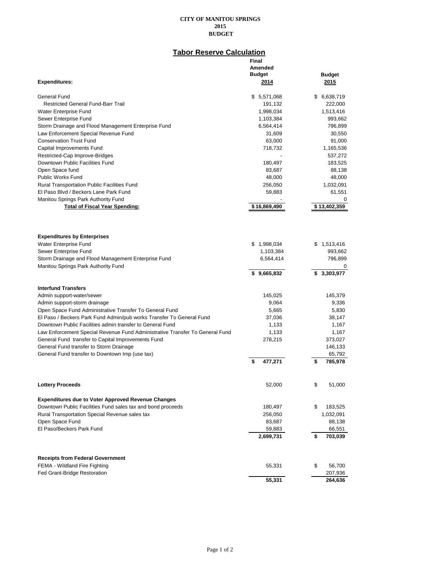### **Tabor Reserve Calculation**

|                                                                                            | Final<br>Amended<br><b>Budget</b> | <b>Budget</b>      |
|--------------------------------------------------------------------------------------------|-----------------------------------|--------------------|
| <b>Expenditures:</b>                                                                       | 2014                              | 2015               |
| General Fund                                                                               | \$5,571,068                       | \$ 6,638,719       |
| <b>Restricted General Fund-Barr Trail</b>                                                  | 191,132                           | 222,000            |
| Water Enterprise Fund                                                                      | 1,998,034                         | 1,513,416          |
| Sewer Enterprise Fund                                                                      | 1,103,384                         | 993,662            |
| Storm Drainage and Flood Management Enterprise Fund                                        | 6,564,414                         | 796,899            |
| Law Enforcement Special Revenue Fund                                                       | 31,609                            | 30,550             |
| <b>Conservation Trust Fund</b>                                                             | 63,000                            | 91,000             |
| Capital Improvements Fund                                                                  | 718,732                           | 1,165,536          |
| Restricted-Cap Improve-Bridges                                                             |                                   | 537,272            |
| Downtown Public Facilities Fund                                                            | 180,497                           | 183,525            |
| Open Space fund                                                                            | 83,687                            | 88,138             |
| <b>Public Works Fund</b>                                                                   | 48,000                            | 48,000             |
| <b>Rural Transportation Public Facilities Fund</b>                                         | 256,050                           | 1,032,091          |
| El Paso Blvd / Beckers Lane Park Fund                                                      | 59,883                            | 61,551             |
| Manitou Springs Park Authority Fund                                                        |                                   | 0                  |
| <b>Total of Fiscal Year Spending:</b>                                                      | \$16,869,490                      | \$13,402,359       |
| <b>Expenditures by Enterprises</b>                                                         |                                   |                    |
| Water Enterprise Fund                                                                      | \$1,998,034                       | \$<br>1,513,416    |
| Sewer Enterprise Fund                                                                      | 1,103,384                         | 993,662            |
| Storm Drainage and Flood Management Enterprise Fund<br>Manitou Springs Park Authority Fund | 6,564,414                         | 796,899<br>0       |
|                                                                                            | 9,665,832<br>S                    | \$3,303,977        |
| <b>Interfund Transfers</b>                                                                 |                                   |                    |
| Admin support-water/sewer                                                                  | 145,025                           | 145,379            |
| Admin support-storm drainage                                                               | 9,064                             | 9,336              |
| Open Space Fund Administrative Transfer To General Fund                                    | 5,665                             | 5,830              |
| El Paso / Beckers Park Fund Admin/pub works Transfer To General Fund                       | 37,036                            | 38,147             |
| Downtown Public Facilities admin transfer to General Fund                                  | 1,133                             | 1,167              |
| Law Enforcement Special Revenue Fund Administrative Transfer To General Fund               | 1,133                             | 1,167              |
| General Fund transfer to Capital Improvements Fund                                         | 278,215                           | 373,027            |
| General Fund transfer to Storm Drainage                                                    |                                   | 146,133            |
| General Fund transfer to Downtown Imp (use tax)                                            |                                   | 65,792             |
|                                                                                            | 477,271                           | \$<br>785,978      |
|                                                                                            |                                   |                    |
| <b>Lottery Proceeds</b>                                                                    | 52,000                            | \$<br>51,000       |
| <b>Expenditures due to Voter Approved Revenue Changes</b>                                  |                                   |                    |
| Downtown Public Facilities Fund sales tax and bond proceeds                                | 180,497                           | \$<br>183,525      |
| Rural Transportation Special Revenue sales tax                                             | 256,050                           | 1,032,091          |
| Open Space Fund                                                                            | 83,687                            | 88,138             |
| El Paso/Beckers Park Fund                                                                  | 59,883                            | 66,551             |
|                                                                                            | 2,699,731                         | \$<br>703,039      |
|                                                                                            |                                   |                    |
| <b>Receipts from Federal Government</b>                                                    |                                   |                    |
| FEMA - Wildland Fire Fighting                                                              | 55,331                            | \$<br>56,700       |
| <b>Fed Grant-Bridge Restoration</b>                                                        | 55,331                            | 207,936<br>264,636 |
|                                                                                            |                                   |                    |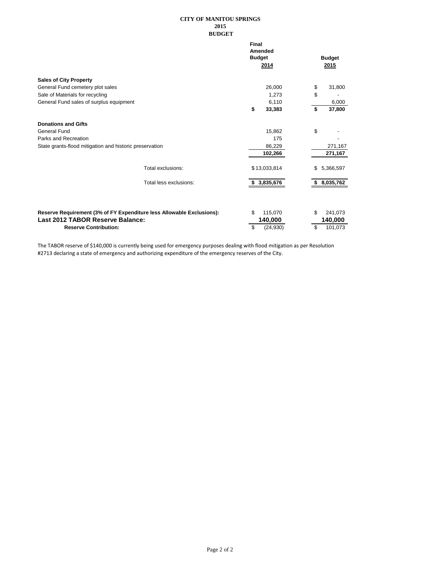|                                                         |                                                                       | Final | Amended<br><b>Budget</b><br>2014 | <b>Budget</b><br>2015 |
|---------------------------------------------------------|-----------------------------------------------------------------------|-------|----------------------------------|-----------------------|
| <b>Sales of City Property</b>                           |                                                                       |       |                                  |                       |
| General Fund cemetery plot sales                        |                                                                       |       | 26,000                           | \$<br>31,800          |
| Sale of Materials for recycling                         |                                                                       |       | 1,273                            | \$                    |
| General Fund sales of surplus equipment                 |                                                                       |       | 6,110                            | 6,000                 |
|                                                         |                                                                       | \$    | 33,383                           | \$<br>37,800          |
| <b>Donations and Gifts</b>                              |                                                                       |       |                                  |                       |
| General Fund                                            |                                                                       |       | 15,862                           | \$                    |
| Parks and Recreation                                    |                                                                       |       | 175                              |                       |
| State grants-flood mitigation and historic preservation |                                                                       |       | 86,229                           | 271,167               |
|                                                         |                                                                       |       | 102,266                          | 271,167               |
|                                                         | Total exclusions:                                                     |       | \$13,033,814                     | \$<br>5,366,597       |
|                                                         | Total less exclusions:                                                | \$    | 3,835,676                        | \$8,035,762           |
|                                                         |                                                                       |       |                                  |                       |
|                                                         | Reserve Requirement (3% of FY Expenditure less Allowable Exclusions): | \$    | 115,070                          | \$<br>241,073         |
| Last 2012 TABOR Reserve Balance:                        |                                                                       |       | 140,000                          | 140,000               |
| <b>Reserve Contribution:</b>                            |                                                                       | \$    | (24, 930)                        | \$<br>101,073         |

The TABOR reserve of \$140,000 is currently being used for emergency purposes dealing with flood mitigation as per Resolution #2713 declaring a state of emergency and authorizing expenditure of the emergency reserves of the City.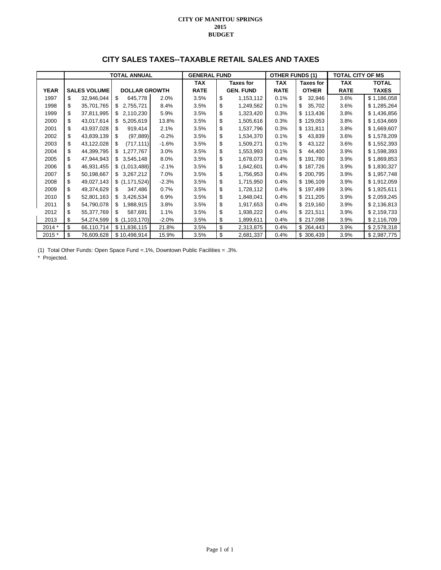### **CITY SALES TAXES--TAXABLE RETAIL SALES AND TAXES**

|             |                     |    | <b>TOTAL ANNUAL</b>  |         | <b>GENERAL FUND</b> |                  | <b>OTHER FUNDS (1)</b> |                  | <b>TOTAL CITY OF MS</b> |              |
|-------------|---------------------|----|----------------------|---------|---------------------|------------------|------------------------|------------------|-------------------------|--------------|
|             |                     |    |                      |         | <b>TAX</b>          | <b>Taxes for</b> | <b>TAX</b>             | <b>Taxes for</b> | <b>TAX</b>              | <b>TOTAL</b> |
| <b>YEAR</b> | <b>SALES VOLUME</b> |    | <b>DOLLAR GROWTH</b> |         | <b>RATE</b>         | <b>GEN. FUND</b> | <b>RATE</b>            | <b>OTHER</b>     | <b>RATE</b>             | <b>TAXES</b> |
| 1997        | \$<br>32,946,044    | \$ | 645,778              | 2.0%    | 3.5%                | \$<br>1,153,112  | 0.1%                   | \$<br>32,946     | 3.6%                    | \$1,186,058  |
| 1998        | \$<br>35,701,765    | S  | 2,755,721            | 8.4%    | 3.5%                | \$<br>1,249,562  | 0.1%                   | \$<br>35,702     | 3.6%                    | \$1,285,264  |
| 1999        | \$<br>37,811,995    | \$ | 2,110,230            | 5.9%    | 3.5%                | \$<br>1,323,420  | 0.3%                   | \$113,436        | 3.8%                    | \$1,436,856  |
| 2000        | \$<br>43,017,614    | S  | 5,205,619            | 13.8%   | 3.5%                | \$<br>1,505,616  | 0.3%                   | \$129,053        | 3.8%                    | \$1,634,669  |
| 2001        | \$<br>43,937,028    | \$ | 919,414              | 2.1%    | 3.5%                | \$<br>1,537,796  | 0.3%                   | \$131,811        | 3.8%                    | \$1,669,607  |
| 2002        | \$<br>43,839,139    | \$ | (97, 889)            | $-0.2%$ | 3.5%                | \$<br>1,534,370  | 0.1%                   | \$<br>43,839     | 3.6%                    | \$1,578,209  |
| 2003        | \$<br>43,122,028    | \$ | (717, 111)           | $-1.6%$ | 3.5%                | \$<br>1,509,271  | 0.1%                   | \$<br>43,122     | 3.6%                    | \$1,552,393  |
| 2004        | \$<br>44,399,795    | \$ | 1,277,767            | 3.0%    | 3.5%                | \$<br>1,553,993  | 0.1%                   | \$<br>44,400     | 3.9%                    | \$1,598,393  |
| 2005        | \$<br>47,944,943    |    | \$3,545,148          | 8.0%    | 3.5%                | \$<br>1,678,073  | 0.4%                   | \$191,780        | 3.9%                    | \$1,869,853  |
| 2006        | \$<br>46,931,455    |    | \$(1,013,488)        | $-2.1%$ | 3.5%                | \$<br>1,642,601  | 0.4%                   | \$187,726        | 3.9%                    | \$1,830,327  |
| 2007        | \$<br>50,198,667    |    | \$3,267,212          | 7.0%    | 3.5%                | \$<br>1,756,953  | 0.4%                   | \$ 200,795       | 3.9%                    | \$1,957,748  |
| 2008        | \$<br>49,027,143    |    | \$ (1,171,524)       | $-2.3%$ | 3.5%                | \$<br>1,715,950  | 0.4%                   | \$196,109        | 3.9%                    | \$1,912,059  |
| 2009        | \$<br>49,374,629    | S  | 347,486              | 0.7%    | 3.5%                | \$<br>1,728,112  | 0.4%                   | \$197,499        | 3.9%                    | \$1,925,611  |
| 2010        | \$<br>52,801,163    | \$ | 3,426,534            | 6.9%    | 3.5%                | \$<br>1,848,041  | 0.4%                   | \$211,205        | 3.9%                    | \$2,059,245  |
| 2011        | \$<br>54,790,078    | \$ | 1,988,915            | 3.8%    | 3.5%                | \$<br>1,917,653  | 0.4%                   | \$219,160        | 3.9%                    | \$2,136,813  |
| 2012        | \$<br>55,377,769    | \$ | 587,691              | 1.1%    | 3.5%                | \$<br>1,938,222  | 0.4%                   | \$221,511        | 3.9%                    | \$2,159,733  |
| 2013        | \$<br>54,274,599    |    | \$(1,103,170)        | $-2.0%$ | 3.5%                | \$<br>1,899,611  | 0.4%                   | \$217,098        | 3.9%                    | \$2,116,709  |
| 2014 *      | \$<br>66,110,714    |    | \$11,836,115         | 21.8%   | 3.5%                | \$<br>2,313,875  | 0.4%                   | \$264,443        | 3.9%                    | \$2,578,318  |
| 2015 *      | \$<br>76,609,628    |    | \$10,498,914         | 15.9%   | 3.5%                | \$<br>2,681,337  | 0.4%                   | \$306,439        | 3.9%                    | \$2,987,775  |

(1) Total Other Funds: Open Space Fund =.1%, Downtown Public Facilities = .3%.

\* Projected.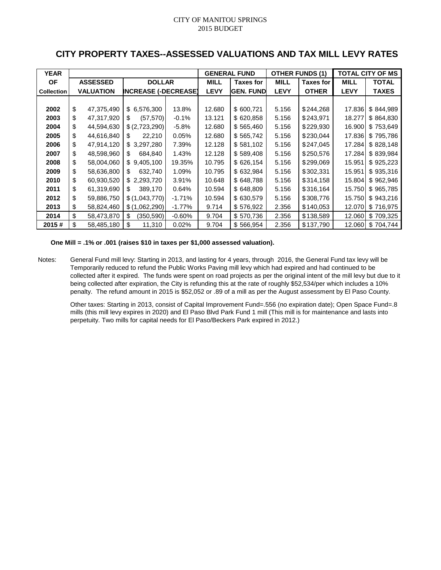# **CITY PROPERTY TAXES--ASSESSED VALUATIONS AND TAX MILL LEVY RATES**

| <b>YEAR</b>       |    |                  |                             |          |             | <b>GENERAL FUND</b> |             | <b>OTHER FUNDS (1)</b> |             | <b>TOTAL CITY OF MS</b> |
|-------------------|----|------------------|-----------------------------|----------|-------------|---------------------|-------------|------------------------|-------------|-------------------------|
| <b>OF</b>         |    | <b>ASSESSED</b>  | <b>DOLLAR</b>               |          | <b>MILL</b> | <b>Taxes for</b>    | <b>MILL</b> | <b>Taxes for</b>       | <b>MILL</b> | <b>TOTAL</b>            |
| <b>Collection</b> |    | <b>VALUATION</b> | <b>INCREASE (-DECREASE)</b> |          | <b>LEVY</b> | <b>GEN. FUND</b>    | <b>LEVY</b> | <b>OTHER</b>           | <b>LEVY</b> | <b>TAXES</b>            |
|                   |    |                  |                             |          |             |                     |             |                        |             |                         |
| 2002              | \$ | 47,375,490       | \$6,576,300                 | 13.8%    | 12.680      | \$600,721           | 5.156       | \$244,268              | 17.836      | \$844,989               |
| 2003              | \$ | 47,317,920       | (57, 570)<br>\$             | $-0.1%$  | 13.121      | \$620,858           | 5.156       | \$243,971              | 18.277      | \$864,830               |
| 2004              | \$ | 44,594,630       | \$ (2,723,290)              | $-5.8%$  | 12.680      | \$565,460           | 5.156       | \$229,930              | 16.900      | \$753,649               |
| 2005              | \$ | 44,616,840       | 22,210<br>\$.               | 0.05%    | 12.680      | \$565,742           | 5.156       | \$230,044              | 17.836      | \$795,786               |
| 2006              | \$ | 47,914,120       | \$3,297,280                 | 7.39%    | 12.128      | \$581,102           | 5.156       | \$247,045              | 17.284      | \$828,148               |
| 2007              | \$ | 48,598,960       | 684,840<br>S.               | 1.43%    | 12.128      | \$589,408           | 5.156       | \$250,576              | 17.284      | \$839,984               |
| 2008              | \$ | 58,004,060       | \$9,405,100                 | 19.35%   | 10.795      | \$626,154           | 5.156       | \$299,069              | 15.951      | \$925,223               |
| 2009              | \$ | 58,636,800       | 632,740<br>S.               | 1.09%    | 10.795      | \$632,984           | 5.156       | \$302,331              | 15.951      | \$935,316               |
| 2010              | \$ | 60,930,520       | \$2,293,720                 | 3.91%    | 10.648      | \$648,788           | 5.156       | \$314,158              | 15.804      | \$962,946               |
| 2011              | \$ | 61,319,690       | 389,170<br>S.               | 0.64%    | 10.594      | \$648,809           | 5.156       | \$316,164              | 15.750      | \$965,785               |
| 2012              | \$ | 59,886,750       | \$(1,043,770)               | $-1.71%$ | 10.594      | \$630,579           | 5.156       | \$308,776              | 15.750      | \$943,216               |
| 2013              | \$ | 58,824,460       | \$(1,062,290)               | $-1.77%$ | 9.714       | \$576,922           | 2.356       | \$140,053              | 12.070      | \$716,975               |
| 2014              | \$ | 58,473,870       | \$<br>(350, 590)            | $-0.60%$ | 9.704       | \$570,736           | 2.356       | \$138,589              | 12.060      | \$709,325               |
| 2015#             | \$ | 58,485,180       | \$<br>11,310                | 0.02%    | 9.704       | \$566,954           | 2.356       | \$137,790              | 12.060      | \$704,744               |

### **One Mill = .1% or .001 (raises \$10 in taxes per \$1,000 assessed valuation).**

Notes: General Fund mill levy: Starting in 2013, and lasting for 4 years, through 2016, the General Fund tax levy will be Temporarily reduced to refund the Public Works Paving mill levy which had expired and had continued to be collected after it expired. The funds were spent on road projects as per the original intent of the mill levy but due to it being collected after expiration, the City is refunding this at the rate of roughly \$52,534/per which includes a 10% penalty. The refund amount in 2015 is \$52,052 or .89 of a mill as per the August assessment by El Paso County.

Other taxes: Starting in 2013, consist of Capital Improvement Fund=.556 (no expiration date); Open Space Fund=.8 mills (this mill levy expires in 2020) and El Paso Blvd Park Fund 1 mill (This mill is for maintenance and lasts into perpetuity. Two mills for capital needs for El Paso/Beckers Park expired in 2012.)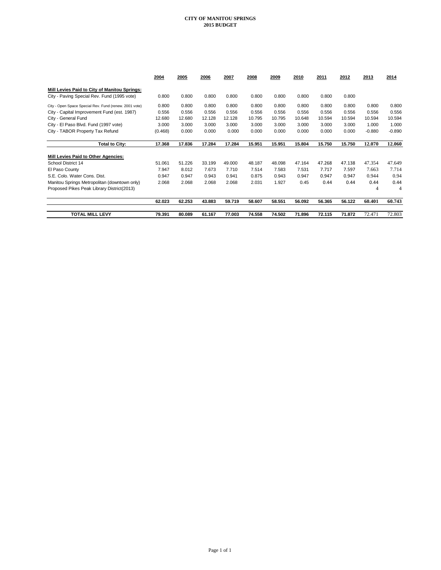|                                                        | 2004    | 2005   | 2006   | 2007   | 2008   | 2009   | 2010   | 2011   | 2012   | 2013     | 2014     |
|--------------------------------------------------------|---------|--------|--------|--------|--------|--------|--------|--------|--------|----------|----------|
| Mill Levies Paid to City of Manitou Springs:           |         |        |        |        |        |        |        |        |        |          |          |
| City - Paving Special Rev. Fund (1995 vote)            | 0.800   | 0.800  | 0.800  | 0.800  | 0.800  | 0.800  | 0.800  | 0.800  | 0.800  |          |          |
| City - Open Space Special Rev. Fund (renew. 2001 vote) | 0.800   | 0.800  | 0.800  | 0.800  | 0.800  | 0.800  | 0.800  | 0.800  | 0.800  | 0.800    | 0.800    |
| City - Capital Improvement Fund (est. 1987)            | 0.556   | 0.556  | 0.556  | 0.556  | 0.556  | 0.556  | 0.556  | 0.556  | 0.556  | 0.556    | 0.556    |
| City - General Fund                                    | 12.680  | 12.680 | 12.128 | 12.128 | 10.795 | 10.795 | 10.648 | 10.594 | 10.594 | 10.594   | 10.594   |
| City - El Paso Blvd. Fund (1997 vote)                  | 3.000   | 3.000  | 3.000  | 3.000  | 3.000  | 3.000  | 3.000  | 3.000  | 3.000  | 1.000    | 1.000    |
| City - TABOR Property Tax Refund                       | (0.468) | 0.000  | 0.000  | 0.000  | 0.000  | 0.000  | 0.000  | 0.000  | 0.000  | $-0.880$ | $-0.890$ |
| <b>Total to City:</b>                                  | 17.368  | 17.836 | 17.284 | 17.284 | 15.951 | 15.951 | 15.804 | 15.750 | 15.750 | 12.070   | 12.060   |
| Mill Levies Paid to Other Agencies:                    |         |        |        |        |        |        |        |        |        |          |          |
| School District 14                                     | 51.061  | 51.226 | 33.199 | 49.000 | 48.187 | 48.098 | 47.164 | 47.268 | 47.138 | 47.354   | 47.649   |
| El Paso County                                         | 7.947   | 8.012  | 7.673  | 7.710  | 7.514  | 7.583  | 7.531  | 7.717  | 7.597  | 7.663    | 7.714    |
| S.E. Colo. Water Cons. Dist.                           | 0.947   | 0.947  | 0.943  | 0.941  | 0.875  | 0.943  | 0.947  | 0.947  | 0.947  | 0.944    | 0.94     |
| Manitou Springs Metropolitan (downtown only)           | 2.068   | 2.068  | 2.068  | 2.068  | 2.031  | 1.927  | 0.45   | 0.44   | 0.44   | 0.44     | 0.44     |
| Proposed Pikes Peak Library District(2013)             |         |        |        |        |        |        |        |        |        | 4        | 4        |
|                                                        | 62.023  | 62.253 | 43.883 | 59.719 | 58.607 | 58.551 | 56.092 | 56.365 | 56.122 | 60.401   | 60.743   |
| <b>TOTAL MILL LEVY</b>                                 | 79.391  | 80.089 | 61.167 | 77.003 | 74.558 | 74.502 | 71.896 | 72.115 | 71.872 | 72.471   | 72.803   |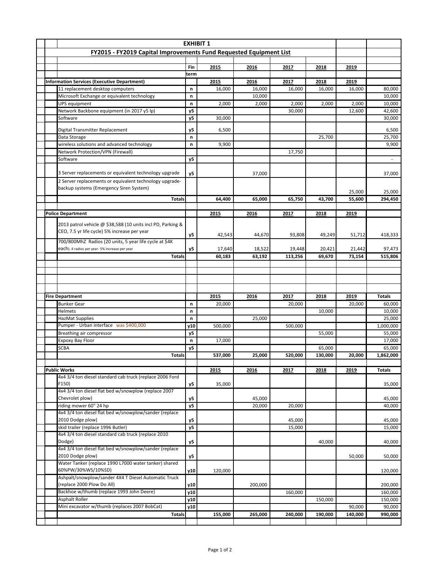|  |                                                                         |             | <b>EXHIBIT 1</b> |         |         |              |                  |                   |
|--|-------------------------------------------------------------------------|-------------|------------------|---------|---------|--------------|------------------|-------------------|
|  | FY2015 - FY2019 Capital Improvements Fund Requested Equipment List      |             |                  |         |         |              |                  |                   |
|  |                                                                         |             |                  |         |         |              |                  |                   |
|  |                                                                         | Fin<br>term | 2015             | 2016    | 2017    | 2018         | 2019             |                   |
|  | <b>Information Services (Executive Department)</b>                      |             | 2015             | 2016    | 2017    | <u> 2018</u> | 2019             |                   |
|  | 11 replacement desktop computers                                        | n           | 16,000           | 16,000  | 16,000  | 16,000       | 16,000           | 80,000            |
|  | Microsoft Exchange or equivalent technology                             | n           |                  | 10,000  |         |              |                  | 10,000            |
|  | <b>UPS equipment</b>                                                    | n           | 2,000            | 2,000   | 2,000   | 2,000        | 2,000            | 10,000            |
|  | Network Backbone equipment (in 2017 y5 lp)                              | y5          |                  |         | 30,000  |              | 12,600           | 42,600            |
|  | Software                                                                | y5          | 30,000           |         |         |              |                  | 30,000            |
|  | Digital Transmitter Replacement                                         | y5          | 6,500            |         |         |              |                  | 6,500             |
|  | Data Storage                                                            | n           |                  |         |         | 25,700       |                  | 25,700            |
|  | wireless solutions and advanced technology                              | n           | 9,900            |         |         |              |                  | 9,900             |
|  | Network Protection/VPN (Firewall)                                       |             |                  |         | 17,750  |              |                  |                   |
|  | Software                                                                | y5          |                  |         |         |              |                  |                   |
|  | 3 Server replacements or equivalent technology upgrade                  | y5          |                  | 37,000  |         |              |                  | 37,000            |
|  | 2 Server replacements or equivalent technology upgrade-                 |             |                  |         |         |              |                  |                   |
|  | backup systems (Emergency Siren System)                                 |             |                  |         |         |              |                  |                   |
|  | <b>Totals</b>                                                           |             | 64,400           | 65,000  | 65,750  | 43,700       | 25,000<br>55,600 | 25,000<br>294,450 |
|  |                                                                         |             |                  |         |         |              |                  |                   |
|  | <b>Police Department</b>                                                |             | 2015             | 2016    | 2017    | 2018         | 2019             |                   |
|  | 2013 patrol vehicle @ \$38,588 (10 units incl PD, Parking &             |             |                  |         |         |              |                  |                   |
|  | CEO, 7.5 yr life cycle) 5% increase per year                            |             |                  |         |         |              |                  |                   |
|  | 700/800MhZ Radios (20 units, 5 year life cycle at \$4K                  | y5          | 42,543           | 44,670  | 93,808  | 49,249       | 51,712           | 418,333           |
|  | each). 4 radios per year- 5% increase per year                          | y5          | 17,640           | 18,522  | 19,448  | 20,421       | 21,442           | 97,473            |
|  | <b>Totals</b>                                                           |             | 60,183           | 63,192  | 113,256 | 69,670       | 73,154           | 515,806           |
|  |                                                                         |             |                  |         |         |              |                  |                   |
|  |                                                                         |             |                  |         |         |              |                  |                   |
|  |                                                                         |             |                  |         |         |              |                  |                   |
|  |                                                                         |             |                  |         |         |              |                  |                   |
|  |                                                                         |             |                  |         |         |              |                  |                   |
|  | <b>Fire Department</b>                                                  |             | 2015             | 2016    | 2017    | 2018         | 2019             | <b>Totals</b>     |
|  | <b>Bunker Gear</b>                                                      | n           | 20,000           |         | 20,000  |              | 20,000           | 60,000            |
|  | <b>Helmets</b>                                                          | n           |                  |         |         | 10,000       |                  | 10,000            |
|  | <b>HazMat Supplies</b>                                                  | n           |                  | 25,000  |         |              |                  | 25,000            |
|  | Pumper - Urban interface was \$400,000                                  | y10         | 500,000          |         | 500,000 |              |                  | 1,000,000         |
|  | Breathing air compressor                                                | y5          |                  |         |         | 55,000       |                  | 55,000            |
|  | Expoxy Bay Floor<br><b>SCBA</b>                                         | n<br>y5     | 17,000           |         |         | 65,000       |                  | 17,000<br>65,000  |
|  | <b>Totals</b>                                                           |             | 537,000          | 25,000  | 520,000 | 130,000      | 20,000           | 1,862,000         |
|  |                                                                         |             |                  |         |         |              |                  |                   |
|  | <b>Public Works</b>                                                     |             | 2015             | 2016    | 2017    | 2018         | 2019             | <b>Totals</b>     |
|  | 4x4 3/4 ton diesel standard cab truck (replace 2006 Ford                |             |                  |         |         |              |                  |                   |
|  | F150)                                                                   | y5          | 35,000           |         |         |              |                  | 35,000            |
|  | 4x4 3/4 ton diesel flat bed w/snowplow (replace 2007<br>Chevrolet plow) |             |                  | 45,000  |         |              |                  | 45,000            |
|  | riding mower 60" 24 hp                                                  | y5<br>y5    |                  | 20,000  | 20,000  |              |                  | 40,000            |
|  | 4x4 3/4 ton diesel flat bed w/snowplow/sander (replace                  |             |                  |         |         |              |                  |                   |
|  | 2010 Dodge plow)                                                        | y5          |                  |         | 45,000  |              |                  | 45,000            |
|  | skid trailer (replace 1996 Butler)                                      | y5          |                  |         | 15,000  |              |                  | 15,000            |
|  | 4x4 3/4 ton diesel standard cab truck (replace 2010                     |             |                  |         |         |              |                  |                   |
|  | Dodge)<br>4x4 3/4 ton diesel flat bed w/snowplow/sander (replace        | y5          |                  |         |         | 40,000       |                  | 40,000            |
|  | 2010 Dodge plow)                                                        | y5          |                  |         |         |              | 50,000           | 50,000            |
|  | Water Tanker (replace 1990 L7000 water tanker) shared                   |             |                  |         |         |              |                  |                   |
|  | 60%PW/30%WS/10%SD)                                                      | y10         | 120,000          |         |         |              |                  | 120,000           |
|  | Ashpalt/snowplow/sander 4X4 T Diesel Automatic Truck                    |             |                  |         |         |              |                  |                   |
|  | (replace 2000 Plow Do All)                                              | y10         |                  | 200,000 |         |              |                  | 200,000           |
|  | Backhoe w/thumb (replace 1993 John Deere)                               | y10         |                  |         | 160,000 |              |                  | 160,000           |
|  | Asphalt Roller<br>Mini excavator w/thumb (replaces 2007 BobCat)         | y10<br>y10  |                  |         |         | 150,000      | 90,000           | 150,000<br>90,000 |
|  | <b>Totals</b>                                                           |             | 155,000          | 265,000 | 240,000 | 190,000      | 140,000          | 990,000           |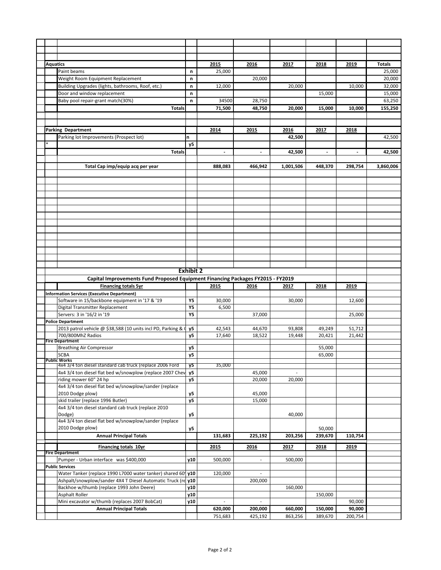| <b>Aquatics</b> |                                                                                 |                  | 2015         | 2016                     | 2017      | 2018                     | 2019           | <b>Totals</b> |
|-----------------|---------------------------------------------------------------------------------|------------------|--------------|--------------------------|-----------|--------------------------|----------------|---------------|
|                 | Paint beams                                                                     | n                | 25,000       |                          |           |                          |                | 25,000        |
|                 | Weight Room Equipment Replacement                                               | n                |              | 20,000                   |           |                          |                | 20,000        |
|                 | Building Upgrades (lights, bathrooms, Roof, etc.)                               | n                | 12,000       |                          | 20,000    |                          | 10,000         | 32,000        |
|                 | Door and window replacement                                                     | n                |              |                          |           | 15,000                   |                | 15,000        |
|                 |                                                                                 |                  | 34500        |                          |           |                          |                |               |
|                 | Baby pool repair-grant match(30%)                                               | n                |              | 28,750                   |           |                          |                | 63,250        |
|                 | <b>Totals</b>                                                                   |                  | 71,500       | 48,750                   | 20,000    | 15,000                   | 10,000         | 155,250       |
|                 |                                                                                 |                  |              |                          |           |                          |                |               |
|                 |                                                                                 |                  |              |                          |           |                          |                |               |
|                 | <b>Parking Department</b>                                                       |                  | 2014         | 2015                     | 2016      | 2017                     | 2018           |               |
|                 | Parking lot Improvements (Prospect lot)                                         | n                |              |                          | 42,500    |                          |                | 42,500        |
|                 |                                                                                 | <b>y5</b>        |              |                          |           |                          |                |               |
|                 | <b>Totals</b>                                                                   |                  | $\centerdot$ | $\overline{\phantom{a}}$ | 42,500    | $\overline{\phantom{a}}$ | $\blacksquare$ | 42,500        |
|                 |                                                                                 |                  |              |                          |           |                          |                |               |
|                 |                                                                                 |                  |              |                          |           |                          |                |               |
|                 | Total Cap imp/equip acq per year                                                |                  | 888,083      | 466,942                  | 1,001,506 | 448,370                  | 298,754        | 3,860,006     |
|                 |                                                                                 |                  |              |                          |           |                          |                |               |
|                 |                                                                                 |                  |              |                          |           |                          |                |               |
|                 |                                                                                 |                  |              |                          |           |                          |                |               |
|                 |                                                                                 |                  |              |                          |           |                          |                |               |
|                 |                                                                                 |                  |              |                          |           |                          |                |               |
|                 |                                                                                 |                  |              |                          |           |                          |                |               |
|                 |                                                                                 |                  |              |                          |           |                          |                |               |
|                 |                                                                                 |                  |              |                          |           |                          |                |               |
|                 |                                                                                 |                  |              |                          |           |                          |                |               |
|                 |                                                                                 |                  |              |                          |           |                          |                |               |
|                 |                                                                                 |                  |              |                          |           |                          |                |               |
|                 |                                                                                 |                  |              |                          |           |                          |                |               |
|                 |                                                                                 |                  |              |                          |           |                          |                |               |
|                 |                                                                                 |                  |              |                          |           |                          |                |               |
|                 |                                                                                 |                  |              |                          |           |                          |                |               |
|                 |                                                                                 | <b>Exhibit 2</b> |              |                          |           |                          |                |               |
|                 | Capital Improvements Fund Proposed Equipment Financing Packages FY2015 - FY2019 |                  |              |                          |           |                          |                |               |
|                 |                                                                                 |                  |              |                          |           |                          |                |               |
|                 | <b>Financing totals 5yr</b>                                                     |                  | 2015         | 2016                     | 2017      | 2018                     | 2019           |               |
|                 |                                                                                 |                  |              |                          |           |                          |                |               |
|                 | <b>Information Services (Executive Department)</b>                              |                  |              |                          |           |                          |                |               |
|                 | Software in 15/backbone equipment in '17 & '19                                  | Y5               | 30,000       |                          | 30,000    |                          | 12,600         |               |
|                 | Digital Transmitter Replacement                                                 | Υ5               | 6,500        |                          |           |                          |                |               |
|                 | Servers: 3 in '16/2 in '19                                                      | <b>Y5</b>        |              | 37,000                   |           |                          | 25,000         |               |
|                 | <b>Police Department</b>                                                        |                  |              |                          |           |                          |                |               |
|                 | 2013 patrol vehicle @ \$38,588 (10 units incl PD, Parking & 0                   | y5               | 42,543       | 44,670                   | 93,808    | 49,249                   | 51,712         |               |
|                 | 700/800MhZ Radios                                                               | y5               | 17,640       | 18,522                   | 19,448    | 20,421                   | 21,442         |               |
|                 | <b>Fire Department</b>                                                          |                  |              |                          |           |                          |                |               |
|                 | <b>Breathing Air Compressor</b>                                                 | y5               |              |                          |           | 55,000                   |                |               |
|                 | <b>SCBA</b>                                                                     | y5               |              |                          |           | 65,000                   |                |               |
|                 | Public Works<br>4x4 3/4 ton diesel standard cab truck (replace 2006 Ford        |                  | 35,000       |                          |           |                          |                |               |
|                 |                                                                                 | у5               |              |                          |           |                          |                |               |
|                 | 4x4 3/4 ton diesel flat bed w/snowplow (replace 2007 Chev                       | у5               |              | 45,000                   |           |                          |                |               |
|                 | riding mower 60" 24 hp                                                          | y5               |              | 20,000                   | 20,000    |                          |                |               |
|                 | 4x4 3/4 ton diesel flat bed w/snowplow/sander (replace                          |                  |              |                          |           |                          |                |               |
|                 | 2010 Dodge plow)                                                                | y5               |              | 45,000                   |           |                          |                |               |
|                 | skid trailer (replace 1996 Butler)                                              | <b>y5</b>        |              | 15,000                   |           |                          |                |               |
|                 | 4x4 3/4 ton diesel standard cab truck (replace 2010                             |                  |              |                          |           |                          |                |               |
|                 | Dodge)                                                                          | y5               |              |                          | 40,000    |                          |                |               |
|                 | 4x4 3/4 ton diesel flat bed w/snowplow/sander (replace                          |                  |              |                          |           |                          |                |               |
|                 | 2010 Dodge plow)                                                                | y5               |              |                          |           | 50,000                   |                |               |
|                 | <b>Annual Principal Totals</b>                                                  |                  | 131,683      | 225,192                  | 203,256   | 239,670                  | 110,754        |               |
|                 |                                                                                 |                  |              |                          |           |                          |                |               |
|                 | Financing totals 10yr                                                           |                  | 2015         | 2016                     | 2017      | 2018                     | 2019           |               |
|                 | <b>Fire Department</b>                                                          |                  |              |                          |           |                          |                |               |
|                 | Pumper - Urban interface was \$400,000                                          | y10              | 500,000      | $\overline{\phantom{a}}$ | 500,000   |                          |                |               |
|                 | <b>Public Services</b>                                                          |                  |              |                          |           |                          |                |               |
|                 | Water Tanker (replace 1990 L7000 water tanker) shared 60 y10                    |                  | 120,000      |                          |           |                          |                |               |
|                 | Ashpalt/snowplow/sander 4X4 T Diesel Automatic Truck (re y10                    |                  |              | 200,000                  |           |                          |                |               |
|                 | Backhoe w/thumb (replace 1993 John Deere)                                       | y10              |              |                          | 160,000   |                          |                |               |
|                 | Asphalt Roller                                                                  | y10              |              |                          |           | 150,000                  |                |               |
|                 | Mini excavator w/thumb (replaces 2007 BobCat)                                   | y10              | ä,           | L,                       |           |                          | 90,000         |               |
|                 | <b>Annual Principal Totals</b>                                                  |                  | 620,000      | 200,000                  | 660,000   | 150,000                  | 90,000         |               |
|                 |                                                                                 |                  | 751,683      | 425,192                  | 863,256   | 389,670                  | 200,754        |               |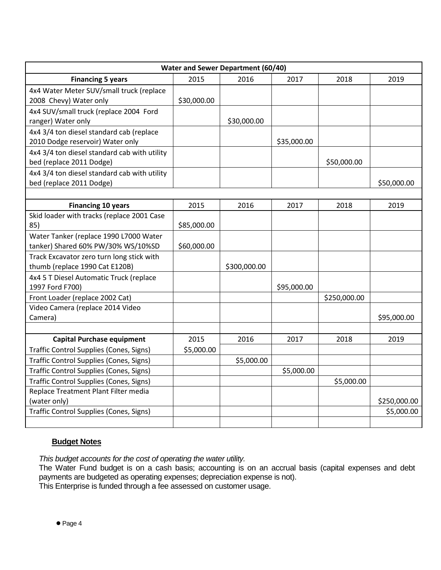|                                                |             | Water and Sewer Department (60/40) |             |              |              |
|------------------------------------------------|-------------|------------------------------------|-------------|--------------|--------------|
| <b>Financing 5 years</b>                       | 2015        | 2016                               | 2017        | 2018         | 2019         |
| 4x4 Water Meter SUV/small truck (replace       |             |                                    |             |              |              |
| 2008 Chevy) Water only                         | \$30,000.00 |                                    |             |              |              |
| 4x4 SUV/small truck (replace 2004 Ford         |             |                                    |             |              |              |
| ranger) Water only                             |             | \$30,000.00                        |             |              |              |
| 4x4 3/4 ton diesel standard cab (replace       |             |                                    |             |              |              |
| 2010 Dodge reservoir) Water only               |             |                                    | \$35,000.00 |              |              |
| 4x4 3/4 ton diesel standard cab with utility   |             |                                    |             |              |              |
| bed (replace 2011 Dodge)                       |             |                                    |             | \$50,000.00  |              |
| 4x4 3/4 ton diesel standard cab with utility   |             |                                    |             |              |              |
| bed (replace 2011 Dodge)                       |             |                                    |             |              | \$50,000.00  |
|                                                |             |                                    |             |              |              |
| <b>Financing 10 years</b>                      | 2015        | 2016                               | 2017        | 2018         | 2019         |
| Skid loader with tracks (replace 2001 Case     |             |                                    |             |              |              |
| 85)                                            | \$85,000.00 |                                    |             |              |              |
| Water Tanker (replace 1990 L7000 Water         |             |                                    |             |              |              |
| tanker) Shared 60% PW/30% WS/10%SD             | \$60,000.00 |                                    |             |              |              |
| Track Excavator zero turn long stick with      |             |                                    |             |              |              |
| thumb (replace 1990 Cat E120B)                 |             | \$300,000.00                       |             |              |              |
| 4x4 5 T Diesel Automatic Truck (replace        |             |                                    |             |              |              |
| 1997 Ford F700)                                |             |                                    | \$95,000.00 |              |              |
| Front Loader (replace 2002 Cat)                |             |                                    |             | \$250,000.00 |              |
| Video Camera (replace 2014 Video               |             |                                    |             |              |              |
| Camera)                                        |             |                                    |             |              | \$95,000.00  |
|                                                |             |                                    |             |              |              |
| <b>Capital Purchase equipment</b>              | 2015        | 2016                               | 2017        | 2018         | 2019         |
| <b>Traffic Control Supplies (Cones, Signs)</b> | \$5,000.00  |                                    |             |              |              |
| Traffic Control Supplies (Cones, Signs)        |             | \$5,000.00                         |             |              |              |
| <b>Traffic Control Supplies (Cones, Signs)</b> |             |                                    | \$5,000.00  |              |              |
| Traffic Control Supplies (Cones, Signs)        |             |                                    |             | \$5,000.00   |              |
| Replace Treatment Plant Filter media           |             |                                    |             |              |              |
| (water only)                                   |             |                                    |             |              | \$250,000.00 |
| <b>Traffic Control Supplies (Cones, Signs)</b> |             |                                    |             |              | \$5,000.00   |
|                                                |             |                                    |             |              |              |

# **Budget Notes**

*This budget accounts for the cost of operating the water utility.*

The Water Fund budget is on a cash basis; accounting is on an accrual basis (capital expenses and debt payments are budgeted as operating expenses; depreciation expense is not).

This Enterprise is funded through a fee assessed on customer usage.